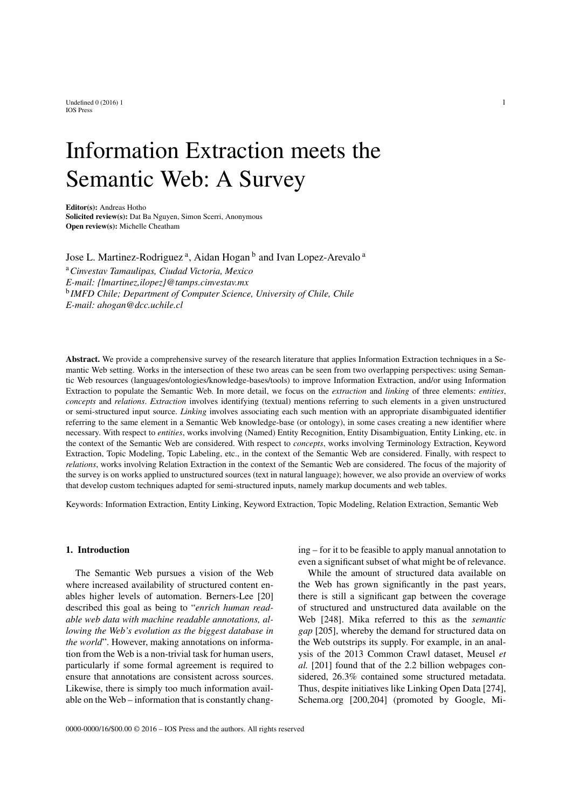Undefined  $0(2016)$  1 IOS Press

# Information Extraction meets the Semantic Web: A Survey

Editor(s): Andreas Hotho Solicited review(s): Dat Ba Nguyen, Simon Scerri, Anonymous Open review(s): Michelle Cheatham

<span id="page-0-1"></span><span id="page-0-0"></span>Jose L. M[a](#page-0-0)rtinez-Rodriguez<sup>a</sup>, Aidan Hogan <sup>[b](#page-0-1)</sup> and Ivan Lopez-Arevalo<sup>a</sup> <sup>a</sup>*Cinvestav Tamaulipas, Ciudad Victoria, Mexico E-mail: {lmartinez,ilopez}@tamps.cinvestav.mx* b *IMFD Chile; Department of Computer Science, University of Chile, Chile E-mail: ahogan@dcc.uchile.cl*

Abstract. We provide a comprehensive survey of the research literature that applies Information Extraction techniques in a Semantic Web setting. Works in the intersection of these two areas can be seen from two overlapping perspectives: using Semantic Web resources (languages/ontologies/knowledge-bases/tools) to improve Information Extraction, and/or using Information Extraction to populate the Semantic Web. In more detail, we focus on the *extraction* and *linking* of three elements: *entities*, *concepts* and *relations*. *Extraction* involves identifying (textual) mentions referring to such elements in a given unstructured or semi-structured input source. *Linking* involves associating each such mention with an appropriate disambiguated identifier referring to the same element in a Semantic Web knowledge-base (or ontology), in some cases creating a new identifier where necessary. With respect to *entities*, works involving (Named) Entity Recognition, Entity Disambiguation, Entity Linking, etc. in the context of the Semantic Web are considered. With respect to *concepts*, works involving Terminology Extraction, Keyword Extraction, Topic Modeling, Topic Labeling, etc., in the context of the Semantic Web are considered. Finally, with respect to *relations*, works involving Relation Extraction in the context of the Semantic Web are considered. The focus of the majority of the survey is on works applied to unstructured sources (text in natural language); however, we also provide an overview of works that develop custom techniques adapted for semi-structured inputs, namely markup documents and web tables.

Keywords: Information Extraction, Entity Linking, Keyword Extraction, Topic Modeling, Relation Extraction, Semantic Web

## 1. Introduction

The Semantic Web pursues a vision of the Web where increased availability of structured content enables higher levels of automation. Berners-Lee [\[20\]](#page-59-0) described this goal as being to "*enrich human readable web data with machine readable annotations, allowing the Web's evolution as the biggest database in the world*". However, making annotations on information from the Web is a non-trivial task for human users, particularly if some formal agreement is required to ensure that annotations are consistent across sources. Likewise, there is simply too much information available on the Web – information that is constantly changing – for it to be feasible to apply manual annotation to even a significant subset of what might be of relevance.

While the amount of structured data available on the Web has grown significantly in the past years, there is still a significant gap between the coverage of structured and unstructured data available on the Web [\[248\]](#page-68-0). Mika referred to this as the *semantic gap* [\[205\]](#page-67-0), whereby the demand for structured data on the Web outstrips its supply. For example, in an analysis of the 2013 Common Crawl dataset, Meusel *et al.* [\[201\]](#page-66-0) found that of the 2.2 billion webpages considered, 26.3% contained some structured metadata. Thus, despite initiatives like Linking Open Data [\[274\]](#page-69-0), Schema.org [\[200](#page-66-1)[,204\]](#page-67-1) (promoted by Google, Mi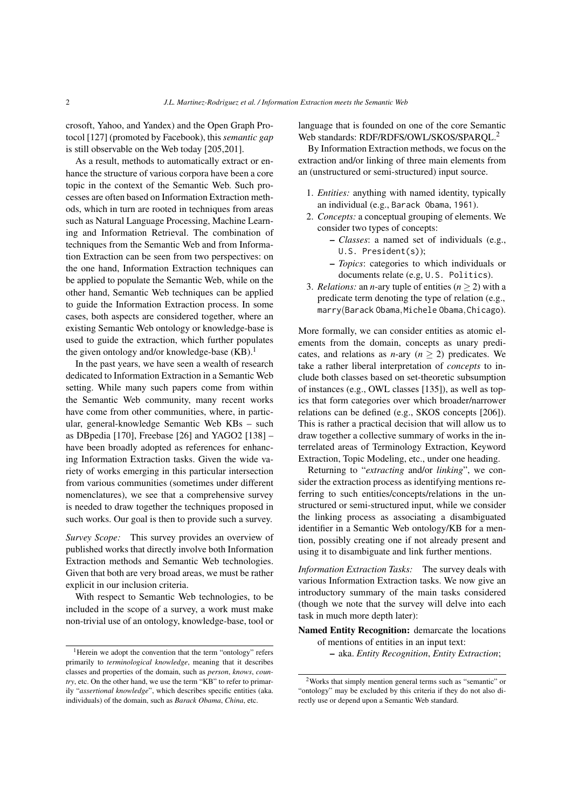crosoft, Yahoo, and Yandex) and the Open Graph Protocol [\[127\]](#page-64-0) (promoted by Facebook), this *semantic gap* is still observable on the Web today [\[205,](#page-67-0)[201\]](#page-66-0).

As a result, methods to automatically extract or enhance the structure of various corpora have been a core topic in the context of the Semantic Web. Such processes are often based on Information Extraction methods, which in turn are rooted in techniques from areas such as Natural Language Processing, Machine Learning and Information Retrieval. The combination of techniques from the Semantic Web and from Information Extraction can be seen from two perspectives: on the one hand, Information Extraction techniques can be applied to populate the Semantic Web, while on the other hand, Semantic Web techniques can be applied to guide the Information Extraction process. In some cases, both aspects are considered together, where an existing Semantic Web ontology or knowledge-base is used to guide the extraction, which further populates the given ontology and/or knowledge-base (KB).<sup>[1](#page-1-0)</sup>

In the past years, we have seen a wealth of research dedicated to Information Extraction in a Semantic Web setting. While many such papers come from within the Semantic Web community, many recent works have come from other communities, where, in particular, general-knowledge Semantic Web KBs – such as DBpedia [\[170\]](#page-65-0), Freebase [\[26\]](#page-59-1) and YAGO2 [\[138\]](#page-64-1) – have been broadly adopted as references for enhancing Information Extraction tasks. Given the wide variety of works emerging in this particular intersection from various communities (sometimes under different nomenclatures), we see that a comprehensive survey is needed to draw together the techniques proposed in such works. Our goal is then to provide such a survey.

*Survey Scope:* This survey provides an overview of published works that directly involve both Information Extraction methods and Semantic Web technologies. Given that both are very broad areas, we must be rather explicit in our inclusion criteria.

With respect to Semantic Web technologies, to be included in the scope of a survey, a work must make non-trivial use of an ontology, knowledge-base, tool or language that is founded on one of the core Semantic Web standards: RDF/RDFS/OWL/SKOS/SPARQL.<sup>[2](#page-1-1)</sup>

By Information Extraction methods, we focus on the extraction and/or linking of three main elements from an (unstructured or semi-structured) input source.

- 1. *Entities:* anything with named identity, typically an individual (e.g., Barack Obama, 1961).
- 2. *Concepts:* a conceptual grouping of elements. We consider two types of concepts:
	- *Classes*: a named set of individuals (e.g., U.S. President(s));
	- *Topics*: categories to which individuals or documents relate (e.g, U.S. Politics).
- 3. *Relations:* an *n*-ary tuple of entities  $(n \geq 2)$  with a predicate term denoting the type of relation (e.g., marry(Barack Obama, Michele Obama, Chicago).

More formally, we can consider entities as atomic elements from the domain, concepts as unary predicates, and relations as *n*-ary ( $n \ge 2$ ) predicates. We take a rather liberal interpretation of *concepts* to include both classes based on set-theoretic subsumption of instances (e.g., OWL classes [\[135\]](#page-64-2)), as well as topics that form categories over which broader/narrower relations can be defined (e.g., SKOS concepts [\[206\]](#page-67-2)). This is rather a practical decision that will allow us to draw together a collective summary of works in the interrelated areas of Terminology Extraction, Keyword Extraction, Topic Modeling, etc., under one heading.

Returning to "*extracting* and/or *linking*", we consider the extraction process as identifying mentions referring to such entities/concepts/relations in the unstructured or semi-structured input, while we consider the linking process as associating a disambiguated identifier in a Semantic Web ontology/KB for a mention, possibly creating one if not already present and using it to disambiguate and link further mentions.

*Information Extraction Tasks:* The survey deals with various Information Extraction tasks. We now give an introductory summary of the main tasks considered (though we note that the survey will delve into each task in much more depth later):

Named Entity Recognition: demarcate the locations of mentions of entities in an input text:

– aka. *Entity Recognition*, *Entity Extraction*;

<span id="page-1-0"></span><sup>&</sup>lt;sup>1</sup>Herein we adopt the convention that the term "ontology" refers primarily to *terminological knowledge*, meaning that it describes classes and properties of the domain, such as *person*, *knows*, *country*, etc. On the other hand, we use the term "KB" to refer to primarily "*assertional knowledge*", which describes specific entities (aka. individuals) of the domain, such as *Barack Obama*, *China*, etc.

<span id="page-1-1"></span><sup>2</sup>Works that simply mention general terms such as "semantic" or "ontology" may be excluded by this criteria if they do not also directly use or depend upon a Semantic Web standard.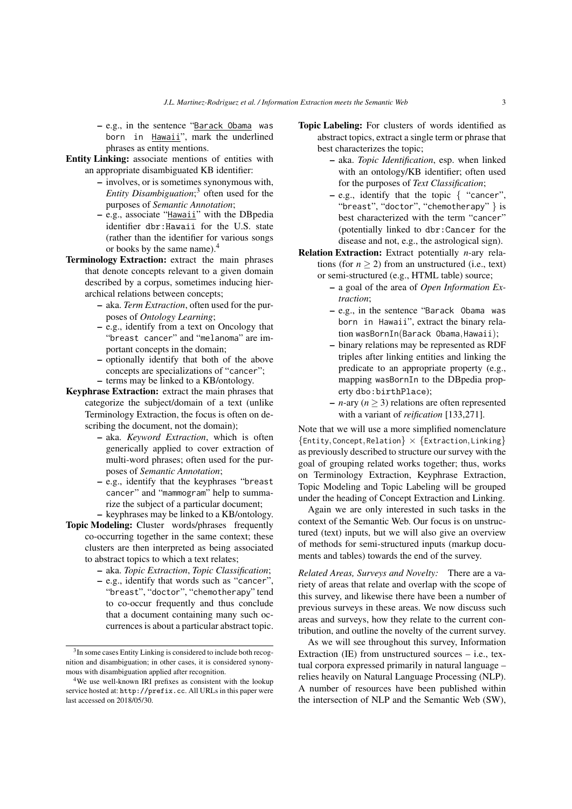- e.g., in the sentence "Barack Obama was born in Hawaii", mark the underlined phrases as entity mentions.
- Entity Linking: associate mentions of entities with an appropriate disambiguated KB identifier:
	- involves, or is sometimes synonymous with, *Entity Disambiguation*; [3](#page-2-0) often used for the purposes of *Semantic Annotation*;
	- e.g., associate "Hawaii" with the DBpedia identifier dbr:Hawaii for the U.S. state (rather than the identifier for various songs or books by the same name).[4](#page-2-1)
- Terminology Extraction: extract the main phrases that denote concepts relevant to a given domain described by a corpus, sometimes inducing hierarchical relations between concepts;
	- aka. *Term Extraction*, often used for the purposes of *Ontology Learning*;
	- e.g., identify from a text on Oncology that "breast cancer" and "melanoma" are important concepts in the domain;
	- optionally identify that both of the above concepts are specializations of "cancer";
	- terms may be linked to a KB/ontology.
- Keyphrase Extraction: extract the main phrases that categorize the subject/domain of a text (unlike Terminology Extraction, the focus is often on describing the document, not the domain);
	- aka. *Keyword Extraction*, which is often generically applied to cover extraction of multi-word phrases; often used for the purposes of *Semantic Annotation*;
	- e.g., identify that the keyphrases "breast cancer" and "mammogram" help to summarize the subject of a particular document;
	- keyphrases may be linked to a KB/ontology.
- Topic Modeling: Cluster words/phrases frequently co-occurring together in the same context; these clusters are then interpreted as being associated to abstract topics to which a text relates;
	- aka. *Topic Extraction*, *Topic Classification*;
	- e.g., identify that words such as "cancer", "breast", "doctor", "chemotherapy" tend to co-occur frequently and thus conclude that a document containing many such occurrences is about a particular abstract topic.
- Topic Labeling: For clusters of words identified as abstract topics, extract a single term or phrase that best characterizes the topic;
	- aka. *Topic Identification*, esp. when linked with an ontology/KB identifier; often used for the purposes of *Text Classification*;
	- $-$  e.g., identify that the topic  $\{$  "cancer", "breast", "doctor", "chemotherapy" } is best characterized with the term "cancer" (potentially linked to dbr:Cancer for the disease and not, e.g., the astrological sign).
- Relation Extraction: Extract potentially *n*-ary relations (for  $n > 2$ ) from an unstructured (i.e., text) or semi-structured (e.g., HTML table) source;
	- a goal of the area of *Open Information Extraction*;
	- e.g., in the sentence "Barack Obama was born in Hawaii", extract the binary relation wasBornIn(Barack Obama,Hawaii);
	- binary relations may be represented as RDF triples after linking entities and linking the predicate to an appropriate property (e.g., mapping wasBornIn to the DBpedia property dbo:birthPlace);
	- $-$  *n*-ary ( $n \ge 3$ ) relations are often represented with a variant of *reification* [\[133,](#page-64-3)[271\]](#page-69-1).

Note that we will use a more simplified nomenclature  ${Entity, Concept, Relation} \times {Extension, Linking}$ as previously described to structure our survey with the goal of grouping related works together; thus, works on Terminology Extraction, Keyphrase Extraction, Topic Modeling and Topic Labeling will be grouped under the heading of Concept Extraction and Linking.

Again we are only interested in such tasks in the context of the Semantic Web. Our focus is on unstructured (text) inputs, but we will also give an overview of methods for semi-structured inputs (markup documents and tables) towards the end of the survey.

*Related Areas, Surveys and Novelty:* There are a variety of areas that relate and overlap with the scope of this survey, and likewise there have been a number of previous surveys in these areas. We now discuss such areas and surveys, how they relate to the current contribution, and outline the novelty of the current survey.

As we will see throughout this survey, Information Extraction (IE) from unstructured sources  $-$  i.e., textual corpora expressed primarily in natural language – relies heavily on Natural Language Processing (NLP). A number of resources have been published within the intersection of NLP and the Semantic Web (SW),

<span id="page-2-0"></span><sup>&</sup>lt;sup>3</sup>In some cases Entity Linking is considered to include both recognition and disambiguation; in other cases, it is considered synonymous with disambiguation applied after recognition.

<span id="page-2-1"></span><sup>4</sup>We use well-known IRI prefixes as consistent with the lookup service hosted at: <http://prefix.cc>. All URLs in this paper were last accessed on 2018/05/30.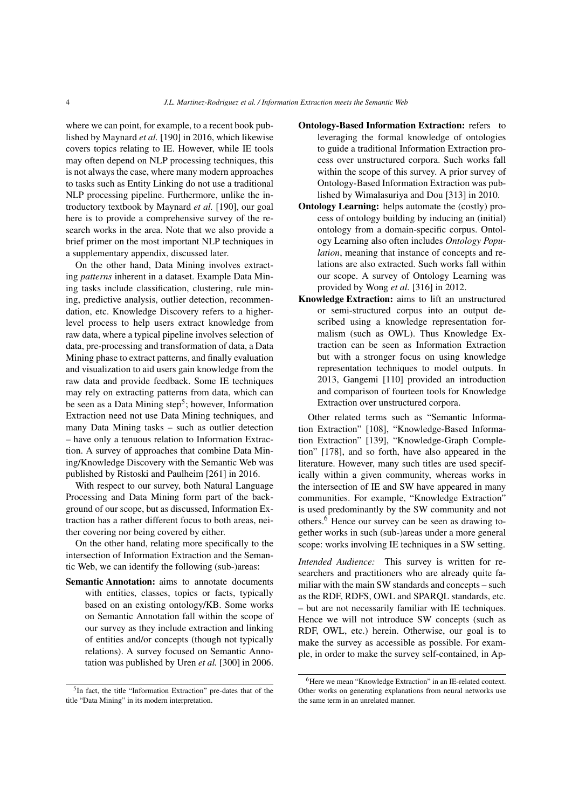where we can point, for example, to a recent book published by Maynard *et al.* [\[190\]](#page-66-2) in 2016, which likewise covers topics relating to IE. However, while IE tools may often depend on NLP processing techniques, this is not always the case, where many modern approaches to tasks such as Entity Linking do not use a traditional NLP processing pipeline. Furthermore, unlike the introductory textbook by Maynard *et al.* [\[190\]](#page-66-2), our goal here is to provide a comprehensive survey of the research works in the area. Note that we also provide a brief primer on the most important NLP techniques in a supplementary appendix, discussed later.

On the other hand, Data Mining involves extracting *patterns* inherent in a dataset. Example Data Mining tasks include classification, clustering, rule mining, predictive analysis, outlier detection, recommendation, etc. Knowledge Discovery refers to a higherlevel process to help users extract knowledge from raw data, where a typical pipeline involves selection of data, pre-processing and transformation of data, a Data Mining phase to extract patterns, and finally evaluation and visualization to aid users gain knowledge from the raw data and provide feedback. Some IE techniques may rely on extracting patterns from data, which can be seen as a Data Mining step<sup>[5](#page-3-0)</sup>; however, Information Extraction need not use Data Mining techniques, and many Data Mining tasks – such as outlier detection – have only a tenuous relation to Information Extraction. A survey of approaches that combine Data Mining/Knowledge Discovery with the Semantic Web was published by Ristoski and Paulheim [\[261\]](#page-69-2) in 2016.

With respect to our survey, both Natural Language Processing and Data Mining form part of the background of our scope, but as discussed, Information Extraction has a rather different focus to both areas, neither covering nor being covered by either.

On the other hand, relating more specifically to the intersection of Information Extraction and the Semantic Web, we can identify the following (sub-)areas:

Semantic Annotation: aims to annotate documents with entities, classes, topics or facts, typically based on an existing ontology/KB. Some works on Semantic Annotation fall within the scope of our survey as they include extraction and linking of entities and/or concepts (though not typically relations). A survey focused on Semantic Annotation was published by Uren *et al.* [\[300\]](#page-71-0) in 2006.

- Ontology-Based Information Extraction: refers to leveraging the formal knowledge of ontologies to guide a traditional Information Extraction process over unstructured corpora. Such works fall within the scope of this survey. A prior survey of Ontology-Based Information Extraction was published by Wimalasuriya and Dou [\[313\]](#page-71-1) in 2010.
- Ontology Learning: helps automate the (costly) process of ontology building by inducing an (initial) ontology from a domain-specific corpus. Ontology Learning also often includes *Ontology Population*, meaning that instance of concepts and relations are also extracted. Such works fall within our scope. A survey of Ontology Learning was provided by Wong *et al.* [\[316\]](#page-71-2) in 2012.
- Knowledge Extraction: aims to lift an unstructured or semi-structured corpus into an output described using a knowledge representation formalism (such as OWL). Thus Knowledge Extraction can be seen as Information Extraction but with a stronger focus on using knowledge representation techniques to model outputs. In 2013, Gangemi [\[110\]](#page-63-0) provided an introduction and comparison of fourteen tools for Knowledge Extraction over unstructured corpora.

Other related terms such as "Semantic Information Extraction" [\[108\]](#page-63-1), "Knowledge-Based Information Extraction" [\[139\]](#page-64-4), "Knowledge-Graph Completion" [\[178\]](#page-66-3), and so forth, have also appeared in the literature. However, many such titles are used specifically within a given community, whereas works in the intersection of IE and SW have appeared in many communities. For example, "Knowledge Extraction" is used predominantly by the SW community and not others.[6](#page-3-1) Hence our survey can be seen as drawing together works in such (sub-)areas under a more general scope: works involving IE techniques in a SW setting.

*Intended Audience:* This survey is written for researchers and practitioners who are already quite familiar with the main SW standards and concepts – such as the RDF, RDFS, OWL and SPARQL standards, etc. – but are not necessarily familiar with IE techniques. Hence we will not introduce SW concepts (such as RDF, OWL, etc.) herein. Otherwise, our goal is to make the survey as accessible as possible. For example, in order to make the survey self-contained, in Ap-

<span id="page-3-0"></span><sup>5</sup> In fact, the title "Information Extraction" pre-dates that of the title "Data Mining" in its modern interpretation.

<span id="page-3-1"></span><sup>6</sup>Here we mean "Knowledge Extraction" in an IE-related context. Other works on generating explanations from neural networks use the same term in an unrelated manner.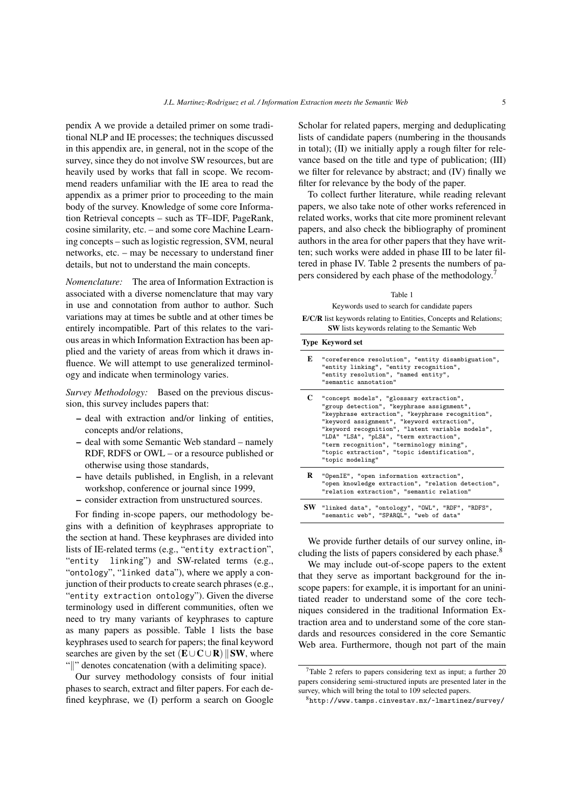pendix [A](#page-72-0) we provide a detailed primer on some traditional NLP and IE processes; the techniques discussed in this appendix are, in general, not in the scope of the survey, since they do not involve SW resources, but are heavily used by works that fall in scope. We recommend readers unfamiliar with the IE area to read the appendix as a primer prior to proceeding to the main body of the survey. Knowledge of some core Information Retrieval concepts – such as TF–IDF, PageRank, cosine similarity, etc. – and some core Machine Learning concepts – such as logistic regression, SVM, neural networks, etc. – may be necessary to understand finer details, but not to understand the main concepts.

*Nomenclature:* The area of Information Extraction is associated with a diverse nomenclature that may vary in use and connotation from author to author. Such variations may at times be subtle and at other times be entirely incompatible. Part of this relates to the various areas in which Information Extraction has been applied and the variety of areas from which it draws influence. We will attempt to use generalized terminology and indicate when terminology varies.

*Survey Methodology:* Based on the previous discussion, this survey includes papers that:

- deal with extraction and/or linking of entities, concepts and/or relations,
- deal with some Semantic Web standard namely RDF, RDFS or OWL – or a resource published or otherwise using those standards,
- have details published, in English, in a relevant workshop, conference or journal since 1999,
- consider extraction from unstructured sources.

For finding in-scope papers, our methodology begins with a definition of keyphrases appropriate to the section at hand. These keyphrases are divided into lists of IE-related terms (e.g., "entity extraction", "entity linking") and SW-related terms (e.g., "ontology", "linked data"), where we apply a conjunction of their products to create search phrases (e.g., "entity extraction ontology"). Given the diverse terminology used in different communities, often we need to try many variants of keyphrases to capture as many papers as possible. Table [1](#page-4-0) lists the base keyphrases used to search for papers; the final keyword searches are given by the set  $(E \cup C \cup R)$  SW, where "||" denotes concatenation (with a delimiting space).

Our survey methodology consists of four initial phases to search, extract and filter papers. For each defined keyphrase, we (I) perform a search on Google Scholar for related papers, merging and deduplicating lists of candidate papers (numbering in the thousands in total); (II) we initially apply a rough filter for relevance based on the title and type of publication; (III) we filter for relevance by abstract; and (IV) finally we filter for relevance by the body of the paper.

To collect further literature, while reading relevant papers, we also take note of other works referenced in related works, works that cite more prominent relevant papers, and also check the bibliography of prominent authors in the area for other papers that they have written; such works were added in phase III to be later filtered in phase IV. Table [2](#page-5-0) presents the numbers of papers considered by each phase of the methodology.[7](#page-4-1)

#### Table 1

Keywords used to search for candidate papers

<span id="page-4-0"></span>E/C/R list keywords relating to Entities, Concepts and Relations; SW lists keywords relating to the Semantic Web

|     | <b>Type Keyword set</b>                                                                                                                                                                                                                                                                                                                                                                                  |
|-----|----------------------------------------------------------------------------------------------------------------------------------------------------------------------------------------------------------------------------------------------------------------------------------------------------------------------------------------------------------------------------------------------------------|
| E   | "coreference resolution", "entity disambiguation",<br>"entity linking", "entity recognition",<br>"entity resolution", "named entity",<br>"semantic annotation"                                                                                                                                                                                                                                           |
| C.  | "concept models", "glossary extraction",<br>"group detection", "keyphrase assignment",<br>"keyphrase extraction", "keyphrase recognition",<br>"keyword assignment", "keyword extraction",<br>"keyword recognition", "latent variable models",<br>"LDA" "LSA", "pLSA", "term extraction",<br>"term recognition", "terminology mining",<br>"topic extraction", "topic identification",<br>"topic modeling" |
| R   | "OpenIE", "open information extraction",<br>"open knowledge extraction", "relation detection",<br>"relation extraction", "semantic relation"                                                                                                                                                                                                                                                             |
| SW. | "linked data", "ontology", "OWL", "RDF", "RDFS",<br>"semantic web", "SPAROL", "web of data"                                                                                                                                                                                                                                                                                                              |

We provide further details of our survey online, in-cluding the lists of papers considered by each phase.<sup>[8](#page-4-2)</sup>

We may include out-of-scope papers to the extent that they serve as important background for the inscope papers: for example, it is important for an uninitiated reader to understand some of the core techniques considered in the traditional Information Extraction area and to understand some of the core standards and resources considered in the core Semantic Web area. Furthermore, though not part of the main

<span id="page-4-1"></span><sup>7</sup>Table [2](#page-5-0) refers to papers considering text as input; a further 20 papers considering semi-structured inputs are presented later in the survey, which will bring the total to 109 selected papers.

<span id="page-4-2"></span><sup>8</sup><http://www.tamps.cinvestav.mx/~lmartinez/survey/>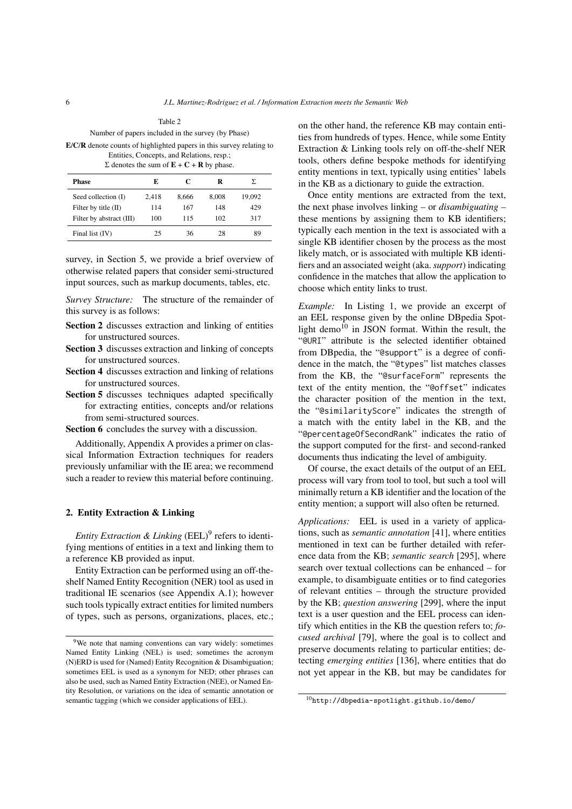# Table 2

<span id="page-5-0"></span>Number of papers included in the survey (by Phase) E/C/R denote counts of highlighted papers in this survey relating to

Entities, Concepts, and Relations, resp.;  $\Sigma$  denotes the sum of  $\mathbf{E} + \mathbf{C} + \mathbf{R}$  by phase.

| <b>Phase</b>             | E     | C     | R     | Σ.     |
|--------------------------|-------|-------|-------|--------|
| Seed collection (I)      | 2.418 | 8.666 | 8.008 | 19.092 |
| Filter by title (II)     | 114   | 167   | 148   | 429    |
| Filter by abstract (III) | 100   | 115   | 102   | 317    |
| Final list (IV)          | 25    | 36    | 28    | 89     |

survey, in Section [5,](#page-50-0) we provide a brief overview of otherwise related papers that consider semi-structured input sources, such as markup documents, tables, etc.

*Survey Structure:* The structure of the remainder of this survey is as follows:

- Section [2](#page-5-1) discusses extraction and linking of entities for unstructured sources.
- Section [3](#page-27-0) discusses extraction and linking of concepts for unstructured sources.
- Section [4](#page-38-0) discusses extraction and linking of relations for unstructured sources.
- Section [5](#page-50-0) discusses techniques adapted specifically for extracting entities, concepts and/or relations from semi-structured sources.

Section [6](#page-57-0) concludes the survey with a discussion.

Additionally, Appendix [A](#page-72-0) provides a primer on classical Information Extraction techniques for readers previously unfamiliar with the IE area; we recommend such a reader to review this material before continuing.

# <span id="page-5-1"></span>2. Entity Extraction & Linking

Entity Extraction & Linking (EEL)<sup>[9](#page-5-2)</sup> refers to identifying mentions of entities in a text and linking them to a reference KB provided as input.

Entity Extraction can be performed using an off-theshelf Named Entity Recognition (NER) tool as used in traditional IE scenarios (see Appendix [A.1\)](#page-77-0); however such tools typically extract entities for limited numbers of types, such as persons, organizations, places, etc.; on the other hand, the reference KB may contain entities from hundreds of types. Hence, while some Entity Extraction & Linking tools rely on off-the-shelf NER tools, others define bespoke methods for identifying entity mentions in text, typically using entities' labels in the KB as a dictionary to guide the extraction.

Once entity mentions are extracted from the text, the next phase involves linking – or *disambiguating* – these mentions by assigning them to KB identifiers; typically each mention in the text is associated with a single KB identifier chosen by the process as the most likely match, or is associated with multiple KB identifiers and an associated weight (aka. *support*) indicating confidence in the matches that allow the application to choose which entity links to trust.

*Example:* In Listing [1,](#page-6-0) we provide an excerpt of an EEL response given by the online DBpedia Spot-light demo<sup>[10](#page-5-3)</sup> in JSON format. Within the result, the "@URI" attribute is the selected identifier obtained from DBpedia, the "@support" is a degree of confidence in the match, the "@types" list matches classes from the KB, the "@surfaceForm" represents the text of the entity mention, the "@offset" indicates the character position of the mention in the text, the "@similarityScore" indicates the strength of a match with the entity label in the KB, and the "@percentageOfSecondRank" indicates the ratio of the support computed for the first- and second-ranked documents thus indicating the level of ambiguity.

Of course, the exact details of the output of an EEL process will vary from tool to tool, but such a tool will minimally return a KB identifier and the location of the entity mention; a support will also often be returned.

*Applications:* EEL is used in a variety of applications, such as *semantic annotation* [\[41\]](#page-60-0), where entities mentioned in text can be further detailed with reference data from the KB; *semantic search* [\[295\]](#page-70-0), where search over textual collections can be enhanced – for example, to disambiguate entities or to find categories of relevant entities – through the structure provided by the KB; *question answering* [\[299\]](#page-71-3), where the input text is a user question and the EEL process can identify which entities in the KB the question refers to; *focused archival* [\[79\]](#page-62-0), where the goal is to collect and preserve documents relating to particular entities; detecting *emerging entities* [\[136\]](#page-64-5), where entities that do not yet appear in the KB, but may be candidates for

<span id="page-5-2"></span><sup>&</sup>lt;sup>9</sup>We note that naming conventions can vary widely: sometimes Named Entity Linking (NEL) is used; sometimes the acronym (N)ERD is used for (Named) Entity Recognition & Disambiguation; sometimes EEL is used as a synonym for NED; other phrases can also be used, such as Named Entity Extraction (NEE), or Named Entity Resolution, or variations on the idea of semantic annotation or semantic tagging (which we consider applications of EEL).

<span id="page-5-3"></span> $^{10}\mathrm{http://dbpedia-spotlight.github.io/demo/}$  $^{10}\mathrm{http://dbpedia-spotlight.github.io/demo/}$  $^{10}\mathrm{http://dbpedia-spotlight.github.io/demo/}$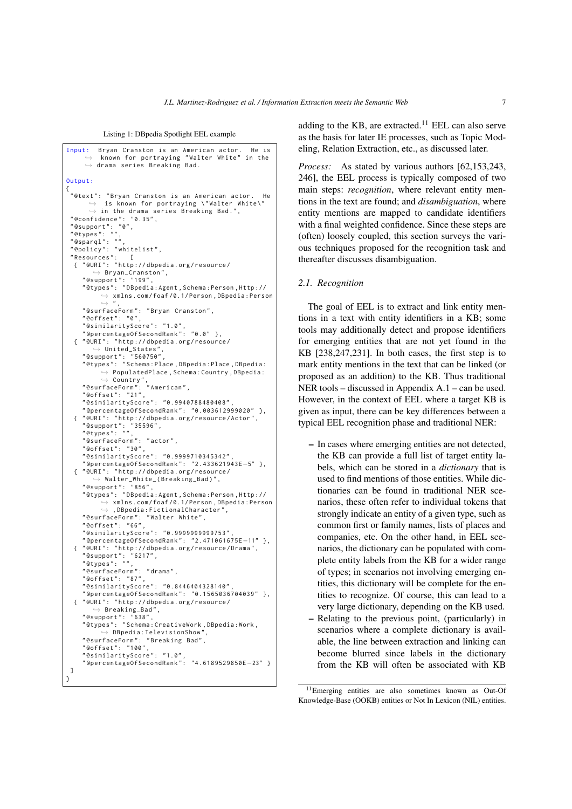Listing 1: DBpedia Spotlight EEL example

```
Input: Brvan Cranston is an American actor. He is
      \leftrightarrow known for portraying "Walter White" in the
      \hookrightarrow drama series Breaking Bad.
Output :
{
" @text ": " Bryan Cranston is an American actor . He
        \hookrightarrow is known for portraying \"Walter White\"<br>\hookrightarrow in the drama series Breaking Bad.",
 " @confidence ": "0.35" ,
 " @support ": "0" ,
" @types ": "" ,
" @sparql ": "" ,
 " @policy ": " whitelist " ,
" Resources ": [
{ " @URI ": " http :// dbpedia . org / resource /
          \rightarrow Bryan_Cranston",
      " @support ": "199" ,
" @types ": " DBpedia : Agent , Schema : Person , Http ://
             \hookrightarrow xmlns.com/foaf/0.1/Person,DBpedia:Person\hookrightarrow ",
      "@surfaceForm": "Bryan Cranston",<br>"@offset": "0".
      " @offset" :" @similarityScore ": "1.0" ,
      " @percentageOfSecondRank ": "0.0" } ,
  { " @URI ": " http :// dbpedia . org / resource /
         \rightarrow United_States",<br>support": "560750"
      " @support ": "560750" ,
" @types ": " Schema : Place , DBpedia : Place , DBpedia :
            \rightarrow PopulatedPlace, Schema: Country, DBpedia:
      → Country",<br>"@surfaceForm": "American",<br>"@offset": "21",
       " @similarityScore ": "0.9940788480408" ,
       " @percentageOfSecondRank ": "0.003612999020" } ,
  { " @URI ": " http :// dbpedia . org / resource / Actor " ,
      " @support ": "35596" ,
" @types ": "" ,
      " @surfaceForm ": " actor " ,
      " @offset ": "30" ,
       " @similarityScore ": "0.9999710345342" ,
      " @percentageOfSecondRank ": "2.433621943 E−5" } ,
  { " @URI ": " http :// dbpedia . org / resource /
           \rightarrow <code>Walter_White_(Breaking_Bad)</code> "
      " @support ": "856" ,
" @types ": " DBpedia : Agent , Schema : Person , Http ://
             ,→ xmlns . com / foaf /0.1/ Person , DBpedia : Person
            \rightarrow , DBpedia: Fictional Character",
      " @surfaceForm ": " Walter White " ,
" @offset ": "66" ,
      " @similarityScore ": "0.9999999999753" ,
      "@percentageOfSecondRank": "2.471061675E-11" },
  { " @URI ": " http :// dbpedia . org / resource / Drama " ,
      " @support ": "6217" ,
" @types ": "" ,
      " @surfaceForm ": " drama " ,
      " @offset ": "87" ,
      " @similarityScore ": "0.8446404328140" ,
       " @percentageOfSecondRank ": "0.1565036704039" } ,
  { " @URI ": " http :// dbpedia . org / resource /
           \rightarrow Breaking_Bad
      " @support ": "638" ,
" @types ": " Schema : CreativeWork , DBpedia : Work ,
             \hookrightarrow DBpedia: TelevisionShow'
       ,<br>"@surfaceForm": "Breaking Bad"<br>'@offset": "100",
      " @offset":
      " @similarityScore ": "1.0" ,
      " @percentageOfSecondRank ": "4.6189529850 E−23" }
 ]
}
```
adding to the KB, are extracted.<sup>[11](#page-6-1)</sup> EEL can also serve as the basis for later IE processes, such as Topic Modeling, Relation Extraction, etc., as discussed later.

*Process:* As stated by various authors [\[62,](#page-61-0)[153,](#page-65-1)[243,](#page-68-1)] [246\]](#page-68-2), the EEL process is typically composed of two main steps: *recognition*, where relevant entity mentions in the text are found; and *disambiguation*, where entity mentions are mapped to candidate identifiers with a final weighted confidence. Since these steps are (often) loosely coupled, this section surveys the various techniques proposed for the recognition task and thereafter discusses disambiguation.

# *2.1. Recognition*

The goal of EEL is to extract and link entity mentions in a text with entity identifiers in a KB; some tools may additionally detect and propose identifiers for emerging entities that are not yet found in the KB [\[238,](#page-68-3)[247,](#page-68-4)[231\]](#page-68-5). In both cases, the first step is to mark entity mentions in the text that can be linked (or proposed as an addition) to the KB. Thus traditional NER tools – discussed in Appendix [A.1](#page-72-1) – can be used. However, in the context of EEL where a target KB is given as input, there can be key differences between a typical EEL recognition phase and traditional NER:

- In cases where emerging entities are not detected, the KB can provide a full list of target entity labels, which can be stored in a *dictionary* that is used to find mentions of those entities. While dictionaries can be found in traditional NER scenarios, these often refer to individual tokens that strongly indicate an entity of a given type, such as common first or family names, lists of places and companies, etc. On the other hand, in EEL scenarios, the dictionary can be populated with complete entity labels from the KB for a wider range of types; in scenarios not involving emerging entities, this dictionary will be complete for the entities to recognize. Of course, this can lead to a very large dictionary, depending on the KB used.
- Relating to the previous point, (particularly) in scenarios where a complete dictionary is available, the line between extraction and linking can become blurred since labels in the dictionary from the KB will often be associated with KB

<span id="page-6-1"></span><sup>11</sup>Emerging entities are also sometimes known as Out-Of Knowledge-Base (OOKB) entities or Not In Lexicon (NIL) entities.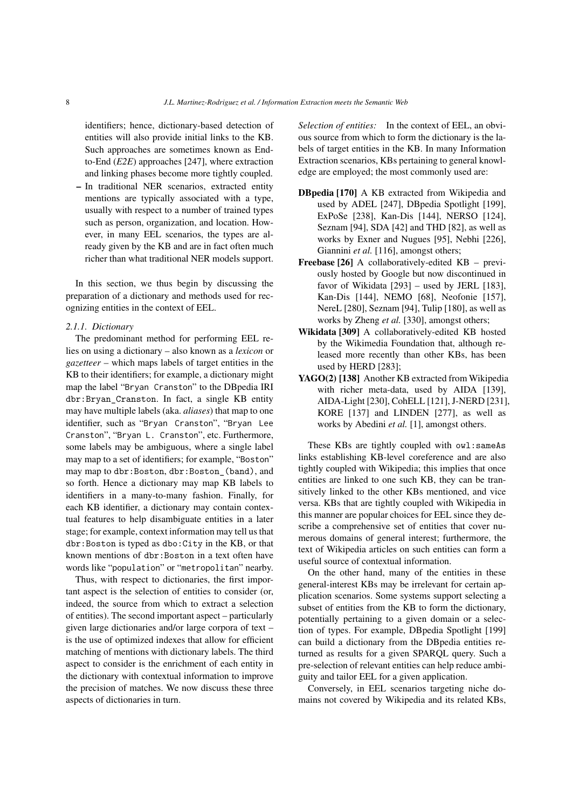identifiers; hence, dictionary-based detection of entities will also provide initial links to the KB. Such approaches are sometimes known as Endto-End (*E2E*) approaches [\[247\]](#page-68-4), where extraction and linking phases become more tightly coupled.

– In traditional NER scenarios, extracted entity mentions are typically associated with a type, usually with respect to a number of trained types such as person, organization, and location. However, in many EEL scenarios, the types are already given by the KB and are in fact often much richer than what traditional NER models support.

In this section, we thus begin by discussing the preparation of a dictionary and methods used for recognizing entities in the context of EEL.

## *2.1.1. Dictionary*

The predominant method for performing EEL relies on using a dictionary – also known as a *lexicon* or *gazetteer* – which maps labels of target entities in the KB to their identifiers; for example, a dictionary might map the label "Bryan Cranston" to the DBpedia IRI dbr:Bryan\_Cranston. In fact, a single KB entity may have multiple labels (aka. *aliases*) that map to one identifier, such as "Bryan Cranston", "Bryan Lee Cranston", "Bryan L. Cranston", etc. Furthermore, some labels may be ambiguous, where a single label may map to a set of identifiers; for example, "Boston" may map to dbr:Boston, dbr:Boston\_(band), and so forth. Hence a dictionary may map KB labels to identifiers in a many-to-many fashion. Finally, for each KB identifier, a dictionary may contain contextual features to help disambiguate entities in a later stage; for example, context information may tell us that dbr:Boston is typed as dbo:City in the KB, or that known mentions of dbr:Boston in a text often have words like "population" or "metropolitan" nearby.

Thus, with respect to dictionaries, the first important aspect is the selection of entities to consider (or, indeed, the source from which to extract a selection of entities). The second important aspect – particularly given large dictionaries and/or large corpora of text – is the use of optimized indexes that allow for efficient matching of mentions with dictionary labels. The third aspect to consider is the enrichment of each entity in the dictionary with contextual information to improve the precision of matches. We now discuss these three aspects of dictionaries in turn.

*Selection of entities:* In the context of EEL, an obvious source from which to form the dictionary is the labels of target entities in the KB. In many Information Extraction scenarios, KBs pertaining to general knowledge are employed; the most commonly used are:

- DBpedia [\[170\]](#page-65-0) A KB extracted from Wikipedia and used by ADEL [\[247\]](#page-68-4), DBpedia Spotlight [\[199\]](#page-66-4), ExPoSe [\[238\]](#page-68-3), Kan-Dis [\[144\]](#page-64-6), NERSO [\[124\]](#page-63-2), Seznam [\[94\]](#page-62-1), SDA [\[42\]](#page-60-1) and THD [\[82\]](#page-62-2), as well as works by Exner and Nugues [\[95\]](#page-62-3), Nebhi [\[226\]](#page-67-3), Giannini *et al.* [\[116\]](#page-63-3), amongst others;
- Freebase [\[26\]](#page-59-1) A collaboratively-edited KB previously hosted by Google but now discontinued in favor of Wikidata [\[293\]](#page-70-1) – used by JERL [\[183\]](#page-66-5), Kan-Dis [\[144\]](#page-64-6), NEMO [\[68\]](#page-61-1), Neofonie [\[157\]](#page-65-2), NereL [\[280\]](#page-70-2), Seznam [\[94\]](#page-62-1), Tulip [\[180\]](#page-66-6), as well as works by Zheng *et al.* [\[330\]](#page-72-2), amongst others;
- Wikidata [\[309\]](#page-71-4) A collaboratively-edited KB hosted by the Wikimedia Foundation that, although released more recently than other KBs, has been used by HERD [\[283\]](#page-70-3);
- YAGO(2) [\[138\]](#page-64-1) Another KB extracted from Wikipedia with richer meta-data, used by AIDA [\[139\]](#page-64-4), AIDA-Light [\[230\]](#page-68-6), CohELL [\[121\]](#page-63-4), J-NERD [\[231\]](#page-68-5), KORE [\[137\]](#page-64-7) and LINDEN [\[277\]](#page-70-4), as well as works by Abedini *et al.* [\[1\]](#page-58-0), amongst others.

These KBs are tightly coupled with owl:sameAs links establishing KB-level coreference and are also tightly coupled with Wikipedia; this implies that once entities are linked to one such KB, they can be transitively linked to the other KBs mentioned, and vice versa. KBs that are tightly coupled with Wikipedia in this manner are popular choices for EEL since they describe a comprehensive set of entities that cover numerous domains of general interest; furthermore, the text of Wikipedia articles on such entities can form a useful source of contextual information.

On the other hand, many of the entities in these general-interest KBs may be irrelevant for certain application scenarios. Some systems support selecting a subset of entities from the KB to form the dictionary, potentially pertaining to a given domain or a selection of types. For example, DBpedia Spotlight [\[199\]](#page-66-4) can build a dictionary from the DBpedia entities returned as results for a given SPARQL query. Such a pre-selection of relevant entities can help reduce ambiguity and tailor EEL for a given application.

Conversely, in EEL scenarios targeting niche domains not covered by Wikipedia and its related KBs,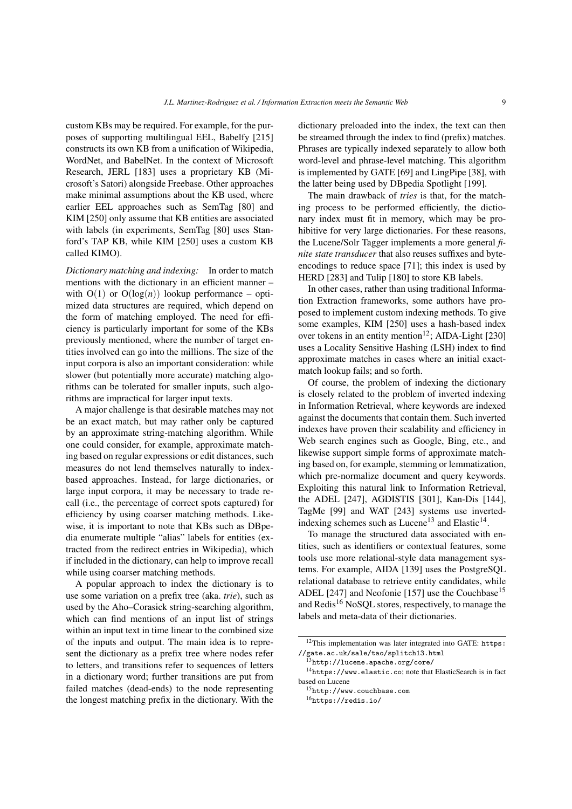custom KBs may be required. For example, for the purposes of supporting multilingual EEL, Babelfy [\[215\]](#page-67-4) constructs its own KB from a unification of Wikipedia, WordNet, and BabelNet. In the context of Microsoft Research, JERL [\[183\]](#page-66-5) uses a proprietary KB (Microsoft's Satori) alongside Freebase. Other approaches make minimal assumptions about the KB used, where earlier EEL approaches such as SemTag [\[80\]](#page-62-4) and KIM [\[250\]](#page-68-7) only assume that KB entities are associated with labels (in experiments, SemTag [\[80\]](#page-62-4) uses Stanford's TAP KB, while KIM [\[250\]](#page-68-7) uses a custom KB called KIMO).

*Dictionary matching and indexing:* In order to match mentions with the dictionary in an efficient manner – with  $O(1)$  or  $O(log(n))$  lookup performance – optimized data structures are required, which depend on the form of matching employed. The need for efficiency is particularly important for some of the KBs previously mentioned, where the number of target entities involved can go into the millions. The size of the input corpora is also an important consideration: while slower (but potentially more accurate) matching algorithms can be tolerated for smaller inputs, such algorithms are impractical for larger input texts.

A major challenge is that desirable matches may not be an exact match, but may rather only be captured by an approximate string-matching algorithm. While one could consider, for example, approximate matching based on regular expressions or edit distances, such measures do not lend themselves naturally to indexbased approaches. Instead, for large dictionaries, or large input corpora, it may be necessary to trade recall (i.e., the percentage of correct spots captured) for efficiency by using coarser matching methods. Likewise, it is important to note that KBs such as DBpedia enumerate multiple "alias" labels for entities (extracted from the redirect entries in Wikipedia), which if included in the dictionary, can help to improve recall while using coarser matching methods.

A popular approach to index the dictionary is to use some variation on a prefix tree (aka. *trie*), such as used by the Aho–Corasick string-searching algorithm, which can find mentions of an input list of strings within an input text in time linear to the combined size of the inputs and output. The main idea is to represent the dictionary as a prefix tree where nodes refer to letters, and transitions refer to sequences of letters in a dictionary word; further transitions are put from failed matches (dead-ends) to the node representing the longest matching prefix in the dictionary. With the dictionary preloaded into the index, the text can then be streamed through the index to find (prefix) matches. Phrases are typically indexed separately to allow both word-level and phrase-level matching. This algorithm is implemented by GATE [\[69\]](#page-61-2) and LingPipe [\[38\]](#page-60-2), with the latter being used by DBpedia Spotlight [\[199\]](#page-66-4).

The main drawback of *tries* is that, for the matching process to be performed efficiently, the dictionary index must fit in memory, which may be prohibitive for very large dictionaries. For these reasons, the Lucene/Solr Tagger implements a more general *finite state transducer* that also reuses suffixes and byteencodings to reduce space [\[71\]](#page-61-3); this index is used by HERD [\[283\]](#page-70-3) and Tulip [\[180\]](#page-66-6) to store KB labels.

In other cases, rather than using traditional Information Extraction frameworks, some authors have proposed to implement custom indexing methods. To give some examples, KIM [\[250\]](#page-68-7) uses a hash-based index over tokens in an entity mention<sup>[12](#page-8-0)</sup>; AIDA-Light [\[230\]](#page-68-6) uses a Locality Sensitive Hashing (LSH) index to find approximate matches in cases where an initial exactmatch lookup fails; and so forth.

Of course, the problem of indexing the dictionary is closely related to the problem of inverted indexing in Information Retrieval, where keywords are indexed against the documents that contain them. Such inverted indexes have proven their scalability and efficiency in Web search engines such as Google, Bing, etc., and likewise support simple forms of approximate matching based on, for example, stemming or lemmatization, which pre-normalize document and query keywords. Exploiting this natural link to Information Retrieval, the ADEL [\[247\]](#page-68-4), AGDISTIS [\[301\]](#page-71-5), Kan-Dis [\[144\]](#page-64-6), TagMe [\[99\]](#page-63-5) and WAT [\[243\]](#page-68-1) systems use inverted-indexing schemes such as Lucene<sup>[13](#page-8-1)</sup> and Elastic<sup>[14](#page-8-2)</sup>.

To manage the structured data associated with entities, such as identifiers or contextual features, some tools use more relational-style data management systems. For example, AIDA [\[139\]](#page-64-4) uses the PostgreSQL relational database to retrieve entity candidates, while ADEL [\[247\]](#page-68-4) and Neofonie [\[157\]](#page-65-2) use the Couchbase<sup>[15](#page-8-3)</sup> and Redis[16](#page-8-4) NoSQL stores, respectively, to manage the labels and meta-data of their dictionaries.

<span id="page-8-0"></span><sup>&</sup>lt;sup>12</sup>This implementation was later integrated into GATE: [https:](https://gate.ac.uk/sale/tao/splitch13.html) [//gate.ac.uk/sale/tao/splitch13.html](https://gate.ac.uk/sale/tao/splitch13.html)

<span id="page-8-2"></span><span id="page-8-1"></span> $3$ <http://lucene.apache.org/core/>

<sup>14</sup><https://www.elastic.co>; note that ElasticSearch is in fact based on Lucene

<span id="page-8-3"></span> $^{15}$ <http://www.couchbase.com>

<span id="page-8-4"></span><sup>16</sup><https://redis.io/>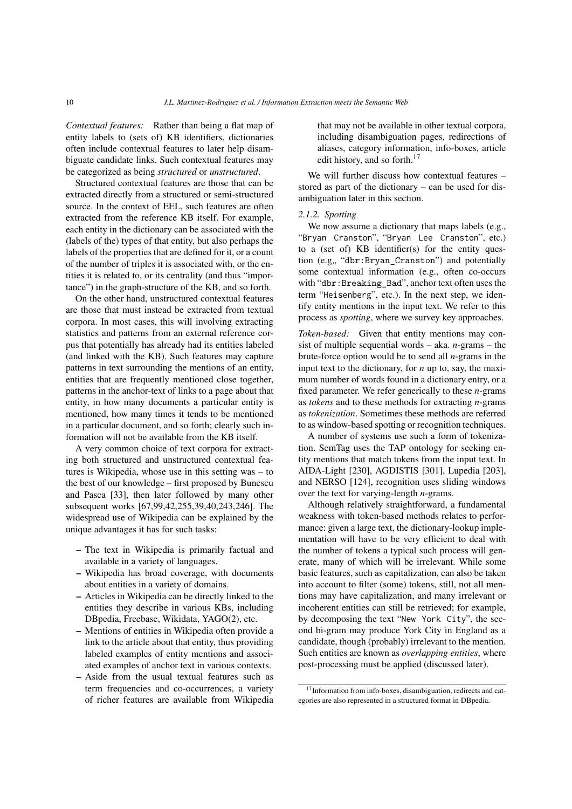*Contextual features:* Rather than being a flat map of entity labels to (sets of) KB identifiers, dictionaries often include contextual features to later help disambiguate candidate links. Such contextual features may be categorized as being *structured* or *unstructured*.

Structured contextual features are those that can be extracted directly from a structured or semi-structured source. In the context of EEL, such features are often extracted from the reference KB itself. For example, each entity in the dictionary can be associated with the (labels of the) types of that entity, but also perhaps the labels of the properties that are defined for it, or a count of the number of triples it is associated with, or the entities it is related to, or its centrality (and thus "importance") in the graph-structure of the KB, and so forth.

On the other hand, unstructured contextual features are those that must instead be extracted from textual corpora. In most cases, this will involving extracting statistics and patterns from an external reference corpus that potentially has already had its entities labeled (and linked with the KB). Such features may capture patterns in text surrounding the mentions of an entity, entities that are frequently mentioned close together, patterns in the anchor-text of links to a page about that entity, in how many documents a particular entity is mentioned, how many times it tends to be mentioned in a particular document, and so forth; clearly such information will not be available from the KB itself.

A very common choice of text corpora for extracting both structured and unstructured contextual features is Wikipedia, whose use in this setting was – to the best of our knowledge – first proposed by Bunescu and Pasca [\[33\]](#page-60-3), then later followed by many other subsequent works [\[67,](#page-61-4)[99,](#page-63-5)[42,](#page-60-1)[255](#page-69-3)[,39](#page-60-4)[,40](#page-60-5)[,243](#page-68-1)[,246\]](#page-68-2). The widespread use of Wikipedia can be explained by the unique advantages it has for such tasks:

- The text in Wikipedia is primarily factual and available in a variety of languages.
- Wikipedia has broad coverage, with documents about entities in a variety of domains.
- Articles in Wikipedia can be directly linked to the entities they describe in various KBs, including DBpedia, Freebase, Wikidata, YAGO(2), etc.
- Mentions of entities in Wikipedia often provide a link to the article about that entity, thus providing labeled examples of entity mentions and associated examples of anchor text in various contexts.
- Aside from the usual textual features such as term frequencies and co-occurrences, a variety of richer features are available from Wikipedia

that may not be available in other textual corpora, including disambiguation pages, redirections of aliases, category information, info-boxes, article edit history, and so forth.<sup>[17](#page-9-0)</sup>

We will further discuss how contextual features – stored as part of the dictionary – can be used for disambiguation later in this section.

## *2.1.2. Spotting*

We now assume a dictionary that maps labels (e.g., "Bryan Cranston", "Bryan Lee Cranston", etc.) to a (set of) KB identifier(s) for the entity question (e.g., "dbr:Bryan Cranston") and potentially some contextual information (e.g., often co-occurs with "dbr:Breaking Bad", anchor text often uses the term "Heisenberg", etc.). In the next step, we identify entity mentions in the input text. We refer to this process as *spotting*, where we survey key approaches.

*Token-based:* Given that entity mentions may consist of multiple sequential words – aka. *n*-grams – the brute-force option would be to send all *n*-grams in the input text to the dictionary, for *n* up to, say, the maximum number of words found in a dictionary entry, or a fixed parameter. We refer generically to these *n*-grams as *tokens* and to these methods for extracting *n*-grams as *tokenization*. Sometimes these methods are referred to as window-based spotting or recognition techniques.

A number of systems use such a form of tokenization. SemTag uses the TAP ontology for seeking entity mentions that match tokens from the input text. In AIDA-Light [\[230\]](#page-68-6), AGDISTIS [\[301\]](#page-71-5), Lupedia [\[203\]](#page-67-5), and NERSO [\[124\]](#page-63-2), recognition uses sliding windows over the text for varying-length *n*-grams.

Although relatively straightforward, a fundamental weakness with token-based methods relates to performance: given a large text, the dictionary-lookup implementation will have to be very efficient to deal with the number of tokens a typical such process will generate, many of which will be irrelevant. While some basic features, such as capitalization, can also be taken into account to filter (some) tokens, still, not all mentions may have capitalization, and many irrelevant or incoherent entities can still be retrieved; for example, by decomposing the text "New York City", the second bi-gram may produce York City in England as a candidate, though (probably) irrelevant to the mention. Such entities are known as *overlapping entities*, where post-processing must be applied (discussed later).

<span id="page-9-0"></span><sup>&</sup>lt;sup>17</sup>Information from info-boxes, disambiguation, redirects and categories are also represented in a structured format in DBpedia.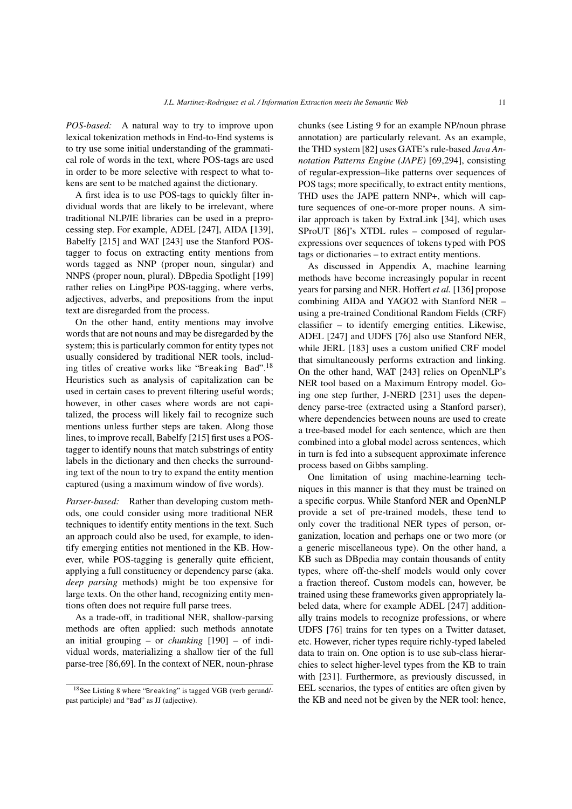*POS-based:* A natural way to try to improve upon lexical tokenization methods in End-to-End systems is to try use some initial understanding of the grammatical role of words in the text, where POS-tags are used in order to be more selective with respect to what tokens are sent to be matched against the dictionary.

A first idea is to use POS-tags to quickly filter individual words that are likely to be irrelevant, where traditional NLP/IE libraries can be used in a preprocessing step. For example, ADEL [\[247\]](#page-68-4), AIDA [\[139\]](#page-64-4), Babelfy [\[215\]](#page-67-4) and WAT [\[243\]](#page-68-1) use the Stanford POStagger to focus on extracting entity mentions from words tagged as NNP (proper noun, singular) and NNPS (proper noun, plural). DBpedia Spotlight [\[199\]](#page-66-4) rather relies on LingPipe POS-tagging, where verbs, adjectives, adverbs, and prepositions from the input text are disregarded from the process.

On the other hand, entity mentions may involve words that are not nouns and may be disregarded by the system; this is particularly common for entity types not usually considered by traditional NER tools, including titles of creative works like "Breaking Bad".[18](#page-10-0) Heuristics such as analysis of capitalization can be used in certain cases to prevent filtering useful words; however, in other cases where words are not capitalized, the process will likely fail to recognize such mentions unless further steps are taken. Along those lines, to improve recall, Babelfy [\[215\]](#page-67-4) first uses a POStagger to identify nouns that match substrings of entity labels in the dictionary and then checks the surrounding text of the noun to try to expand the entity mention captured (using a maximum window of five words).

*Parser-based:* Rather than developing custom methods, one could consider using more traditional NER techniques to identify entity mentions in the text. Such an approach could also be used, for example, to identify emerging entities not mentioned in the KB. However, while POS-tagging is generally quite efficient, applying a full constituency or dependency parse (aka. *deep parsing* methods) might be too expensive for large texts. On the other hand, recognizing entity mentions often does not require full parse trees.

As a trade-off, in traditional NER, shallow-parsing methods are often applied: such methods annotate an initial grouping – or *chunking* [\[190\]](#page-66-2) – of individual words, materializing a shallow tier of the full parse-tree [\[86](#page-62-5)[,69\]](#page-61-2). In the context of NER, noun-phrase chunks (see Listing [9](#page-75-0) for an example NP/noun phrase annotation) are particularly relevant. As an example, the THD system [\[82\]](#page-62-2) uses GATE's rule-based *Java Annotation Patterns Engine (JAPE)* [\[69](#page-61-2)[,294\]](#page-70-5), consisting of regular-expression–like patterns over sequences of POS tags; more specifically, to extract entity mentions, THD uses the JAPE pattern NNP+, which will capture sequences of one-or-more proper nouns. A similar approach is taken by ExtraLink [\[34\]](#page-60-6), which uses SProUT [\[86\]](#page-62-5)'s XTDL rules – composed of regularexpressions over sequences of tokens typed with POS tags or dictionaries – to extract entity mentions.

As discussed in Appendix [A,](#page-72-0) machine learning methods have become increasingly popular in recent years for parsing and NER. Hoffert *et al.* [\[136\]](#page-64-5) propose combining AIDA and YAGO2 with Stanford NER – using a pre-trained Conditional Random Fields (CRF) classifier – to identify emerging entities. Likewise, ADEL [\[247\]](#page-68-4) and UDFS [\[76\]](#page-62-6) also use Stanford NER, while JERL [\[183\]](#page-66-5) uses a custom unified CRF model that simultaneously performs extraction and linking. On the other hand, WAT [\[243\]](#page-68-1) relies on OpenNLP's NER tool based on a Maximum Entropy model. Going one step further, J-NERD [\[231\]](#page-68-5) uses the dependency parse-tree (extracted using a Stanford parser), where dependencies between nouns are used to create a tree-based model for each sentence, which are then combined into a global model across sentences, which in turn is fed into a subsequent approximate inference process based on Gibbs sampling.

One limitation of using machine-learning techniques in this manner is that they must be trained on a specific corpus. While Stanford NER and OpenNLP provide a set of pre-trained models, these tend to only cover the traditional NER types of person, organization, location and perhaps one or two more (or a generic miscellaneous type). On the other hand, a KB such as DBpedia may contain thousands of entity types, where off-the-shelf models would only cover a fraction thereof. Custom models can, however, be trained using these frameworks given appropriately labeled data, where for example ADEL [\[247\]](#page-68-4) additionally trains models to recognize professions, or where UDFS [\[76\]](#page-62-6) trains for ten types on a Twitter dataset, etc. However, richer types require richly-typed labeled data to train on. One option is to use sub-class hierarchies to select higher-level types from the KB to train with [\[231\]](#page-68-5). Furthermore, as previously discussed, in EEL scenarios, the types of entities are often given by the KB and need not be given by the NER tool: hence,

<span id="page-10-0"></span><sup>18</sup>See Listing [8](#page-74-0) where "Breaking" is tagged VGB (verb gerund/ past participle) and "Bad" as JJ (adjective).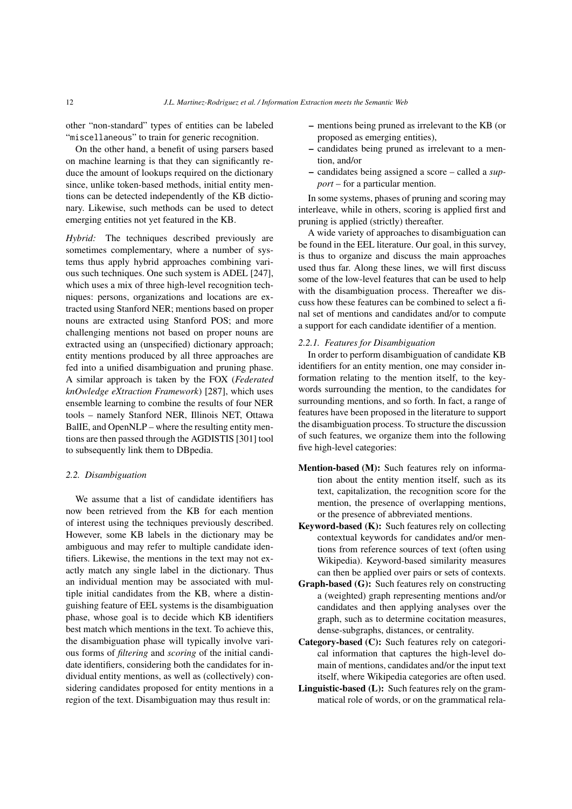other "non-standard" types of entities can be labeled "miscellaneous" to train for generic recognition.

On the other hand, a benefit of using parsers based on machine learning is that they can significantly reduce the amount of lookups required on the dictionary since, unlike token-based methods, initial entity mentions can be detected independently of the KB dictionary. Likewise, such methods can be used to detect emerging entities not yet featured in the KB.

*Hybrid:* The techniques described previously are sometimes complementary, where a number of systems thus apply hybrid approaches combining various such techniques. One such system is ADEL [\[247\]](#page-68-4), which uses a mix of three high-level recognition techniques: persons, organizations and locations are extracted using Stanford NER; mentions based on proper nouns are extracted using Stanford POS; and more challenging mentions not based on proper nouns are extracted using an (unspecified) dictionary approach; entity mentions produced by all three approaches are fed into a unified disambiguation and pruning phase. A similar approach is taken by the FOX (*Federated knOwledge eXtraction Framework*) [\[287\]](#page-70-6), which uses ensemble learning to combine the results of four NER tools – namely Stanford NER, Illinois NET, Ottawa BalIE, and OpenNLP – where the resulting entity mentions are then passed through the AGDISTIS [\[301\]](#page-71-5) tool to subsequently link them to DBpedia.

# *2.2. Disambiguation*

We assume that a list of candidate identifiers has now been retrieved from the KB for each mention of interest using the techniques previously described. However, some KB labels in the dictionary may be ambiguous and may refer to multiple candidate identifiers. Likewise, the mentions in the text may not exactly match any single label in the dictionary. Thus an individual mention may be associated with multiple initial candidates from the KB, where a distinguishing feature of EEL systems is the disambiguation phase, whose goal is to decide which KB identifiers best match which mentions in the text. To achieve this, the disambiguation phase will typically involve various forms of *filtering* and *scoring* of the initial candidate identifiers, considering both the candidates for individual entity mentions, as well as (collectively) considering candidates proposed for entity mentions in a region of the text. Disambiguation may thus result in:

- mentions being pruned as irrelevant to the KB (or proposed as emerging entities),
- candidates being pruned as irrelevant to a mention, and/or
- candidates being assigned a score called a *support* – for a particular mention.

In some systems, phases of pruning and scoring may interleave, while in others, scoring is applied first and pruning is applied (strictly) thereafter.

A wide variety of approaches to disambiguation can be found in the EEL literature. Our goal, in this survey, is thus to organize and discuss the main approaches used thus far. Along these lines, we will first discuss some of the low-level features that can be used to help with the disambiguation process. Thereafter we discuss how these features can be combined to select a final set of mentions and candidates and/or to compute a support for each candidate identifier of a mention.

# <span id="page-11-0"></span>*2.2.1. Features for Disambiguation*

In order to perform disambiguation of candidate KB identifiers for an entity mention, one may consider information relating to the mention itself, to the keywords surrounding the mention, to the candidates for surrounding mentions, and so forth. In fact, a range of features have been proposed in the literature to support the disambiguation process. To structure the discussion of such features, we organize them into the following five high-level categories:

- Mention-based (M): Such features rely on information about the entity mention itself, such as its text, capitalization, the recognition score for the mention, the presence of overlapping mentions, or the presence of abbreviated mentions.
- Keyword-based (K): Such features rely on collecting contextual keywords for candidates and/or mentions from reference sources of text (often using Wikipedia). Keyword-based similarity measures can then be applied over pairs or sets of contexts.
- Graph-based (G): Such features rely on constructing a (weighted) graph representing mentions and/or candidates and then applying analyses over the graph, such as to determine cocitation measures, dense-subgraphs, distances, or centrality.
- Category-based (C): Such features rely on categorical information that captures the high-level domain of mentions, candidates and/or the input text itself, where Wikipedia categories are often used.
- Linguistic-based (L): Such features rely on the grammatical role of words, or on the grammatical rela-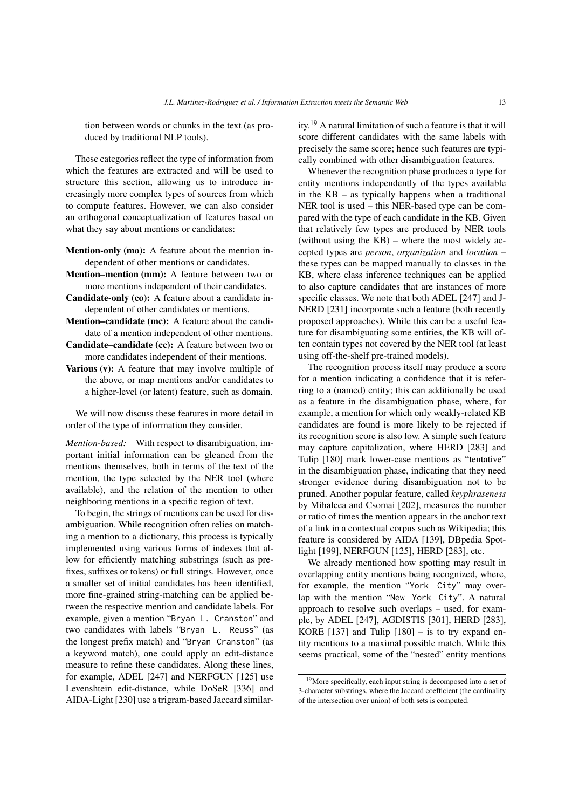tion between words or chunks in the text (as produced by traditional NLP tools).

These categories reflect the type of information from which the features are extracted and will be used to structure this section, allowing us to introduce increasingly more complex types of sources from which to compute features. However, we can also consider an orthogonal conceptualization of features based on what they say about mentions or candidates:

- Mention-only (mo): A feature about the mention independent of other mentions or candidates.
- Mention–mention (mm): A feature between two or more mentions independent of their candidates.
- Candidate-only (co): A feature about a candidate independent of other candidates or mentions.
- Mention–candidate (mc): A feature about the candidate of a mention independent of other mentions.
- Candidate–candidate (cc): A feature between two or more candidates independent of their mentions.
- Various (v): A feature that may involve multiple of the above, or map mentions and/or candidates to a higher-level (or latent) feature, such as domain.

We will now discuss these features in more detail in order of the type of information they consider.

*Mention-based:* With respect to disambiguation, important initial information can be gleaned from the mentions themselves, both in terms of the text of the mention, the type selected by the NER tool (where available), and the relation of the mention to other neighboring mentions in a specific region of text.

To begin, the strings of mentions can be used for disambiguation. While recognition often relies on matching a mention to a dictionary, this process is typically implemented using various forms of indexes that allow for efficiently matching substrings (such as prefixes, suffixes or tokens) or full strings. However, once a smaller set of initial candidates has been identified, more fine-grained string-matching can be applied between the respective mention and candidate labels. For example, given a mention "Bryan L. Cranston" and two candidates with labels "Bryan L. Reuss" (as the longest prefix match) and "Bryan Cranston" (as a keyword match), one could apply an edit-distance measure to refine these candidates. Along these lines, for example, ADEL [\[247\]](#page-68-4) and NERFGUN [\[125\]](#page-64-8) use Levenshtein edit-distance, while DoSeR [\[336\]](#page-72-3) and AIDA-Light [\[230\]](#page-68-6) use a trigram-based Jaccard similarity.[19](#page-12-0) A natural limitation of such a feature is that it will score different candidates with the same labels with precisely the same score; hence such features are typically combined with other disambiguation features.

Whenever the recognition phase produces a type for entity mentions independently of the types available in the KB – as typically happens when a traditional NER tool is used – this NER-based type can be compared with the type of each candidate in the KB. Given that relatively few types are produced by NER tools (without using the KB) – where the most widely accepted types are *person*, *organization* and *location* – these types can be mapped manually to classes in the KB, where class inference techniques can be applied to also capture candidates that are instances of more specific classes. We note that both ADEL [\[247\]](#page-68-4) and J-NERD [\[231\]](#page-68-5) incorporate such a feature (both recently proposed approaches). While this can be a useful feature for disambiguating some entities, the KB will often contain types not covered by the NER tool (at least using off-the-shelf pre-trained models).

The recognition process itself may produce a score for a mention indicating a confidence that it is referring to a (named) entity; this can additionally be used as a feature in the disambiguation phase, where, for example, a mention for which only weakly-related KB candidates are found is more likely to be rejected if its recognition score is also low. A simple such feature may capture capitalization, where HERD [\[283\]](#page-70-3) and Tulip [\[180\]](#page-66-6) mark lower-case mentions as "tentative" in the disambiguation phase, indicating that they need stronger evidence during disambiguation not to be pruned. Another popular feature, called *keyphraseness* by Mihalcea and Csomai [\[202\]](#page-66-7), measures the number or ratio of times the mention appears in the anchor text of a link in a contextual corpus such as Wikipedia; this feature is considered by AIDA [\[139\]](#page-64-4), DBpedia Spotlight [\[199\]](#page-66-4), NERFGUN [\[125\]](#page-64-8), HERD [\[283\]](#page-70-3), etc.

We already mentioned how spotting may result in overlapping entity mentions being recognized, where, for example, the mention "York City" may overlap with the mention "New York City". A natural approach to resolve such overlaps – used, for example, by ADEL [\[247\]](#page-68-4), AGDISTIS [\[301\]](#page-71-5), HERD [\[283\]](#page-70-3), KORE [\[137\]](#page-64-7) and Tulip  $[180]$  – is to try expand entity mentions to a maximal possible match. While this seems practical, some of the "nested" entity mentions

<span id="page-12-0"></span><sup>19</sup>More specifically, each input string is decomposed into a set of 3-character substrings, where the Jaccard coefficient (the cardinality of the intersection over union) of both sets is computed.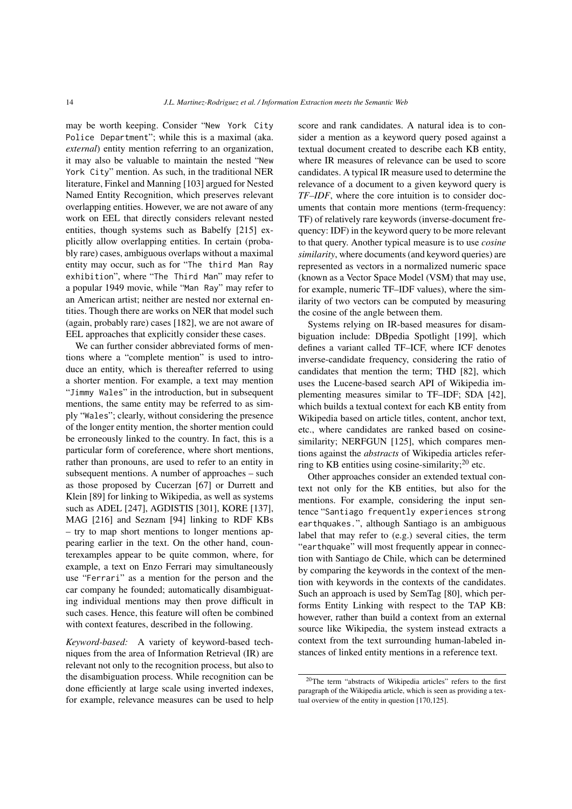may be worth keeping. Consider "New York City Police Department"; while this is a maximal (aka. *external*) entity mention referring to an organization, it may also be valuable to maintain the nested "New York City" mention. As such, in the traditional NER literature, Finkel and Manning [\[103\]](#page-63-6) argued for Nested Named Entity Recognition, which preserves relevant overlapping entities. However, we are not aware of any work on EEL that directly considers relevant nested entities, though systems such as Babelfy [\[215\]](#page-67-4) explicitly allow overlapping entities. In certain (probably rare) cases, ambiguous overlaps without a maximal entity may occur, such as for "The third Man Ray exhibition", where "The Third Man" may refer to a popular 1949 movie, while "Man Ray" may refer to an American artist; neither are nested nor external entities. Though there are works on NER that model such (again, probably rare) cases [\[182\]](#page-66-8), we are not aware of EEL approaches that explicitly consider these cases.

We can further consider abbreviated forms of mentions where a "complete mention" is used to introduce an entity, which is thereafter referred to using a shorter mention. For example, a text may mention "Jimmy Wales" in the introduction, but in subsequent mentions, the same entity may be referred to as simply "Wales"; clearly, without considering the presence of the longer entity mention, the shorter mention could be erroneously linked to the country. In fact, this is a particular form of coreference, where short mentions, rather than pronouns, are used to refer to an entity in subsequent mentions. A number of approaches – such as those proposed by Cucerzan [\[67\]](#page-61-4) or Durrett and Klein [\[89\]](#page-62-7) for linking to Wikipedia, as well as systems such as ADEL [\[247\]](#page-68-4), AGDISTIS [\[301\]](#page-71-5), KORE [\[137\]](#page-64-7), MAG [\[216\]](#page-67-6) and Seznam [\[94\]](#page-62-1) linking to RDF KBs – try to map short mentions to longer mentions appearing earlier in the text. On the other hand, counterexamples appear to be quite common, where, for example, a text on Enzo Ferrari may simultaneously use "Ferrari" as a mention for the person and the car company he founded; automatically disambiguating individual mentions may then prove difficult in such cases. Hence, this feature will often be combined with context features, described in the following.

*Keyword-based:* A variety of keyword-based techniques from the area of Information Retrieval (IR) are relevant not only to the recognition process, but also to the disambiguation process. While recognition can be done efficiently at large scale using inverted indexes, for example, relevance measures can be used to help score and rank candidates. A natural idea is to consider a mention as a keyword query posed against a textual document created to describe each KB entity, where IR measures of relevance can be used to score candidates. A typical IR measure used to determine the relevance of a document to a given keyword query is *TF–IDF*, where the core intuition is to consider documents that contain more mentions (term-frequency: TF) of relatively rare keywords (inverse-document frequency: IDF) in the keyword query to be more relevant to that query. Another typical measure is to use *cosine similarity*, where documents (and keyword queries) are represented as vectors in a normalized numeric space (known as a Vector Space Model (VSM) that may use, for example, numeric TF–IDF values), where the similarity of two vectors can be computed by measuring the cosine of the angle between them.

Systems relying on IR-based measures for disambiguation include: DBpedia Spotlight [\[199\]](#page-66-4), which defines a variant called TF–ICF, where ICF denotes inverse-candidate frequency, considering the ratio of candidates that mention the term; THD [\[82\]](#page-62-2), which uses the Lucene-based search API of Wikipedia implementing measures similar to TF–IDF; SDA [\[42\]](#page-60-1), which builds a textual context for each KB entity from Wikipedia based on article titles, content, anchor text, etc., where candidates are ranked based on cosine-similarity; NERFGUN [\[125\]](#page-64-8), which compares mentions against the *abstracts* of Wikipedia articles referring to KB entities using cosine-similarity; $^{20}$  $^{20}$  $^{20}$  etc.

Other approaches consider an extended textual context not only for the KB entities, but also for the mentions. For example, considering the input sentence "Santiago frequently experiences strong earthquakes.", although Santiago is an ambiguous label that may refer to (e.g.) several cities, the term "earthquake" will most frequently appear in connection with Santiago de Chile, which can be determined by comparing the keywords in the context of the mention with keywords in the contexts of the candidates. Such an approach is used by SemTag [\[80\]](#page-62-4), which performs Entity Linking with respect to the TAP KB: however, rather than build a context from an external source like Wikipedia, the system instead extracts a context from the text surrounding human-labeled instances of linked entity mentions in a reference text.

<span id="page-13-0"></span><sup>20</sup>The term "abstracts of Wikipedia articles" refers to the first paragraph of the Wikipedia article, which is seen as providing a textual overview of the entity in question [\[170](#page-65-0)[,125\]](#page-64-8).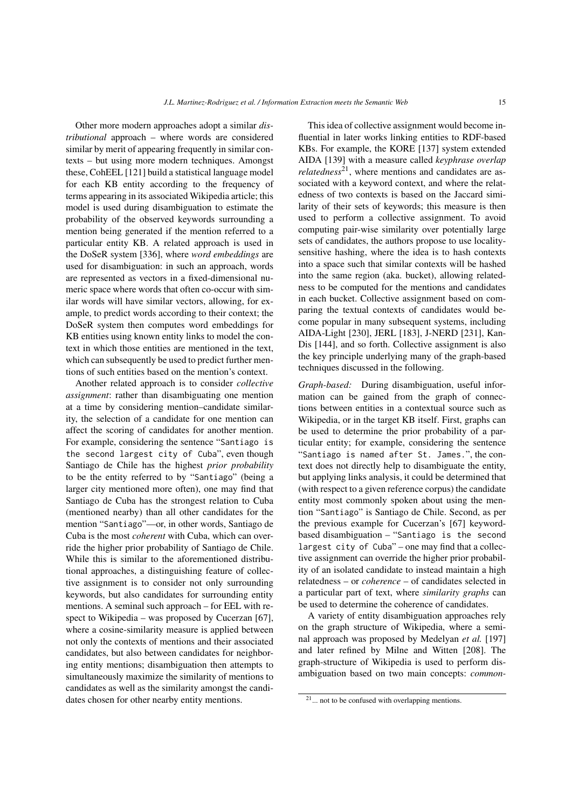Other more modern approaches adopt a similar *distributional* approach – where words are considered similar by merit of appearing frequently in similar contexts – but using more modern techniques. Amongst these, CohEEL [\[121\]](#page-63-4) build a statistical language model for each KB entity according to the frequency of terms appearing in its associated Wikipedia article; this model is used during disambiguation to estimate the probability of the observed keywords surrounding a mention being generated if the mention referred to a particular entity KB. A related approach is used in the DoSeR system [\[336\]](#page-72-3), where *word embeddings* are used for disambiguation: in such an approach, words are represented as vectors in a fixed-dimensional numeric space where words that often co-occur with similar words will have similar vectors, allowing, for example, to predict words according to their context; the DoSeR system then computes word embeddings for KB entities using known entity links to model the context in which those entities are mentioned in the text, which can subsequently be used to predict further mentions of such entities based on the mention's context.

Another related approach is to consider *collective assignment*: rather than disambiguating one mention at a time by considering mention–candidate similarity, the selection of a candidate for one mention can affect the scoring of candidates for another mention. For example, considering the sentence "Santiago is the second largest city of Cuba", even though Santiago de Chile has the highest *prior probability* to be the entity referred to by "Santiago" (being a larger city mentioned more often), one may find that Santiago de Cuba has the strongest relation to Cuba (mentioned nearby) than all other candidates for the mention "Santiago"—or, in other words, Santiago de Cuba is the most *coherent* with Cuba, which can override the higher prior probability of Santiago de Chile. While this is similar to the aforementioned distributional approaches, a distinguishing feature of collective assignment is to consider not only surrounding keywords, but also candidates for surrounding entity mentions. A seminal such approach – for EEL with respect to Wikipedia – was proposed by Cucerzan [\[67\]](#page-61-4), where a cosine-similarity measure is applied between not only the contexts of mentions and their associated candidates, but also between candidates for neighboring entity mentions; disambiguation then attempts to simultaneously maximize the similarity of mentions to candidates as well as the similarity amongst the candidates chosen for other nearby entity mentions.

This idea of collective assignment would become influential in later works linking entities to RDF-based KBs. For example, the KORE [\[137\]](#page-64-7) system extended AIDA [\[139\]](#page-64-4) with a measure called *keyphrase overlap relatedness*<sup>[21](#page-14-0)</sup>, where mentions and candidates are associated with a keyword context, and where the relatedness of two contexts is based on the Jaccard similarity of their sets of keywords; this measure is then used to perform a collective assignment. To avoid computing pair-wise similarity over potentially large sets of candidates, the authors propose to use localitysensitive hashing, where the idea is to hash contexts into a space such that similar contexts will be hashed into the same region (aka. bucket), allowing relatedness to be computed for the mentions and candidates in each bucket. Collective assignment based on comparing the textual contexts of candidates would become popular in many subsequent systems, including AIDA-Light [\[230\]](#page-68-6), JERL [\[183\]](#page-66-5), J-NERD [\[231\]](#page-68-5), Kan-Dis [\[144\]](#page-64-6), and so forth. Collective assignment is also the key principle underlying many of the graph-based techniques discussed in the following.

*Graph-based:* During disambiguation, useful information can be gained from the graph of connections between entities in a contextual source such as Wikipedia, or in the target KB itself. First, graphs can be used to determine the prior probability of a particular entity; for example, considering the sentence "Santiago is named after St. James.", the context does not directly help to disambiguate the entity, but applying links analysis, it could be determined that (with respect to a given reference corpus) the candidate entity most commonly spoken about using the mention "Santiago" is Santiago de Chile. Second, as per the previous example for Cucerzan's [\[67\]](#page-61-4) keywordbased disambiguation – "Santiago is the second largest city of Cuba" – one may find that a collective assignment can override the higher prior probability of an isolated candidate to instead maintain a high relatedness – or *coherence* – of candidates selected in a particular part of text, where *similarity graphs* can be used to determine the coherence of candidates.

A variety of entity disambiguation approaches rely on the graph structure of Wikipedia, where a seminal approach was proposed by Medelyan *et al.* [\[197\]](#page-66-9) and later refined by Milne and Witten [\[208\]](#page-67-7). The graph-structure of Wikipedia is used to perform disambiguation based on two main concepts: *common-*

<span id="page-14-0"></span><sup>21</sup>... not to be confused with overlapping mentions.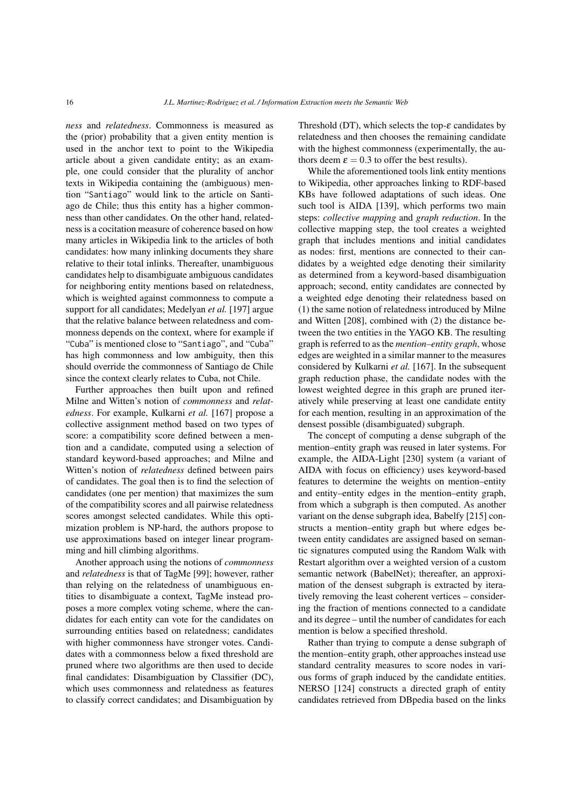*ness* and *relatedness*. Commonness is measured as the (prior) probability that a given entity mention is used in the anchor text to point to the Wikipedia article about a given candidate entity; as an example, one could consider that the plurality of anchor texts in Wikipedia containing the (ambiguous) mention "Santiago" would link to the article on Santiago de Chile; thus this entity has a higher commonness than other candidates. On the other hand, relatedness is a cocitation measure of coherence based on how many articles in Wikipedia link to the articles of both candidates: how many inlinking documents they share relative to their total inlinks. Thereafter, unambiguous candidates help to disambiguate ambiguous candidates for neighboring entity mentions based on relatedness, which is weighted against commonness to compute a support for all candidates; Medelyan *et al.* [\[197\]](#page-66-9) argue that the relative balance between relatedness and commonness depends on the context, where for example if "Cuba" is mentioned close to "Santiago", and "Cuba" has high commonness and low ambiguity, then this should override the commonness of Santiago de Chile since the context clearly relates to Cuba, not Chile.

Further approaches then built upon and refined Milne and Witten's notion of *commonness* and *relatedness*. For example, Kulkarni *et al.* [\[167\]](#page-65-3) propose a collective assignment method based on two types of score: a compatibility score defined between a mention and a candidate, computed using a selection of standard keyword-based approaches; and Milne and Witten's notion of *relatedness* defined between pairs of candidates. The goal then is to find the selection of candidates (one per mention) that maximizes the sum of the compatibility scores and all pairwise relatedness scores amongst selected candidates. While this optimization problem is NP-hard, the authors propose to use approximations based on integer linear programming and hill climbing algorithms.

Another approach using the notions of *commonness* and *relatedness* is that of TagMe [\[99\]](#page-63-5); however, rather than relying on the relatedness of unambiguous entities to disambiguate a context, TagMe instead proposes a more complex voting scheme, where the candidates for each entity can vote for the candidates on surrounding entities based on relatedness; candidates with higher commonness have stronger votes. Candidates with a commonness below a fixed threshold are pruned where two algorithms are then used to decide final candidates: Disambiguation by Classifier (DC), which uses commonness and relatedness as features to classify correct candidates; and Disambiguation by Threshold (DT), which selects the top- $\varepsilon$  candidates by relatedness and then chooses the remaining candidate with the highest commonness (experimentally, the authors deem  $\varepsilon = 0.3$  to offer the best results).

While the aforementioned tools link entity mentions to Wikipedia, other approaches linking to RDF-based KBs have followed adaptations of such ideas. One such tool is AIDA [\[139\]](#page-64-4), which performs two main steps: *collective mapping* and *graph reduction*. In the collective mapping step, the tool creates a weighted graph that includes mentions and initial candidates as nodes: first, mentions are connected to their candidates by a weighted edge denoting their similarity as determined from a keyword-based disambiguation approach; second, entity candidates are connected by a weighted edge denoting their relatedness based on (1) the same notion of relatedness introduced by Milne and Witten [\[208\]](#page-67-7), combined with (2) the distance between the two entities in the YAGO KB. The resulting graph is referred to as the *mention–entity graph*, whose edges are weighted in a similar manner to the measures considered by Kulkarni *et al.* [\[167\]](#page-65-3). In the subsequent graph reduction phase, the candidate nodes with the lowest weighted degree in this graph are pruned iteratively while preserving at least one candidate entity for each mention, resulting in an approximation of the densest possible (disambiguated) subgraph.

The concept of computing a dense subgraph of the mention–entity graph was reused in later systems. For example, the AIDA-Light [\[230\]](#page-68-6) system (a variant of AIDA with focus on efficiency) uses keyword-based features to determine the weights on mention–entity and entity–entity edges in the mention–entity graph, from which a subgraph is then computed. As another variant on the dense subgraph idea, Babelfy [\[215\]](#page-67-4) constructs a mention–entity graph but where edges between entity candidates are assigned based on semantic signatures computed using the Random Walk with Restart algorithm over a weighted version of a custom semantic network (BabelNet); thereafter, an approximation of the densest subgraph is extracted by iteratively removing the least coherent vertices – considering the fraction of mentions connected to a candidate and its degree – until the number of candidates for each mention is below a specified threshold.

Rather than trying to compute a dense subgraph of the mention–entity graph, other approaches instead use standard centrality measures to score nodes in various forms of graph induced by the candidate entities. NERSO [\[124\]](#page-63-2) constructs a directed graph of entity candidates retrieved from DBpedia based on the links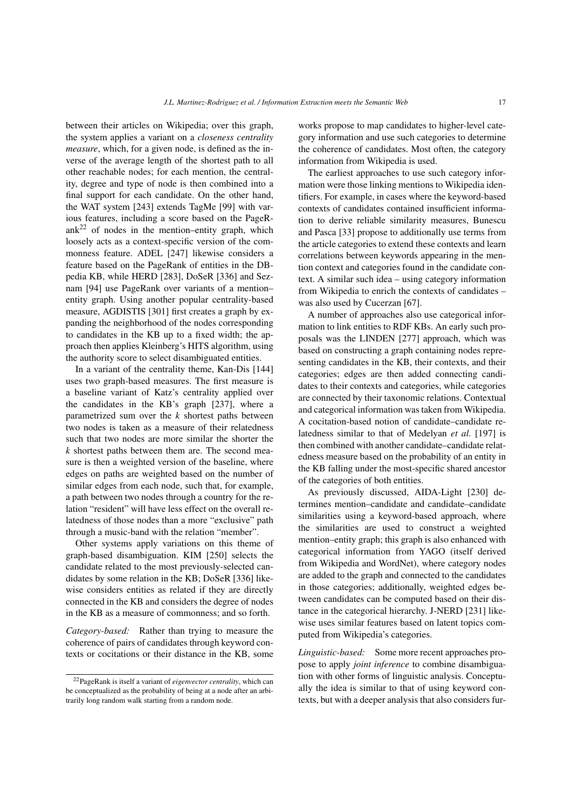between their articles on Wikipedia; over this graph, the system applies a variant on a *closeness centrality measure*, which, for a given node, is defined as the inverse of the average length of the shortest path to all other reachable nodes; for each mention, the centrality, degree and type of node is then combined into a final support for each candidate. On the other hand, the WAT system [\[243\]](#page-68-1) extends TagMe [\[99\]](#page-63-5) with various features, including a score based on the PageR-ank<sup>[22](#page-16-0)</sup> of nodes in the mention–entity graph, which loosely acts as a context-specific version of the commonness feature. ADEL [\[247\]](#page-68-4) likewise considers a feature based on the PageRank of entities in the DBpedia KB, while HERD [\[283\]](#page-70-3), DoSeR [\[336\]](#page-72-3) and Seznam [\[94\]](#page-62-1) use PageRank over variants of a mention– entity graph. Using another popular centrality-based measure, AGDISTIS [\[301\]](#page-71-5) first creates a graph by expanding the neighborhood of the nodes corresponding to candidates in the KB up to a fixed width; the approach then applies Kleinberg's HITS algorithm, using the authority score to select disambiguated entities.

In a variant of the centrality theme, Kan-Dis [\[144\]](#page-64-6) uses two graph-based measures. The first measure is a baseline variant of Katz's centrality applied over the candidates in the KB's graph [\[237\]](#page-68-8), where a parametrized sum over the *k* shortest paths between two nodes is taken as a measure of their relatedness such that two nodes are more similar the shorter the *k* shortest paths between them are. The second measure is then a weighted version of the baseline, where edges on paths are weighted based on the number of similar edges from each node, such that, for example, a path between two nodes through a country for the relation "resident" will have less effect on the overall relatedness of those nodes than a more "exclusive" path through a music-band with the relation "member".

Other systems apply variations on this theme of graph-based disambiguation. KIM [\[250\]](#page-68-7) selects the candidate related to the most previously-selected candidates by some relation in the KB; DoSeR [\[336\]](#page-72-3) likewise considers entities as related if they are directly connected in the KB and considers the degree of nodes in the KB as a measure of commonness; and so forth.

*Category-based:* Rather than trying to measure the coherence of pairs of candidates through keyword contexts or cocitations or their distance in the KB, some works propose to map candidates to higher-level category information and use such categories to determine the coherence of candidates. Most often, the category information from Wikipedia is used.

The earliest approaches to use such category information were those linking mentions to Wikipedia identifiers. For example, in cases where the keyword-based contexts of candidates contained insufficient information to derive reliable similarity measures, Bunescu and Pasca [\[33\]](#page-60-3) propose to additionally use terms from the article categories to extend these contexts and learn correlations between keywords appearing in the mention context and categories found in the candidate context. A similar such idea – using category information from Wikipedia to enrich the contexts of candidates – was also used by Cucerzan [\[67\]](#page-61-4).

A number of approaches also use categorical information to link entities to RDF KBs. An early such proposals was the LINDEN [\[277\]](#page-70-4) approach, which was based on constructing a graph containing nodes representing candidates in the KB, their contexts, and their categories; edges are then added connecting candidates to their contexts and categories, while categories are connected by their taxonomic relations. Contextual and categorical information was taken from Wikipedia. A cocitation-based notion of candidate–candidate relatedness similar to that of Medelyan *et al.* [\[197\]](#page-66-9) is then combined with another candidate–candidate relatedness measure based on the probability of an entity in the KB falling under the most-specific shared ancestor of the categories of both entities.

As previously discussed, AIDA-Light [\[230\]](#page-68-6) determines mention–candidate and candidate–candidate similarities using a keyword-based approach, where the similarities are used to construct a weighted mention–entity graph; this graph is also enhanced with categorical information from YAGO (itself derived from Wikipedia and WordNet), where category nodes are added to the graph and connected to the candidates in those categories; additionally, weighted edges between candidates can be computed based on their distance in the categorical hierarchy. J-NERD [\[231\]](#page-68-5) likewise uses similar features based on latent topics computed from Wikipedia's categories.

*Linguistic-based:* Some more recent approaches propose to apply *joint inference* to combine disambiguation with other forms of linguistic analysis. Conceptually the idea is similar to that of using keyword contexts, but with a deeper analysis that also considers fur-

<span id="page-16-0"></span><sup>22</sup>PageRank is itself a variant of *eigenvector centrality*, which can be conceptualized as the probability of being at a node after an arbitrarily long random walk starting from a random node.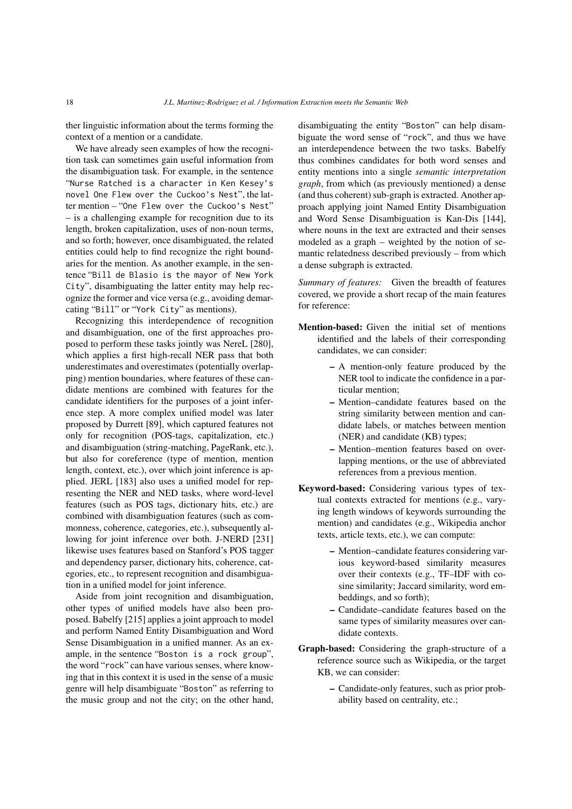ther linguistic information about the terms forming the context of a mention or a candidate.

We have already seen examples of how the recognition task can sometimes gain useful information from the disambiguation task. For example, in the sentence "Nurse Ratched is a character in Ken Kesey's novel One Flew over the Cuckoo's Nest", the latter mention – "One Flew over the Cuckoo's Nest" – is a challenging example for recognition due to its length, broken capitalization, uses of non-noun terms, and so forth; however, once disambiguated, the related entities could help to find recognize the right boundaries for the mention. As another example, in the sentence "Bill de Blasio is the mayor of New York City", disambiguating the latter entity may help recognize the former and vice versa (e.g., avoiding demarcating "Bill" or "York City" as mentions).

Recognizing this interdependence of recognition and disambiguation, one of the first approaches proposed to perform these tasks jointly was NereL [\[280\]](#page-70-2), which applies a first high-recall NER pass that both underestimates and overestimates (potentially overlapping) mention boundaries, where features of these candidate mentions are combined with features for the candidate identifiers for the purposes of a joint inference step. A more complex unified model was later proposed by Durrett [\[89\]](#page-62-7), which captured features not only for recognition (POS-tags, capitalization, etc.) and disambiguation (string-matching, PageRank, etc.), but also for coreference (type of mention, mention length, context, etc.), over which joint inference is applied. JERL [\[183\]](#page-66-5) also uses a unified model for representing the NER and NED tasks, where word-level features (such as POS tags, dictionary hits, etc.) are combined with disambiguation features (such as commonness, coherence, categories, etc.), subsequently allowing for joint inference over both. J-NERD [\[231\]](#page-68-5) likewise uses features based on Stanford's POS tagger and dependency parser, dictionary hits, coherence, categories, etc., to represent recognition and disambiguation in a unified model for joint inference.

Aside from joint recognition and disambiguation, other types of unified models have also been proposed. Babelfy [\[215\]](#page-67-4) applies a joint approach to model and perform Named Entity Disambiguation and Word Sense Disambiguation in a unified manner. As an example, in the sentence "Boston is a rock group", the word "rock" can have various senses, where knowing that in this context it is used in the sense of a music genre will help disambiguate "Boston" as referring to the music group and not the city; on the other hand, disambiguating the entity "Boston" can help disambiguate the word sense of "rock", and thus we have an interdependence between the two tasks. Babelfy thus combines candidates for both word senses and entity mentions into a single *semantic interpretation graph*, from which (as previously mentioned) a dense (and thus coherent) sub-graph is extracted. Another approach applying joint Named Entity Disambiguation and Word Sense Disambiguation is Kan-Dis [\[144\]](#page-64-6), where nouns in the text are extracted and their senses modeled as a graph – weighted by the notion of semantic relatedness described previously – from which a dense subgraph is extracted.

*Summary of features:* Given the breadth of features covered, we provide a short recap of the main features for reference:

- Mention-based: Given the initial set of mentions identified and the labels of their corresponding candidates, we can consider:
	- A mention-only feature produced by the NER tool to indicate the confidence in a particular mention;
	- Mention–candidate features based on the string similarity between mention and candidate labels, or matches between mention (NER) and candidate (KB) types;
	- Mention–mention features based on overlapping mentions, or the use of abbreviated references from a previous mention.
- Keyword-based: Considering various types of textual contexts extracted for mentions (e.g., varying length windows of keywords surrounding the mention) and candidates (e.g., Wikipedia anchor texts, article texts, etc.), we can compute:
	- Mention–candidate features considering various keyword-based similarity measures over their contexts (e.g., TF–IDF with cosine similarity; Jaccard similarity, word embeddings, and so forth);
	- Candidate–candidate features based on the same types of similarity measures over candidate contexts.
- Graph-based: Considering the graph-structure of a reference source such as Wikipedia, or the target KB, we can consider:
	- Candidate-only features, such as prior probability based on centrality, etc.;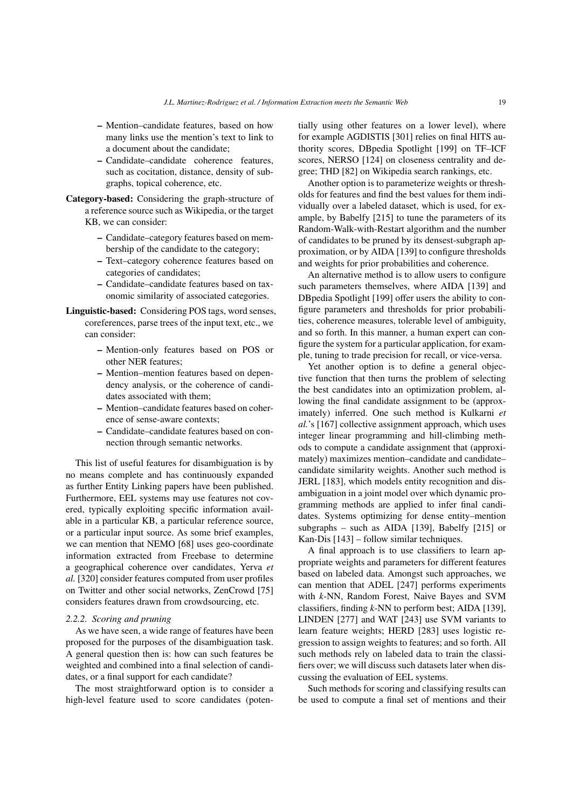- Mention–candidate features, based on how many links use the mention's text to link to a document about the candidate;
- Candidate–candidate coherence features, such as cocitation, distance, density of subgraphs, topical coherence, etc.
- Category-based: Considering the graph-structure of a reference source such as Wikipedia, or the target KB, we can consider:
	- Candidate–category features based on membership of the candidate to the category;
	- Text–category coherence features based on categories of candidates;
	- Candidate–candidate features based on taxonomic similarity of associated categories.
- Linguistic-based: Considering POS tags, word senses, coreferences, parse trees of the input text, etc., we can consider:
	- Mention-only features based on POS or other NER features;
	- Mention–mention features based on dependency analysis, or the coherence of candidates associated with them;
	- Mention–candidate features based on coherence of sense-aware contexts;
	- Candidate–candidate features based on connection through semantic networks.

This list of useful features for disambiguation is by no means complete and has continuously expanded as further Entity Linking papers have been published. Furthermore, EEL systems may use features not covered, typically exploiting specific information available in a particular KB, a particular reference source, or a particular input source. As some brief examples, we can mention that NEMO [\[68\]](#page-61-1) uses geo-coordinate information extracted from Freebase to determine a geographical coherence over candidates, Yerva *et al.* [\[320\]](#page-71-6) consider features computed from user profiles on Twitter and other social networks, ZenCrowd [\[75\]](#page-62-8) considers features drawn from crowdsourcing, etc.

## *2.2.2. Scoring and pruning*

As we have seen, a wide range of features have been proposed for the purposes of the disambiguation task. A general question then is: how can such features be weighted and combined into a final selection of candidates, or a final support for each candidate?

The most straightforward option is to consider a high-level feature used to score candidates (potentially using other features on a lower level), where for example AGDISTIS [\[301\]](#page-71-5) relies on final HITS authority scores, DBpedia Spotlight [\[199\]](#page-66-4) on TF–ICF scores, NERSO [\[124\]](#page-63-2) on closeness centrality and degree; THD [\[82\]](#page-62-2) on Wikipedia search rankings, etc.

Another option is to parameterize weights or thresholds for features and find the best values for them individually over a labeled dataset, which is used, for example, by Babelfy [\[215\]](#page-67-4) to tune the parameters of its Random-Walk-with-Restart algorithm and the number of candidates to be pruned by its densest-subgraph approximation, or by AIDA [\[139\]](#page-64-4) to configure thresholds and weights for prior probabilities and coherence.

An alternative method is to allow users to configure such parameters themselves, where AIDA [\[139\]](#page-64-4) and DBpedia Spotlight [\[199\]](#page-66-4) offer users the ability to configure parameters and thresholds for prior probabilities, coherence measures, tolerable level of ambiguity, and so forth. In this manner, a human expert can configure the system for a particular application, for example, tuning to trade precision for recall, or vice-versa.

Yet another option is to define a general objective function that then turns the problem of selecting the best candidates into an optimization problem, allowing the final candidate assignment to be (approximately) inferred. One such method is Kulkarni *et al.*'s [\[167\]](#page-65-3) collective assignment approach, which uses integer linear programming and hill-climbing methods to compute a candidate assignment that (approximately) maximizes mention–candidate and candidate– candidate similarity weights. Another such method is JERL [\[183\]](#page-66-5), which models entity recognition and disambiguation in a joint model over which dynamic programming methods are applied to infer final candidates. Systems optimizing for dense entity–mention subgraphs – such as AIDA [\[139\]](#page-64-4), Babelfy [\[215\]](#page-67-4) or Kan-Dis [\[143\]](#page-64-9) – follow similar techniques.

A final approach is to use classifiers to learn appropriate weights and parameters for different features based on labeled data. Amongst such approaches, we can mention that ADEL [\[247\]](#page-68-4) performs experiments with *k*-NN, Random Forest, Naive Bayes and SVM classifiers, finding *k*-NN to perform best; AIDA [\[139\]](#page-64-4), LINDEN [\[277\]](#page-70-4) and WAT [\[243\]](#page-68-1) use SVM variants to learn feature weights; HERD [\[283\]](#page-70-3) uses logistic regression to assign weights to features; and so forth. All such methods rely on labeled data to train the classifiers over; we will discuss such datasets later when discussing the evaluation of EEL systems.

Such methods for scoring and classifying results can be used to compute a final set of mentions and their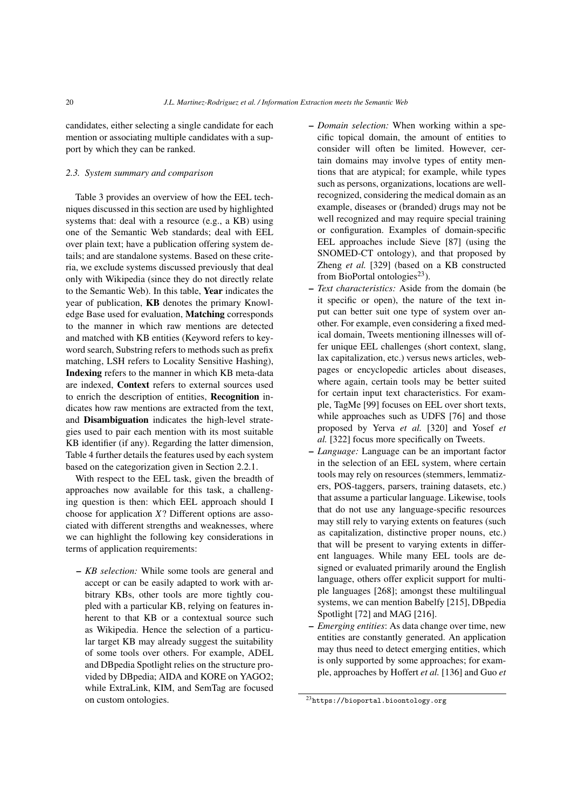candidates, either selecting a single candidate for each mention or associating multiple candidates with a support by which they can be ranked.

# *2.3. System summary and comparison*

Table [3](#page-20-0) provides an overview of how the EEL techniques discussed in this section are used by highlighted systems that: deal with a resource (e.g., a KB) using one of the Semantic Web standards; deal with EEL over plain text; have a publication offering system details; and are standalone systems. Based on these criteria, we exclude systems discussed previously that deal only with Wikipedia (since they do not directly relate to the Semantic Web). In this table, Year indicates the year of publication, KB denotes the primary Knowledge Base used for evaluation, Matching corresponds to the manner in which raw mentions are detected and matched with KB entities (Keyword refers to keyword search, Substring refers to methods such as prefix matching, LSH refers to Locality Sensitive Hashing), Indexing refers to the manner in which KB meta-data are indexed, Context refers to external sources used to enrich the description of entities, Recognition indicates how raw mentions are extracted from the text, and Disambiguation indicates the high-level strategies used to pair each mention with its most suitable KB identifier (if any). Regarding the latter dimension, Table [4](#page-21-0) further details the features used by each system based on the categorization given in Section [2.2.1.](#page-11-0)

With respect to the EEL task, given the breadth of approaches now available for this task, a challenging question is then: which EEL approach should I choose for application *X*? Different options are associated with different strengths and weaknesses, where we can highlight the following key considerations in terms of application requirements:

– *KB selection:* While some tools are general and accept or can be easily adapted to work with arbitrary KBs, other tools are more tightly coupled with a particular KB, relying on features inherent to that KB or a contextual source such as Wikipedia. Hence the selection of a particular target KB may already suggest the suitability of some tools over others. For example, ADEL and DBpedia Spotlight relies on the structure provided by DBpedia; AIDA and KORE on YAGO2; while ExtraLink, KIM, and SemTag are focused on custom ontologies.

- *Domain selection:* When working within a specific topical domain, the amount of entities to consider will often be limited. However, certain domains may involve types of entity mentions that are atypical; for example, while types such as persons, organizations, locations are wellrecognized, considering the medical domain as an example, diseases or (branded) drugs may not be well recognized and may require special training or configuration. Examples of domain-specific EEL approaches include Sieve [\[87\]](#page-62-9) (using the SNOMED-CT ontology), and that proposed by Zheng *et al.* [\[329\]](#page-72-4) (based on a KB constructed from BioPortal ontologies<sup>[23](#page-19-0)</sup>).
- *Text characteristics:* Aside from the domain (be it specific or open), the nature of the text input can better suit one type of system over another. For example, even considering a fixed medical domain, Tweets mentioning illnesses will offer unique EEL challenges (short context, slang, lax capitalization, etc.) versus news articles, webpages or encyclopedic articles about diseases, where again, certain tools may be better suited for certain input text characteristics. For example, TagMe [\[99\]](#page-63-5) focuses on EEL over short texts, while approaches such as UDFS [\[76\]](#page-62-6) and those proposed by Yerva *et al.* [\[320\]](#page-71-6) and Yosef *et al.* [\[322\]](#page-72-5) focus more specifically on Tweets.
- *Language:* Language can be an important factor in the selection of an EEL system, where certain tools may rely on resources (stemmers, lemmatizers, POS-taggers, parsers, training datasets, etc.) that assume a particular language. Likewise, tools that do not use any language-specific resources may still rely to varying extents on features (such as capitalization, distinctive proper nouns, etc.) that will be present to varying extents in different languages. While many EEL tools are designed or evaluated primarily around the English language, others offer explicit support for multiple languages [\[268\]](#page-69-4); amongst these multilingual systems, we can mention Babelfy [\[215\]](#page-67-4), DBpedia Spotlight [\[72\]](#page-61-5) and MAG [\[216\]](#page-67-6).
- *Emerging entities*: As data change over time, new entities are constantly generated. An application may thus need to detect emerging entities, which is only supported by some approaches; for example, approaches by Hoffert *et al.* [\[136\]](#page-64-5) and Guo *et*

<span id="page-19-0"></span><sup>23</sup><https://bioportal.bioontology.org>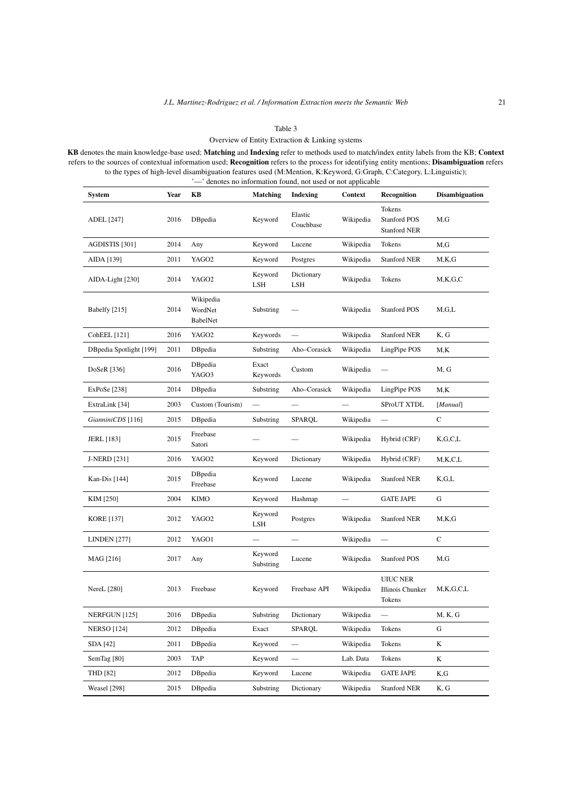## Table 3

## Overview of Entity Extraction & Linking systems

<span id="page-20-0"></span>KB denotes the main knowledge-base used; Matching and Indexing refer to methods used to match/index entity labels from the KB; Context refers to the sources of contextual information used; Recognition refers to the process for identifying entity mentions; Disambiguation refers to the types of high-level disambiguation features used (M:Mention, K:Keyword, G:Graph, C:Category, L:Linguistic); '—' denotes no information found, not used or not applicable

| System                  | Year | KВ                               | <b>Matching</b>      | achotes no information round, not used or not approache<br>Indexing | Context   | <b>Recognition</b>                                   | <b>Disambiguation</b> |
|-------------------------|------|----------------------------------|----------------------|---------------------------------------------------------------------|-----------|------------------------------------------------------|-----------------------|
| ADEL [247]              | 2016 | DBpedia                          | Keyword              | Elastic<br>Couchbase                                                | Wikipedia | Tokens<br><b>Stanford POS</b><br><b>Stanford NER</b> | M,G                   |
| AGDISTIS [301]          | 2014 | Any                              | Keyword              | Lucene                                                              | Wikipedia | Tokens                                               | M,G                   |
| AIDA [139]              | 2011 | YAGO <sub>2</sub>                | Keyword              | Postgres                                                            | Wikipedia | <b>Stanford NER</b>                                  | M,K,G                 |
| AIDA-Light [230]        | 2014 | YAGO2                            | Keyword<br>LSH       | Dictionary<br>LSH                                                   | Wikipedia | Tokens                                               | M,K,G,C               |
| Babelfy [215]           | 2014 | Wikipedia<br>WordNet<br>BabelNet | Substring            |                                                                     | Wikipedia | <b>Stanford POS</b>                                  | M,G,L                 |
| CohEEL [121]            | 2016 | YAGO2                            | Keywords             |                                                                     | Wikipedia | <b>Stanford NER</b>                                  | K, G                  |
| DBpedia Spotlight [199] | 2011 | DBpedia                          | Substring            | Aho-Corasick                                                        | Wikipedia | LingPipe POS                                         | M,K                   |
| DoSeR [336]             | 2016 | DBpedia<br>YAGO3                 | Exact<br>Keywords    | Custom                                                              | Wikipedia |                                                      | M, G                  |
| ExPoSe [238]            | 2014 | DBpedia                          | Substring            | Aho-Corasick                                                        | Wikipedia | LingPipe POS                                         | M,K                   |
| ExtraLink [34]          | 2003 | Custom (Tourism)                 |                      |                                                                     |           | SProUT XTDL                                          | [Manual]              |
| GianniniCDS [116]       | 2015 | <b>DB</b> pedia                  | Substring            | SPARQL                                                              | Wikipedia |                                                      | C                     |
| JERL [183]              | 2015 | Freebase<br>Satori               |                      |                                                                     | Wikipedia | Hybrid (CRF)                                         | $K$ , $G$ , $C$ , $L$ |
| <b>J-NERD</b> [231]     | 2016 | YAGO <sub>2</sub>                | Keyword              | Dictionary                                                          | Wikipedia | Hybrid (CRF)                                         | $M$ , K, C, L         |
| Kan-Dis [144]           | 2015 | DBpedia<br>Freebase              | Keyword              | Lucene                                                              | Wikipedia | <b>Stanford NER</b>                                  | K,G,L                 |
| KIM [250]               | 2004 | KIMO                             | Keyword              | Hashmap                                                             |           | <b>GATE JAPE</b>                                     | G                     |
| KORE [137]              | 2012 | YAGO2                            | Keyword<br>LSH       | Postgres                                                            | Wikipedia | <b>Stanford NER</b>                                  | M,K,G                 |
| <b>LINDEN</b> [277]     | 2012 | YAGO1                            |                      |                                                                     | Wikipedia |                                                      | С                     |
| MAG [216]               | 2017 | Any                              | Keyword<br>Substring | Lucene                                                              | Wikipedia | Stanford POS                                         | M,G                   |
| NereL [280]             | 2013 | Freebase                         | Keyword              | Freebase API                                                        | Wikipedia | UIUC NER<br>Illinois Chunker<br>Tokens               | $M$ , K, G, C, L      |
| NERFGUN [125]           | 2016 | DBpedia                          | Substring            | Dictionary                                                          | Wikipedia |                                                      | M, K, G               |
| <b>NERSO</b> [124]      | 2012 | DBpedia                          | Exact                | <b>SPAROL</b>                                                       | Wikipedia | Tokens                                               | G                     |
| SDA [42]                | 2011 | <b>DB</b> pedia                  | Keyword              |                                                                     | Wikipedia | Tokens                                               | K                     |
| SemTag [80]             | 2003 | TAP                              | Keyword              |                                                                     | Lab. Data | Tokens                                               | K                     |
| <b>THD</b> [82]         | 2012 | DBpedia                          | Keyword              | Lucene                                                              | Wikipedia | <b>GATE JAPE</b>                                     | K, G                  |
| Weasel [298]            | 2015 | DBpedia                          | Substring            | Dictionary                                                          | Wikipedia | <b>Stanford NER</b>                                  | K, G                  |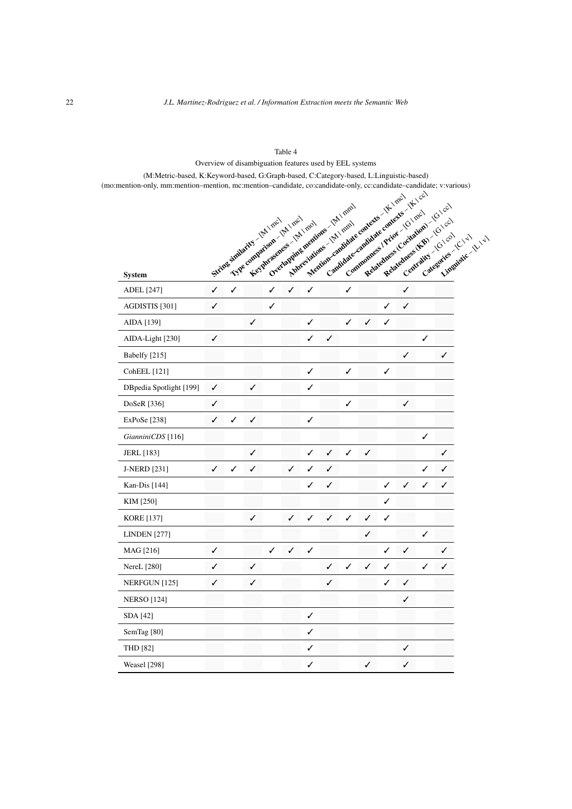# Table 4

# Overview of disambiguation features used by EEL systems

<span id="page-21-0"></span>

|                              |        | String sinilates / (M / me) |   | Lyne comparison . (by I me)<br>Keywraenes (Mine) |   |   | Contention content contests - 12 / may<br>Overlapping mentions (M Inni) |   | International contractor ( We can did it is a contractor of the can did it |        |   |   | Relationship of Contrations (C) cc)<br>Reducedness (EQ) <(C) <(C)<br>Centrality (C) col<br>Caregories (C) VI<br>Linguistic (LIV) |
|------------------------------|--------|-----------------------------|---|--------------------------------------------------|---|---|-------------------------------------------------------------------------|---|----------------------------------------------------------------------------|--------|---|---|----------------------------------------------------------------------------------------------------------------------------------|
| <b>System</b>                |        | ✓                           |   | ✓                                                | ✓ |   |                                                                         | ✓ |                                                                            |        | ✓ |   |                                                                                                                                  |
| ADEL [247]                   | ✓<br>✓ |                             |   | ✓                                                |   | ✓ |                                                                         |   |                                                                            | ✓      | ✓ |   |                                                                                                                                  |
| AGDISTIS [301]<br>AIDA [139] |        |                             | ✓ |                                                  |   | ✓ |                                                                         | ✓ | ✓                                                                          | ✓      |   |   |                                                                                                                                  |
| AIDA-Light [230]             | ✓      |                             |   |                                                  |   | ✓ | ✓                                                                       |   |                                                                            |        |   | ✓ |                                                                                                                                  |
| Babelfy [215]                |        |                             |   |                                                  |   |   |                                                                         |   |                                                                            |        | ✓ |   | ✓                                                                                                                                |
| CohEEL [121]                 |        |                             |   |                                                  |   | ✓ |                                                                         | ✓ |                                                                            | ✓      |   |   |                                                                                                                                  |
| DBpedia Spotlight [199]      | ✓      |                             | ✓ |                                                  |   | ✓ |                                                                         |   |                                                                            |        |   |   |                                                                                                                                  |
| DoSeR [336]                  | ✓      |                             |   |                                                  |   |   |                                                                         | ✓ |                                                                            |        | ✓ |   |                                                                                                                                  |
| ExPoSe [238]                 | ✓      | ✓                           | ✓ |                                                  |   | ✓ |                                                                         |   |                                                                            |        |   |   |                                                                                                                                  |
| GianniniCDS <sup>[116]</sup> |        |                             |   |                                                  |   |   |                                                                         |   |                                                                            |        |   | ✓ |                                                                                                                                  |
| <b>JERL</b> [183]            |        |                             | ✓ |                                                  |   | ✓ | ✓                                                                       | ✓ | ✓                                                                          |        |   |   | ✓                                                                                                                                |
| <b>J-NERD</b> [231]          | ✓      | ✓                           | ✓ |                                                  | ✓ | ✓ | ✓                                                                       |   |                                                                            |        |   | ✓ | ✓                                                                                                                                |
|                              |        |                             |   |                                                  |   | ✓ | ✓                                                                       |   |                                                                            | ✓      | ✓ | ✓ | ✓                                                                                                                                |
| Kan-Dis [144]                |        |                             |   |                                                  |   |   |                                                                         |   |                                                                            |        |   |   |                                                                                                                                  |
| KIM [250]                    |        |                             | ✓ |                                                  |   |   | ✓                                                                       | ✓ | ✓                                                                          | ✓<br>✓ |   |   |                                                                                                                                  |
| <b>KORE</b> [137]            |        |                             |   |                                                  | ✓ | ✓ |                                                                         |   | ✓                                                                          |        |   |   |                                                                                                                                  |
| <b>LINDEN</b> [277]          |        |                             |   |                                                  |   |   |                                                                         |   |                                                                            |        |   | ✓ |                                                                                                                                  |
| MAG [216]                    | ✓      |                             |   | ✓                                                | ✓ | ✓ |                                                                         |   |                                                                            | ✓      | ✓ |   | ✓                                                                                                                                |
| <b>NereL</b> [280]           | ✓      |                             | ✓ |                                                  |   |   | ✓                                                                       | ✓ | ✓                                                                          | ✓      |   | ✓ | ✓                                                                                                                                |
| NERFGUN [125]                | ✓      |                             | ✓ |                                                  |   |   | ✓                                                                       |   |                                                                            | ✓      | ✓ |   |                                                                                                                                  |
| <b>NERSO</b> [124]           |        |                             |   |                                                  |   |   |                                                                         |   |                                                                            |        | ✓ |   |                                                                                                                                  |
| SDA [42]                     |        |                             |   |                                                  |   | ✓ |                                                                         |   |                                                                            |        |   |   |                                                                                                                                  |
| SemTag [80]                  |        |                             |   |                                                  |   | ✓ |                                                                         |   |                                                                            |        |   |   |                                                                                                                                  |
| <b>THD</b> [82]              |        |                             |   |                                                  |   | ✓ |                                                                         |   |                                                                            |        | ✓ |   |                                                                                                                                  |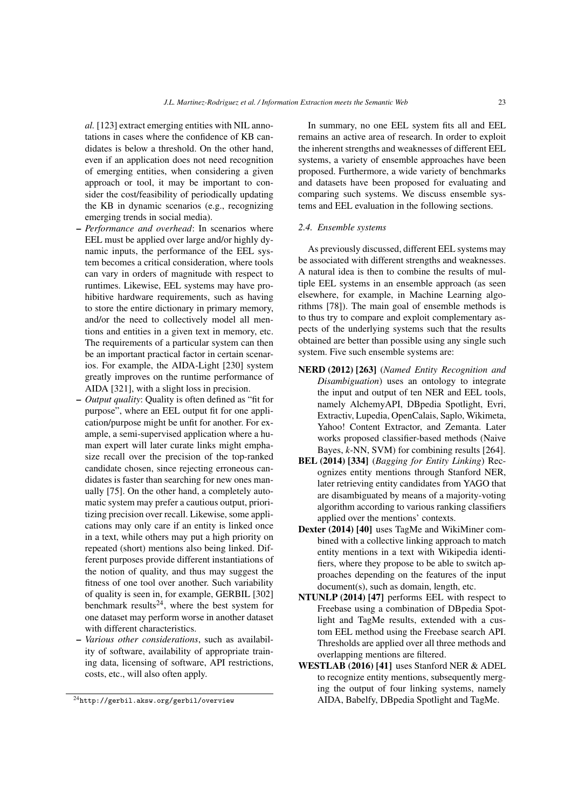*al.* [\[123\]](#page-63-7) extract emerging entities with NIL annotations in cases where the confidence of KB candidates is below a threshold. On the other hand, even if an application does not need recognition of emerging entities, when considering a given approach or tool, it may be important to consider the cost/feasibility of periodically updating the KB in dynamic scenarios (e.g., recognizing emerging trends in social media).

- *Performance and overhead*: In scenarios where EEL must be applied over large and/or highly dynamic inputs, the performance of the EEL system becomes a critical consideration, where tools can vary in orders of magnitude with respect to runtimes. Likewise, EEL systems may have prohibitive hardware requirements, such as having to store the entire dictionary in primary memory, and/or the need to collectively model all mentions and entities in a given text in memory, etc. The requirements of a particular system can then be an important practical factor in certain scenarios. For example, the AIDA-Light [\[230\]](#page-68-6) system greatly improves on the runtime performance of AIDA [\[321\]](#page-71-7), with a slight loss in precision.
- *Output quality*: Quality is often defined as "fit for purpose", where an EEL output fit for one application/purpose might be unfit for another. For example, a semi-supervised application where a human expert will later curate links might emphasize recall over the precision of the top-ranked candidate chosen, since rejecting erroneous candidates is faster than searching for new ones manually [\[75\]](#page-62-8). On the other hand, a completely automatic system may prefer a cautious output, prioritizing precision over recall. Likewise, some applications may only care if an entity is linked once in a text, while others may put a high priority on repeated (short) mentions also being linked. Different purposes provide different instantiations of the notion of quality, and thus may suggest the fitness of one tool over another. Such variability of quality is seen in, for example, GERBIL [\[302\]](#page-71-8) benchmark results<sup>[24](#page-22-0)</sup>, where the best system for one dataset may perform worse in another dataset with different characteristics.
- *Various other considerations*, such as availability of software, availability of appropriate training data, licensing of software, API restrictions, costs, etc., will also often apply.

In summary, no one EEL system fits all and EEL remains an active area of research. In order to exploit the inherent strengths and weaknesses of different EEL systems, a variety of ensemble approaches have been proposed. Furthermore, a wide variety of benchmarks and datasets have been proposed for evaluating and comparing such systems. We discuss ensemble systems and EEL evaluation in the following sections.

# *2.4. Ensemble systems*

As previously discussed, different EEL systems may be associated with different strengths and weaknesses. A natural idea is then to combine the results of multiple EEL systems in an ensemble approach (as seen elsewhere, for example, in Machine Learning algorithms [\[78\]](#page-62-10)). The main goal of ensemble methods is to thus try to compare and exploit complementary aspects of the underlying systems such that the results obtained are better than possible using any single such system. Five such ensemble systems are:

- NERD (2012) [\[263\]](#page-69-5) (*Named Entity Recognition and Disambiguation*) uses an ontology to integrate the input and output of ten NER and EEL tools, namely AlchemyAPI, DBpedia Spotlight, Evri, Extractiv, Lupedia, OpenCalais, Saplo, Wikimeta, Yahoo! Content Extractor, and Zemanta. Later works proposed classifier-based methods (Naive Bayes, *k*-NN, SVM) for combining results [\[264\]](#page-69-6).
- BEL (2014) [\[334\]](#page-72-6) (*Bagging for Entity Linking*) Recognizes entity mentions through Stanford NER, later retrieving entity candidates from YAGO that are disambiguated by means of a majority-voting algorithm according to various ranking classifiers applied over the mentions' contexts.
- Dexter (2014) [\[40\]](#page-60-5) uses TagMe and WikiMiner combined with a collective linking approach to match entity mentions in a text with Wikipedia identifiers, where they propose to be able to switch approaches depending on the features of the input document(s), such as domain, length, etc.
- NTUNLP (2014) [\[47\]](#page-60-7) performs EEL with respect to Freebase using a combination of DBpedia Spotlight and TagMe results, extended with a custom EEL method using the Freebase search API. Thresholds are applied over all three methods and overlapping mentions are filtered.
- WESTLAB (2016) [\[41\]](#page-60-0) uses Stanford NER & ADEL to recognize entity mentions, subsequently merging the output of four linking systems, namely AIDA, Babelfy, DBpedia Spotlight and TagMe.

<span id="page-22-0"></span><sup>24</sup><http://gerbil.aksw.org/gerbil/overview>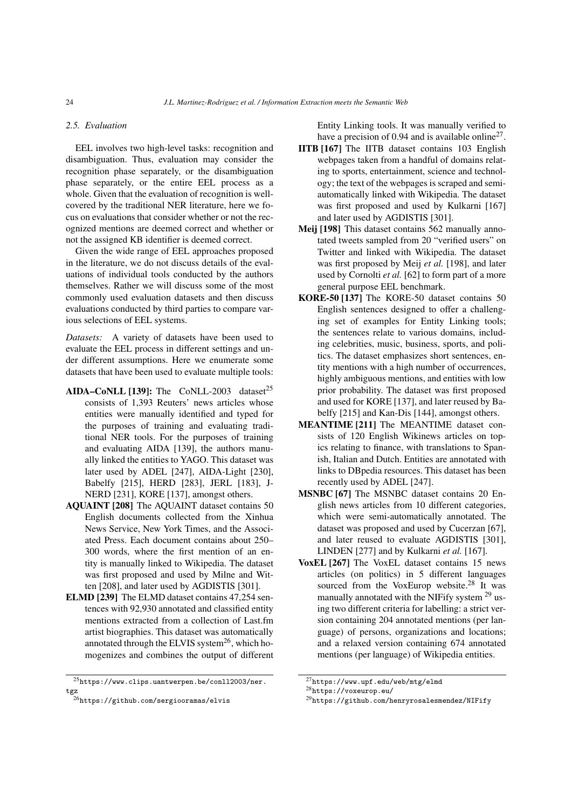## *2.5. Evaluation*

EEL involves two high-level tasks: recognition and disambiguation. Thus, evaluation may consider the recognition phase separately, or the disambiguation phase separately, or the entire EEL process as a whole. Given that the evaluation of recognition is wellcovered by the traditional NER literature, here we focus on evaluations that consider whether or not the recognized mentions are deemed correct and whether or not the assigned KB identifier is deemed correct.

Given the wide range of EEL approaches proposed in the literature, we do not discuss details of the evaluations of individual tools conducted by the authors themselves. Rather we will discuss some of the most commonly used evaluation datasets and then discuss evaluations conducted by third parties to compare various selections of EEL systems.

*Datasets:* A variety of datasets have been used to evaluate the EEL process in different settings and under different assumptions. Here we enumerate some datasets that have been used to evaluate multiple tools:

- AIDA–CoNLL [\[139\]](#page-64-4): The CoNLL-2003 dataset<sup>[25](#page-23-0)</sup> consists of 1,393 Reuters' news articles whose entities were manually identified and typed for the purposes of training and evaluating traditional NER tools. For the purposes of training and evaluating AIDA [\[139\]](#page-64-4), the authors manually linked the entities to YAGO. This dataset was later used by ADEL [\[247\]](#page-68-4), AIDA-Light [\[230\]](#page-68-6), Babelfy [\[215\]](#page-67-4), HERD [\[283\]](#page-70-3), JERL [\[183\]](#page-66-5), J-NERD [\[231\]](#page-68-5), KORE [\[137\]](#page-64-7), amongst others.
- AQUAINT [\[208\]](#page-67-7) The AQUAINT dataset contains 50 English documents collected from the Xinhua News Service, New York Times, and the Associated Press. Each document contains about 250– 300 words, where the first mention of an entity is manually linked to Wikipedia. The dataset was first proposed and used by Milne and Witten [\[208\]](#page-67-7), and later used by AGDISTIS [\[301\]](#page-71-5).
- ELMD [\[239\]](#page-68-9) The ELMD dataset contains 47,254 sentences with 92,930 annotated and classified entity mentions extracted from a collection of Last.fm artist biographies. This dataset was automatically annotated through the ELVIS system $^{26}$  $^{26}$  $^{26}$ , which homogenizes and combines the output of different

Entity Linking tools. It was manually verified to have a precision of 0.94 and is available online<sup>[27](#page-23-2)</sup>.

- IITB [\[167\]](#page-65-3) The IITB dataset contains 103 English webpages taken from a handful of domains relating to sports, entertainment, science and technology; the text of the webpages is scraped and semiautomatically linked with Wikipedia. The dataset was first proposed and used by Kulkarni [\[167\]](#page-65-3) and later used by AGDISTIS [\[301\]](#page-71-5).
- Meii [\[198\]](#page-66-10) This dataset contains 562 manually annotated tweets sampled from 20 "verified users" on Twitter and linked with Wikipedia. The dataset was first proposed by Meij *et al.* [\[198\]](#page-66-10), and later used by Cornolti *et al.* [\[62\]](#page-61-0) to form part of a more general purpose EEL benchmark.
- KORE-50 [\[137\]](#page-64-7) The KORE-50 dataset contains 50 English sentences designed to offer a challenging set of examples for Entity Linking tools; the sentences relate to various domains, including celebrities, music, business, sports, and politics. The dataset emphasizes short sentences, entity mentions with a high number of occurrences, highly ambiguous mentions, and entities with low prior probability. The dataset was first proposed and used for KORE [\[137\]](#page-64-7), and later reused by Babelfy [\[215\]](#page-67-4) and Kan-Dis [\[144\]](#page-64-6), amongst others.
- MEANTIME [\[211\]](#page-67-8) The MEANTIME dataset consists of 120 English Wikinews articles on topics relating to finance, with translations to Spanish, Italian and Dutch. Entities are annotated with links to DBpedia resources. This dataset has been recently used by ADEL [\[247\]](#page-68-4).
- MSNBC [\[67\]](#page-61-4) The MSNBC dataset contains 20 English news articles from 10 different categories, which were semi-automatically annotated. The dataset was proposed and used by Cucerzan [\[67\]](#page-61-4), and later reused to evaluate AGDISTIS [\[301\]](#page-71-5), LINDEN [\[277\]](#page-70-4) and by Kulkarni *et al.* [\[167\]](#page-65-3).
- VoxEL [\[267\]](#page-69-7) The VoxEL dataset contains 15 news articles (on politics) in 5 different languages sourced from the VoxEurop website.<sup>[28](#page-23-3)</sup> It was manually annotated with the NIFify system <sup>[29](#page-23-4)</sup> using two different criteria for labelling: a strict version containing 204 annotated mentions (per language) of persons, organizations and locations; and a relaxed version containing 674 annotated mentions (per language) of Wikipedia entities.

<span id="page-23-0"></span><sup>25</sup>[https://www.clips.uantwerpen.be/conll2003/ner.](https://www.clips.uantwerpen.be/conll2003/ner.tgz) [tgz](https://www.clips.uantwerpen.be/conll2003/ner.tgz)

<span id="page-23-1"></span> $^{26}$ <https://github.com/sergiooramas/elvis>

<span id="page-23-2"></span><sup>27</sup><https://www.upf.edu/web/mtg/elmd>

<span id="page-23-3"></span><sup>28</sup><https://voxeurop.eu/>

<span id="page-23-4"></span><sup>29</sup><https://github.com/henryrosalesmendez/NIFify>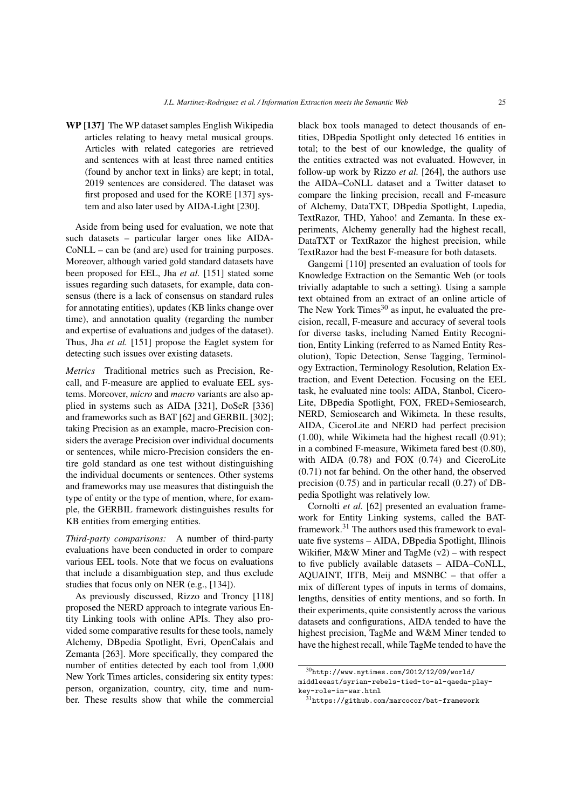WP [\[137\]](#page-64-7) The WP dataset samples English Wikipedia articles relating to heavy metal musical groups. Articles with related categories are retrieved and sentences with at least three named entities (found by anchor text in links) are kept; in total, 2019 sentences are considered. The dataset was first proposed and used for the KORE [\[137\]](#page-64-7) system and also later used by AIDA-Light [\[230\]](#page-68-6).

Aside from being used for evaluation, we note that such datasets – particular larger ones like AIDA-CoNLL – can be (and are) used for training purposes. Moreover, although varied gold standard datasets have been proposed for EEL, Jha *et al.* [\[151\]](#page-65-4) stated some issues regarding such datasets, for example, data consensus (there is a lack of consensus on standard rules for annotating entities), updates (KB links change over time), and annotation quality (regarding the number and expertise of evaluations and judges of the dataset). Thus, Jha *et al.* [\[151\]](#page-65-4) propose the Eaglet system for detecting such issues over existing datasets.

*Metrics* Traditional metrics such as Precision, Recall, and F-measure are applied to evaluate EEL systems. Moreover, *micro* and *macro* variants are also applied in systems such as AIDA [\[321\]](#page-71-7), DoSeR [\[336\]](#page-72-3) and frameworks such as BAT [\[62\]](#page-61-0) and GERBIL [\[302\]](#page-71-8); taking Precision as an example, macro-Precision considers the average Precision over individual documents or sentences, while micro-Precision considers the entire gold standard as one test without distinguishing the individual documents or sentences. Other systems and frameworks may use measures that distinguish the type of entity or the type of mention, where, for example, the GERBIL framework distinguishes results for KB entities from emerging entities.

*Third-party comparisons:* A number of third-party evaluations have been conducted in order to compare various EEL tools. Note that we focus on evaluations that include a disambiguation step, and thus exclude studies that focus only on NER (e.g., [\[134\]](#page-64-10)).

As previously discussed, Rizzo and Troncy [\[118\]](#page-63-8) proposed the NERD approach to integrate various Entity Linking tools with online APIs. They also provided some comparative results for these tools, namely Alchemy, DBpedia Spotlight, Evri, OpenCalais and Zemanta [\[263\]](#page-69-5). More specifically, they compared the number of entities detected by each tool from 1,000 New York Times articles, considering six entity types: person, organization, country, city, time and number. These results show that while the commercial black box tools managed to detect thousands of entities, DBpedia Spotlight only detected 16 entities in total; to the best of our knowledge, the quality of the entities extracted was not evaluated. However, in follow-up work by Rizzo *et al.* [\[264\]](#page-69-6), the authors use the AIDA–CoNLL dataset and a Twitter dataset to compare the linking precision, recall and F-measure of Alchemy, DataTXT, DBpedia Spotlight, Lupedia, TextRazor, THD, Yahoo! and Zemanta. In these experiments, Alchemy generally had the highest recall, DataTXT or TextRazor the highest precision, while TextRazor had the best F-measure for both datasets.

Gangemi [\[110\]](#page-63-0) presented an evaluation of tools for Knowledge Extraction on the Semantic Web (or tools trivially adaptable to such a setting). Using a sample text obtained from an extract of an online article of The New York Times $30$  as input, he evaluated the precision, recall, F-measure and accuracy of several tools for diverse tasks, including Named Entity Recognition, Entity Linking (referred to as Named Entity Resolution), Topic Detection, Sense Tagging, Terminology Extraction, Terminology Resolution, Relation Extraction, and Event Detection. Focusing on the EEL task, he evaluated nine tools: AIDA, Stanbol, Cicero-Lite, DBpedia Spotlight, FOX, FRED+Semiosearch, NERD, Semiosearch and Wikimeta. In these results, AIDA, CiceroLite and NERD had perfect precision (1.00), while Wikimeta had the highest recall (0.91); in a combined F-measure, Wikimeta fared best (0.80), with AIDA (0.78) and FOX (0.74) and CiceroLite (0.71) not far behind. On the other hand, the observed precision (0.75) and in particular recall (0.27) of DBpedia Spotlight was relatively low.

Cornolti *et al.* [\[62\]](#page-61-0) presented an evaluation framework for Entity Linking systems, called the BATframework.[31](#page-24-1) The authors used this framework to evaluate five systems – AIDA, DBpedia Spotlight, Illinois Wikifier, M&W Miner and TagMe (v2) – with respect to five publicly available datasets – AIDA–CoNLL, AQUAINT, IITB, Meij and MSNBC – that offer a mix of different types of inputs in terms of domains, lengths, densities of entity mentions, and so forth. In their experiments, quite consistently across the various datasets and configurations, AIDA tended to have the highest precision, TagMe and W&M Miner tended to have the highest recall, while TagMe tended to have the

<span id="page-24-0"></span><sup>30</sup>[http://www.nytimes.com/2012/12/09/world/](http://www.nytimes.com/2012/12/09/world/middleeast/syrian-rebels-tied-to-al-qaeda-play-key-role-in-war.html) [middleeast/syrian-rebels-tied-to-al-qaeda-play](http://www.nytimes.com/2012/12/09/world/middleeast/syrian-rebels-tied-to-al-qaeda-play-key-role-in-war.html)[key-role-in-war.html](http://www.nytimes.com/2012/12/09/world/middleeast/syrian-rebels-tied-to-al-qaeda-play-key-role-in-war.html)

<span id="page-24-1"></span><sup>31</sup><https://github.com/marcocor/bat-framework>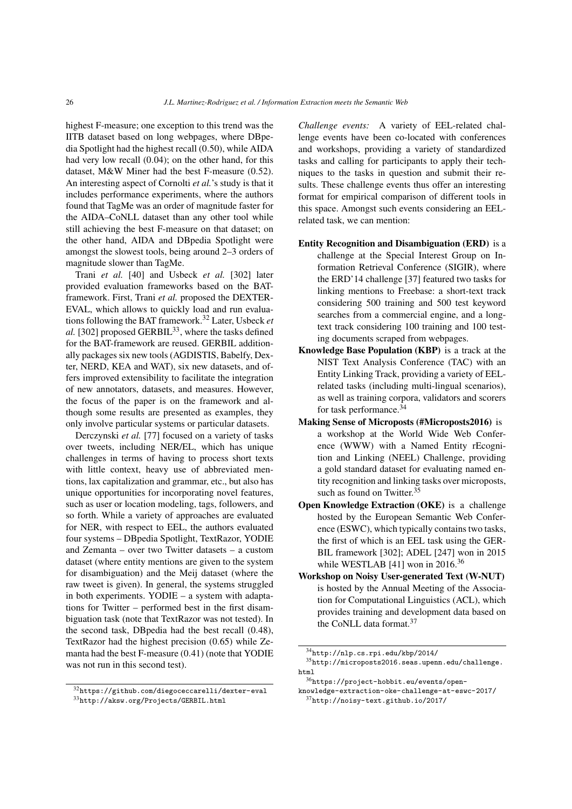highest F-measure; one exception to this trend was the IITB dataset based on long webpages, where DBpedia Spotlight had the highest recall (0.50), while AIDA had very low recall (0.04); on the other hand, for this dataset, M&W Miner had the best F-measure (0.52). An interesting aspect of Cornolti *et al.*'s study is that it includes performance experiments, where the authors found that TagMe was an order of magnitude faster for the AIDA–CoNLL dataset than any other tool while still achieving the best F-measure on that dataset; on the other hand, AIDA and DBpedia Spotlight were amongst the slowest tools, being around 2–3 orders of magnitude slower than TagMe.

Trani *et al.* [\[40\]](#page-60-5) and Usbeck *et al.* [\[302\]](#page-71-8) later provided evaluation frameworks based on the BATframework. First, Trani *et al.* proposed the DEXTER-EVAL, which allows to quickly load and run evaluations following the BAT framework.[32](#page-25-0) Later, Usbeck *et al.* [\[302\]](#page-71-8) proposed GERBIL<sup>[33](#page-25-1)</sup>, where the tasks defined for the BAT-framework are reused. GERBIL additionally packages six new tools (AGDISTIS, Babelfy, Dexter, NERD, KEA and WAT), six new datasets, and offers improved extensibility to facilitate the integration of new annotators, datasets, and measures. However, the focus of the paper is on the framework and although some results are presented as examples, they only involve particular systems or particular datasets.

Derczynski *et al.* [\[77\]](#page-62-11) focused on a variety of tasks over tweets, including NER/EL, which has unique challenges in terms of having to process short texts with little context, heavy use of abbreviated mentions, lax capitalization and grammar, etc., but also has unique opportunities for incorporating novel features, such as user or location modeling, tags, followers, and so forth. While a variety of approaches are evaluated for NER, with respect to EEL, the authors evaluated four systems – DBpedia Spotlight, TextRazor, YODIE and Zemanta – over two Twitter datasets – a custom dataset (where entity mentions are given to the system for disambiguation) and the Meij dataset (where the raw tweet is given). In general, the systems struggled in both experiments. YODIE – a system with adaptations for Twitter – performed best in the first disambiguation task (note that TextRazor was not tested). In the second task, DBpedia had the best recall (0.48), TextRazor had the highest precision (0.65) while Zemanta had the best F-measure (0.41) (note that YODIE was not run in this second test).

*Challenge events:* A variety of EEL-related challenge events have been co-located with conferences and workshops, providing a variety of standardized tasks and calling for participants to apply their techniques to the tasks in question and submit their results. These challenge events thus offer an interesting format for empirical comparison of different tools in this space. Amongst such events considering an EELrelated task, we can mention:

- Entity Recognition and Disambiguation (ERD) is a challenge at the Special Interest Group on Information Retrieval Conference (SIGIR), where the ERD'14 challenge [\[37\]](#page-60-8) featured two tasks for linking mentions to Freebase: a short-text track considering 500 training and 500 test keyword searches from a commercial engine, and a longtext track considering 100 training and 100 testing documents scraped from webpages.
- Knowledge Base Population (KBP) is a track at the NIST Text Analysis Conference (TAC) with an Entity Linking Track, providing a variety of EELrelated tasks (including multi-lingual scenarios), as well as training corpora, validators and scorers for task performance.[34](#page-25-2)
- Making Sense of Microposts (#Microposts2016) is a workshop at the World Wide Web Conference (WWW) with a Named Entity rEcognition and Linking (NEEL) Challenge, providing a gold standard dataset for evaluating named entity recognition and linking tasks over microposts, such as found on Twitter.<sup>[35](#page-25-3)</sup>
- Open Knowledge Extraction (OKE) is a challenge hosted by the European Semantic Web Conference (ESWC), which typically contains two tasks, the first of which is an EEL task using the GER-BIL framework [\[302\]](#page-71-8); ADEL [\[247\]](#page-68-4) won in 2015 while WESTLAB [\[41\]](#page-60-0) won in  $2016^{36}$  $2016^{36}$  $2016^{36}$
- Workshop on Noisy User-generated Text (W-NUT) is hosted by the Annual Meeting of the Association for Computational Linguistics (ACL), which provides training and development data based on the CoNLL data format.<sup>[37](#page-25-5)</sup>

<span id="page-25-1"></span><span id="page-25-0"></span> $^{32}{\rm https://github.com/diegoceccarelli/dexter-eval}$  $^{32}{\rm https://github.com/diegoceccarelli/dexter-eval}$  $^{32}{\rm https://github.com/diegoceccarelli/dexter-eval}$ <sup>33</sup><http://aksw.org/Projects/GERBIL.html>

<span id="page-25-3"></span><span id="page-25-2"></span><sup>34</sup><http://nlp.cs.rpi.edu/kbp/2014/>

<sup>35</sup>[http://microposts2016.seas.upenn.edu/challenge.](http://microposts2016.seas.upenn.edu/challenge.html) [html](http://microposts2016.seas.upenn.edu/challenge.html)

<span id="page-25-4"></span><sup>36</sup>[https://project-hobbit.eu/events/open-](https://project-hobbit.eu/events/open-knowledge-extraction-oke-challenge-at-eswc-2017/)

<span id="page-25-5"></span>[knowledge-extraction-oke-challenge-at-eswc-2017/](https://project-hobbit.eu/events/open-knowledge-extraction-oke-challenge-at-eswc-2017/) <sup>37</sup><http://noisy-text.github.io/2017/>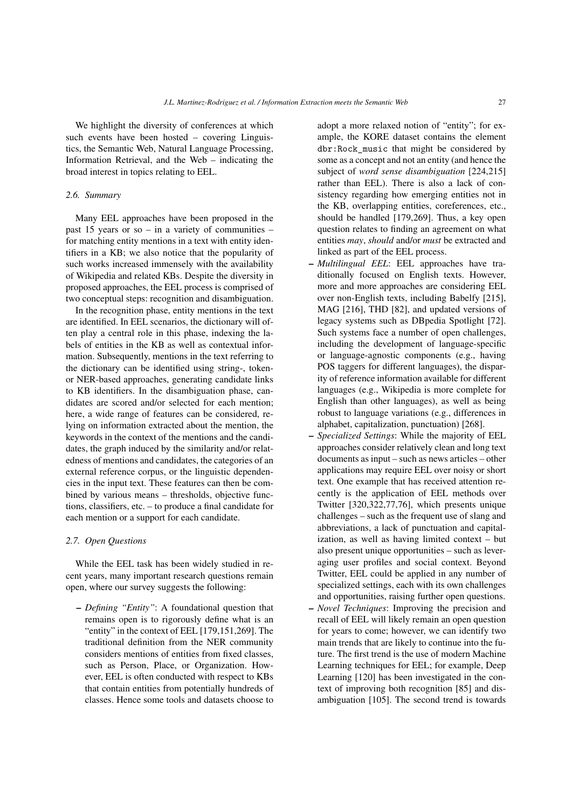We highlight the diversity of conferences at which such events have been hosted – covering Linguistics, the Semantic Web, Natural Language Processing, Information Retrieval, and the Web – indicating the broad interest in topics relating to EEL.

# *2.6. Summary*

Many EEL approaches have been proposed in the past 15 years or so – in a variety of communities – for matching entity mentions in a text with entity identifiers in a KB; we also notice that the popularity of such works increased immensely with the availability of Wikipedia and related KBs. Despite the diversity in proposed approaches, the EEL process is comprised of two conceptual steps: recognition and disambiguation.

In the recognition phase, entity mentions in the text are identified. In EEL scenarios, the dictionary will often play a central role in this phase, indexing the labels of entities in the KB as well as contextual information. Subsequently, mentions in the text referring to the dictionary can be identified using string-, tokenor NER-based approaches, generating candidate links to KB identifiers. In the disambiguation phase, candidates are scored and/or selected for each mention; here, a wide range of features can be considered, relying on information extracted about the mention, the keywords in the context of the mentions and the candidates, the graph induced by the similarity and/or relatedness of mentions and candidates, the categories of an external reference corpus, or the linguistic dependencies in the input text. These features can then be combined by various means – thresholds, objective functions, classifiers, etc. – to produce a final candidate for each mention or a support for each candidate.

# *2.7. Open Questions*

While the EEL task has been widely studied in recent years, many important research questions remain open, where our survey suggests the following:

– *Defining "Entity"*: A foundational question that remains open is to rigorously define what is an "entity" in the context of EEL [\[179,](#page-66-11)[151](#page-65-4)[,269\]](#page-69-8). The traditional definition from the NER community considers mentions of entities from fixed classes, such as Person, Place, or Organization. However, EEL is often conducted with respect to KBs that contain entities from potentially hundreds of classes. Hence some tools and datasets choose to

adopt a more relaxed notion of "entity"; for example, the KORE dataset contains the element dbr:Rock\_music that might be considered by some as a concept and not an entity (and hence the subject of *word sense disambiguation* [\[224,](#page-67-9)[215\]](#page-67-4) rather than EEL). There is also a lack of consistency regarding how emerging entities not in the KB, overlapping entities, coreferences, etc., should be handled [\[179](#page-66-11)[,269\]](#page-69-8). Thus, a key open question relates to finding an agreement on what entities *may*, *should* and/or *must* be extracted and linked as part of the EEL process.

- *Multilingual EEL*: EEL approaches have traditionally focused on English texts. However, more and more approaches are considering EEL over non-English texts, including Babelfy [\[215\]](#page-67-4), MAG [\[216\]](#page-67-6), THD [\[82\]](#page-62-2), and updated versions of legacy systems such as DBpedia Spotlight [\[72\]](#page-61-5). Such systems face a number of open challenges, including the development of language-specific or language-agnostic components (e.g., having POS taggers for different languages), the disparity of reference information available for different languages (e.g., Wikipedia is more complete for English than other languages), as well as being robust to language variations (e.g., differences in alphabet, capitalization, punctuation) [\[268\]](#page-69-4).
- *Specialized Settings*: While the majority of EEL approaches consider relatively clean and long text documents as input – such as news articles – other applications may require EEL over noisy or short text. One example that has received attention recently is the application of EEL methods over Twitter [\[320,](#page-71-6)[322,](#page-72-5)[77,](#page-62-11)[76\]](#page-62-6), which presents unique challenges – such as the frequent use of slang and abbreviations, a lack of punctuation and capitalization, as well as having limited context – but also present unique opportunities – such as leveraging user profiles and social context. Beyond Twitter, EEL could be applied in any number of specialized settings, each with its own challenges and opportunities, raising further open questions.
- *Novel Techniques*: Improving the precision and recall of EEL will likely remain an open question for years to come; however, we can identify two main trends that are likely to continue into the future. The first trend is the use of modern Machine Learning techniques for EEL; for example, Deep Learning [\[120\]](#page-63-9) has been investigated in the context of improving both recognition [\[85\]](#page-62-12) and disambiguation [\[105\]](#page-63-10). The second trend is towards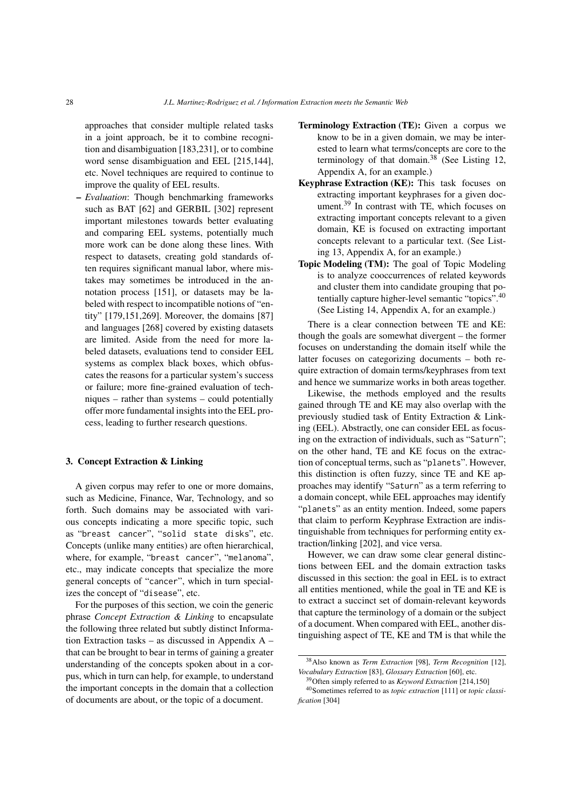approaches that consider multiple related tasks in a joint approach, be it to combine recognition and disambiguation [\[183](#page-66-5)[,231\]](#page-68-5), or to combine word sense disambiguation and EEL [\[215](#page-67-4)[,144\]](#page-64-6), etc. Novel techniques are required to continue to improve the quality of EEL results.

– *Evaluation*: Though benchmarking frameworks such as BAT [\[62\]](#page-61-0) and GERBIL [\[302\]](#page-71-8) represent important milestones towards better evaluating and comparing EEL systems, potentially much more work can be done along these lines. With respect to datasets, creating gold standards often requires significant manual labor, where mistakes may sometimes be introduced in the annotation process [\[151\]](#page-65-4), or datasets may be labeled with respect to incompatible notions of "entity" [\[179,](#page-66-11)[151,](#page-65-4)[269\]](#page-69-8). Moreover, the domains [\[87\]](#page-62-9) and languages [\[268\]](#page-69-4) covered by existing datasets are limited. Aside from the need for more labeled datasets, evaluations tend to consider EEL systems as complex black boxes, which obfuscates the reasons for a particular system's success or failure; more fine-grained evaluation of techniques – rather than systems – could potentially offer more fundamental insights into the EEL process, leading to further research questions.

## <span id="page-27-0"></span>3. Concept Extraction & Linking

A given corpus may refer to one or more domains, such as Medicine, Finance, War, Technology, and so forth. Such domains may be associated with various concepts indicating a more specific topic, such as "breast cancer", "solid state disks", etc. Concepts (unlike many entities) are often hierarchical, where, for example, "breast cancer", "melanoma", etc., may indicate concepts that specialize the more general concepts of "cancer", which in turn specializes the concept of "disease", etc.

For the purposes of this section, we coin the generic phrase *Concept Extraction & Linking* to encapsulate the following three related but subtly distinct Information Extraction tasks – as discussed in Appendix [A](#page-72-0) – that can be brought to bear in terms of gaining a greater understanding of the concepts spoken about in a corpus, which in turn can help, for example, to understand the important concepts in the domain that a collection of documents are about, or the topic of a document.

- Terminology Extraction (TE): Given a corpus we know to be in a given domain, we may be interested to learn what terms/concepts are core to the terminology of that domain.[38](#page-27-1) (See Listing [12,](#page-78-0) Appendix [A,](#page-72-0) for an example.)
- Keyphrase Extraction (KE): This task focuses on extracting important keyphrases for a given document.[39](#page-27-2) In contrast with TE, which focuses on extracting important concepts relevant to a given domain, KE is focused on extracting important concepts relevant to a particular text. (See Listing [13,](#page-79-0) Appendix [A,](#page-72-0) for an example.)
- Topic Modeling (TM): The goal of Topic Modeling is to analyze cooccurrences of related keywords and cluster them into candidate grouping that potentially capture higher-level semantic "topics".[40](#page-27-3) (See Listing [14,](#page-79-1) Appendix [A,](#page-72-0) for an example.)

There is a clear connection between TE and KE: though the goals are somewhat divergent – the former focuses on understanding the domain itself while the latter focuses on categorizing documents – both require extraction of domain terms/keyphrases from text and hence we summarize works in both areas together.

Likewise, the methods employed and the results gained through TE and KE may also overlap with the previously studied task of Entity Extraction & Linking (EEL). Abstractly, one can consider EEL as focusing on the extraction of individuals, such as "Saturn"; on the other hand, TE and KE focus on the extraction of conceptual terms, such as "planets". However, this distinction is often fuzzy, since TE and KE approaches may identify "Saturn" as a term referring to a domain concept, while EEL approaches may identify "planets" as an entity mention. Indeed, some papers that claim to perform Keyphrase Extraction are indistinguishable from techniques for performing entity extraction/linking [\[202\]](#page-66-7), and vice versa.

However, we can draw some clear general distinctions between EEL and the domain extraction tasks discussed in this section: the goal in EEL is to extract all entities mentioned, while the goal in TE and KE is to extract a succinct set of domain-relevant keywords that capture the terminology of a domain or the subject of a document. When compared with EEL, another distinguishing aspect of TE, KE and TM is that while the

<span id="page-27-1"></span><sup>38</sup>Also known as *Term Extraction* [\[98\]](#page-62-13), *Term Recognition* [\[12\]](#page-59-2), *Vocabulary Extraction* [\[83\]](#page-62-14), *Glossary Extraction* [\[60\]](#page-61-6), etc. <sup>39</sup>Often simply referred to as *Keyword Extraction* [\[214,](#page-67-10)[150\]](#page-64-11)

<span id="page-27-3"></span><span id="page-27-2"></span><sup>40</sup>Sometimes referred to as *topic extraction* [\[111\]](#page-63-11) or *topic classification* [\[304\]](#page-71-9)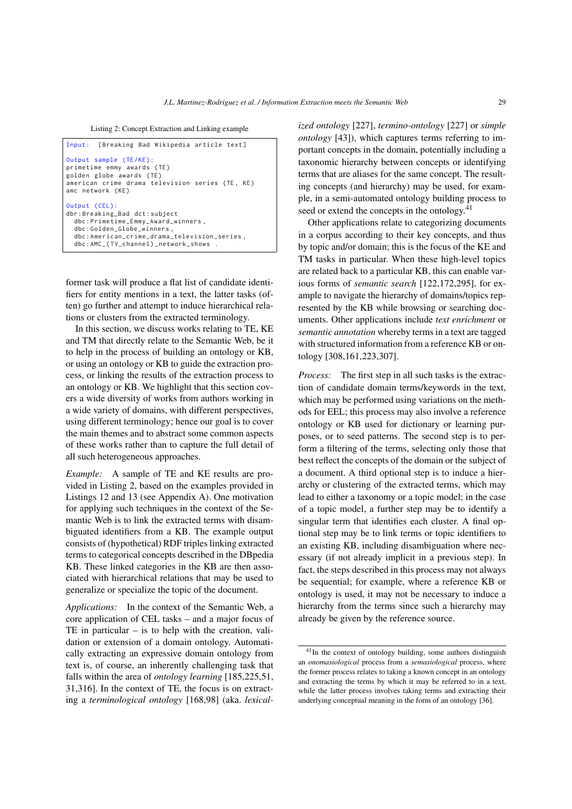Listing 2: Concept Extraction and Linking example

```
Input: [Breaking Bad Wikipedia article text]
Output sample (TE/KE):
primetime emmy awards ( TE )
golden globe awards (TE)
american crime drama television series (TE, KE)
amc network (KE)
Output (CEL):
dbr : Breaking_Bad dct : subject
  dbc : Primetime_Emmy_Award_winners ,
  dbc: Golden_Globe_winners ,
  dbc : American_crime_drama_television_series ,
  dbc : AMC_ ( TV_channel ) _network_shows .
```
former task will produce a flat list of candidate identifiers for entity mentions in a text, the latter tasks (often) go further and attempt to induce hierarchical relations or clusters from the extracted terminology.

In this section, we discuss works relating to TE, KE and TM that directly relate to the Semantic Web, be it to help in the process of building an ontology or KB, or using an ontology or KB to guide the extraction process, or linking the results of the extraction process to an ontology or KB. We highlight that this section covers a wide diversity of works from authors working in a wide variety of domains, with different perspectives, using different terminology; hence our goal is to cover the main themes and to abstract some common aspects of these works rather than to capture the full detail of all such heterogeneous approaches.

*Example:* A sample of TE and KE results are provided in Listing [2,](#page-28-0) based on the examples provided in Listings [12](#page-78-0) and [13](#page-79-0) (see Appendix [A\)](#page-72-0). One motivation for applying such techniques in the context of the Semantic Web is to link the extracted terms with disambiguated identifiers from a KB. The example output consists of (hypothetical) RDF triples linking extracted terms to categorical concepts described in the DBpedia KB. These linked categories in the KB are then associated with hierarchical relations that may be used to generalize or specialize the topic of the document.

*Applications:* In the context of the Semantic Web, a core application of CEL tasks – and a major focus of TE in particular  $-$  is to help with the creation, validation or extension of a domain ontology. Automatically extracting an expressive domain ontology from text is, of course, an inherently challenging task that falls within the area of *ontology learning* [\[185,](#page-66-12)[225,](#page-67-11)[51,](#page-61-7) [31](#page-60-9)[,316\]](#page-71-2). In the context of TE, the focus is on extracting a *terminological ontology* [\[168,](#page-65-5)[98\]](#page-62-13) (aka. *lexical-* *ized ontology* [\[227\]](#page-67-12), *termino-ontology* [\[227\]](#page-67-12) or *simple ontology* [\[43\]](#page-60-10)), which captures terms referring to important concepts in the domain, potentially including a taxonomic hierarchy between concepts or identifying terms that are aliases for the same concept. The resulting concepts (and hierarchy) may be used, for example, in a semi-automated ontology building process to seed or extend the concepts in the ontology.<sup>[41](#page-28-1)</sup>

Other applications relate to categorizing documents in a corpus according to their key concepts, and thus by topic and/or domain; this is the focus of the KE and TM tasks in particular. When these high-level topics are related back to a particular KB, this can enable various forms of *semantic search* [\[122,](#page-63-12)[172,](#page-65-6)[295\]](#page-70-0), for example to navigate the hierarchy of domains/topics represented by the KB while browsing or searching documents. Other applications include *text enrichment* or *semantic annotation* whereby terms in a text are tagged with structured information from a reference KB or ontology [\[308](#page-71-10)[,161](#page-65-7)[,223](#page-67-13)[,307\]](#page-71-11).

*Process:* The first step in all such tasks is the extraction of candidate domain terms/keywords in the text, which may be performed using variations on the methods for EEL; this process may also involve a reference ontology or KB used for dictionary or learning purposes, or to seed patterns. The second step is to perform a filtering of the terms, selecting only those that best reflect the concepts of the domain or the subject of a document. A third optional step is to induce a hierarchy or clustering of the extracted terms, which may lead to either a taxonomy or a topic model; in the case of a topic model, a further step may be to identify a singular term that identifies each cluster. A final optional step may be to link terms or topic identifiers to an existing KB, including disambiguation where necessary (if not already implicit in a previous step). In fact, the steps described in this process may not always be sequential; for example, where a reference KB or ontology is used, it may not be necessary to induce a hierarchy from the terms since such a hierarchy may already be given by the reference source.

<span id="page-28-1"></span><sup>&</sup>lt;sup>41</sup>In the context of ontology building, some authors distinguish an *onomasiological* process from a *semasiological* process, where the former process relates to taking a known concept in an ontology and extracting the terms by which it may be referred to in a text, while the latter process involves taking terms and extracting their underlying conceptual meaning in the form of an ontology [\[36\]](#page-60-11).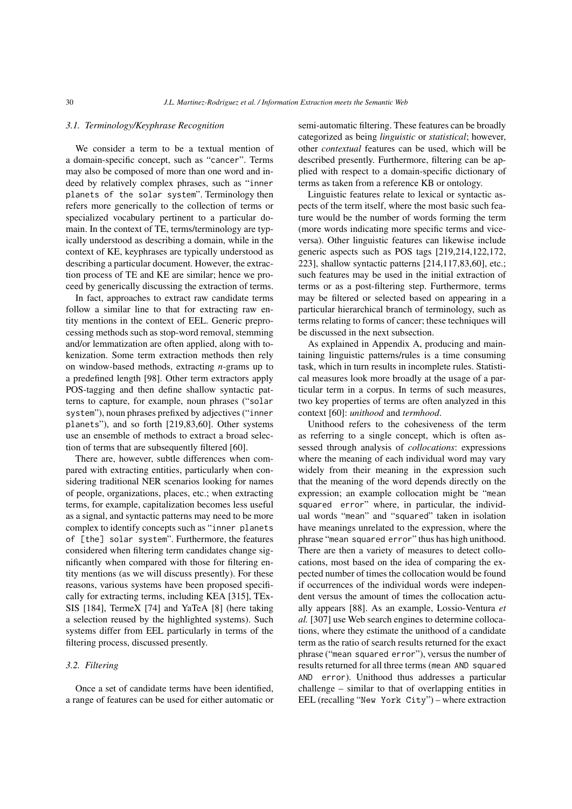#### *3.1. Terminology/Keyphrase Recognition*

We consider a term to be a textual mention of a domain-specific concept, such as "cancer". Terms may also be composed of more than one word and indeed by relatively complex phrases, such as "inner planets of the solar system". Terminology then refers more generically to the collection of terms or specialized vocabulary pertinent to a particular domain. In the context of TE, terms/terminology are typically understood as describing a domain, while in the context of KE, keyphrases are typically understood as describing a particular document. However, the extraction process of TE and KE are similar; hence we proceed by generically discussing the extraction of terms.

In fact, approaches to extract raw candidate terms follow a similar line to that for extracting raw entity mentions in the context of EEL. Generic preprocessing methods such as stop-word removal, stemming and/or lemmatization are often applied, along with tokenization. Some term extraction methods then rely on window-based methods, extracting *n*-grams up to a predefined length [\[98\]](#page-62-13). Other term extractors apply POS-tagging and then define shallow syntactic patterns to capture, for example, noun phrases ("solar system"), noun phrases prefixed by adjectives ("inner planets"), and so forth [\[219,](#page-67-14)[83,](#page-62-14)[60\]](#page-61-6). Other systems use an ensemble of methods to extract a broad selection of terms that are subsequently filtered [\[60\]](#page-61-6).

There are, however, subtle differences when compared with extracting entities, particularly when considering traditional NER scenarios looking for names of people, organizations, places, etc.; when extracting terms, for example, capitalization becomes less useful as a signal, and syntactic patterns may need to be more complex to identify concepts such as "inner planets of [the] solar system". Furthermore, the features considered when filtering term candidates change significantly when compared with those for filtering entity mentions (as we will discuss presently). For these reasons, various systems have been proposed specifically for extracting terms, including KEA [\[315\]](#page-71-12), TEx-SIS [\[184\]](#page-66-13), TermeX [\[74\]](#page-62-15) and YaTeA [\[8\]](#page-59-3) (here taking a selection reused by the highlighted systems). Such systems differ from EEL particularly in terms of the filtering process, discussed presently.

# *3.2. Filtering*

Once a set of candidate terms have been identified, a range of features can be used for either automatic or semi-automatic filtering. These features can be broadly categorized as being *linguistic* or *statistical*; however, other *contextual* features can be used, which will be described presently. Furthermore, filtering can be applied with respect to a domain-specific dictionary of terms as taken from a reference KB or ontology.

Linguistic features relate to lexical or syntactic aspects of the term itself, where the most basic such feature would be the number of words forming the term (more words indicating more specific terms and viceversa). Other linguistic features can likewise include generic aspects such as POS tags [\[219,](#page-67-14)[214,](#page-67-10)[122,](#page-63-12)[172,](#page-65-6) [223\]](#page-67-13), shallow syntactic patterns [\[214,](#page-67-10)[117,](#page-63-13)[83,](#page-62-14)[60\]](#page-61-6), etc.; such features may be used in the initial extraction of terms or as a post-filtering step. Furthermore, terms may be filtered or selected based on appearing in a particular hierarchical branch of terminology, such as terms relating to forms of cancer; these techniques will be discussed in the next subsection.

As explained in Appendix [A,](#page-72-0) producing and maintaining linguistic patterns/rules is a time consuming task, which in turn results in incomplete rules. Statistical measures look more broadly at the usage of a particular term in a corpus. In terms of such measures, two key properties of terms are often analyzed in this context [\[60\]](#page-61-6): *unithood* and *termhood*.

Unithood refers to the cohesiveness of the term as referring to a single concept, which is often assessed through analysis of *collocations*: expressions where the meaning of each individual word may vary widely from their meaning in the expression such that the meaning of the word depends directly on the expression; an example collocation might be "mean squared error" where, in particular, the individual words "mean" and "squared" taken in isolation have meanings unrelated to the expression, where the phrase "mean squared error" thus has high unithood. There are then a variety of measures to detect collocations, most based on the idea of comparing the expected number of times the collocation would be found if occurrences of the individual words were independent versus the amount of times the collocation actually appears [\[88\]](#page-62-16). As an example, Lossio-Ventura *et al.* [\[307\]](#page-71-11) use Web search engines to determine collocations, where they estimate the unithood of a candidate term as the ratio of search results returned for the exact phrase ("mean squared error"), versus the number of results returned for all three terms (mean AND squared AND error). Unithood thus addresses a particular challenge – similar to that of overlapping entities in EEL (recalling "New York City") – where extraction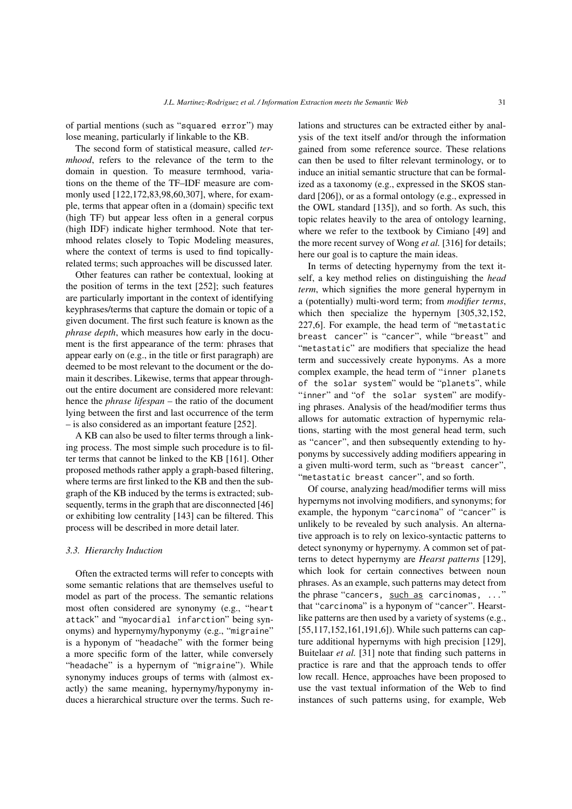of partial mentions (such as "squared error") may lose meaning, particularly if linkable to the KB.

The second form of statistical measure, called *termhood*, refers to the relevance of the term to the domain in question. To measure termhood, variations on the theme of the TF–IDF measure are commonly used [\[122](#page-63-12)[,172,](#page-65-6)[83,](#page-62-14)[98,](#page-62-13)[60,](#page-61-6)[307\]](#page-71-11), where, for example, terms that appear often in a (domain) specific text (high TF) but appear less often in a general corpus (high IDF) indicate higher termhood. Note that termhood relates closely to Topic Modeling measures, where the context of terms is used to find topicallyrelated terms; such approaches will be discussed later.

Other features can rather be contextual, looking at the position of terms in the text [\[252\]](#page-69-9); such features are particularly important in the context of identifying keyphrases/terms that capture the domain or topic of a given document. The first such feature is known as the *phrase depth*, which measures how early in the document is the first appearance of the term: phrases that appear early on (e.g., in the title or first paragraph) are deemed to be most relevant to the document or the domain it describes. Likewise, terms that appear throughout the entire document are considered more relevant: hence the *phrase lifespan* – the ratio of the document lying between the first and last occurrence of the term – is also considered as an important feature [\[252\]](#page-69-9).

A KB can also be used to filter terms through a linking process. The most simple such procedure is to filter terms that cannot be linked to the KB [\[161\]](#page-65-7). Other proposed methods rather apply a graph-based filtering, where terms are first linked to the KB and then the subgraph of the KB induced by the terms is extracted; subsequently, terms in the graph that are disconnected [\[46\]](#page-60-12) or exhibiting low centrality [\[143\]](#page-64-9) can be filtered. This process will be described in more detail later.

# *3.3. Hierarchy Induction*

Often the extracted terms will refer to concepts with some semantic relations that are themselves useful to model as part of the process. The semantic relations most often considered are synonymy (e.g., "heart attack" and "myocardial infarction" being synonyms) and hypernymy/hyponymy (e.g., "migraine" is a hyponym of "headache" with the former being a more specific form of the latter, while conversely "headache" is a hypernym of "migraine"). While synonymy induces groups of terms with (almost exactly) the same meaning, hypernymy/hyponymy induces a hierarchical structure over the terms. Such relations and structures can be extracted either by analysis of the text itself and/or through the information gained from some reference source. These relations can then be used to filter relevant terminology, or to induce an initial semantic structure that can be formalized as a taxonomy (e.g., expressed in the SKOS standard [\[206\]](#page-67-2)), or as a formal ontology (e.g., expressed in the OWL standard [\[135\]](#page-64-2)), and so forth. As such, this topic relates heavily to the area of ontology learning, where we refer to the textbook by Cimiano [\[49\]](#page-60-13) and the more recent survey of Wong *et al.* [\[316\]](#page-71-2) for details; here our goal is to capture the main ideas.

In terms of detecting hypernymy from the text itself, a key method relies on distinguishing the *head term*, which signifies the more general hypernym in a (potentially) multi-word term; from *modifier terms*, which then specialize the hypernym [\[305,](#page-71-13)[32,](#page-60-14)[152,](#page-65-8) [227,](#page-67-12)[6\]](#page-59-4). For example, the head term of "metastatic breast cancer" is "cancer", while "breast" and "metastatic" are modifiers that specialize the head term and successively create hyponyms. As a more complex example, the head term of "inner planets of the solar system" would be "planets", while "inner" and "of the solar system" are modifying phrases. Analysis of the head/modifier terms thus allows for automatic extraction of hypernymic relations, starting with the most general head term, such as "cancer", and then subsequently extending to hyponyms by successively adding modifiers appearing in a given multi-word term, such as "breast cancer", "metastatic breast cancer", and so forth.

Of course, analyzing head/modifier terms will miss hypernyms not involving modifiers, and synonyms; for example, the hyponym "carcinoma" of "cancer" is unlikely to be revealed by such analysis. An alternative approach is to rely on lexico-syntactic patterns to detect synonymy or hypernymy. A common set of patterns to detect hypernymy are *Hearst patterns* [\[129\]](#page-64-12), which look for certain connectives between noun phrases. As an example, such patterns may detect from the phrase "cancers, such as carcinomas, ..." that "carcinoma" is a hyponym of "cancer". Hearstlike patterns are then used by a variety of systems (e.g., [\[55](#page-61-8)[,117](#page-63-13)[,152,](#page-65-8)[161](#page-65-7)[,191,](#page-66-14)[6\]](#page-59-4)). While such patterns can capture additional hypernyms with high precision [\[129\]](#page-64-12), Buitelaar *et al.* [\[31\]](#page-60-9) note that finding such patterns in practice is rare and that the approach tends to offer low recall. Hence, approaches have been proposed to use the vast textual information of the Web to find instances of such patterns using, for example, Web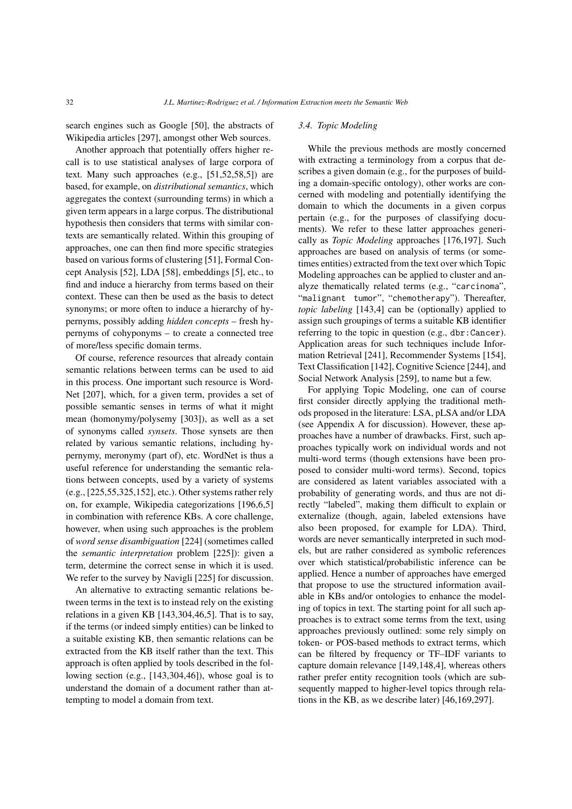search engines such as Google [\[50\]](#page-60-15), the abstracts of Wikipedia articles [\[297\]](#page-70-8), amongst other Web sources.

Another approach that potentially offers higher recall is to use statistical analyses of large corpora of text. Many such approaches (e.g., [\[51,](#page-61-7)[52,](#page-61-9)[58,](#page-61-10)[5\]](#page-59-5)) are based, for example, on *distributional semantics*, which aggregates the context (surrounding terms) in which a given term appears in a large corpus. The distributional hypothesis then considers that terms with similar contexts are semantically related. Within this grouping of approaches, one can then find more specific strategies based on various forms of clustering [\[51\]](#page-61-7), Formal Concept Analysis [\[52\]](#page-61-9), LDA [\[58\]](#page-61-10), embeddings [\[5\]](#page-59-5), etc., to find and induce a hierarchy from terms based on their context. These can then be used as the basis to detect synonyms; or more often to induce a hierarchy of hypernyms, possibly adding *hidden concepts* – fresh hypernyms of cohyponyms – to create a connected tree of more/less specific domain terms.

Of course, reference resources that already contain semantic relations between terms can be used to aid in this process. One important such resource is Word-Net [\[207\]](#page-67-15), which, for a given term, provides a set of possible semantic senses in terms of what it might mean (homonymy/polysemy [\[303\]](#page-71-14)), as well as a set of synonyms called *synsets*. Those synsets are then related by various semantic relations, including hypernymy, meronymy (part of), etc. WordNet is thus a useful reference for understanding the semantic relations between concepts, used by a variety of systems (e.g., [\[225](#page-67-11)[,55](#page-61-8)[,325,](#page-72-7)[152\]](#page-65-8), etc.). Other systems rather rely on, for example, Wikipedia categorizations [\[196,](#page-66-15)[6](#page-59-4)[,5\]](#page-59-5) in combination with reference KBs. A core challenge, however, when using such approaches is the problem of *word sense disambiguation* [\[224\]](#page-67-9) (sometimes called the *semantic interpretation* problem [\[225\]](#page-67-11)): given a term, determine the correct sense in which it is used. We refer to the survey by Navigli [\[225\]](#page-67-11) for discussion.

An alternative to extracting semantic relations between terms in the text is to instead rely on the existing relations in a given KB [\[143](#page-64-9)[,304,](#page-71-9)[46,](#page-60-12)[5\]](#page-59-5). That is to say, if the terms (or indeed simply entities) can be linked to a suitable existing KB, then semantic relations can be extracted from the KB itself rather than the text. This approach is often applied by tools described in the following section (e.g., [\[143,](#page-64-9)[304,](#page-71-9)[46\]](#page-60-12)), whose goal is to understand the domain of a document rather than attempting to model a domain from text.

## *3.4. Topic Modeling*

While the previous methods are mostly concerned with extracting a terminology from a corpus that describes a given domain (e.g., for the purposes of building a domain-specific ontology), other works are concerned with modeling and potentially identifying the domain to which the documents in a given corpus pertain (e.g., for the purposes of classifying documents). We refer to these latter approaches generically as *Topic Modeling* approaches [\[176](#page-66-16)[,197\]](#page-66-9). Such approaches are based on analysis of terms (or sometimes entities) extracted from the text over which Topic Modeling approaches can be applied to cluster and analyze thematically related terms (e.g., "carcinoma", "malignant tumor", "chemotherapy"). Thereafter, *topic labeling* [\[143,](#page-64-9)[4\]](#page-59-6) can be (optionally) applied to assign such groupings of terms a suitable KB identifier referring to the topic in question (e.g., dbr:Cancer). Application areas for such techniques include Information Retrieval [\[241\]](#page-68-10), Recommender Systems [\[154\]](#page-65-9), Text Classification [\[142\]](#page-64-13), Cognitive Science [\[244\]](#page-68-11), and Social Network Analysis [\[259\]](#page-69-10), to name but a few.

For applying Topic Modeling, one can of course first consider directly applying the traditional methods proposed in the literature: LSA, pLSA and/or LDA (see Appendix [A](#page-72-0) for discussion). However, these approaches have a number of drawbacks. First, such approaches typically work on individual words and not multi-word terms (though extensions have been proposed to consider multi-word terms). Second, topics are considered as latent variables associated with a probability of generating words, and thus are not directly "labeled", making them difficult to explain or externalize (though, again, labeled extensions have also been proposed, for example for LDA). Third, words are never semantically interpreted in such models, but are rather considered as symbolic references over which statistical/probabilistic inference can be applied. Hence a number of approaches have emerged that propose to use the structured information available in KBs and/or ontologies to enhance the modeling of topics in text. The starting point for all such approaches is to extract some terms from the text, using approaches previously outlined: some rely simply on token- or POS-based methods to extract terms, which can be filtered by frequency or TF–IDF variants to capture domain relevance [\[149,](#page-64-14)[148,](#page-64-15)[4\]](#page-59-6), whereas others rather prefer entity recognition tools (which are subsequently mapped to higher-level topics through relations in the KB, as we describe later) [\[46,](#page-60-12)[169,](#page-65-10)[297\]](#page-70-8).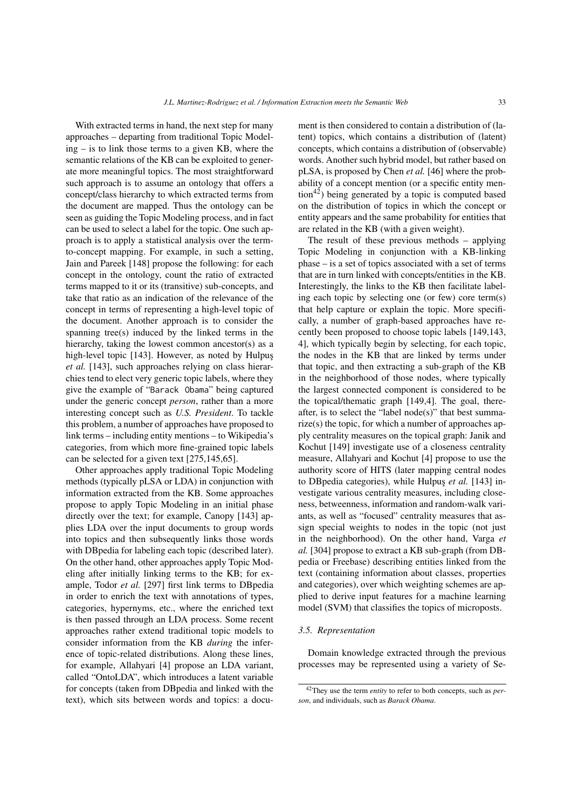With extracted terms in hand, the next step for many approaches – departing from traditional Topic Modeling – is to link those terms to a given KB, where the semantic relations of the KB can be exploited to generate more meaningful topics. The most straightforward such approach is to assume an ontology that offers a concept/class hierarchy to which extracted terms from the document are mapped. Thus the ontology can be seen as guiding the Topic Modeling process, and in fact can be used to select a label for the topic. One such approach is to apply a statistical analysis over the termto-concept mapping. For example, in such a setting, Jain and Pareek [\[148\]](#page-64-15) propose the following: for each concept in the ontology, count the ratio of extracted terms mapped to it or its (transitive) sub-concepts, and take that ratio as an indication of the relevance of the concept in terms of representing a high-level topic of the document. Another approach is to consider the spanning tree(s) induced by the linked terms in the hierarchy, taking the lowest common ancestor(s) as a high-level topic [\[143\]](#page-64-9). However, as noted by Hulpus *et al.* [\[143\]](#page-64-9), such approaches relying on class hierarchies tend to elect very generic topic labels, where they give the example of "Barack Obama" being captured under the generic concept *person*, rather than a more interesting concept such as *U.S. President*. To tackle this problem, a number of approaches have proposed to link terms – including entity mentions – to Wikipedia's categories, from which more fine-grained topic labels can be selected for a given text [\[275,](#page-70-9)[145,](#page-64-16)[65\]](#page-61-11).

Other approaches apply traditional Topic Modeling methods (typically pLSA or LDA) in conjunction with information extracted from the KB. Some approaches propose to apply Topic Modeling in an initial phase directly over the text; for example, Canopy [\[143\]](#page-64-9) applies LDA over the input documents to group words into topics and then subsequently links those words with DBpedia for labeling each topic (described later). On the other hand, other approaches apply Topic Modeling after initially linking terms to the KB; for example, Todor *et al.* [\[297\]](#page-70-8) first link terms to DBpedia in order to enrich the text with annotations of types, categories, hypernyms, etc., where the enriched text is then passed through an LDA process. Some recent approaches rather extend traditional topic models to consider information from the KB *during* the inference of topic-related distributions. Along these lines, for example, Allahyari [\[4\]](#page-59-6) propose an LDA variant, called "OntoLDA", which introduces a latent variable for concepts (taken from DBpedia and linked with the text), which sits between words and topics: a document is then considered to contain a distribution of (latent) topics, which contains a distribution of (latent) concepts, which contains a distribution of (observable) words. Another such hybrid model, but rather based on pLSA, is proposed by Chen *et al.* [\[46\]](#page-60-12) where the probability of a concept mention (or a specific entity men- $\tan^{42}$  $\tan^{42}$  $\tan^{42}$ ) being generated by a topic is computed based on the distribution of topics in which the concept or entity appears and the same probability for entities that are related in the KB (with a given weight).

The result of these previous methods – applying Topic Modeling in conjunction with a KB-linking phase – is a set of topics associated with a set of terms that are in turn linked with concepts/entities in the KB. Interestingly, the links to the KB then facilitate labeling each topic by selecting one (or few) core term(s) that help capture or explain the topic. More specifically, a number of graph-based approaches have recently been proposed to choose topic labels [\[149,](#page-64-14)[143,](#page-64-9) [4\]](#page-59-6), which typically begin by selecting, for each topic, the nodes in the KB that are linked by terms under that topic, and then extracting a sub-graph of the KB in the neighborhood of those nodes, where typically the largest connected component is considered to be the topical/thematic graph [\[149](#page-64-14)[,4\]](#page-59-6). The goal, thereafter, is to select the "label node(s)" that best summarize(s) the topic, for which a number of approaches apply centrality measures on the topical graph: Janik and Kochut [\[149\]](#page-64-14) investigate use of a closeness centrality measure, Allahyari and Kochut [\[4\]](#page-59-6) propose to use the authority score of HITS (later mapping central nodes to DBpedia categories), while Hulpus *et al.* [\[143\]](#page-64-9) investigate various centrality measures, including closeness, betweenness, information and random-walk variants, as well as "focused" centrality measures that assign special weights to nodes in the topic (not just in the neighborhood). On the other hand, Varga *et al.* [\[304\]](#page-71-9) propose to extract a KB sub-graph (from DBpedia or Freebase) describing entities linked from the text (containing information about classes, properties and categories), over which weighting schemes are applied to derive input features for a machine learning model (SVM) that classifies the topics of microposts.

#### *3.5. Representation*

Domain knowledge extracted through the previous processes may be represented using a variety of Se-

<span id="page-32-0"></span><sup>42</sup>They use the term *entity* to refer to both concepts, such as *person*, and individuals, such as *Barack Obama*.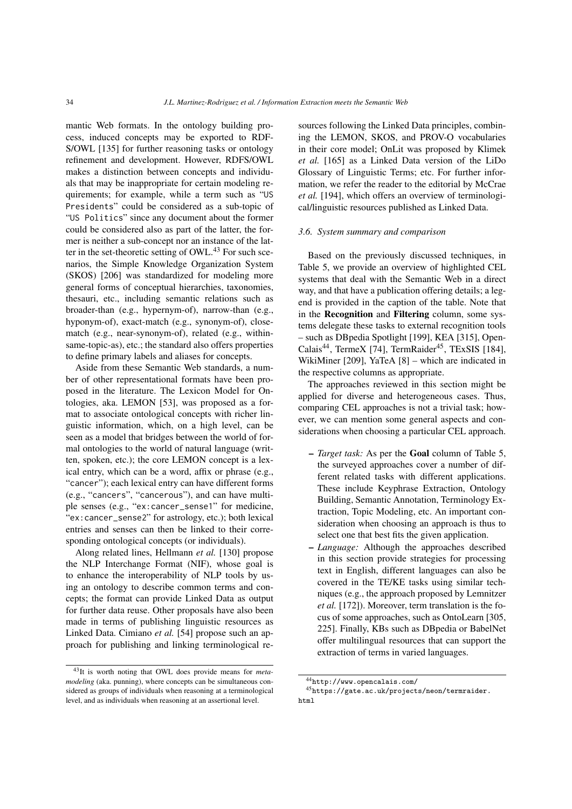mantic Web formats. In the ontology building process, induced concepts may be exported to RDF-S/OWL [\[135\]](#page-64-2) for further reasoning tasks or ontology refinement and development. However, RDFS/OWL makes a distinction between concepts and individuals that may be inappropriate for certain modeling requirements; for example, while a term such as "US Presidents" could be considered as a sub-topic of "US Politics" since any document about the former could be considered also as part of the latter, the former is neither a sub-concept nor an instance of the lat-ter in the set-theoretic setting of OWL.<sup>[43](#page-33-0)</sup> For such scenarios, the Simple Knowledge Organization System (SKOS) [\[206\]](#page-67-2) was standardized for modeling more general forms of conceptual hierarchies, taxonomies, thesauri, etc., including semantic relations such as broader-than (e.g., hypernym-of), narrow-than (e.g., hyponym-of), exact-match (e.g., synonym-of), closematch (e.g., near-synonym-of), related (e.g., withinsame-topic-as), etc.; the standard also offers properties to define primary labels and aliases for concepts.

Aside from these Semantic Web standards, a number of other representational formats have been proposed in the literature. The Lexicon Model for Ontologies, aka. LEMON [\[53\]](#page-61-12), was proposed as a format to associate ontological concepts with richer linguistic information, which, on a high level, can be seen as a model that bridges between the world of formal ontologies to the world of natural language (written, spoken, etc.); the core LEMON concept is a lexical entry, which can be a word, affix or phrase (e.g., "cancer"); each lexical entry can have different forms (e.g., "cancers", "cancerous"), and can have multiple senses (e.g., "ex:cancer\_sense1" for medicine, "ex:cancer\_sense2" for astrology, etc.); both lexical entries and senses can then be linked to their corresponding ontological concepts (or individuals).

Along related lines, Hellmann *et al.* [\[130\]](#page-64-17) propose the NLP Interchange Format (NIF), whose goal is to enhance the interoperability of NLP tools by using an ontology to describe common terms and concepts; the format can provide Linked Data as output for further data reuse. Other proposals have also been made in terms of publishing linguistic resources as Linked Data. Cimiano *et al.* [\[54\]](#page-61-13) propose such an approach for publishing and linking terminological resources following the Linked Data principles, combining the LEMON, SKOS, and PROV-O vocabularies in their core model; OnLit was proposed by Klimek *et al.* [\[165\]](#page-65-11) as a Linked Data version of the LiDo Glossary of Linguistic Terms; etc. For further information, we refer the reader to the editorial by McCrae *et al.* [\[194\]](#page-66-17), which offers an overview of terminological/linguistic resources published as Linked Data.

## *3.6. System summary and comparison*

Based on the previously discussed techniques, in Table [5,](#page-34-0) we provide an overview of highlighted CEL systems that deal with the Semantic Web in a direct way, and that have a publication offering details; a legend is provided in the caption of the table. Note that in the Recognition and Filtering column, some systems delegate these tasks to external recognition tools – such as DBpedia Spotlight [\[199\]](#page-66-4), KEA [\[315\]](#page-71-12), Open-Calais<sup>[44](#page-33-1)</sup>, TermeX [\[74\]](#page-62-15), TermRaider<sup>[45](#page-33-2)</sup>, TExSIS [\[184\]](#page-66-13), WikiMiner [\[209\]](#page-67-16), YaTeA [\[8\]](#page-59-3) – which are indicated in the respective columns as appropriate.

The approaches reviewed in this section might be applied for diverse and heterogeneous cases. Thus, comparing CEL approaches is not a trivial task; however, we can mention some general aspects and considerations when choosing a particular CEL approach.

- *Target task:* As per the Goal column of Table [5,](#page-34-0) the surveyed approaches cover a number of different related tasks with different applications. These include Keyphrase Extraction, Ontology Building, Semantic Annotation, Terminology Extraction, Topic Modeling, etc. An important consideration when choosing an approach is thus to select one that best fits the given application.
- *Language:* Although the approaches described in this section provide strategies for processing text in English, different languages can also be covered in the TE/KE tasks using similar techniques (e.g., the approach proposed by Lemnitzer *et al.* [\[172\]](#page-65-6)). Moreover, term translation is the focus of some approaches, such as OntoLearn [\[305,](#page-71-13) [225\]](#page-67-11). Finally, KBs such as DBpedia or BabelNet offer multilingual resources that can support the extraction of terms in varied languages.

<span id="page-33-0"></span><sup>43</sup>It is worth noting that OWL does provide means for *metamodeling* (aka. punning), where concepts can be simultaneous considered as groups of individuals when reasoning at a terminological level, and as individuals when reasoning at an assertional level.

<span id="page-33-2"></span><span id="page-33-1"></span><sup>44</sup><http://www.opencalais.com/>

<sup>45</sup>[https://gate.ac.uk/projects/neon/termraider.](https://gate.ac.uk/projects/neon/termraider.html) [html](https://gate.ac.uk/projects/neon/termraider.html)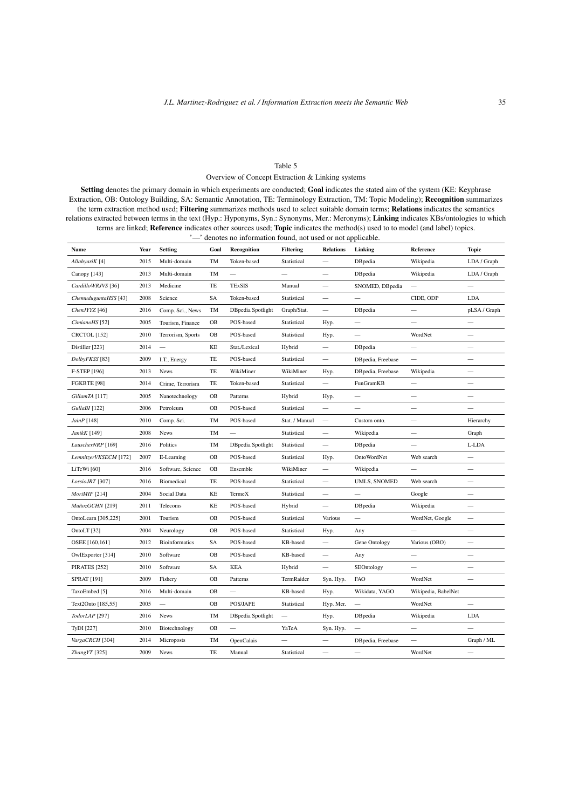# Table 5 Overview of Concept Extraction & Linking systems

<span id="page-34-0"></span>Setting denotes the primary domain in which experiments are conducted; Goal indicates the stated aim of the system (KE: Keyphrase Extraction, OB: Ontology Building, SA: Semantic Annotation, TE: Terminology Extraction, TM: Topic Modeling); Recognition summarizes the term extraction method used; Filtering summarizes methods used to select suitable domain terms; Relations indicates the semantics relations extracted between terms in the text (Hyp.: Hyponyms, Syn.: Synonyms, Mer.: Meronyms); Linking indicates KBs/ontologies to which terms are linked; Reference indicates other sources used; Topic indicates the method(s) used to to model (and label) topics.

| Name                      | Year | <b>Setting</b>           | Goal | Recognition              | <b>Filtering</b> | <b>Relations</b>               | Linking                  | Reference                      | <b>Topic</b>             |
|---------------------------|------|--------------------------|------|--------------------------|------------------|--------------------------------|--------------------------|--------------------------------|--------------------------|
| AllahyariK <sup>[4]</sup> | 2015 | Multi-domain             | TM   | Token-based              | Statistical      |                                | DBpedia                  | Wikipedia                      | LDA / Graph              |
| Canopy [143]              | 2013 | Multi-domain             | TM   | -                        |                  | $\qquad \qquad$                | <b>DBpedia</b>           | Wikipedia                      | LDA / Graph              |
| CardilloWRJVS [36]        | 2013 | Medicine                 | TE   | <b>TExSIS</b>            | Manual           | $\overline{\phantom{0}}$       | SNOMED, DBpedia          |                                | $\overline{\phantom{0}}$ |
| ChemuduguntaHSS [43]      | 2008 | Science                  | SA   | Token-based              | Statistical      |                                |                          | CIDE, ODP                      | LDA                      |
| ChenJYYZ <sup>[46]</sup>  | 2016 | Comp. Sci., News         | TM   | <b>DBpedia Spotlight</b> | Graph/Stat.      |                                | <b>DBpedia</b>           |                                | pLSA / Graph             |
| CimianoHS [52]            | 2005 | Tourism, Finance         | OB   | POS-based                | Statistical      | Hyp.                           |                          |                                |                          |
| <b>CRCTOL</b> [152]       | 2010 | Terrorism, Sports        | OB   | POS-based                | Statistical      | Hyp.                           |                          | WordNet                        |                          |
| Distiller [223]           | 2014 |                          | KE   | Stat./Lexical            | Hybrid           | $\qquad \qquad \longleftarrow$ | DBpedia                  |                                | $\overline{\phantom{0}}$ |
| DolbyFKSS <sup>[83]</sup> | 2009 | I.T., Energy             | TE   | POS-based                | Statistical      | $\qquad \qquad \longleftarrow$ | DBpedia, Freebase        | $\qquad \qquad \longleftarrow$ |                          |
| F-STEP [196]              | 2013 | News                     | TE   | WikiMiner                | WikiMiner        | Hyp.                           | DBpedia, Freebase        | Wikipedia                      |                          |
| <b>FGKBTE [98]</b>        | 2014 | Crime, Terrorism         | TE   | Token-based              | Statistical      |                                | FunGramKB                |                                |                          |
| GillamTA [117]            | 2005 | Nanotechnology           | OB   | Patterns                 | Hybrid           | Hyp.                           |                          |                                |                          |
| GullaBI [122]             | 2006 | Petroleum                | OB   | POS-based                | Statistical      |                                |                          |                                |                          |
| JainP [148]               | 2010 | Comp. Sci.               | TM   | POS-based                | Stat. / Manual   | $\overline{\phantom{0}}$       | Custom onto.             |                                | Hierarchy                |
| JanikK [149]              | 2008 | <b>News</b>              | TM   |                          | Statistical      | $\qquad \qquad$                | Wikipedia                |                                | Graph                    |
| LauscherNRP [169]         | 2016 | Politics                 | TM   | <b>DBpedia Spotlight</b> | Statistical      | $\qquad \qquad \longleftarrow$ | DBpedia                  |                                | L-LDA                    |
| LemnitzerVKSECM [172]     | 2007 | E-Learning               | OB   | POS-based                | Statistical      | Hyp.                           | OntoWordNet              | Web search                     |                          |
| LiTeWi [60]               | 2016 | Software, Science        | OB   | Ensemble                 | WikiMiner        |                                | Wikipedia                |                                |                          |
| LossioJRT [307]           | 2016 | Biomedical               | TE   | POS-based                | Statistical      |                                | <b>UMLS, SNOMED</b>      | Web search                     |                          |
| MoriMIF <sup>[214]</sup>  | 2004 | Social Data              | KE   | TermeX                   | Statistical      | $\overline{\phantom{0}}$       |                          | Google                         |                          |
| ΜμñozGCHN [219]           | 2011 | Telecoms                 | KE   | POS-based                | Hybrid           |                                | DBpedia                  | Wikipedia                      | $\overline{\phantom{0}}$ |
| OntoLearn [305,225]       | 2001 | Tourism                  | OB   | POS-based                | Statistical      | Various                        | -                        | WordNet, Google                | —                        |
| OntoLT [32]               | 2004 | Neurology                | OB   | POS-based                | Statistical      | Hyp.                           | Any                      |                                |                          |
| OSEE [160,161]            | 2012 | <b>Bioinformatics</b>    | SA   | POS-based                | KB-based         | $\overline{\phantom{0}}$       | Gene Ontology            | Various (OBO)                  |                          |
| OwlExporter [314]         | 2010 | Software                 | OB   | POS-based                | KB-based         |                                | Any                      |                                |                          |
| <b>PIRATES</b> [252]      | 2010 | Software                 | SA   | <b>KEA</b>               | Hybrid           | $\overline{\phantom{0}}$       | SEOntology               |                                |                          |
| SPRAT [191]               | 2009 | Fishery                  | OB   | Patterns                 | TermRaider       | Syn. Hyp.                      | <b>FAO</b>               | WordNet                        |                          |
| TaxoEmbed [5]             | 2016 | Multi-domain             | OB   | -                        | KB-based         | Hyp.                           | Wikidata, YAGO           | Wikipedia, BabelNet            |                          |
| Text2Onto [185,55]        | 2005 | $\overline{\phantom{0}}$ | OB   | POS/JAPE                 | Statistical      | Hyp. Mer.                      | $\overline{\phantom{0}}$ | WordNet                        | $\overline{\phantom{0}}$ |
| TodorLAP <sup>[297]</sup> | 2016 | <b>News</b>              | TM   | DBpedia Spotlight        |                  | Hyp.                           | DBpedia                  | Wikipedia                      | LDA                      |
| TyDI [227]                | 2010 | Biotechnology            | OB   |                          | YaTeA            | Syn. Hyp.                      |                          |                                |                          |
| VargaCRCH [304]           | 2014 | Microposts               | TM   | OpenCalais               |                  |                                | DBpedia, Freebase        |                                | Graph / ML               |
| ZhangYT [325]             | 2009 | <b>News</b>              | TE   | Manual                   | Statistical      | $\overline{\phantom{0}}$       |                          | WordNet                        |                          |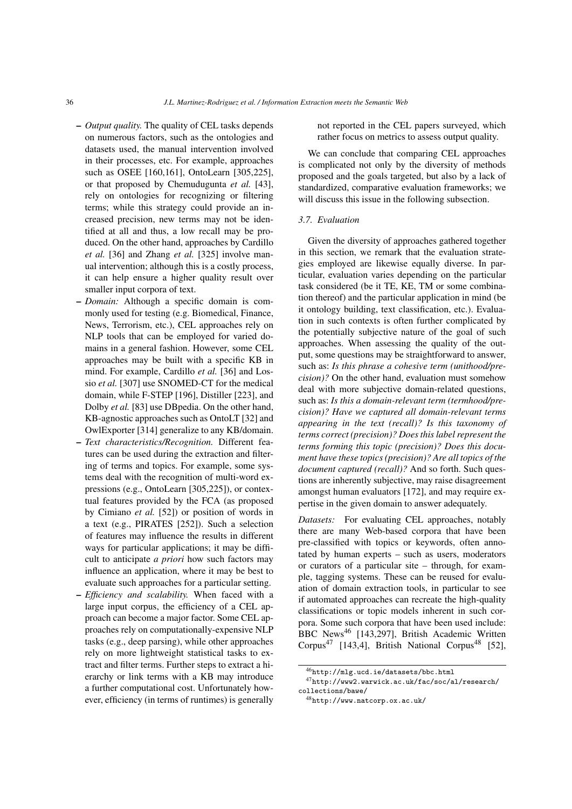- *Output quality.* The quality of CEL tasks depends on numerous factors, such as the ontologies and datasets used, the manual intervention involved in their processes, etc. For example, approaches such as OSEE [\[160,](#page-65-12)[161\]](#page-65-7), OntoLearn [\[305](#page-71-13)[,225\]](#page-67-11), or that proposed by Chemudugunta *et al.* [\[43\]](#page-60-10), rely on ontologies for recognizing or filtering terms; while this strategy could provide an increased precision, new terms may not be identified at all and thus, a low recall may be produced. On the other hand, approaches by Cardillo *et al.* [\[36\]](#page-60-11) and Zhang *et al.* [\[325\]](#page-72-7) involve manual intervention; although this is a costly process, it can help ensure a higher quality result over smaller input corpora of text.
- *Domain:* Although a specific domain is commonly used for testing (e.g. Biomedical, Finance, News, Terrorism, etc.), CEL approaches rely on NLP tools that can be employed for varied domains in a general fashion. However, some CEL approaches may be built with a specific KB in mind. For example, Cardillo *et al.* [\[36\]](#page-60-11) and Lossio *et al.* [\[307\]](#page-71-11) use SNOMED-CT for the medical domain, while F-STEP [\[196\]](#page-66-15), Distiller [\[223\]](#page-67-13), and Dolby *et al.* [\[83\]](#page-62-14) use DBpedia. On the other hand, KB-agnostic approaches such as OntoLT [\[32\]](#page-60-14) and OwlExporter [\[314\]](#page-71-15) generalize to any KB/domain.
- *Text characteristics/Recognition.* Different features can be used during the extraction and filtering of terms and topics. For example, some systems deal with the recognition of multi-word expressions (e.g., OntoLearn [\[305](#page-71-13)[,225\]](#page-67-11)), or contextual features provided by the FCA (as proposed by Cimiano *et al.* [\[52\]](#page-61-9)) or position of words in a text (e.g., PIRATES [\[252\]](#page-69-9)). Such a selection of features may influence the results in different ways for particular applications; it may be difficult to anticipate *a priori* how such factors may influence an application, where it may be best to evaluate such approaches for a particular setting.
- *Efficiency and scalability.* When faced with a large input corpus, the efficiency of a CEL approach can become a major factor. Some CEL approaches rely on computationally-expensive NLP tasks (e.g., deep parsing), while other approaches rely on more lightweight statistical tasks to extract and filter terms. Further steps to extract a hierarchy or link terms with a KB may introduce a further computational cost. Unfortunately however, efficiency (in terms of runtimes) is generally

not reported in the CEL papers surveyed, which rather focus on metrics to assess output quality.

We can conclude that comparing CEL approaches is complicated not only by the diversity of methods proposed and the goals targeted, but also by a lack of standardized, comparative evaluation frameworks; we will discuss this issue in the following subsection.

## *3.7. Evaluation*

Given the diversity of approaches gathered together in this section, we remark that the evaluation strategies employed are likewise equally diverse. In particular, evaluation varies depending on the particular task considered (be it TE, KE, TM or some combination thereof) and the particular application in mind (be it ontology building, text classification, etc.). Evaluation in such contexts is often further complicated by the potentially subjective nature of the goal of such approaches. When assessing the quality of the output, some questions may be straightforward to answer, such as: *Is this phrase a cohesive term (unithood/precision)?* On the other hand, evaluation must somehow deal with more subjective domain-related questions, such as: *Is this a domain-relevant term (termhood/precision)? Have we captured all domain-relevant terms appearing in the text (recall)? Is this taxonomy of terms correct (precision)? Does this label represent the terms forming this topic (precision)? Does this document have these topics (precision)? Are all topics of the document captured (recall)?* And so forth. Such questions are inherently subjective, may raise disagreement amongst human evaluators [\[172\]](#page-65-6), and may require expertise in the given domain to answer adequately.

*Datasets:* For evaluating CEL approaches, notably there are many Web-based corpora that have been pre-classified with topics or keywords, often annotated by human experts – such as users, moderators or curators of a particular site – through, for example, tagging systems. These can be reused for evaluation of domain extraction tools, in particular to see if automated approaches can recreate the high-quality classifications or topic models inherent in such corpora. Some such corpora that have been used include: BBC News<sup>[46](#page-35-0)</sup> [\[143,](#page-64-9)[297\]](#page-70-8), British Academic Written Corpus<sup>[47](#page-35-1)</sup> [\[143,](#page-64-9)[4\]](#page-59-6), British National Corpus<sup>[48](#page-35-2)</sup> [\[52\]](#page-61-9),

<span id="page-35-1"></span><span id="page-35-0"></span><sup>46</sup><http://mlg.ucd.ie/datasets/bbc.html>

<sup>47</sup>[http://www2.warwick.ac.uk/fac/soc/al/research/](http://www2.warwick.ac.uk/fac/soc/al/research/collections/bawe/) [collections/bawe/](http://www2.warwick.ac.uk/fac/soc/al/research/collections/bawe/)

<span id="page-35-2"></span><sup>48</sup><http://www.natcorp.ox.ac.uk/>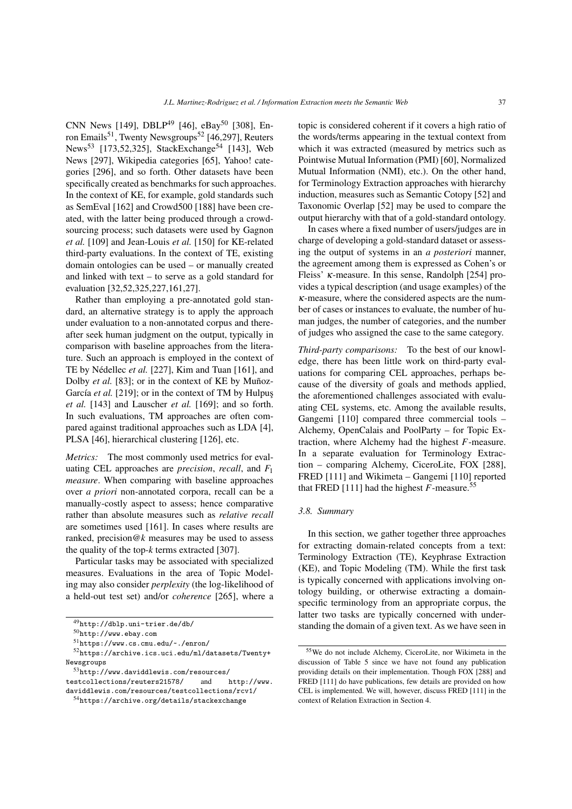CNN News [\[149\]](#page-64-0), DBLP<sup>[49](#page-36-0)</sup> [\[46\]](#page-60-0), eBay<sup>[50](#page-36-1)</sup> [\[308\]](#page-71-0), En-ron Emails<sup>[51](#page-36-2)</sup>, Twenty Newsgroups<sup>[52](#page-36-3)</sup> [\[46](#page-60-0)[,297\]](#page-70-0), Reuters News<sup>[53](#page-36-4)</sup> [\[173,](#page-65-0)[52,](#page-61-0)[325\]](#page-72-0), StackExchange<sup>[54](#page-36-5)</sup> [\[143\]](#page-64-1), Web News [\[297\]](#page-70-0), Wikipedia categories [\[65\]](#page-61-1), Yahoo! categories [\[296\]](#page-70-1), and so forth. Other datasets have been specifically created as benchmarks for such approaches. In the context of KE, for example, gold standards such as SemEval [\[162\]](#page-65-1) and Crowd500 [\[188\]](#page-66-0) have been created, with the latter being produced through a crowdsourcing process; such datasets were used by Gagnon *et al.* [\[109\]](#page-63-0) and Jean-Louis *et al.* [\[150\]](#page-64-2) for KE-related third-party evaluations. In the context of TE, existing domain ontologies can be used – or manually created and linked with text – to serve as a gold standard for evaluation [\[32](#page-60-1)[,52](#page-61-0)[,325](#page-72-0)[,227](#page-67-0)[,161](#page-65-2)[,27\]](#page-59-0).

Rather than employing a pre-annotated gold standard, an alternative strategy is to apply the approach under evaluation to a non-annotated corpus and thereafter seek human judgment on the output, typically in comparison with baseline approaches from the literature. Such an approach is employed in the context of TE by Nédellec *et al.* [\[227\]](#page-67-0), Kim and Tuan [\[161\]](#page-65-2), and Dolby *et al.* [\[83\]](#page-62-0); or in the context of KE by Muñoz-García et al. [\[219\]](#page-67-1); or in the context of TM by Hulpuş *et al.* [\[143\]](#page-64-1) and Lauscher *et al.* [\[169\]](#page-65-3); and so forth. In such evaluations, TM approaches are often compared against traditional approaches such as LDA [\[4\]](#page-59-1), PLSA [\[46\]](#page-60-0), hierarchical clustering [\[126\]](#page-64-3), etc.

*Metrics:* The most commonly used metrics for evaluating CEL approaches are *precision*, *recall*, and *F*<sup>1</sup> *measure*. When comparing with baseline approaches over *a priori* non-annotated corpora, recall can be a manually-costly aspect to assess; hence comparative rather than absolute measures such as *relative recall* are sometimes used [\[161\]](#page-65-2). In cases where results are ranked, precision@*k* measures may be used to assess the quality of the top-*k* terms extracted [\[307\]](#page-71-1).

Particular tasks may be associated with specialized measures. Evaluations in the area of Topic Modeling may also consider *perplexity* (the log-likelihood of a held-out test set) and/or *coherence* [\[265\]](#page-69-0), where a topic is considered coherent if it covers a high ratio of the words/terms appearing in the textual context from which it was extracted (measured by metrics such as Pointwise Mutual Information (PMI) [\[60\]](#page-61-2), Normalized Mutual Information (NMI), etc.). On the other hand, for Terminology Extraction approaches with hierarchy induction, measures such as Semantic Cotopy [\[52\]](#page-61-0) and Taxonomic Overlap [\[52\]](#page-61-0) may be used to compare the output hierarchy with that of a gold-standard ontology.

In cases where a fixed number of users/judges are in charge of developing a gold-standard dataset or assessing the output of systems in an *a posteriori* manner, the agreement among them is expressed as Cohen's or Fleiss' κ-measure. In this sense, Randolph [\[254\]](#page-69-1) provides a typical description (and usage examples) of the κ-measure, where the considered aspects are the number of cases or instances to evaluate, the number of human judges, the number of categories, and the number of judges who assigned the case to the same category.

*Third-party comparisons:* To the best of our knowledge, there has been little work on third-party evaluations for comparing CEL approaches, perhaps because of the diversity of goals and methods applied, the aforementioned challenges associated with evaluating CEL systems, etc. Among the available results, Gangemi [\[110\]](#page-63-1) compared three commercial tools – Alchemy, OpenCalais and PoolParty – for Topic Extraction, where Alchemy had the highest *F*-measure. In a separate evaluation for Terminology Extraction – comparing Alchemy, CiceroLite, FOX [\[288\]](#page-70-2), FRED [\[111\]](#page-63-2) and Wikimeta – Gangemi [\[110\]](#page-63-1) reported that FRED [\[111\]](#page-63-2) had the highest *F*-measure.[55](#page-36-6)

# *3.8. Summary*

In this section, we gather together three approaches for extracting domain-related concepts from a text: Terminology Extraction (TE), Keyphrase Extraction (KE), and Topic Modeling (TM). While the first task is typically concerned with applications involving ontology building, or otherwise extracting a domainspecific terminology from an appropriate corpus, the latter two tasks are typically concerned with understanding the domain of a given text. As we have seen in

<span id="page-36-0"></span> $^{49}{\rm http://dblp.uni-trier.de/db/}$  $^{49}{\rm http://dblp.uni-trier.de/db/}$  $^{49}{\rm http://dblp.uni-trier.de/db/}$ 

<span id="page-36-1"></span><sup>50</sup><http://www.ebay.com>

<span id="page-36-3"></span><span id="page-36-2"></span><sup>51</sup><https://www.cs.cmu.edu/~./enron/>

<sup>52</sup>[https://archive.ics.uci.edu/ml/datasets/Twenty+](https://archive.ics.uci.edu/ml/datasets/Twenty+Newsgroups) [Newsgroups](https://archive.ics.uci.edu/ml/datasets/Twenty+Newsgroups)

<span id="page-36-4"></span><sup>53</sup>[http://www.daviddlewis.com/resources/](http://www.daviddlewis.com/resources/testcollections/reuters21578/) [testcollections/reuters21578/](http://www.daviddlewis.com/resources/testcollections/reuters21578/) and [http://www.](http://www.daviddlewis.com/resources/testcollections/rcv1/) [daviddlewis.com/resources/testcollections/rcv1/](http://www.daviddlewis.com/resources/testcollections/rcv1/)

<span id="page-36-5"></span><sup>54</sup><https://archive.org/details/stackexchange>

<span id="page-36-6"></span><sup>55</sup>We do not include Alchemy, CiceroLite, nor Wikimeta in the discussion of Table [5](#page-34-0) since we have not found any publication providing details on their implementation. Though FOX [\[288\]](#page-70-2) and FRED [\[111\]](#page-63-2) do have publications, few details are provided on how CEL is implemented. We will, however, discuss FRED [\[111\]](#page-63-2) in the context of Relation Extraction in Section [4.](#page-38-0)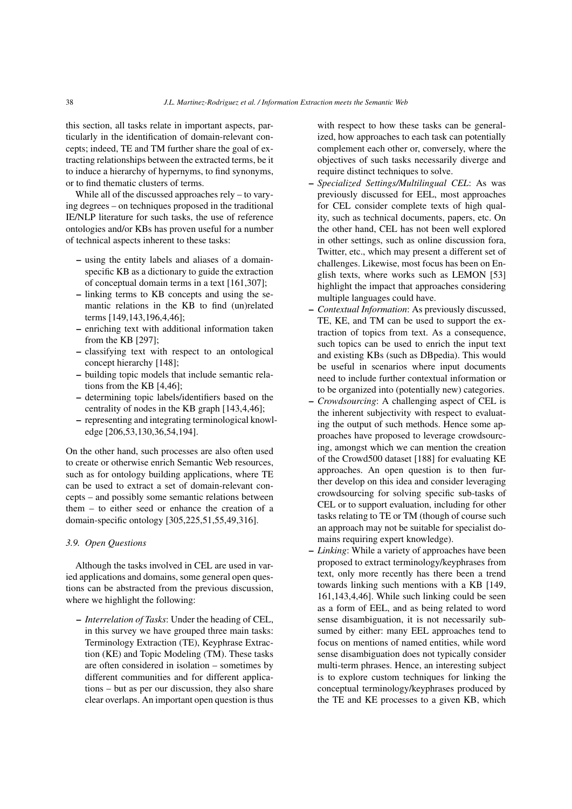this section, all tasks relate in important aspects, particularly in the identification of domain-relevant concepts; indeed, TE and TM further share the goal of extracting relationships between the extracted terms, be it to induce a hierarchy of hypernyms, to find synonyms, or to find thematic clusters of terms.

While all of the discussed approaches rely – to varying degrees – on techniques proposed in the traditional IE/NLP literature for such tasks, the use of reference ontologies and/or KBs has proven useful for a number of technical aspects inherent to these tasks:

- using the entity labels and aliases of a domainspecific KB as a dictionary to guide the extraction of conceptual domain terms in a text [\[161,](#page-65-2)[307\]](#page-71-1);
- linking terms to KB concepts and using the semantic relations in the KB to find (un)related terms [\[149](#page-64-0)[,143](#page-64-1)[,196](#page-66-1)[,4,](#page-59-1)[46\]](#page-60-0);
- enriching text with additional information taken from the KB [\[297\]](#page-70-0);
- classifying text with respect to an ontological concept hierarchy [\[148\]](#page-64-4);
- building topic models that include semantic relations from the KB [\[4](#page-59-1)[,46\]](#page-60-0);
- determining topic labels/identifiers based on the centrality of nodes in the KB graph [\[143,](#page-64-1)[4](#page-59-1)[,46\]](#page-60-0);
- representing and integrating terminological knowledge [\[206,](#page-67-2)[53,](#page-61-3)[130,](#page-64-5)[36,](#page-60-2)[54,](#page-61-4)[194\]](#page-66-2).

On the other hand, such processes are also often used to create or otherwise enrich Semantic Web resources, such as for ontology building applications, where TE can be used to extract a set of domain-relevant concepts – and possibly some semantic relations between them – to either seed or enhance the creation of a domain-specific ontology [\[305](#page-71-2)[,225](#page-67-3)[,51](#page-61-5)[,55](#page-61-6)[,49,](#page-60-3)[316\]](#page-71-3).

## *3.9. Open Questions*

Although the tasks involved in CEL are used in varied applications and domains, some general open questions can be abstracted from the previous discussion, where we highlight the following:

– *Interrelation of Tasks*: Under the heading of CEL, in this survey we have grouped three main tasks: Terminology Extraction (TE), Keyphrase Extraction (KE) and Topic Modeling (TM). These tasks are often considered in isolation – sometimes by different communities and for different applications – but as per our discussion, they also share clear overlaps. An important open question is thus

with respect to how these tasks can be generalized, how approaches to each task can potentially complement each other or, conversely, where the objectives of such tasks necessarily diverge and require distinct techniques to solve.

- *Specialized Settings/Multilingual CEL*: As was previously discussed for EEL, most approaches for CEL consider complete texts of high quality, such as technical documents, papers, etc. On the other hand, CEL has not been well explored in other settings, such as online discussion fora, Twitter, etc., which may present a different set of challenges. Likewise, most focus has been on English texts, where works such as LEMON [\[53\]](#page-61-3) highlight the impact that approaches considering multiple languages could have.
- *Contextual Information*: As previously discussed, TE, KE, and TM can be used to support the extraction of topics from text. As a consequence, such topics can be used to enrich the input text and existing KBs (such as DBpedia). This would be useful in scenarios where input documents need to include further contextual information or to be organized into (potentially new) categories.
- *Crowdsourcing*: A challenging aspect of CEL is the inherent subjectivity with respect to evaluating the output of such methods. Hence some approaches have proposed to leverage crowdsourcing, amongst which we can mention the creation of the Crowd500 dataset [\[188\]](#page-66-0) for evaluating KE approaches. An open question is to then further develop on this idea and consider leveraging crowdsourcing for solving specific sub-tasks of CEL or to support evaluation, including for other tasks relating to TE or TM (though of course such an approach may not be suitable for specialist domains requiring expert knowledge).
- *Linking*: While a variety of approaches have been proposed to extract terminology/keyphrases from text, only more recently has there been a trend towards linking such mentions with a KB [\[149,](#page-64-0) [161](#page-65-2)[,143,](#page-64-1)[4,](#page-59-1)[46\]](#page-60-0). While such linking could be seen as a form of EEL, and as being related to word sense disambiguation, it is not necessarily subsumed by either: many EEL approaches tend to focus on mentions of named entities, while word sense disambiguation does not typically consider multi-term phrases. Hence, an interesting subject is to explore custom techniques for linking the conceptual terminology/keyphrases produced by the TE and KE processes to a given KB, which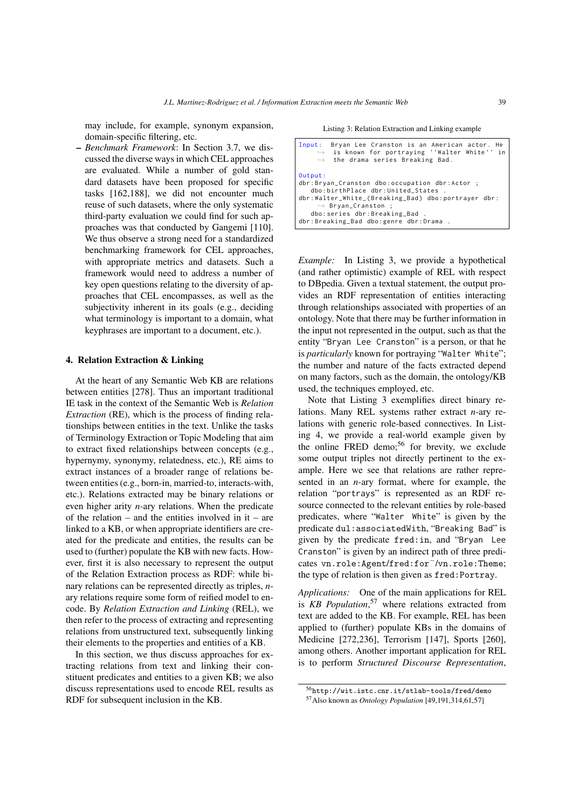may include, for example, synonym expansion, domain-specific filtering, etc.

– *Benchmark Framework*: In Section [3.7,](#page-35-0) we discussed the diverse ways in which CEL approaches are evaluated. While a number of gold standard datasets have been proposed for specific tasks [\[162,](#page-65-1)[188\]](#page-66-0), we did not encounter much reuse of such datasets, where the only systematic third-party evaluation we could find for such approaches was that conducted by Gangemi [\[110\]](#page-63-1). We thus observe a strong need for a standardized benchmarking framework for CEL approaches, with appropriate metrics and datasets. Such a framework would need to address a number of key open questions relating to the diversity of approaches that CEL encompasses, as well as the subjectivity inherent in its goals (e.g., deciding what terminology is important to a domain, what keyphrases are important to a document, etc.).

# <span id="page-38-0"></span>4. Relation Extraction & Linking

At the heart of any Semantic Web KB are relations between entities [\[278\]](#page-70-3). Thus an important traditional IE task in the context of the Semantic Web is *Relation Extraction* (RE), which is the process of finding relationships between entities in the text. Unlike the tasks of Terminology Extraction or Topic Modeling that aim to extract fixed relationships between concepts (e.g., hypernymy, synonymy, relatedness, etc.), RE aims to extract instances of a broader range of relations between entities (e.g., born-in, married-to, interacts-with, etc.). Relations extracted may be binary relations or even higher arity *n*-ary relations. When the predicate of the relation – and the entities involved in  $it$  – are linked to a KB, or when appropriate identifiers are created for the predicate and entities, the results can be used to (further) populate the KB with new facts. However, first it is also necessary to represent the output of the Relation Extraction process as RDF: while binary relations can be represented directly as triples, *n*ary relations require some form of reified model to encode. By *Relation Extraction and Linking* (REL), we then refer to the process of extracting and representing relations from unstructured text, subsequently linking their elements to the properties and entities of a KB.

In this section, we thus discuss approaches for extracting relations from text and linking their constituent predicates and entities to a given KB; we also discuss representations used to encode REL results as RDF for subsequent inclusion in the KB.

Listing 3: Relation Extraction and Linking example

```
Input: Bryan Lee Cranston is an American actor. He
           is known for portraying ''Walter White'' in
      \rightarrow the drama series Breaking Bad.
Output :
dbr : Bryan_Cranston dbo : occupation dbr : Actor ;
    dbo : birthPlace dbr : United_States .
dbr : Walter_White_ ( Breaking_Bad ) dbo : portrayer dbr :
      \hookrightarrow Bryan_Cranston ;
dbo : series dbr : Breaking_Bad .
dbr : Breaking_Bad dbo : genre dbr : Drama .
```
*Example:* In Listing [3,](#page-38-1) we provide a hypothetical (and rather optimistic) example of REL with respect to DBpedia. Given a textual statement, the output provides an RDF representation of entities interacting through relationships associated with properties of an ontology. Note that there may be further information in the input not represented in the output, such as that the entity "Bryan Lee Cranston" is a person, or that he is *particularly* known for portraying "Walter White"; the number and nature of the facts extracted depend on many factors, such as the domain, the ontology/KB used, the techniques employed, etc.

Note that Listing [3](#page-38-1) exemplifies direct binary relations. Many REL systems rather extract *n*-ary relations with generic role-based connectives. In Listing [4,](#page-39-0) we provide a real-world example given by the online FRED demo;<sup>[56](#page-38-2)</sup> for brevity, we exclude some output triples not directly pertinent to the example. Here we see that relations are rather represented in an *n*-ary format, where for example, the relation "portrays" is represented as an RDF resource connected to the relevant entities by role-based predicates, where "Walter White" is given by the predicate dul:associatedWith, "Breaking Bad" is given by the predicate fred:in, and "Bryan Lee Cranston" is given by an indirect path of three predicates vn.role:Agent/fred:for−/vn.role:Theme; the type of relation is then given as fred:Portray.

*Applications:* One of the main applications for REL is *KB Population*, [57](#page-38-3) where relations extracted from text are added to the KB. For example, REL has been applied to (further) populate KBs in the domains of Medicine [\[272](#page-69-2)[,236\]](#page-68-0), Terrorism [\[147\]](#page-64-6), Sports [\[260\]](#page-69-3), among others. Another important application for REL is to perform *Structured Discourse Representation*,

<span id="page-38-2"></span><sup>56</sup><http://wit.istc.cnr.it/stlab-tools/fred/demo>

<span id="page-38-3"></span><sup>57</sup>Also known as *Ontology Population* [\[49](#page-60-3)[,191](#page-66-3)[,314](#page-71-4)[,61](#page-61-7)[,57\]](#page-61-8)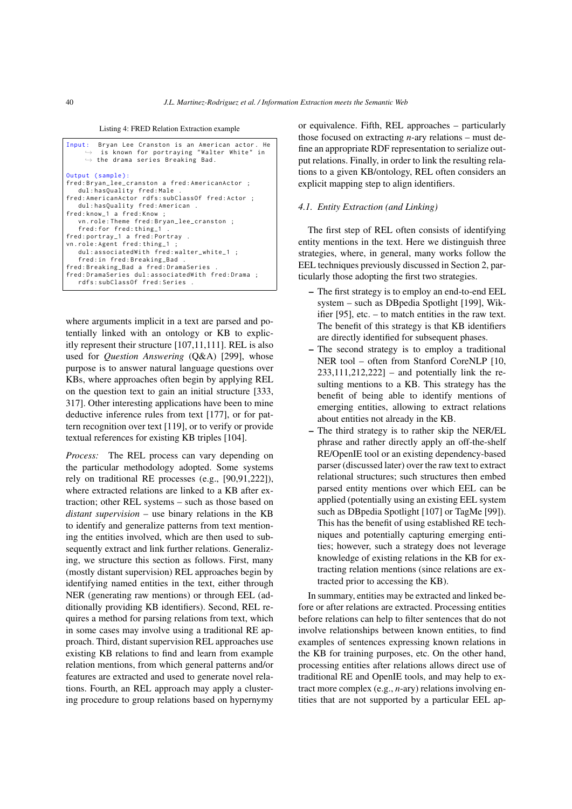Listing 4: FRED Relation Extraction example

```
Input: Bryan Lee Cranston is an American actor. He
          is known for portraying "Walter White" in
      \rightarrow the drama series Breaking Bad.
Output ( sample):
fred : Bryan_lee_cranston a fred : AmericanActor ;
dul : hasQuality fred : Male .
fred : AmericanActor rdfs : subClassOf fred : Actor ;
   dul : hasQuality fred : American .
fred : know_1 a fred : Know ;
   vn . role : Theme fred : Bryan_lee_cranston ;
   fred: for fred: thing_1
fred : portray_1 a fred : Portray .
vn . role : Agent fred : thing_1 ;
   dul : associatedWith fred : walter_white_1 ;
   fred : in fred : Breaking_Bad .
fred : Breaking_Bad a fred : DramaSeries .
fred : DramaSeries dul : associatedWith fred : Drama ;
   rdfs : subClassOf fred : Series .
```
where arguments implicit in a text are parsed and potentially linked with an ontology or KB to explicitly represent their structure [\[107,](#page-63-3)[11](#page-59-2)[,111\]](#page-63-2). REL is also used for *Question Answering* (Q&A) [\[299\]](#page-71-5), whose purpose is to answer natural language questions over KBs, where approaches often begin by applying REL on the question text to gain an initial structure [\[333,](#page-72-1) [317\]](#page-71-6). Other interesting applications have been to mine deductive inference rules from text [\[177\]](#page-66-4), or for pattern recognition over text [\[119\]](#page-63-4), or to verify or provide textual references for existing KB triples [\[104\]](#page-63-5).

*Process:* The REL process can vary depending on the particular methodology adopted. Some systems rely on traditional RE processes (e.g., [\[90](#page-62-1)[,91,](#page-62-2)[222\]](#page-67-4)), where extracted relations are linked to a KB after extraction; other REL systems – such as those based on *distant supervision* – use binary relations in the KB to identify and generalize patterns from text mentioning the entities involved, which are then used to subsequently extract and link further relations. Generalizing, we structure this section as follows. First, many (mostly distant supervision) REL approaches begin by identifying named entities in the text, either through NER (generating raw mentions) or through EEL (additionally providing KB identifiers). Second, REL requires a method for parsing relations from text, which in some cases may involve using a traditional RE approach. Third, distant supervision REL approaches use existing KB relations to find and learn from example relation mentions, from which general patterns and/or features are extracted and used to generate novel relations. Fourth, an REL approach may apply a clustering procedure to group relations based on hypernymy or equivalence. Fifth, REL approaches – particularly those focused on extracting *n*-ary relations – must define an appropriate RDF representation to serialize output relations. Finally, in order to link the resulting relations to a given KB/ontology, REL often considers an explicit mapping step to align identifiers.

# *4.1. Entity Extraction (and Linking)*

The first step of REL often consists of identifying entity mentions in the text. Here we distinguish three strategies, where, in general, many works follow the EEL techniques previously discussed in Section [2,](#page-5-0) particularly those adopting the first two strategies.

- The first strategy is to employ an end-to-end EEL system – such as DBpedia Spotlight [\[199\]](#page-66-5), Wikifier [\[95\]](#page-62-3), etc. – to match entities in the raw text. The benefit of this strategy is that KB identifiers are directly identified for subsequent phases.
- The second strategy is to employ a traditional NER tool – often from Stanford CoreNLP [\[10,](#page-59-3)  $233,111,212,222$  $233,111,212,222$  $233,111,212,222$  $233,111,212,222$ ] – and potentially link the resulting mentions to a KB. This strategy has the benefit of being able to identify mentions of emerging entities, allowing to extract relations about entities not already in the KB.
- The third strategy is to rather skip the NER/EL phrase and rather directly apply an off-the-shelf RE/OpenIE tool or an existing dependency-based parser (discussed later) over the raw text to extract relational structures; such structures then embed parsed entity mentions over which EEL can be applied (potentially using an existing EEL system such as DBpedia Spotlight [\[107\]](#page-63-3) or TagMe [\[99\]](#page-63-6)). This has the benefit of using established RE techniques and potentially capturing emerging entities; however, such a strategy does not leverage knowledge of existing relations in the KB for extracting relation mentions (since relations are extracted prior to accessing the KB).

In summary, entities may be extracted and linked before or after relations are extracted. Processing entities before relations can help to filter sentences that do not involve relationships between known entities, to find examples of sentences expressing known relations in the KB for training purposes, etc. On the other hand, processing entities after relations allows direct use of traditional RE and OpenIE tools, and may help to extract more complex (e.g., *n*-ary) relations involving entities that are not supported by a particular EEL ap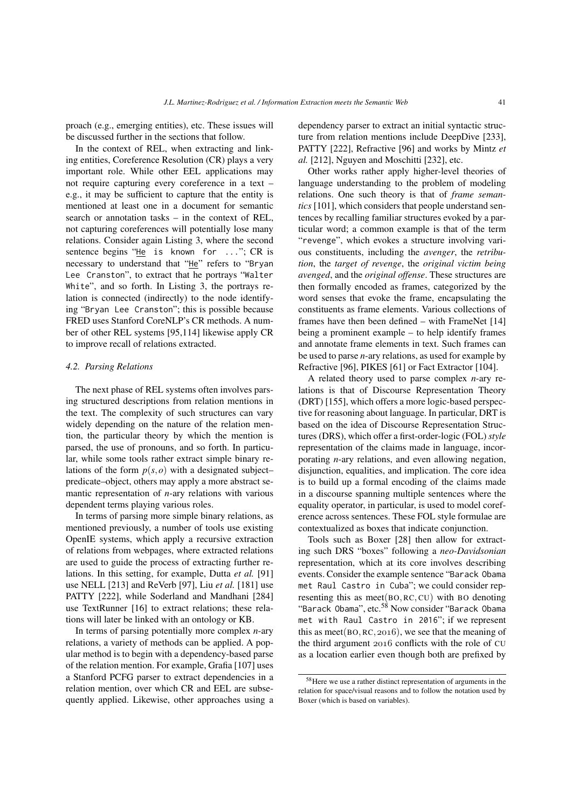proach (e.g., emerging entities), etc. These issues will be discussed further in the sections that follow.

In the context of REL, when extracting and linking entities, Coreference Resolution (CR) plays a very important role. While other EEL applications may not require capturing every coreference in a text – e.g., it may be sufficient to capture that the entity is mentioned at least one in a document for semantic search or annotation tasks – in the context of REL, not capturing coreferences will potentially lose many relations. Consider again Listing [3,](#page-38-1) where the second sentence begins "He is known for ..."; CR is necessary to understand that "He" refers to "Bryan Lee Cranston", to extract that he portrays "Walter White", and so forth. In Listing [3,](#page-38-1) the portrays relation is connected (indirectly) to the node identifying "Bryan Lee Cranston"; this is possible because FRED uses Stanford CoreNLP's CR methods. A number of other REL systems [\[95](#page-62-3)[,114\]](#page-63-7) likewise apply CR to improve recall of relations extracted.

# *4.2. Parsing Relations*

The next phase of REL systems often involves parsing structured descriptions from relation mentions in the text. The complexity of such structures can vary widely depending on the nature of the relation mention, the particular theory by which the mention is parsed, the use of pronouns, and so forth. In particular, while some tools rather extract simple binary relations of the form  $p(s, o)$  with a designated subject– predicate–object, others may apply a more abstract semantic representation of *n*-ary relations with various dependent terms playing various roles.

In terms of parsing more simple binary relations, as mentioned previously, a number of tools use existing OpenIE systems, which apply a recursive extraction of relations from webpages, where extracted relations are used to guide the process of extracting further relations. In this setting, for example, Dutta *et al.* [\[91\]](#page-62-2) use NELL [\[213\]](#page-67-6) and ReVerb [\[97\]](#page-62-4), Liu *et al.* [\[181\]](#page-66-6) use PATTY [\[222\]](#page-67-4), while Soderland and Mandhani [\[284\]](#page-70-4) use TextRunner [\[16\]](#page-59-4) to extract relations; these relations will later be linked with an ontology or KB.

In terms of parsing potentially more complex *n*-ary relations, a variety of methods can be applied. A popular method is to begin with a dependency-based parse of the relation mention. For example, Grafia [\[107\]](#page-63-3) uses a Stanford PCFG parser to extract dependencies in a relation mention, over which CR and EEL are subsequently applied. Likewise, other approaches using a dependency parser to extract an initial syntactic structure from relation mentions include DeepDive [\[233\]](#page-68-1), PATTY [\[222\]](#page-67-4), Refractive [\[96\]](#page-62-5) and works by Mintz *et al.* [\[212\]](#page-67-5), Nguyen and Moschitti [\[232\]](#page-68-2), etc.

Other works rather apply higher-level theories of language understanding to the problem of modeling relations. One such theory is that of *frame semantics* [\[101\]](#page-63-8), which considers that people understand sentences by recalling familiar structures evoked by a particular word; a common example is that of the term "revenge", which evokes a structure involving various constituents, including the *avenger*, the *retribution*, the *target of revenge*, the *original victim being avenged*, and the *original offense*. These structures are then formally encoded as frames, categorized by the word senses that evoke the frame, encapsulating the constituents as frame elements. Various collections of frames have then been defined – with FrameNet [\[14\]](#page-59-5) being a prominent example – to help identify frames and annotate frame elements in text. Such frames can be used to parse *n*-ary relations, as used for example by Refractive [\[96\]](#page-62-5), PIKES [\[61\]](#page-61-7) or Fact Extractor [\[104\]](#page-63-5).

A related theory used to parse complex *n*-ary relations is that of Discourse Representation Theory (DRT) [\[155\]](#page-65-4), which offers a more logic-based perspective for reasoning about language. In particular, DRT is based on the idea of Discourse Representation Structures (DRS), which offer a first-order-logic (FOL) *style* representation of the claims made in language, incorporating *n*-ary relations, and even allowing negation, disjunction, equalities, and implication. The core idea is to build up a formal encoding of the claims made in a discourse spanning multiple sentences where the equality operator, in particular, is used to model coreference across sentences. These FOL style formulae are contextualized as boxes that indicate conjunction.

Tools such as Boxer [\[28\]](#page-59-6) then allow for extracting such DRS "boxes" following a *neo-Davidsonian* representation, which at its core involves describing events. Consider the example sentence "Barack Obama met Raul Castro in Cuba"; we could consider representing this as meet( $BO, RC, CU$ ) with BO denoting "Barack Obama", etc.[58](#page-40-0) Now consider "Barack Obama met with Raul Castro in 2016"; if we represent this as meet( $BO, RC, 2016$ ), we see that the meaning of the third argument  $2016$  conflicts with the role of CU as a location earlier even though both are prefixed by

<span id="page-40-0"></span><sup>58</sup>Here we use a rather distinct representation of arguments in the relation for space/visual reasons and to follow the notation used by Boxer (which is based on variables).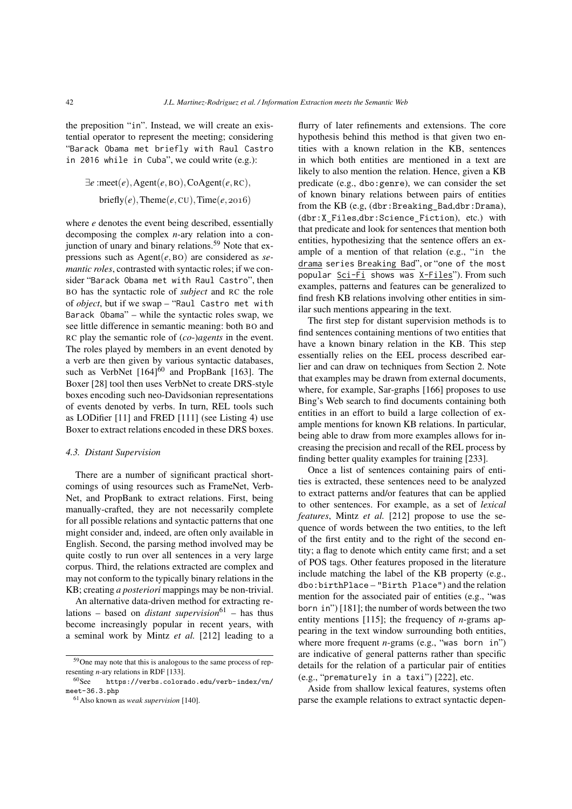the preposition "in". Instead, we will create an existential operator to represent the meeting; considering "Barack Obama met briefly with Raul Castro in 2016 while in Cuba", we could write (e.g.):

∃*e* :meet(*e*),Agent(*e*, BO),CoAgent(*e*, RC),  $briefly(e), Theme(e, CU), Time(e, 2016)$ 

where *e* denotes the event being described, essentially decomposing the complex *n*-ary relation into a con-junction of unary and binary relations.<sup>[59](#page-41-0)</sup> Note that expressions such as Agent(*e*, BO) are considered as *semantic roles*, contrasted with syntactic roles; if we consider "Barack Obama met with Raul Castro", then BO has the syntactic role of *subject* and RC the role of *object*, but if we swap – "Raul Castro met with Barack Obama" – while the syntactic roles swap, we see little difference in semantic meaning: both BO and RC play the semantic role of (*co*-)*agents* in the event. The roles played by members in an event denoted by a verb are then given by various syntactic databases, such as VerbNet  $[164]^{60}$  $[164]^{60}$  $[164]^{60}$  $[164]^{60}$  and PropBank [\[163\]](#page-65-6). The Boxer [\[28\]](#page-59-6) tool then uses VerbNet to create DRS-style boxes encoding such neo-Davidsonian representations of events denoted by verbs. In turn, REL tools such as LODifier [\[11\]](#page-59-2) and FRED [\[111\]](#page-63-2) (see Listing [4\)](#page-39-0) use Boxer to extract relations encoded in these DRS boxes.

#### *4.3. Distant Supervision*

There are a number of significant practical shortcomings of using resources such as FrameNet, Verb-Net, and PropBank to extract relations. First, being manually-crafted, they are not necessarily complete for all possible relations and syntactic patterns that one might consider and, indeed, are often only available in English. Second, the parsing method involved may be quite costly to run over all sentences in a very large corpus. Third, the relations extracted are complex and may not conform to the typically binary relations in the KB; creating *a posteriori* mappings may be non-trivial.

An alternative data-driven method for extracting relations – based on *distant supervision*<sup>[61](#page-41-2)</sup> – has thus become increasingly popular in recent years, with a seminal work by Mintz *et al.* [\[212\]](#page-67-5) leading to a flurry of later refinements and extensions. The core hypothesis behind this method is that given two entities with a known relation in the KB, sentences in which both entities are mentioned in a text are likely to also mention the relation. Hence, given a KB predicate (e.g., dbo:genre), we can consider the set of known binary relations between pairs of entities from the KB (e.g, (dbr:Breaking Bad,dbr:Drama), (dbr:X\_Files,dbr:Science\_Fiction), etc.) with that predicate and look for sentences that mention both entities, hypothesizing that the sentence offers an example of a mention of that relation (e.g., "in the drama series Breaking Bad", or "one of the most popular Sci-Fi shows was X-Files"). From such examples, patterns and features can be generalized to find fresh KB relations involving other entities in similar such mentions appearing in the text.

The first step for distant supervision methods is to find sentences containing mentions of two entities that have a known binary relation in the KB. This step essentially relies on the EEL process described earlier and can draw on techniques from Section [2.](#page-5-0) Note that examples may be drawn from external documents, where, for example, Sar-graphs [\[166\]](#page-65-7) proposes to use Bing's Web search to find documents containing both entities in an effort to build a large collection of example mentions for known KB relations. In particular, being able to draw from more examples allows for increasing the precision and recall of the REL process by finding better quality examples for training [\[233\]](#page-68-1).

Once a list of sentences containing pairs of entities is extracted, these sentences need to be analyzed to extract patterns and/or features that can be applied to other sentences. For example, as a set of *lexical features*, Mintz *et al.* [\[212\]](#page-67-5) propose to use the sequence of words between the two entities, to the left of the first entity and to the right of the second entity; a flag to denote which entity came first; and a set of POS tags. Other features proposed in the literature include matching the label of the KB property (e.g., dbo:birthPlace – "Birth Place") and the relation mention for the associated pair of entities (e.g., "was born in") [\[181\]](#page-66-6); the number of words between the two entity mentions [\[115\]](#page-63-9); the frequency of *n*-grams appearing in the text window surrounding both entities, where more frequent *n*-grams (e.g., "was born in") are indicative of general patterns rather than specific details for the relation of a particular pair of entities (e.g., "prematurely in a taxi") [\[222\]](#page-67-4), etc.

Aside from shallow lexical features, systems often parse the example relations to extract syntactic depen-

<span id="page-41-0"></span><sup>59</sup>One may note that this is analogous to the same process of representing *n*-ary relations in RDF [\[133\]](#page-64-7).<br><sup>60</sup>See https://verbs.colora

<span id="page-41-1"></span>[https://verbs.colorado.edu/verb-index/vn/](https://verbs.colorado.edu/verb-index/vn/meet-36.3.php) [meet-36.3.php](https://verbs.colorado.edu/verb-index/vn/meet-36.3.php)

<span id="page-41-2"></span><sup>61</sup>Also known as *weak supervision* [\[140\]](#page-64-8).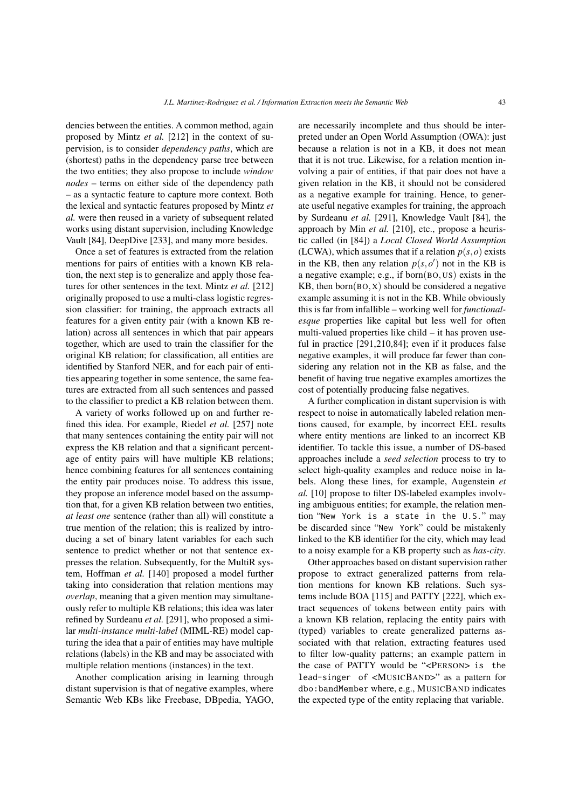dencies between the entities. A common method, again proposed by Mintz *et al.* [\[212\]](#page-67-5) in the context of supervision, is to consider *dependency paths*, which are (shortest) paths in the dependency parse tree between the two entities; they also propose to include *window nodes* – terms on either side of the dependency path – as a syntactic feature to capture more context. Both the lexical and syntactic features proposed by Mintz *et al.* were then reused in a variety of subsequent related works using distant supervision, including Knowledge Vault [\[84\]](#page-62-6), DeepDive [\[233\]](#page-68-1), and many more besides.

Once a set of features is extracted from the relation mentions for pairs of entities with a known KB relation, the next step is to generalize and apply those features for other sentences in the text. Mintz *et al.* [\[212\]](#page-67-5) originally proposed to use a multi-class logistic regression classifier: for training, the approach extracts all features for a given entity pair (with a known KB relation) across all sentences in which that pair appears together, which are used to train the classifier for the original KB relation; for classification, all entities are identified by Stanford NER, and for each pair of entities appearing together in some sentence, the same features are extracted from all such sentences and passed to the classifier to predict a KB relation between them.

A variety of works followed up on and further refined this idea. For example, Riedel *et al.* [\[257\]](#page-69-4) note that many sentences containing the entity pair will not express the KB relation and that a significant percentage of entity pairs will have multiple KB relations; hence combining features for all sentences containing the entity pair produces noise. To address this issue, they propose an inference model based on the assumption that, for a given KB relation between two entities, *at least one* sentence (rather than all) will constitute a true mention of the relation; this is realized by introducing a set of binary latent variables for each such sentence to predict whether or not that sentence expresses the relation. Subsequently, for the MultiR system, Hoffman *et al.* [\[140\]](#page-64-8) proposed a model further taking into consideration that relation mentions may *overlap*, meaning that a given mention may simultaneously refer to multiple KB relations; this idea was later refined by Surdeanu *et al.* [\[291\]](#page-70-5), who proposed a similar *multi-instance multi-label* (MIML-RE) model capturing the idea that a pair of entities may have multiple relations (labels) in the KB and may be associated with multiple relation mentions (instances) in the text.

Another complication arising in learning through distant supervision is that of negative examples, where Semantic Web KBs like Freebase, DBpedia, YAGO, are necessarily incomplete and thus should be interpreted under an Open World Assumption (OWA): just because a relation is not in a KB, it does not mean that it is not true. Likewise, for a relation mention involving a pair of entities, if that pair does not have a given relation in the KB, it should not be considered as a negative example for training. Hence, to generate useful negative examples for training, the approach by Surdeanu *et al.* [\[291\]](#page-70-5), Knowledge Vault [\[84\]](#page-62-6), the approach by Min *et al.* [\[210\]](#page-67-7), etc., propose a heuristic called (in [\[84\]](#page-62-6)) a *Local Closed World Assumption* (LCWA), which assumes that if a relation  $p(s, o)$  exists in the KB, then any relation  $p(s, o')$  not in the KB is a negative example; e.g., if born(BO, US) exists in the  $KB$ , then born(BO, X) should be considered a negative example assuming it is not in the KB. While obviously this is far from infallible – working well for *functionalesque* properties like capital but less well for often multi-valued properties like child – it has proven useful in practice [\[291,](#page-70-5)[210,](#page-67-7)[84\]](#page-62-6); even if it produces false negative examples, it will produce far fewer than considering any relation not in the KB as false, and the benefit of having true negative examples amortizes the cost of potentially producing false negatives.

A further complication in distant supervision is with respect to noise in automatically labeled relation mentions caused, for example, by incorrect EEL results where entity mentions are linked to an incorrect KB identifier. To tackle this issue, a number of DS-based approaches include a *seed selection* process to try to select high-quality examples and reduce noise in labels. Along these lines, for example, Augenstein *et al.* [\[10\]](#page-59-3) propose to filter DS-labeled examples involving ambiguous entities; for example, the relation mention "New York is a state in the U.S." may be discarded since "New York" could be mistakenly linked to the KB identifier for the city, which may lead to a noisy example for a KB property such as *has-city*.

Other approaches based on distant supervision rather propose to extract generalized patterns from relation mentions for known KB relations. Such systems include BOA [\[115\]](#page-63-9) and PATTY [\[222\]](#page-67-4), which extract sequences of tokens between entity pairs with a known KB relation, replacing the entity pairs with (typed) variables to create generalized patterns associated with that relation, extracting features used to filter low-quality patterns; an example pattern in the case of PATTY would be "<PERSON> is the lead-singer of <MUSICBAND>" as a pattern for dbo:bandMember where, e.g., MUSICBAND indicates the expected type of the entity replacing that variable.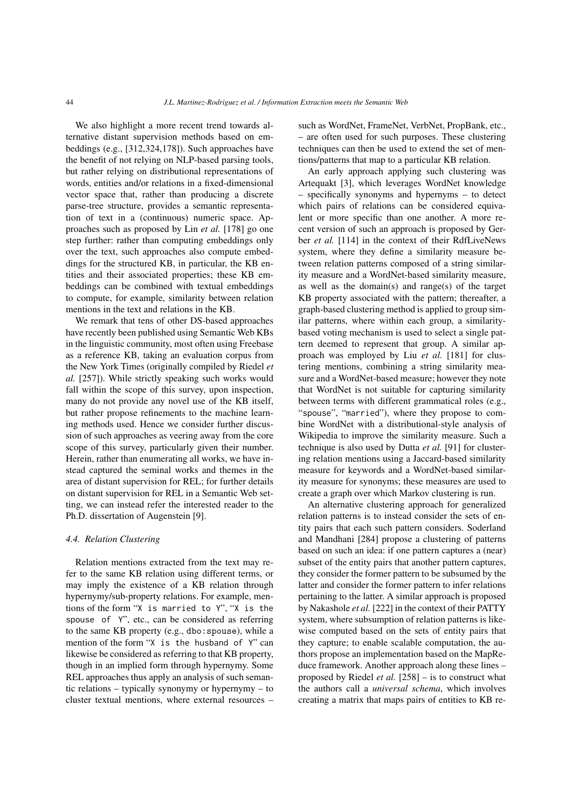We also highlight a more recent trend towards alternative distant supervision methods based on embeddings (e.g., [\[312,](#page-71-7)[324,](#page-72-2)[178\]](#page-66-7)). Such approaches have the benefit of not relying on NLP-based parsing tools, but rather relying on distributional representations of words, entities and/or relations in a fixed-dimensional vector space that, rather than producing a discrete parse-tree structure, provides a semantic representation of text in a (continuous) numeric space. Approaches such as proposed by Lin *et al.* [\[178\]](#page-66-7) go one step further: rather than computing embeddings only over the text, such approaches also compute embeddings for the structured KB, in particular, the KB entities and their associated properties; these KB embeddings can be combined with textual embeddings to compute, for example, similarity between relation mentions in the text and relations in the KB.

We remark that tens of other DS-based approaches have recently been published using Semantic Web KBs in the linguistic community, most often using Freebase as a reference KB, taking an evaluation corpus from the New York Times (originally compiled by Riedel *et al.* [\[257\]](#page-69-4)). While strictly speaking such works would fall within the scope of this survey, upon inspection, many do not provide any novel use of the KB itself, but rather propose refinements to the machine learning methods used. Hence we consider further discussion of such approaches as veering away from the core scope of this survey, particularly given their number. Herein, rather than enumerating all works, we have instead captured the seminal works and themes in the area of distant supervision for REL; for further details on distant supervision for REL in a Semantic Web setting, we can instead refer the interested reader to the Ph.D. dissertation of Augenstein [\[9\]](#page-59-7).

## *4.4. Relation Clustering*

Relation mentions extracted from the text may refer to the same KB relation using different terms, or may imply the existence of a KB relation through hypernymy/sub-property relations. For example, mentions of the form "X is married to Y", "X is the spouse of Y", etc., can be considered as referring to the same KB property (e.g., dbo:spouse), while a mention of the form "X is the husband of Y" can likewise be considered as referring to that KB property, though in an implied form through hypernymy. Some REL approaches thus apply an analysis of such semantic relations – typically synonymy or hypernymy – to cluster textual mentions, where external resources – such as WordNet, FrameNet, VerbNet, PropBank, etc., – are often used for such purposes. These clustering techniques can then be used to extend the set of mentions/patterns that map to a particular KB relation.

An early approach applying such clustering was Artequakt [\[3\]](#page-59-8), which leverages WordNet knowledge – specifically synonyms and hypernyms – to detect which pairs of relations can be considered equivalent or more specific than one another. A more recent version of such an approach is proposed by Gerber *et al.* [\[114\]](#page-63-7) in the context of their RdfLiveNews system, where they define a similarity measure between relation patterns composed of a string similarity measure and a WordNet-based similarity measure, as well as the domain(s) and range(s) of the target KB property associated with the pattern; thereafter, a graph-based clustering method is applied to group similar patterns, where within each group, a similaritybased voting mechanism is used to select a single pattern deemed to represent that group. A similar approach was employed by Liu *et al.* [\[181\]](#page-66-6) for clustering mentions, combining a string similarity measure and a WordNet-based measure; however they note that WordNet is not suitable for capturing similarity between terms with different grammatical roles (e.g., "spouse", "married"), where they propose to combine WordNet with a distributional-style analysis of Wikipedia to improve the similarity measure. Such a technique is also used by Dutta *et al.* [\[91\]](#page-62-2) for clustering relation mentions using a Jaccard-based similarity measure for keywords and a WordNet-based similarity measure for synonyms; these measures are used to create a graph over which Markov clustering is run.

An alternative clustering approach for generalized relation patterns is to instead consider the sets of entity pairs that each such pattern considers. Soderland and Mandhani [\[284\]](#page-70-4) propose a clustering of patterns based on such an idea: if one pattern captures a (near) subset of the entity pairs that another pattern captures, they consider the former pattern to be subsumed by the latter and consider the former pattern to infer relations pertaining to the latter. A similar approach is proposed by Nakashole *et al.* [\[222\]](#page-67-4) in the context of their PATTY system, where subsumption of relation patterns is likewise computed based on the sets of entity pairs that they capture; to enable scalable computation, the authors propose an implementation based on the MapReduce framework. Another approach along these lines – proposed by Riedel *et al.* [\[258\]](#page-69-5) – is to construct what the authors call a *universal schema*, which involves creating a matrix that maps pairs of entities to KB re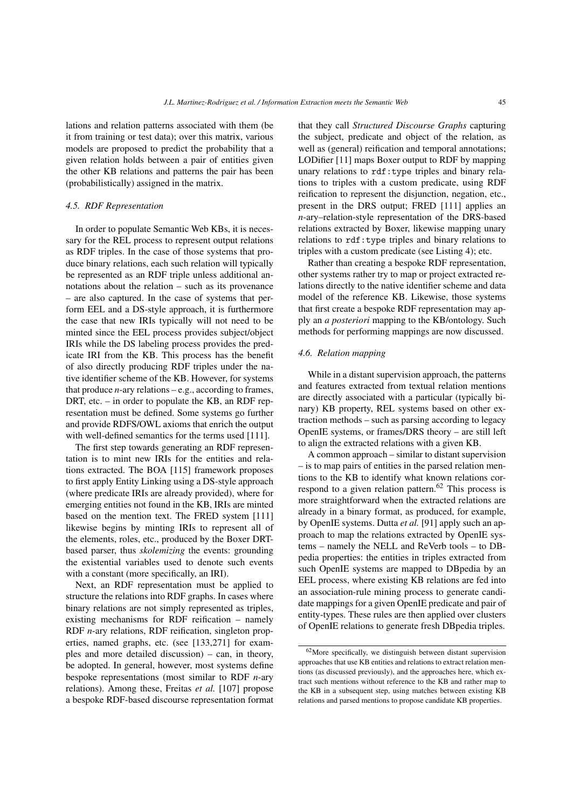lations and relation patterns associated with them (be it from training or test data); over this matrix, various models are proposed to predict the probability that a given relation holds between a pair of entities given the other KB relations and patterns the pair has been (probabilistically) assigned in the matrix.

## *4.5. RDF Representation*

In order to populate Semantic Web KBs, it is necessary for the REL process to represent output relations as RDF triples. In the case of those systems that produce binary relations, each such relation will typically be represented as an RDF triple unless additional annotations about the relation – such as its provenance – are also captured. In the case of systems that perform EEL and a DS-style approach, it is furthermore the case that new IRIs typically will not need to be minted since the EEL process provides subject/object IRIs while the DS labeling process provides the predicate IRI from the KB. This process has the benefit of also directly producing RDF triples under the native identifier scheme of the KB. However, for systems that produce *n*-ary relations – e.g., according to frames, DRT, etc. – in order to populate the KB, an RDF representation must be defined. Some systems go further and provide RDFS/OWL axioms that enrich the output with well-defined semantics for the terms used [\[111\]](#page-63-2).

The first step towards generating an RDF representation is to mint new IRIs for the entities and relations extracted. The BOA [\[115\]](#page-63-9) framework proposes to first apply Entity Linking using a DS-style approach (where predicate IRIs are already provided), where for emerging entities not found in the KB, IRIs are minted based on the mention text. The FRED system [\[111\]](#page-63-2) likewise begins by minting IRIs to represent all of the elements, roles, etc., produced by the Boxer DRTbased parser, thus *skolemizing* the events: grounding the existential variables used to denote such events with a constant (more specifically, an IRI).

Next, an RDF representation must be applied to structure the relations into RDF graphs. In cases where binary relations are not simply represented as triples, existing mechanisms for RDF reification – namely RDF *n*-ary relations, RDF reification, singleton properties, named graphs, etc. (see [\[133,](#page-64-7)[271\]](#page-69-6) for examples and more detailed discussion) – can, in theory, be adopted. In general, however, most systems define bespoke representations (most similar to RDF *n*-ary relations). Among these, Freitas *et al.* [\[107\]](#page-63-3) propose a bespoke RDF-based discourse representation format that they call *Structured Discourse Graphs* capturing the subject, predicate and object of the relation, as well as (general) reification and temporal annotations; LODifier [\[11\]](#page-59-2) maps Boxer output to RDF by mapping unary relations to rdf:type triples and binary relations to triples with a custom predicate, using RDF reification to represent the disjunction, negation, etc., present in the DRS output; FRED [\[111\]](#page-63-2) applies an *n*-ary–relation-style representation of the DRS-based relations extracted by Boxer, likewise mapping unary relations to rdf:type triples and binary relations to triples with a custom predicate (see Listing [4\)](#page-39-0); etc.

Rather than creating a bespoke RDF representation, other systems rather try to map or project extracted relations directly to the native identifier scheme and data model of the reference KB. Likewise, those systems that first create a bespoke RDF representation may apply an *a posteriori* mapping to the KB/ontology. Such methods for performing mappings are now discussed.

# *4.6. Relation mapping*

While in a distant supervision approach, the patterns and features extracted from textual relation mentions are directly associated with a particular (typically binary) KB property, REL systems based on other extraction methods – such as parsing according to legacy OpenIE systems, or frames/DRS theory – are still left to align the extracted relations with a given KB.

A common approach – similar to distant supervision – is to map pairs of entities in the parsed relation mentions to the KB to identify what known relations correspond to a given relation pattern. $62$  This process is more straightforward when the extracted relations are already in a binary format, as produced, for example, by OpenIE systems. Dutta *et al.* [\[91\]](#page-62-2) apply such an approach to map the relations extracted by OpenIE systems – namely the NELL and ReVerb tools – to DBpedia properties: the entities in triples extracted from such OpenIE systems are mapped to DBpedia by an EEL process, where existing KB relations are fed into an association-rule mining process to generate candidate mappings for a given OpenIE predicate and pair of entity-types. These rules are then applied over clusters of OpenIE relations to generate fresh DBpedia triples.

<span id="page-44-0"></span> $62$ More specifically, we distinguish between distant supervision approaches that use KB entities and relations to extract relation mentions (as discussed previously), and the approaches here, which extract such mentions without reference to the KB and rather map to the KB in a subsequent step, using matches between existing KB relations and parsed mentions to propose candidate KB properties.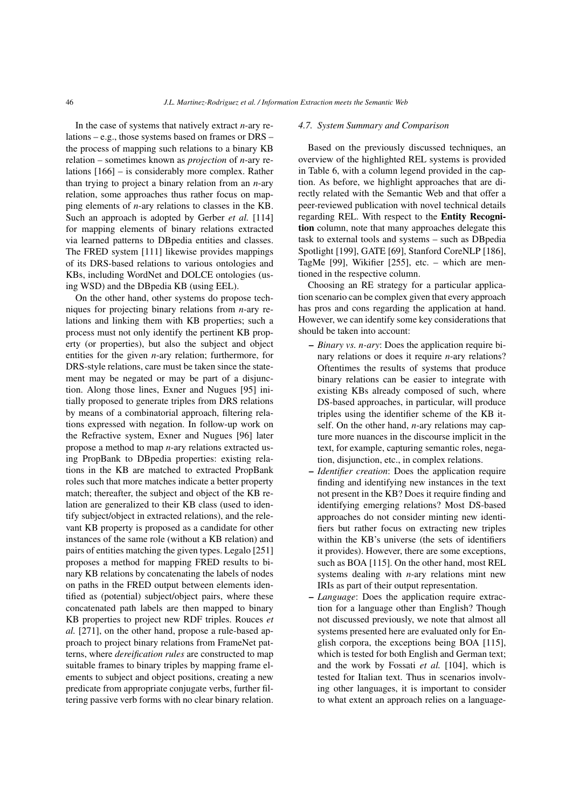In the case of systems that natively extract *n*-ary relations – e.g., those systems based on frames or DRS – the process of mapping such relations to a binary KB relation – sometimes known as *projection* of *n*-ary relations [\[166\]](#page-65-7) – is considerably more complex. Rather than trying to project a binary relation from an *n*-ary relation, some approaches thus rather focus on mapping elements of *n*-ary relations to classes in the KB. Such an approach is adopted by Gerber *et al.* [\[114\]](#page-63-7) for mapping elements of binary relations extracted via learned patterns to DBpedia entities and classes. The FRED system [\[111\]](#page-63-2) likewise provides mappings of its DRS-based relations to various ontologies and KBs, including WordNet and DOLCE ontologies (using WSD) and the DBpedia KB (using EEL).

On the other hand, other systems do propose techniques for projecting binary relations from *n*-ary relations and linking them with KB properties; such a process must not only identify the pertinent KB property (or properties), but also the subject and object entities for the given *n*-ary relation; furthermore, for DRS-style relations, care must be taken since the statement may be negated or may be part of a disjunction. Along those lines, Exner and Nugues [\[95\]](#page-62-3) initially proposed to generate triples from DRS relations by means of a combinatorial approach, filtering relations expressed with negation. In follow-up work on the Refractive system, Exner and Nugues [\[96\]](#page-62-5) later propose a method to map *n*-ary relations extracted using PropBank to DBpedia properties: existing relations in the KB are matched to extracted PropBank roles such that more matches indicate a better property match; thereafter, the subject and object of the KB relation are generalized to their KB class (used to identify subject/object in extracted relations), and the relevant KB property is proposed as a candidate for other instances of the same role (without a KB relation) and pairs of entities matching the given types. Legalo [\[251\]](#page-69-7) proposes a method for mapping FRED results to binary KB relations by concatenating the labels of nodes on paths in the FRED output between elements identified as (potential) subject/object pairs, where these concatenated path labels are then mapped to binary KB properties to project new RDF triples. Rouces *et al.* [\[271\]](#page-69-6), on the other hand, propose a rule-based approach to project binary relations from FrameNet patterns, where *dereification rules* are constructed to map suitable frames to binary triples by mapping frame elements to subject and object positions, creating a new predicate from appropriate conjugate verbs, further filtering passive verb forms with no clear binary relation.

#### *4.7. System Summary and Comparison*

Based on the previously discussed techniques, an overview of the highlighted REL systems is provided in Table [6,](#page-46-0) with a column legend provided in the caption. As before, we highlight approaches that are directly related with the Semantic Web and that offer a peer-reviewed publication with novel technical details regarding REL. With respect to the Entity Recognition column, note that many approaches delegate this task to external tools and systems – such as DBpedia Spotlight [\[199\]](#page-66-5), GATE [\[69\]](#page-61-9), Stanford CoreNLP [\[186\]](#page-66-8), TagMe [\[99\]](#page-63-6), Wikifier [\[255\]](#page-69-8), etc. – which are mentioned in the respective column.

Choosing an RE strategy for a particular application scenario can be complex given that every approach has pros and cons regarding the application at hand. However, we can identify some key considerations that should be taken into account:

- *Binary vs. n-ary*: Does the application require binary relations or does it require *n*-ary relations? Oftentimes the results of systems that produce binary relations can be easier to integrate with existing KBs already composed of such, where DS-based approaches, in particular, will produce triples using the identifier scheme of the KB itself. On the other hand, *n*-ary relations may capture more nuances in the discourse implicit in the text, for example, capturing semantic roles, negation, disjunction, etc., in complex relations.
- *Identifier creation*: Does the application require finding and identifying new instances in the text not present in the KB? Does it require finding and identifying emerging relations? Most DS-based approaches do not consider minting new identifiers but rather focus on extracting new triples within the KB's universe (the sets of identifiers it provides). However, there are some exceptions, such as BOA [\[115\]](#page-63-9). On the other hand, most REL systems dealing with *n*-ary relations mint new IRIs as part of their output representation.
- *Language*: Does the application require extraction for a language other than English? Though not discussed previously, we note that almost all systems presented here are evaluated only for English corpora, the exceptions being BOA [\[115\]](#page-63-9), which is tested for both English and German text; and the work by Fossati *et al.* [\[104\]](#page-63-5), which is tested for Italian text. Thus in scenarios involving other languages, it is important to consider to what extent an approach relies on a language-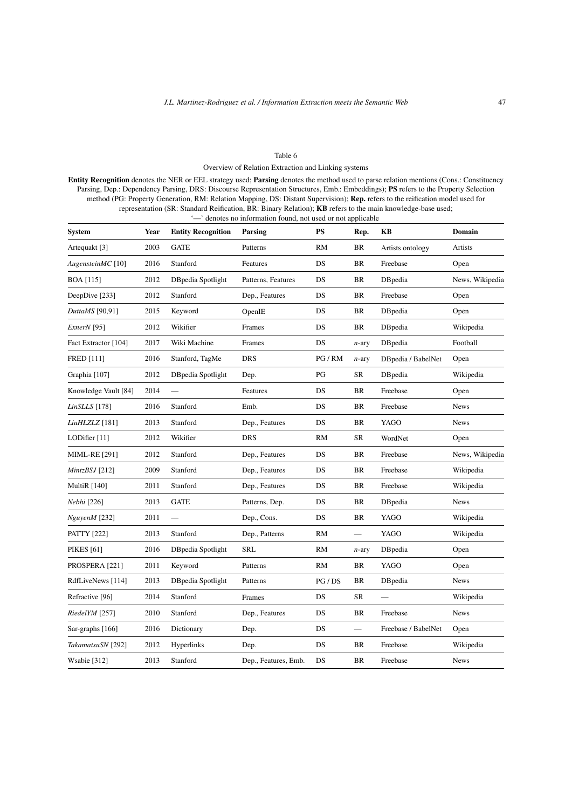|                                                     |   | Table 6 |  |  |  |
|-----------------------------------------------------|---|---------|--|--|--|
| Overview of Relation Extraction and Linking systems |   |         |  |  |  |
| – <del>–</del> –                                    | . |         |  |  |  |

## <span id="page-46-0"></span>Entity Recognition denotes the NER or EEL strategy used; Parsing denotes the method used to parse relation mentions (Cons.: Constituency Parsing, Dep.: Dependency Parsing, DRS: Discourse Representation Structures, Emb.: Embeddings); PS refers to the Property Selection method (PG: Property Generation, RM: Relation Mapping, DS: Distant Supervision); Rep. refers to the reification model used for representation (SR: Standard Reification, BR: Binary Relation); KB refers to the main knowledge-base used; '—' denotes no information found, not used or not applicable

| System                       | Year | <b>Entity Recognition</b> | Parsing              | <b>PS</b>   | Rep.                     | KВ                       | Domain          |
|------------------------------|------|---------------------------|----------------------|-------------|--------------------------|--------------------------|-----------------|
| Artequakt <sup>[3]</sup>     | 2003 | <b>GATE</b>               | Patterns             | RM          | BR                       | Artists ontology         | Artists         |
| AugensteinMC <sup>[10]</sup> | 2016 | Stanford                  | Features             | DS          | BR                       | Freebase                 | Open            |
| BOA [115]                    | 2012 | DBpedia Spotlight         | Patterns, Features   | $_{\rm DS}$ | BR                       | DBpedia                  | News, Wikipedia |
| DeepDive [233]               | 2012 | Stanford                  | Dep., Features       | DS          | BR                       | Freebase                 | Open            |
| DuttaMS [90,91]              | 2015 | Keyword                   | OpenIE               | DS          | BR                       | DBpedia                  | Open            |
| ExnerN [95]                  | 2012 | Wikifier                  | Frames               | DS          | BR                       | DBpedia                  | Wikipedia       |
| Fact Extractor [104]         | 2017 | Wiki Machine              | Frames               | DS          | $n$ -ary                 | DBpedia                  | Football        |
| FRED [111]                   | 2016 | Stanford, TagMe           | <b>DRS</b>           | PG / RM     | $n$ -ary                 | DBpedia / BabelNet       | Open            |
| Graphia [107]                | 2012 | DBpedia Spotlight         | Dep.                 | PG          | <b>SR</b>                | DBpedia                  | Wikipedia       |
| Knowledge Vault [84]         | 2014 |                           | Features             | DS          | BR                       | Freebase                 | Open            |
| LinSLLS [178]                | 2016 | Stanford                  | Emb.                 | DS          | <b>BR</b>                | Freebase                 | <b>News</b>     |
| LiuHLZLZ [181]               | 2013 | Stanford                  | Dep., Features       | DS          | BR                       | <b>YAGO</b>              | <b>News</b>     |
| LODifier [11]                | 2012 | Wikifier                  | <b>DRS</b>           | RM          | SR                       | WordNet                  | Open            |
| <b>MIML-RE [291]</b>         | 2012 | Stanford                  | Dep., Features       | DS          | BR                       | Freebase                 | News, Wikipedia |
| $MintzBSJ$ [212]             | 2009 | Stanford                  | Dep., Features       | DS          | BR                       | Freebase                 | Wikipedia       |
| MultiR [140]                 | 2011 | Stanford                  | Dep., Features       | DS          | <b>BR</b>                | Freebase                 | Wikipedia       |
| Nebhi [226]                  | 2013 | <b>GATE</b>               | Patterns, Dep.       | DS          | BR                       | DBpedia                  | <b>News</b>     |
| NguyenM [232]                | 2011 |                           | Dep., Cons.          | DS          | BR                       | YAGO                     | Wikipedia       |
| PATTY [222]                  | 2013 | Stanford                  | Dep., Patterns       | RM          | $\equiv$                 | YAGO                     | Wikipedia       |
| <b>PIKES</b> [61]            | 2016 | DBpedia Spotlight         | <b>SRL</b>           | RM          | $n$ -ary                 | DBpedia                  | Open            |
| PROSPERA [221]               | 2011 | Keyword                   | Patterns             | RM          | BR                       | YAGO                     | Open            |
| RdfLiveNews [114]            | 2013 | DBpedia Spotlight         | Patterns             | PG / DS     | BR                       | DBpedia                  | <b>News</b>     |
| Refractive [96]              | 2014 | Stanford                  | Frames               | DS          | <b>SR</b>                | $\overline{\phantom{0}}$ | Wikipedia       |
| RiedelYM [257]               | 2010 | Stanford                  | Dep., Features       | DS          | BR                       | Freebase                 | <b>News</b>     |
| Sar-graphs [166]             | 2016 | Dictionary                | Dep.                 | <b>DS</b>   | $\overline{\phantom{0}}$ | Freebase / BabelNet      | Open            |
| TakamatsuSN [292]            | 2012 | Hyperlinks                | Dep.                 | $_{\rm DS}$ | <b>BR</b>                | Freebase                 | Wikipedia       |
| Wsabie [312]                 | 2013 | Stanford                  | Dep., Features, Emb. | DS          | BR                       | Freebase                 | <b>News</b>     |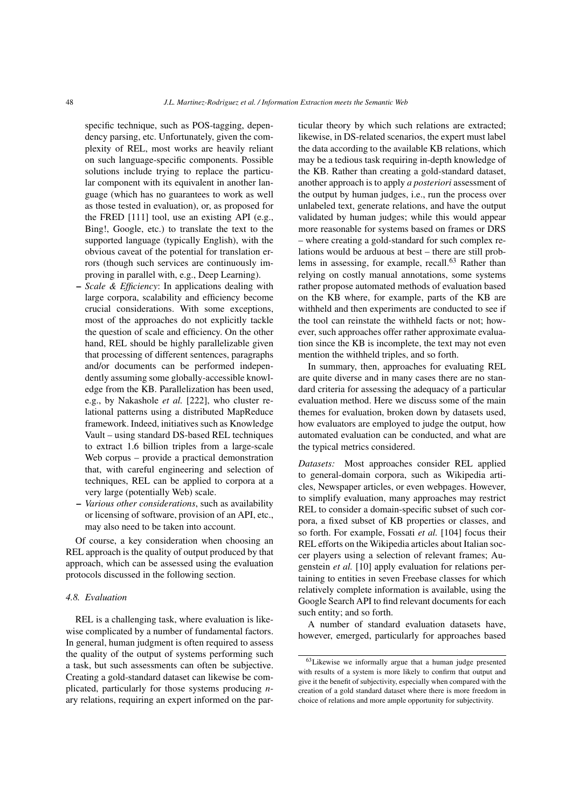specific technique, such as POS-tagging, dependency parsing, etc. Unfortunately, given the complexity of REL, most works are heavily reliant on such language-specific components. Possible solutions include trying to replace the particular component with its equivalent in another language (which has no guarantees to work as well as those tested in evaluation), or, as proposed for the FRED [\[111\]](#page-63-2) tool, use an existing API (e.g., Bing!, Google, etc.) to translate the text to the supported language (typically English), with the obvious caveat of the potential for translation errors (though such services are continuously improving in parallel with, e.g., Deep Learning).

- *Scale & Efficiency*: In applications dealing with large corpora, scalability and efficiency become crucial considerations. With some exceptions, most of the approaches do not explicitly tackle the question of scale and efficiency. On the other hand, REL should be highly parallelizable given that processing of different sentences, paragraphs and/or documents can be performed independently assuming some globally-accessible knowledge from the KB. Parallelization has been used, e.g., by Nakashole *et al.* [\[222\]](#page-67-4), who cluster relational patterns using a distributed MapReduce framework. Indeed, initiatives such as Knowledge Vault – using standard DS-based REL techniques to extract 1.6 billion triples from a large-scale Web corpus – provide a practical demonstration that, with careful engineering and selection of techniques, REL can be applied to corpora at a very large (potentially Web) scale.
- *Various other considerations*, such as availability or licensing of software, provision of an API, etc., may also need to be taken into account.

Of course, a key consideration when choosing an REL approach is the quality of output produced by that approach, which can be assessed using the evaluation protocols discussed in the following section.

#### *4.8. Evaluation*

REL is a challenging task, where evaluation is likewise complicated by a number of fundamental factors. In general, human judgment is often required to assess the quality of the output of systems performing such a task, but such assessments can often be subjective. Creating a gold-standard dataset can likewise be complicated, particularly for those systems producing *n*ary relations, requiring an expert informed on the particular theory by which such relations are extracted; likewise, in DS-related scenarios, the expert must label the data according to the available KB relations, which may be a tedious task requiring in-depth knowledge of the KB. Rather than creating a gold-standard dataset, another approach is to apply *a posteriori* assessment of the output by human judges, i.e., run the process over unlabeled text, generate relations, and have the output validated by human judges; while this would appear more reasonable for systems based on frames or DRS – where creating a gold-standard for such complex relations would be arduous at best – there are still prob-lems in assessing, for example, recall.<sup>[63](#page-47-0)</sup> Rather than relying on costly manual annotations, some systems rather propose automated methods of evaluation based on the KB where, for example, parts of the KB are withheld and then experiments are conducted to see if the tool can reinstate the withheld facts or not; however, such approaches offer rather approximate evaluation since the KB is incomplete, the text may not even mention the withheld triples, and so forth.

In summary, then, approaches for evaluating REL are quite diverse and in many cases there are no standard criteria for assessing the adequacy of a particular evaluation method. Here we discuss some of the main themes for evaluation, broken down by datasets used, how evaluators are employed to judge the output, how automated evaluation can be conducted, and what are the typical metrics considered.

*Datasets:* Most approaches consider REL applied to general-domain corpora, such as Wikipedia articles, Newspaper articles, or even webpages. However, to simplify evaluation, many approaches may restrict REL to consider a domain-specific subset of such corpora, a fixed subset of KB properties or classes, and so forth. For example, Fossati *et al.* [\[104\]](#page-63-5) focus their REL efforts on the Wikipedia articles about Italian soccer players using a selection of relevant frames; Augenstein *et al.* [\[10\]](#page-59-3) apply evaluation for relations pertaining to entities in seven Freebase classes for which relatively complete information is available, using the Google Search API to find relevant documents for each such entity; and so forth.

A number of standard evaluation datasets have, however, emerged, particularly for approaches based

<span id="page-47-0"></span><sup>63</sup>Likewise we informally argue that a human judge presented with results of a system is more likely to confirm that output and give it the benefit of subjectivity, especially when compared with the creation of a gold standard dataset where there is more freedom in choice of relations and more ample opportunity for subjectivity.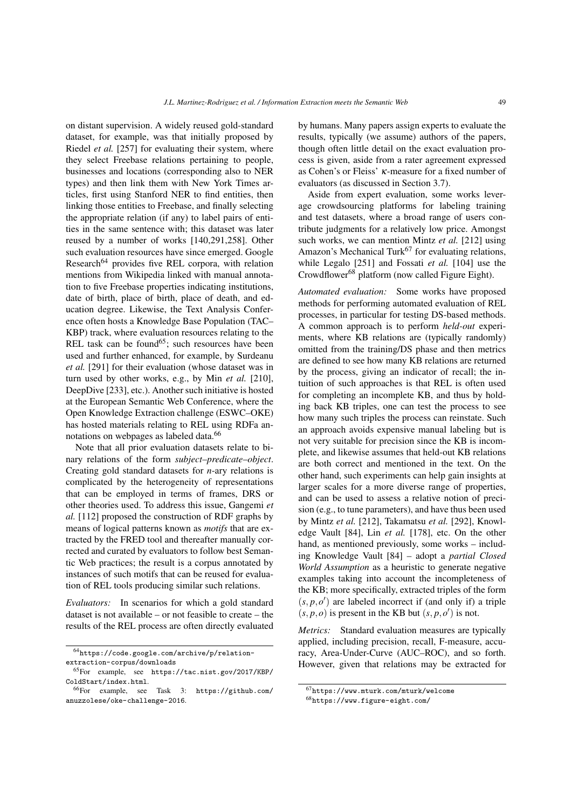on distant supervision. A widely reused gold-standard dataset, for example, was that initially proposed by Riedel *et al.* [\[257\]](#page-69-4) for evaluating their system, where they select Freebase relations pertaining to people, businesses and locations (corresponding also to NER types) and then link them with New York Times articles, first using Stanford NER to find entities, then linking those entities to Freebase, and finally selecting the appropriate relation (if any) to label pairs of entities in the same sentence with; this dataset was later reused by a number of works [\[140,](#page-64-8)[291,](#page-70-5)[258\]](#page-69-5). Other such evaluation resources have since emerged. Google Research<sup>[64](#page-48-0)</sup> provides five REL corpora, with relation mentions from Wikipedia linked with manual annotation to five Freebase properties indicating institutions, date of birth, place of birth, place of death, and education degree. Likewise, the Text Analysis Conference often hosts a Knowledge Base Population (TAC– KBP) track, where evaluation resources relating to the REL task can be found<sup>[65](#page-48-1)</sup>; such resources have been used and further enhanced, for example, by Surdeanu *et al.* [\[291\]](#page-70-5) for their evaluation (whose dataset was in turn used by other works, e.g., by Min *et al.* [\[210\]](#page-67-7), DeepDive [\[233\]](#page-68-1), etc.). Another such initiative is hosted at the European Semantic Web Conference, where the Open Knowledge Extraction challenge (ESWC–OKE) has hosted materials relating to REL using RDFa an-notations on webpages as labeled data.<sup>[66](#page-48-2)</sup>

Note that all prior evaluation datasets relate to binary relations of the form *subject*–*predicate*–*object*. Creating gold standard datasets for *n*-ary relations is complicated by the heterogeneity of representations that can be employed in terms of frames, DRS or other theories used. To address this issue, Gangemi *et al.* [\[112\]](#page-63-10) proposed the construction of RDF graphs by means of logical patterns known as *motifs* that are extracted by the FRED tool and thereafter manually corrected and curated by evaluators to follow best Semantic Web practices; the result is a corpus annotated by instances of such motifs that can be reused for evaluation of REL tools producing similar such relations.

*Evaluators:* In scenarios for which a gold standard dataset is not available – or not feasible to create – the results of the REL process are often directly evaluated by humans. Many papers assign experts to evaluate the results, typically (we assume) authors of the papers, though often little detail on the exact evaluation process is given, aside from a rater agreement expressed as Cohen's or Fleiss' κ-measure for a fixed number of evaluators (as discussed in Section [3.7\)](#page-35-0).

Aside from expert evaluation, some works leverage crowdsourcing platforms for labeling training and test datasets, where a broad range of users contribute judgments for a relatively low price. Amongst such works, we can mention Mintz *et al.* [\[212\]](#page-67-5) using Amazon's Mechanical Turk $^{67}$  $^{67}$  $^{67}$  for evaluating relations, while Legalo [\[251\]](#page-69-7) and Fossati *et al.* [\[104\]](#page-63-5) use the Crowdflower<sup>[68](#page-48-4)</sup> platform (now called Figure Eight).

*Automated evaluation:* Some works have proposed methods for performing automated evaluation of REL processes, in particular for testing DS-based methods. A common approach is to perform *held-out* experiments, where KB relations are (typically randomly) omitted from the training/DS phase and then metrics are defined to see how many KB relations are returned by the process, giving an indicator of recall; the intuition of such approaches is that REL is often used for completing an incomplete KB, and thus by holding back KB triples, one can test the process to see how many such triples the process can reinstate. Such an approach avoids expensive manual labeling but is not very suitable for precision since the KB is incomplete, and likewise assumes that held-out KB relations are both correct and mentioned in the text. On the other hand, such experiments can help gain insights at larger scales for a more diverse range of properties, and can be used to assess a relative notion of precision (e.g., to tune parameters), and have thus been used by Mintz *et al.* [\[212\]](#page-67-5), Takamatsu *et al.* [\[292\]](#page-70-6), Knowledge Vault [\[84\]](#page-62-6), Lin *et al.* [\[178\]](#page-66-7), etc. On the other hand, as mentioned previously, some works – including Knowledge Vault [\[84\]](#page-62-6) – adopt a *partial Closed World Assumption* as a heuristic to generate negative examples taking into account the incompleteness of the KB; more specifically, extracted triples of the form  $(s, p, o')$  are labeled incorrect if (and only if) a triple  $(s, p, o)$  is present in the KB but  $(s, p, o')$  is not.

*Metrics:* Standard evaluation measures are typically applied, including precision, recall, F-measure, accuracy, Area-Under-Curve (AUC–ROC), and so forth. However, given that relations may be extracted for

<span id="page-48-0"></span><sup>64</sup>[https://code.google.com/archive/p/relation](https://code.google.com/archive/p/relation-extraction-corpus/downloads)[extraction-corpus/downloads](https://code.google.com/archive/p/relation-extraction-corpus/downloads)

<span id="page-48-1"></span><sup>65</sup>For example, see [https://tac.nist.gov/2017/KBP/](https://tac.nist.gov/2017/KBP/ColdStart/index.html) [ColdStart/index.html](https://tac.nist.gov/2017/KBP/ColdStart/index.html).

<span id="page-48-2"></span><sup>66</sup>For example, see Task 3: [https://github.com/](https://github.com/anuzzolese/oke-challenge-2016) [anuzzolese/oke-challenge-2016](https://github.com/anuzzolese/oke-challenge-2016).

<span id="page-48-3"></span><sup>67</sup><https://www.mturk.com/mturk/welcome>

<span id="page-48-4"></span><sup>68</sup><https://www.figure-eight.com/>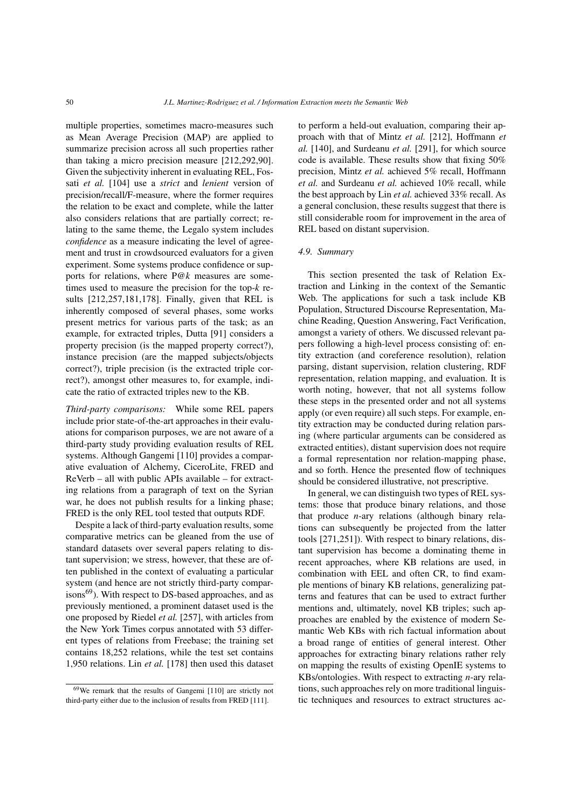multiple properties, sometimes macro-measures such as Mean Average Precision (MAP) are applied to summarize precision across all such properties rather than taking a micro precision measure [\[212](#page-67-5)[,292](#page-70-6)[,90\]](#page-62-1). Given the subjectivity inherent in evaluating REL, Fossati *et al.* [\[104\]](#page-63-5) use a *strict* and *lenient* version of precision/recall/F-measure, where the former requires the relation to be exact and complete, while the latter also considers relations that are partially correct; relating to the same theme, the Legalo system includes *confidence* as a measure indicating the level of agreement and trust in crowdsourced evaluators for a given experiment. Some systems produce confidence or supports for relations, where P@*k* measures are sometimes used to measure the precision for the top-*k* results [\[212](#page-67-5)[,257](#page-69-4)[,181,](#page-66-6)[178\]](#page-66-7). Finally, given that REL is inherently composed of several phases, some works present metrics for various parts of the task; as an example, for extracted triples, Dutta [\[91\]](#page-62-2) considers a property precision (is the mapped property correct?), instance precision (are the mapped subjects/objects correct?), triple precision (is the extracted triple correct?), amongst other measures to, for example, indicate the ratio of extracted triples new to the KB.

*Third-party comparisons:* While some REL papers include prior state-of-the-art approaches in their evaluations for comparison purposes, we are not aware of a third-party study providing evaluation results of REL systems. Although Gangemi [\[110\]](#page-63-1) provides a comparative evaluation of Alchemy, CiceroLite, FRED and ReVerb – all with public APIs available – for extracting relations from a paragraph of text on the Syrian war, he does not publish results for a linking phase; FRED is the only REL tool tested that outputs RDF.

Despite a lack of third-party evaluation results, some comparative metrics can be gleaned from the use of standard datasets over several papers relating to distant supervision; we stress, however, that these are often published in the context of evaluating a particular system (and hence are not strictly third-party compar-isons<sup>[69](#page-49-0)</sup>). With respect to DS-based approaches, and as previously mentioned, a prominent dataset used is the one proposed by Riedel *et al.* [\[257\]](#page-69-4), with articles from the New York Times corpus annotated with 53 different types of relations from Freebase; the training set contains 18,252 relations, while the test set contains 1,950 relations. Lin *et al.* [\[178\]](#page-66-7) then used this dataset to perform a held-out evaluation, comparing their approach with that of Mintz *et al.* [\[212\]](#page-67-5), Hoffmann *et al.* [\[140\]](#page-64-8), and Surdeanu *et al.* [\[291\]](#page-70-5), for which source code is available. These results show that fixing 50% precision, Mintz *et al.* achieved 5% recall, Hoffmann *et al.* and Surdeanu *et al.* achieved 10% recall, while the best approach by Lin *et al.* achieved 33% recall. As a general conclusion, these results suggest that there is still considerable room for improvement in the area of REL based on distant supervision.

## *4.9. Summary*

This section presented the task of Relation Extraction and Linking in the context of the Semantic Web. The applications for such a task include KB Population, Structured Discourse Representation, Machine Reading, Question Answering, Fact Verification, amongst a variety of others. We discussed relevant papers following a high-level process consisting of: entity extraction (and coreference resolution), relation parsing, distant supervision, relation clustering, RDF representation, relation mapping, and evaluation. It is worth noting, however, that not all systems follow these steps in the presented order and not all systems apply (or even require) all such steps. For example, entity extraction may be conducted during relation parsing (where particular arguments can be considered as extracted entities), distant supervision does not require a formal representation nor relation-mapping phase, and so forth. Hence the presented flow of techniques should be considered illustrative, not prescriptive.

In general, we can distinguish two types of REL systems: those that produce binary relations, and those that produce *n*-ary relations (although binary relations can subsequently be projected from the latter tools [\[271,](#page-69-6)[251\]](#page-69-7)). With respect to binary relations, distant supervision has become a dominating theme in recent approaches, where KB relations are used, in combination with EEL and often CR, to find example mentions of binary KB relations, generalizing patterns and features that can be used to extract further mentions and, ultimately, novel KB triples; such approaches are enabled by the existence of modern Semantic Web KBs with rich factual information about a broad range of entities of general interest. Other approaches for extracting binary relations rather rely on mapping the results of existing OpenIE systems to KBs/ontologies. With respect to extracting *n*-ary relations, such approaches rely on more traditional linguistic techniques and resources to extract structures ac-

<span id="page-49-0"></span><sup>69</sup>We remark that the results of Gangemi [\[110\]](#page-63-1) are strictly not third-party either due to the inclusion of results from FRED [\[111\]](#page-63-2).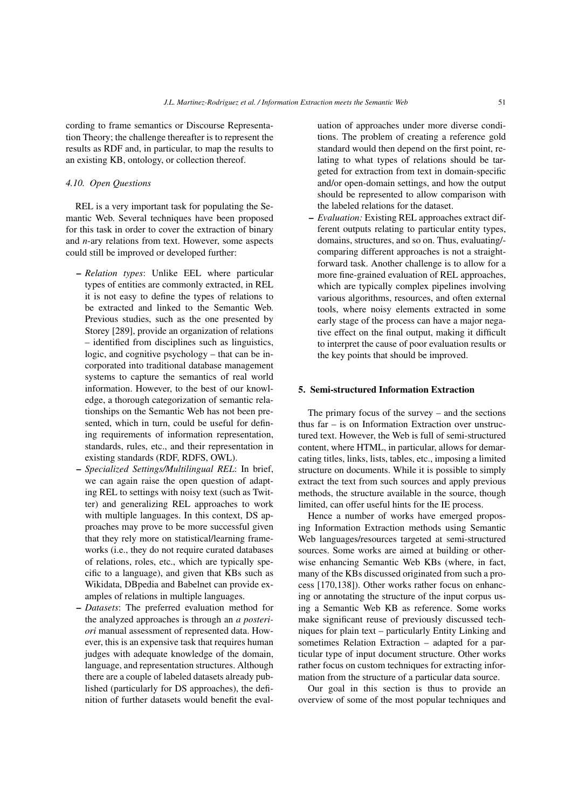cording to frame semantics or Discourse Representation Theory; the challenge thereafter is to represent the results as RDF and, in particular, to map the results to an existing KB, ontology, or collection thereof.

# *4.10. Open Questions*

REL is a very important task for populating the Semantic Web. Several techniques have been proposed for this task in order to cover the extraction of binary and *n*-ary relations from text. However, some aspects could still be improved or developed further:

- *Relation types*: Unlike EEL where particular types of entities are commonly extracted, in REL it is not easy to define the types of relations to be extracted and linked to the Semantic Web. Previous studies, such as the one presented by Storey [\[289\]](#page-70-7), provide an organization of relations – identified from disciplines such as linguistics, logic, and cognitive psychology – that can be incorporated into traditional database management systems to capture the semantics of real world information. However, to the best of our knowledge, a thorough categorization of semantic relationships on the Semantic Web has not been presented, which in turn, could be useful for defining requirements of information representation, standards, rules, etc., and their representation in existing standards (RDF, RDFS, OWL).
- *Specialized Settings/Multilingual REL*: In brief, we can again raise the open question of adapting REL to settings with noisy text (such as Twitter) and generalizing REL approaches to work with multiple languages. In this context, DS approaches may prove to be more successful given that they rely more on statistical/learning frameworks (i.e., they do not require curated databases of relations, roles, etc., which are typically specific to a language), and given that KBs such as Wikidata, DBpedia and Babelnet can provide examples of relations in multiple languages.
- *Datasets*: The preferred evaluation method for the analyzed approaches is through an *a posteriori* manual assessment of represented data. However, this is an expensive task that requires human judges with adequate knowledge of the domain, language, and representation structures. Although there are a couple of labeled datasets already published (particularly for DS approaches), the definition of further datasets would benefit the eval-

uation of approaches under more diverse conditions. The problem of creating a reference gold standard would then depend on the first point, relating to what types of relations should be targeted for extraction from text in domain-specific and/or open-domain settings, and how the output should be represented to allow comparison with the labeled relations for the dataset.

– *Evaluation:* Existing REL approaches extract different outputs relating to particular entity types, domains, structures, and so on. Thus, evaluating/ comparing different approaches is not a straightforward task. Another challenge is to allow for a more fine-grained evaluation of REL approaches, which are typically complex pipelines involving various algorithms, resources, and often external tools, where noisy elements extracted in some early stage of the process can have a major negative effect on the final output, making it difficult to interpret the cause of poor evaluation results or the key points that should be improved.

## 5. Semi-structured Information Extraction

The primary focus of the survey – and the sections thus far – is on Information Extraction over unstructured text. However, the Web is full of semi-structured content, where HTML, in particular, allows for demarcating titles, links, lists, tables, etc., imposing a limited structure on documents. While it is possible to simply extract the text from such sources and apply previous methods, the structure available in the source, though limited, can offer useful hints for the IE process.

Hence a number of works have emerged proposing Information Extraction methods using Semantic Web languages/resources targeted at semi-structured sources. Some works are aimed at building or otherwise enhancing Semantic Web KBs (where, in fact, many of the KBs discussed originated from such a process [\[170,](#page-65-8)[138\]](#page-64-9)). Other works rather focus on enhancing or annotating the structure of the input corpus using a Semantic Web KB as reference. Some works make significant reuse of previously discussed techniques for plain text – particularly Entity Linking and sometimes Relation Extraction – adapted for a particular type of input document structure. Other works rather focus on custom techniques for extracting information from the structure of a particular data source.

Our goal in this section is thus to provide an overview of some of the most popular techniques and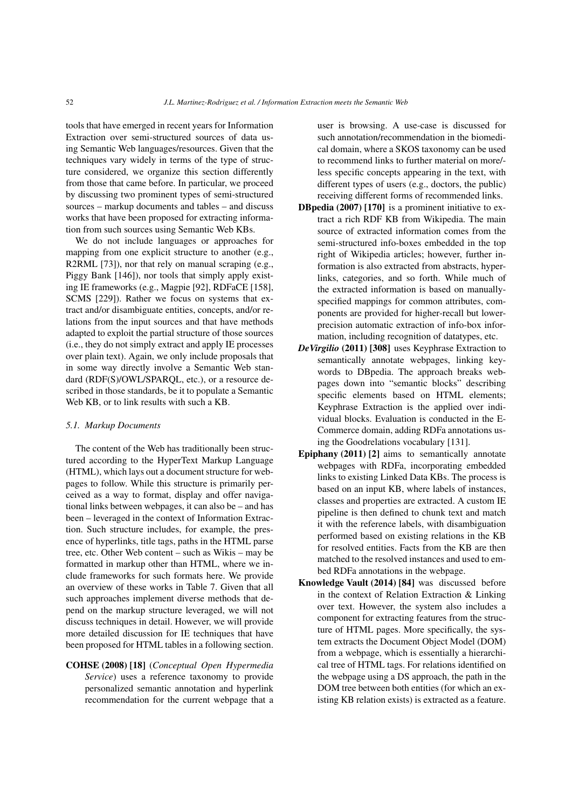tools that have emerged in recent years for Information Extraction over semi-structured sources of data using Semantic Web languages/resources. Given that the techniques vary widely in terms of the type of structure considered, we organize this section differently from those that came before. In particular, we proceed by discussing two prominent types of semi-structured sources – markup documents and tables – and discuss works that have been proposed for extracting information from such sources using Semantic Web KBs.

We do not include languages or approaches for mapping from one explicit structure to another (e.g., R2RML [\[73\]](#page-61-10)), nor that rely on manual scraping (e.g., Piggy Bank [\[146\]](#page-64-10)), nor tools that simply apply existing IE frameworks (e.g., Magpie [\[92\]](#page-62-7), RDFaCE [\[158\]](#page-65-9), SCMS [\[229\]](#page-68-3)). Rather we focus on systems that extract and/or disambiguate entities, concepts, and/or relations from the input sources and that have methods adapted to exploit the partial structure of those sources (i.e., they do not simply extract and apply IE processes over plain text). Again, we only include proposals that in some way directly involve a Semantic Web standard (RDF(S)/OWL/SPARQL, etc.), or a resource described in those standards, be it to populate a Semantic Web KB, or to link results with such a KB.

## *5.1. Markup Documents*

The content of the Web has traditionally been structured according to the HyperText Markup Language (HTML), which lays out a document structure for webpages to follow. While this structure is primarily perceived as a way to format, display and offer navigational links between webpages, it can also be – and has been – leveraged in the context of Information Extraction. Such structure includes, for example, the presence of hyperlinks, title tags, paths in the HTML parse tree, etc. Other Web content – such as Wikis – may be formatted in markup other than HTML, where we include frameworks for such formats here. We provide an overview of these works in Table [7.](#page-52-0) Given that all such approaches implement diverse methods that depend on the markup structure leveraged, we will not discuss techniques in detail. However, we will provide more detailed discussion for IE techniques that have been proposed for HTML tables in a following section.

COHSE (2008) [\[18\]](#page-59-9) (*Conceptual Open Hypermedia Service*) uses a reference taxonomy to provide personalized semantic annotation and hyperlink recommendation for the current webpage that a

user is browsing. A use-case is discussed for such annotation/recommendation in the biomedical domain, where a SKOS taxonomy can be used to recommend links to further material on more/ less specific concepts appearing in the text, with different types of users (e.g., doctors, the public) receiving different forms of recommended links.

- DBpedia (2007) [\[170\]](#page-65-8) is a prominent initiative to extract a rich RDF KB from Wikipedia. The main source of extracted information comes from the semi-structured info-boxes embedded in the top right of Wikipedia articles; however, further information is also extracted from abstracts, hyperlinks, categories, and so forth. While much of the extracted information is based on manuallyspecified mappings for common attributes, components are provided for higher-recall but lowerprecision automatic extraction of info-box information, including recognition of datatypes, etc.
- *DeVirgilio* (2011) [\[308\]](#page-71-0) uses Keyphrase Extraction to semantically annotate webpages, linking keywords to DBpedia. The approach breaks webpages down into "semantic blocks" describing specific elements based on HTML elements; Keyphrase Extraction is the applied over individual blocks. Evaluation is conducted in the E-Commerce domain, adding RDFa annotations using the Goodrelations vocabulary [\[131\]](#page-64-11).
- Epiphany (2011) [\[2\]](#page-58-0) aims to semantically annotate webpages with RDFa, incorporating embedded links to existing Linked Data KBs. The process is based on an input KB, where labels of instances, classes and properties are extracted. A custom IE pipeline is then defined to chunk text and match it with the reference labels, with disambiguation performed based on existing relations in the KB for resolved entities. Facts from the KB are then matched to the resolved instances and used to embed RDFa annotations in the webpage.
- Knowledge Vault (2014) [\[84\]](#page-62-6) was discussed before in the context of Relation Extraction & Linking over text. However, the system also includes a component for extracting features from the structure of HTML pages. More specifically, the system extracts the Document Object Model (DOM) from a webpage, which is essentially a hierarchical tree of HTML tags. For relations identified on the webpage using a DS approach, the path in the DOM tree between both entities (for which an existing KB relation exists) is extracted as a feature.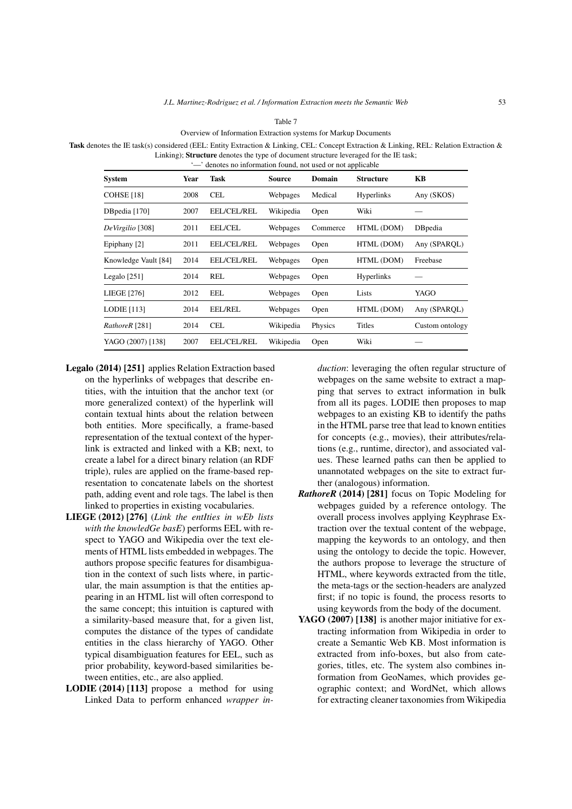#### Table 7

Overview of Information Extraction systems for Markup Documents

<span id="page-52-0"></span>Task denotes the IE task(s) considered (EEL: Entity Extraction & Linking, CEL: Concept Extraction & Linking, REL: Relation Extraction & Linking); Structure denotes the type of document structure leveraged for the IE task;

'—' denotes no information found, not used or not applicable

| <b>System</b>         | Year | Task               | <b>Source</b> | Domain   | <b>Structure</b>  | <b>KB</b>       |
|-----------------------|------|--------------------|---------------|----------|-------------------|-----------------|
| COHSE <sup>[18]</sup> | 2008 | <b>CEL</b>         | Webpages      | Medical  | <b>Hyperlinks</b> | Any (SKOS)      |
| DBpedia [170]         | 2007 | <b>EEL/CEL/REL</b> | Wikipedia     | Open     | Wiki              |                 |
| DeVirgilio [308]      | 2011 | <b>EEL/CEL</b>     | Webpages      | Commerce | HTML (DOM)        | DBpedia         |
| Epiphany [2]          | 2011 | <b>EEL/CEL/REL</b> | Webpages      | Open     | HTML (DOM)        | Any (SPARQL)    |
| Knowledge Vault [84]  | 2014 | <b>EEL/CEL/REL</b> | Webpages      | Open     | HTML (DOM)        | Freebase        |
| Legalo $[251]$        | 2014 | REL                | Webpages      | Open     | <b>Hyperlinks</b> |                 |
| LIEGE [276]           | 2012 | EEL                | Webpages      | Open     | Lists             | YAGO            |
| LODIE $[113]$         | 2014 | <b>EEL/REL</b>     | Webpages      | Open     | HTML (DOM)        | Any (SPARQL)    |
| RathoreR [281]        | 2014 | <b>CEL</b>         | Wikipedia     | Physics  | Titles            | Custom ontology |
| YAGO (2007) [138]     | 2007 | <b>EEL/CEL/REL</b> | Wikipedia     | Open     | Wiki              |                 |

- Legalo (2014) [\[251\]](#page-69-7) applies Relation Extraction based on the hyperlinks of webpages that describe entities, with the intuition that the anchor text (or more generalized context) of the hyperlink will contain textual hints about the relation between both entities. More specifically, a frame-based representation of the textual context of the hyperlink is extracted and linked with a KB; next, to create a label for a direct binary relation (an RDF triple), rules are applied on the frame-based representation to concatenate labels on the shortest path, adding event and role tags. The label is then linked to properties in existing vocabularies.
- LIEGE (2012) [\[276\]](#page-70-8) (*Link the entIties in wEb lists with the knowledGe basE*) performs EEL with respect to YAGO and Wikipedia over the text elements of HTML lists embedded in webpages. The authors propose specific features for disambiguation in the context of such lists where, in particular, the main assumption is that the entities appearing in an HTML list will often correspond to the same concept; this intuition is captured with a similarity-based measure that, for a given list, computes the distance of the types of candidate entities in the class hierarchy of YAGO. Other typical disambiguation features for EEL, such as prior probability, keyword-based similarities between entities, etc., are also applied.
- LODIE (2014) [\[113\]](#page-63-11) propose a method for using Linked Data to perform enhanced *wrapper in-*

*duction*: leveraging the often regular structure of webpages on the same website to extract a mapping that serves to extract information in bulk from all its pages. LODIE then proposes to map webpages to an existing KB to identify the paths in the HTML parse tree that lead to known entities for concepts (e.g., movies), their attributes/relations (e.g., runtime, director), and associated values. These learned paths can then be applied to unannotated webpages on the site to extract further (analogous) information.

- *RathoreR* (2014) [\[281\]](#page-70-9) focus on Topic Modeling for webpages guided by a reference ontology. The overall process involves applying Keyphrase Extraction over the textual content of the webpage, mapping the keywords to an ontology, and then using the ontology to decide the topic. However, the authors propose to leverage the structure of HTML, where keywords extracted from the title, the meta-tags or the section-headers are analyzed first; if no topic is found, the process resorts to using keywords from the body of the document.
- YAGO (2007) [\[138\]](#page-64-9) is another major initiative for extracting information from Wikipedia in order to create a Semantic Web KB. Most information is extracted from info-boxes, but also from categories, titles, etc. The system also combines information from GeoNames, which provides geographic context; and WordNet, which allows for extracting cleaner taxonomies from Wikipedia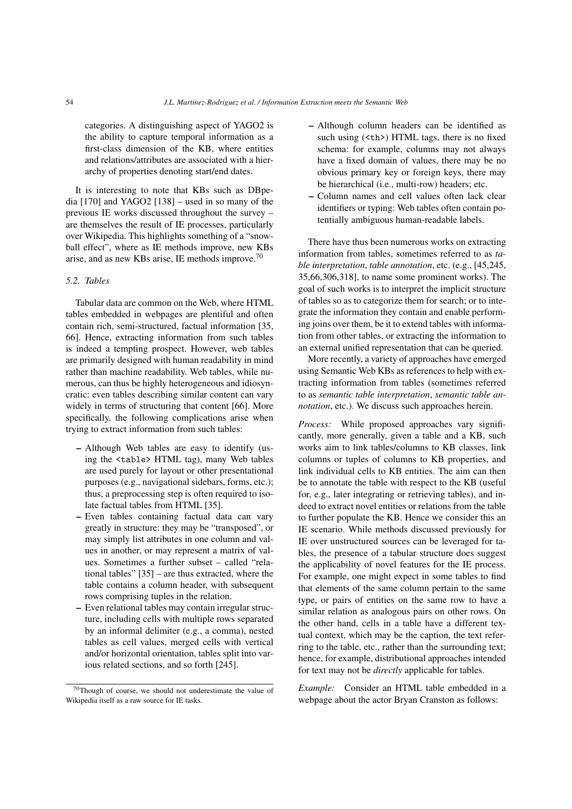categories. A distinguishing aspect of YAGO2 is the ability to capture temporal information as a first-class dimension of the KB, where entities and relations/attributes are associated with a hierarchy of properties denoting start/end dates.

It is interesting to note that KBs such as DBpedia [\[170\]](#page-65-8) and YAGO2 [\[138\]](#page-64-9) – used in so many of the previous IE works discussed throughout the survey – are themselves the result of IE processes, particularly over Wikipedia. This highlights something of a "snowball effect", where as IE methods improve, new KBs arise, and as new KBs arise, IE methods improve.[70](#page-53-0)

# *5.2. Tables*

Tabular data are common on the Web, where HTML tables embedded in webpages are plentiful and often contain rich, semi-structured, factual information [\[35,](#page-60-4) [66\]](#page-61-11). Hence, extracting information from such tables is indeed a tempting prospect. However, web tables are primarily designed with human readability in mind rather than machine readability. Web tables, while numerous, can thus be highly heterogeneous and idiosyncratic: even tables describing similar content can vary widely in terms of structuring that content [\[66\]](#page-61-11). More specifically, the following complications arise when trying to extract information from such tables:

- Although Web tables are easy to identify (using the <table> HTML tag), many Web tables are used purely for layout or other presentational purposes (e.g., navigational sidebars, forms, etc.); thus, a preprocessing step is often required to isolate factual tables from HTML [\[35\]](#page-60-4).
- Even tables containing factual data can vary greatly in structure: they may be "transposed", or may simply list attributes in one column and values in another, or may represent a matrix of values. Sometimes a further subset – called "relational tables" [\[35\]](#page-60-4) – are thus extracted, where the table contains a column header, with subsequent rows comprising tuples in the relation.
- Even relational tables may contain irregular structure, including cells with multiple rows separated by an informal delimiter (e.g., a comma), nested tables as cell values, merged cells with vertical and/or horizontal orientation, tables split into various related sections, and so forth [\[245\]](#page-68-4).
- Although column headers can be identified as such using (<th>) HTML tags, there is no fixed schema: for example, columns may not always have a fixed domain of values, there may be no obvious primary key or foreign keys, there may be hierarchical (i.e., multi-row) headers; etc.
- Column names and cell values often lack clear identifiers or typing: Web tables often contain potentially ambiguous human-readable labels.

There have thus been numerous works on extracting information from tables, sometimes referred to as *table interpretation*, *table annotation*, etc. (e.g., [\[45](#page-60-5)[,245,](#page-68-4) [35,](#page-60-4)[66,](#page-61-11)[306,](#page-71-8)[318\]](#page-71-9), to name some prominent works). The goal of such works is to interpret the implicit structure of tables so as to categorize them for search; or to integrate the information they contain and enable performing joins over them, be it to extend tables with information from other tables, or extracting the information to an external unified representation that can be queried.

More recently, a variety of approaches have emerged using Semantic Web KBs as references to help with extracting information from tables (sometimes referred to as *semantic table interpretation*, *semantic table annotation*, etc.). We discuss such approaches herein.

*Process:* While proposed approaches vary significantly, more generally, given a table and a KB, such works aim to link tables/columns to KB classes, link columns or tuples of columns to KB properties, and link individual cells to KB entities. The aim can then be to annotate the table with respect to the KB (useful for, e.g., later integrating or retrieving tables), and indeed to extract novel entities or relations from the table to further populate the KB. Hence we consider this an IE scenario. While methods discussed previously for IE over unstructured sources can be leveraged for tables, the presence of a tabular structure does suggest the applicability of novel features for the IE process. For example, one might expect in some tables to find that elements of the same column pertain to the same type, or pairs of entities on the same row to have a similar relation as analogous pairs on other rows. On the other hand, cells in a table have a different textual context, which may be the caption, the text referring to the table, etc., rather than the surrounding text; hence, for example, distributional approaches intended for text may not be *directly* applicable for tables.

*Example:* Consider an HTML table embedded in a webpage about the actor Bryan Cranston as follows:

<span id="page-53-0"></span><sup>70</sup>Though of course, we should not underestimate the value of Wikipedia itself as a raw source for IE tasks.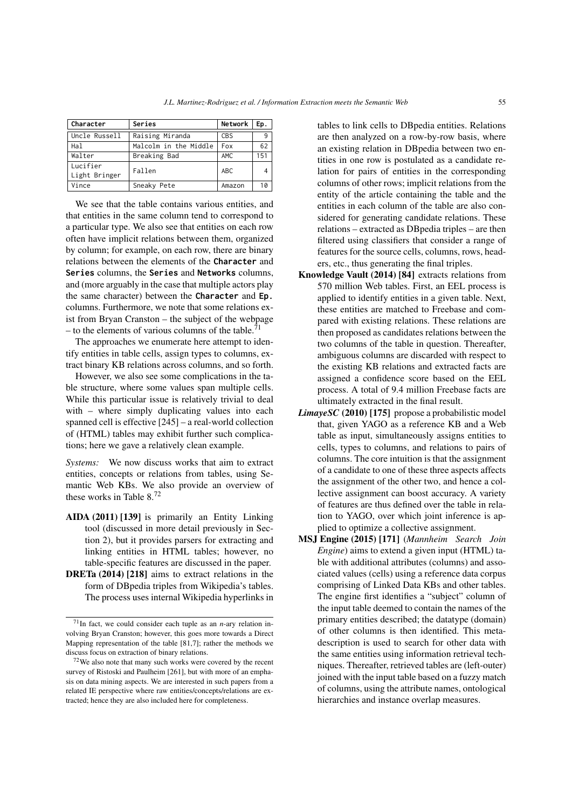| Character                 | Series                | Network    | Ep. |
|---------------------------|-----------------------|------------|-----|
| Uncle Russell             | Raising Miranda       | CBS        | q   |
| Hal                       | Malcolm in the Middle | Fox        | 62  |
| Walter                    | Breaking Bad          | AMC        | 151 |
| Lucifier<br>Light Bringer | Fallen                | <b>ABC</b> | 4   |
| Vince                     | Sneaky Pete           | Amazon     | 10  |

We see that the table contains various entities, and that entities in the same column tend to correspond to a particular type. We also see that entities on each row often have implicit relations between them, organized by column; for example, on each row, there are binary relations between the elements of the **Character** and **Series** columns, the **Series** and **Networks** columns, and (more arguably in the case that multiple actors play the same character) between the **Character** and **Ep.** columns. Furthermore, we note that some relations exist from Bryan Cranston – the subject of the webpage – to the elements of various columns of the table.<sup>[71](#page-54-0)</sup>

The approaches we enumerate here attempt to identify entities in table cells, assign types to columns, extract binary KB relations across columns, and so forth.

However, we also see some complications in the table structure, where some values span multiple cells. While this particular issue is relatively trivial to deal with – where simply duplicating values into each spanned cell is effective [\[245\]](#page-68-4) – a real-world collection of (HTML) tables may exhibit further such complications; here we gave a relatively clean example.

*Systems:* We now discuss works that aim to extract entities, concepts or relations from tables, using Semantic Web KBs. We also provide an overview of these works in Table [8.](#page-55-0) [72](#page-54-1)

- AIDA (2011) [\[139\]](#page-64-12) is primarily an Entity Linking tool (discussed in more detail previously in Section [2\)](#page-5-0), but it provides parsers for extracting and linking entities in HTML tables; however, no table-specific features are discussed in the paper.
- DRETa (2014) [\[218\]](#page-67-10) aims to extract relations in the form of DBpedia triples from Wikipedia's tables. The process uses internal Wikipedia hyperlinks in

tables to link cells to DBpedia entities. Relations are then analyzed on a row-by-row basis, where an existing relation in DBpedia between two entities in one row is postulated as a candidate relation for pairs of entities in the corresponding columns of other rows; implicit relations from the entity of the article containing the table and the entities in each column of the table are also considered for generating candidate relations. These relations – extracted as DBpedia triples – are then filtered using classifiers that consider a range of features for the source cells, columns, rows, headers, etc., thus generating the final triples.

- Knowledge Vault (2014) [\[84\]](#page-62-6) extracts relations from 570 million Web tables. First, an EEL process is applied to identify entities in a given table. Next, these entities are matched to Freebase and compared with existing relations. These relations are then proposed as candidates relations between the two columns of the table in question. Thereafter, ambiguous columns are discarded with respect to the existing KB relations and extracted facts are assigned a confidence score based on the EEL process. A total of 9.4 million Freebase facts are ultimately extracted in the final result.
- *LimayeSC* (2010) [\[175\]](#page-65-10) propose a probabilistic model that, given YAGO as a reference KB and a Web table as input, simultaneously assigns entities to cells, types to columns, and relations to pairs of columns. The core intuition is that the assignment of a candidate to one of these three aspects affects the assignment of the other two, and hence a collective assignment can boost accuracy. A variety of features are thus defined over the table in relation to YAGO, over which joint inference is applied to optimize a collective assignment.
- MSJ Engine (2015) [\[171\]](#page-65-11) (*Mannheim Search Join Engine*) aims to extend a given input (HTML) table with additional attributes (columns) and associated values (cells) using a reference data corpus comprising of Linked Data KBs and other tables. The engine first identifies a "subject" column of the input table deemed to contain the names of the primary entities described; the datatype (domain) of other columns is then identified. This metadescription is used to search for other data with the same entities using information retrieval techniques. Thereafter, retrieved tables are (left-outer) joined with the input table based on a fuzzy match of columns, using the attribute names, ontological hierarchies and instance overlap measures.

<span id="page-54-0"></span><sup>71</sup>In fact, we could consider each tuple as an *n*-ary relation involving Bryan Cranston; however, this goes more towards a Direct Mapping representation of the table [\[81](#page-62-8)[,7\]](#page-59-10); rather the methods we discuss focus on extraction of binary relations.

<span id="page-54-1"></span><sup>72</sup>We also note that many such works were covered by the recent survey of Ristoski and Paulheim [\[261\]](#page-69-9), but with more of an emphasis on data mining aspects. We are interested in such papers from a related IE perspective where raw entities/concepts/relations are extracted; hence they are also included here for completeness.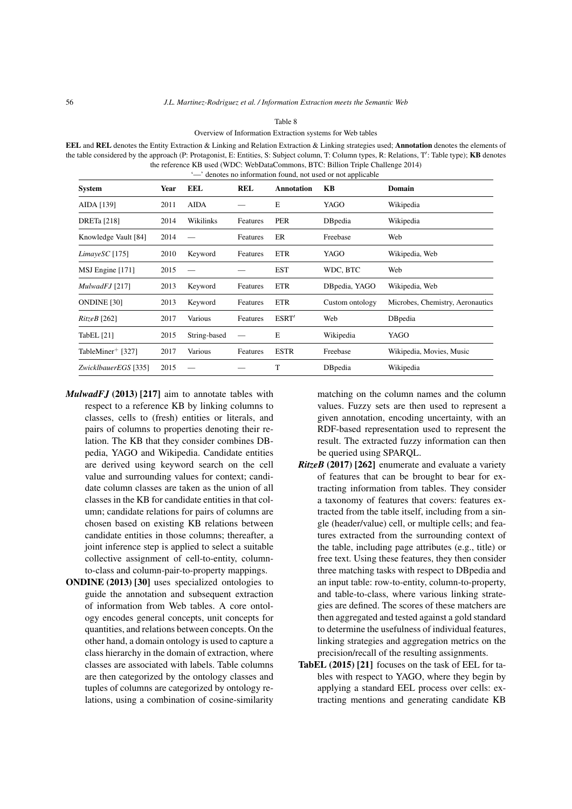#### Table 8

Overview of Information Extraction systems for Web tables

<span id="page-55-0"></span>EEL and REL denotes the Entity Extraction & Linking and Relation Extraction & Linking strategies used; Annotation denotes the elements of the table considered by the approach (P: Protagonist, E: Entities, S: Subject column, T: Column types, R: Relations, T': Table type); KB denotes the reference KB used (WDC: WebDataCommons, BTC: Billion Triple Challenge 2014)

|      | "- denotes no information found, not used or not applicable" |          |                   |                 |                                  |  |  |  |
|------|--------------------------------------------------------------|----------|-------------------|-----------------|----------------------------------|--|--|--|
| Year | EEL                                                          | REL      | <b>Annotation</b> | KB              | Domain                           |  |  |  |
| 2011 | AIDA                                                         |          | Е                 | YAGO            | Wikipedia                        |  |  |  |
| 2014 | Wikilinks                                                    | Features | <b>PER</b>        | <b>D</b> Bpedia | Wikipedia                        |  |  |  |
| 2014 |                                                              | Features | ER                | Freebase        | Web                              |  |  |  |
| 2010 | Keyword                                                      | Features | <b>ETR</b>        | YAGO            | Wikipedia, Web                   |  |  |  |
| 2015 |                                                              |          | <b>EST</b>        | WDC, BTC        | Web                              |  |  |  |
| 2013 | Keyword                                                      | Features | <b>ETR</b>        | DBpedia, YAGO   | Wikipedia, Web                   |  |  |  |
| 2013 | Keyword                                                      | Features | <b>ETR</b>        | Custom ontology | Microbes, Chemistry, Aeronautics |  |  |  |
| 2017 | Various                                                      | Features | ESRT'             | Web             | DBpedia                          |  |  |  |
| 2015 | String-based                                                 |          | Е                 | Wikipedia       | YAGO                             |  |  |  |
| 2017 | Various                                                      | Features | <b>ESTR</b>       | Freebase        | Wikipedia, Movies, Music         |  |  |  |
| 2015 |                                                              |          | T                 | DBpedia         | Wikipedia                        |  |  |  |
|      |                                                              |          |                   |                 |                                  |  |  |  |

- *MulwadFJ* (2013) [\[217\]](#page-67-11) aim to annotate tables with respect to a reference KB by linking columns to classes, cells to (fresh) entities or literals, and pairs of columns to properties denoting their relation. The KB that they consider combines DBpedia, YAGO and Wikipedia. Candidate entities are derived using keyword search on the cell value and surrounding values for context; candidate column classes are taken as the union of all classes in the KB for candidate entities in that column; candidate relations for pairs of columns are chosen based on existing KB relations between candidate entities in those columns; thereafter, a joint inference step is applied to select a suitable collective assignment of cell-to-entity, columnto-class and column-pair-to-property mappings.
- ONDINE (2013) [\[30\]](#page-60-6) uses specialized ontologies to guide the annotation and subsequent extraction of information from Web tables. A core ontology encodes general concepts, unit concepts for quantities, and relations between concepts. On the other hand, a domain ontology is used to capture a class hierarchy in the domain of extraction, where classes are associated with labels. Table columns are then categorized by the ontology classes and tuples of columns are categorized by ontology relations, using a combination of cosine-similarity

matching on the column names and the column values. Fuzzy sets are then used to represent a given annotation, encoding uncertainty, with an RDF-based representation used to represent the result. The extracted fuzzy information can then be queried using SPARQL.

- *RitzeB* (2017) [\[262\]](#page-69-10) enumerate and evaluate a variety of features that can be brought to bear for extracting information from tables. They consider a taxonomy of features that covers: features extracted from the table itself, including from a single (header/value) cell, or multiple cells; and features extracted from the surrounding context of the table, including page attributes (e.g., title) or free text. Using these features, they then consider three matching tasks with respect to DBpedia and an input table: row-to-entity, column-to-property, and table-to-class, where various linking strategies are defined. The scores of these matchers are then aggregated and tested against a gold standard to determine the usefulness of individual features, linking strategies and aggregation metrics on the precision/recall of the resulting assignments.
- TabEL (2015) [\[21\]](#page-59-11) focuses on the task of EEL for tables with respect to YAGO, where they begin by applying a standard EEL process over cells: extracting mentions and generating candidate KB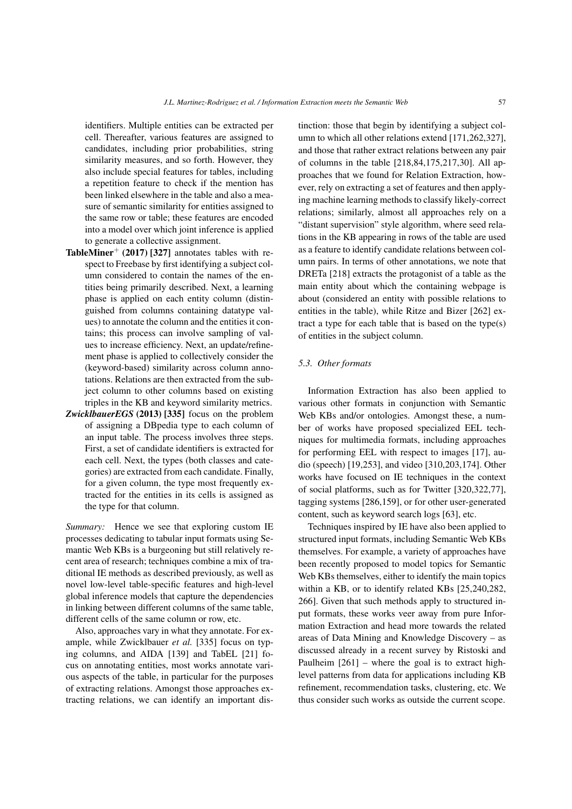identifiers. Multiple entities can be extracted per cell. Thereafter, various features are assigned to candidates, including prior probabilities, string similarity measures, and so forth. However, they also include special features for tables, including a repetition feature to check if the mention has been linked elsewhere in the table and also a measure of semantic similarity for entities assigned to the same row or table; these features are encoded into a model over which joint inference is applied to generate a collective assignment.

- **TableMiner**<sup>+</sup> (2017) [\[327\]](#page-72-3) annotates tables with respect to Freebase by first identifying a subject column considered to contain the names of the entities being primarily described. Next, a learning phase is applied on each entity column (distinguished from columns containing datatype values) to annotate the column and the entities it contains; this process can involve sampling of values to increase efficiency. Next, an update/refinement phase is applied to collectively consider the (keyword-based) similarity across column annotations. Relations are then extracted from the subject column to other columns based on existing triples in the KB and keyword similarity metrics.
- *ZwicklbauerEGS* (2013) [\[335\]](#page-72-4) focus on the problem of assigning a DBpedia type to each column of an input table. The process involves three steps. First, a set of candidate identifiers is extracted for each cell. Next, the types (both classes and categories) are extracted from each candidate. Finally, for a given column, the type most frequently extracted for the entities in its cells is assigned as the type for that column.

*Summary:* Hence we see that exploring custom IE processes dedicating to tabular input formats using Semantic Web KBs is a burgeoning but still relatively recent area of research; techniques combine a mix of traditional IE methods as described previously, as well as novel low-level table-specific features and high-level global inference models that capture the dependencies in linking between different columns of the same table, different cells of the same column or row, etc.

Also, approaches vary in what they annotate. For example, while Zwicklbauer *et al.* [\[335\]](#page-72-4) focus on typing columns, and AIDA [\[139\]](#page-64-12) and TabEL [\[21\]](#page-59-11) focus on annotating entities, most works annotate various aspects of the table, in particular for the purposes of extracting relations. Amongst those approaches extracting relations, we can identify an important distinction: those that begin by identifying a subject column to which all other relations extend [\[171](#page-65-11)[,262](#page-69-10)[,327\]](#page-72-3), and those that rather extract relations between any pair of columns in the table [\[218,](#page-67-10)[84,](#page-62-6)[175,](#page-65-10)[217](#page-67-11)[,30\]](#page-60-6). All approaches that we found for Relation Extraction, however, rely on extracting a set of features and then applying machine learning methods to classify likely-correct relations; similarly, almost all approaches rely on a "distant supervision" style algorithm, where seed relations in the KB appearing in rows of the table are used as a feature to identify candidate relations between column pairs. In terms of other annotations, we note that DRETa [\[218\]](#page-67-10) extracts the protagonist of a table as the main entity about which the containing webpage is about (considered an entity with possible relations to entities in the table), while Ritze and Bizer [\[262\]](#page-69-10) extract a type for each table that is based on the type(s) of entities in the subject column.

## *5.3. Other formats*

Information Extraction has also been applied to various other formats in conjunction with Semantic Web KBs and/or ontologies. Amongst these, a number of works have proposed specialized EEL techniques for multimedia formats, including approaches for performing EEL with respect to images [\[17\]](#page-59-12), audio (speech) [\[19](#page-59-13)[,253\]](#page-69-11), and video [\[310](#page-71-10)[,203](#page-67-12)[,174\]](#page-65-12). Other works have focused on IE techniques in the context of social platforms, such as for Twitter [\[320](#page-71-11)[,322](#page-72-5)[,77\]](#page-62-9), tagging systems [\[286,](#page-70-10)[159\]](#page-65-13), or for other user-generated content, such as keyword search logs [\[63\]](#page-61-12), etc.

Techniques inspired by IE have also been applied to structured input formats, including Semantic Web KBs themselves. For example, a variety of approaches have been recently proposed to model topics for Semantic Web KBs themselves, either to identify the main topics within a KB, or to identify related KBs [\[25,](#page-59-14)[240,](#page-68-5)[282,](#page-70-11) [266\]](#page-69-12). Given that such methods apply to structured input formats, these works veer away from pure Information Extraction and head more towards the related areas of Data Mining and Knowledge Discovery – as discussed already in a recent survey by Ristoski and Paulheim  $[261]$  – where the goal is to extract highlevel patterns from data for applications including KB refinement, recommendation tasks, clustering, etc. We thus consider such works as outside the current scope.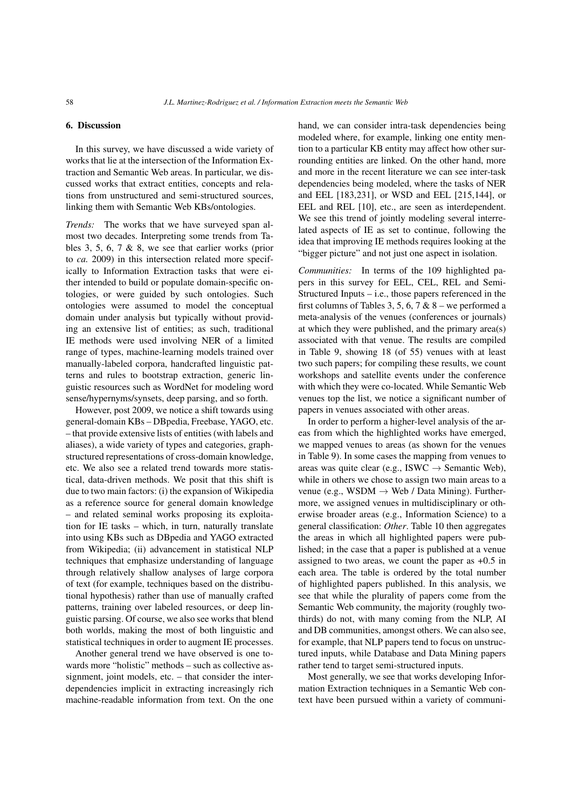#### 6. Discussion

In this survey, we have discussed a wide variety of works that lie at the intersection of the Information Extraction and Semantic Web areas. In particular, we discussed works that extract entities, concepts and relations from unstructured and semi-structured sources, linking them with Semantic Web KBs/ontologies.

*Trends:* The works that we have surveyed span almost two decades. Interpreting some trends from Tables [3,](#page-20-0) [5,](#page-34-0) [6,](#page-46-0) [7](#page-52-0) & [8,](#page-55-0) we see that earlier works (prior to *ca.* 2009) in this intersection related more specifically to Information Extraction tasks that were either intended to build or populate domain-specific ontologies, or were guided by such ontologies. Such ontologies were assumed to model the conceptual domain under analysis but typically without providing an extensive list of entities; as such, traditional IE methods were used involving NER of a limited range of types, machine-learning models trained over manually-labeled corpora, handcrafted linguistic patterns and rules to bootstrap extraction, generic linguistic resources such as WordNet for modeling word sense/hypernyms/synsets, deep parsing, and so forth.

However, post 2009, we notice a shift towards using general-domain KBs – DBpedia, Freebase, YAGO, etc. – that provide extensive lists of entities (with labels and aliases), a wide variety of types and categories, graphstructured representations of cross-domain knowledge, etc. We also see a related trend towards more statistical, data-driven methods. We posit that this shift is due to two main factors: (i) the expansion of Wikipedia as a reference source for general domain knowledge – and related seminal works proposing its exploitation for IE tasks – which, in turn, naturally translate into using KBs such as DBpedia and YAGO extracted from Wikipedia; (ii) advancement in statistical NLP techniques that emphasize understanding of language through relatively shallow analyses of large corpora of text (for example, techniques based on the distributional hypothesis) rather than use of manually crafted patterns, training over labeled resources, or deep linguistic parsing. Of course, we also see works that blend both worlds, making the most of both linguistic and statistical techniques in order to augment IE processes.

Another general trend we have observed is one towards more "holistic" methods – such as collective assignment, joint models, etc. – that consider the interdependencies implicit in extracting increasingly rich machine-readable information from text. On the one hand, we can consider intra-task dependencies being modeled where, for example, linking one entity mention to a particular KB entity may affect how other surrounding entities are linked. On the other hand, more and more in the recent literature we can see inter-task dependencies being modeled, where the tasks of NER and EEL [\[183,](#page-66-9)[231\]](#page-68-6), or WSD and EEL [\[215,](#page-67-13)[144\]](#page-64-13), or EEL and REL [\[10\]](#page-59-3), etc., are seen as interdependent. We see this trend of jointly modeling several interrelated aspects of IE as set to continue, following the idea that improving IE methods requires looking at the "bigger picture" and not just one aspect in isolation.

*Communities:* In terms of the 109 highlighted papers in this survey for EEL, CEL, REL and Semi-Structured Inputs – i.e., those papers referenced in the first columns of Tables [3,](#page-20-0) [5,](#page-34-0) [6,](#page-46-0) [7](#page-52-0) & [8](#page-55-0) – we performed a meta-analysis of the venues (conferences or journals) at which they were published, and the primary area(s) associated with that venue. The results are compiled in Table [9,](#page-58-1) showing 18 (of 55) venues with at least two such papers; for compiling these results, we count workshops and satellite events under the conference with which they were co-located. While Semantic Web venues top the list, we notice a significant number of papers in venues associated with other areas.

In order to perform a higher-level analysis of the areas from which the highlighted works have emerged, we mapped venues to areas (as shown for the venues in Table [9\)](#page-58-1). In some cases the mapping from venues to areas was quite clear (e.g., ISWC  $\rightarrow$  Semantic Web), while in others we chose to assign two main areas to a venue (e.g., WSDM  $\rightarrow$  Web / Data Mining). Furthermore, we assigned venues in multidisciplinary or otherwise broader areas (e.g., Information Science) to a general classification: *Other*. Table [10](#page-58-2) then aggregates the areas in which all highlighted papers were published; in the case that a paper is published at a venue assigned to two areas, we count the paper as +0.5 in each area. The table is ordered by the total number of highlighted papers published. In this analysis, we see that while the plurality of papers come from the Semantic Web community, the majority (roughly twothirds) do not, with many coming from the NLP, AI and DB communities, amongst others. We can also see, for example, that NLP papers tend to focus on unstructured inputs, while Database and Data Mining papers rather tend to target semi-structured inputs.

Most generally, we see that works developing Information Extraction techniques in a Semantic Web context have been pursued within a variety of communi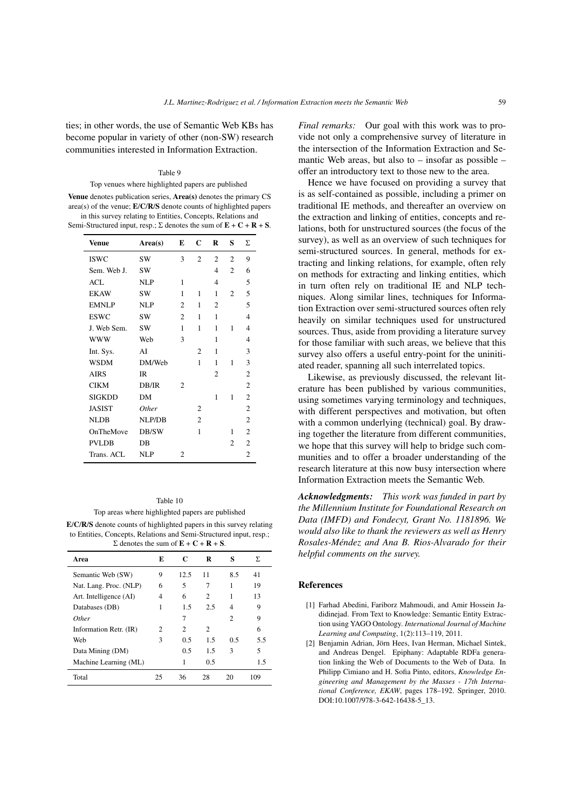ties; in other words, the use of Semantic Web KBs has become popular in variety of other (non-SW) research communities interested in Information Extraction.

<span id="page-58-1"></span>Table 9 Top venues where highlighted papers are published

| <b>Venue</b> denotes publication series, <b>Area</b> (s) denotes the primary CS                                 |
|-----------------------------------------------------------------------------------------------------------------|
| $area(s)$ of the venue; $E/C/R/S$ denote counts of highlighted papers                                           |
| in this survey relating to Entities, Concepts, Relations and                                                    |
| Semi-Structured input, resp.; $\Sigma$ denotes the sum of $\mathbf{E} + \mathbf{C} + \mathbf{R} + \mathbf{S}$ . |
|                                                                                                                 |

| <b>Venue</b>  | Area(s)    | E              | C              | R              | S              | Σ              |
|---------------|------------|----------------|----------------|----------------|----------------|----------------|
| <b>ISWC</b>   | SW         | 3              | $\overline{2}$ | $\overline{2}$ | $\overline{c}$ | 9              |
| Sem. Web J.   | SW         |                |                | $\overline{4}$ | $\overline{2}$ | 6              |
| ACL           | <b>NLP</b> | 1              |                | 4              |                | 5              |
| <b>EKAW</b>   | SW         | 1              | 1              | 1              | 2              | 5              |
| <b>EMNLP</b>  | <b>NLP</b> | $\overline{c}$ | 1              | $\overline{2}$ |                | 5              |
| <b>ESWC</b>   | SW         | $\overline{2}$ | 1              | 1              |                | $\overline{4}$ |
| J. Web Sem.   | SW         | 1              | 1              | 1              | 1              | $\overline{4}$ |
| <b>WWW</b>    | Web        | 3              |                | 1              |                | $\overline{4}$ |
| Int. Sys.     | AI         |                | $\overline{c}$ | 1              |                | 3              |
| <b>WSDM</b>   | DM/Web     |                | 1              | 1              | 1              | 3              |
| <b>AIRS</b>   | <b>IR</b>  |                |                | $\overline{2}$ |                | $\overline{2}$ |
| <b>CIKM</b>   | DB/IR      | $\overline{c}$ |                |                |                | $\overline{2}$ |
| <b>SIGKDD</b> | DΜ         |                |                | 1              | 1              | $\overline{c}$ |
| <b>JASIST</b> | Other      |                | $\overline{c}$ |                |                | $\overline{2}$ |
| <b>NLDB</b>   | NLP/DB     |                | $\overline{2}$ |                |                | $\overline{2}$ |
| OnTheMove     | DB/SW      |                | $\mathbf{1}$   |                | 1              | $\overline{2}$ |
| <b>PVLDB</b>  | DB         |                |                |                | $\overline{c}$ | $\overline{2}$ |
| Trans. ACL    | NLP        | 2              |                |                |                | $\overline{2}$ |

### Table 10 Top areas where highlighted papers are published

<span id="page-58-2"></span>E/C/R/S denote counts of highlighted papers in this survey relating to Entities, Concepts, Relations and Semi-Structured input, resp.;  $\Sigma$  denotes the sum of  $E + C + R + S$ .

| Area                   | E  | C    | R   | s                        | Σ   |
|------------------------|----|------|-----|--------------------------|-----|
| Semantic Web (SW)      | 9  | 12.5 | 11  | 8.5                      | 41  |
| Nat. Lang. Proc. (NLP) | 6  | 5    | 7   | 1                        | 19  |
| Art. Intelligence (AI) | 4  | 6    | 2   | 1                        | 13  |
| Databases (DB)         |    | 1.5  | 2.5 | $\overline{\mathcal{A}}$ | 9   |
| <i>Other</i>           |    | 7    |     | $\mathfrak{D}$           | 9   |
| Information Retr. (IR) | 2  | 2    | 2   |                          | 6   |
| Web                    | 3  | 0.5  | 1.5 | 0.5                      | 5.5 |
| Data Mining (DM)       |    | 0.5  | 1.5 | 3                        | 5   |
| Machine Learning (ML)  |    | 1    | 0.5 |                          | 1.5 |
| Total                  | 25 | 36   | 28  | 20                       | 109 |

offer an introductory text to those new to the area. Hence we have focused on providing a survey that is as self-contained as possible, including a primer on traditional IE methods, and thereafter an overview on the extraction and linking of entities, concepts and relations, both for unstructured sources (the focus of the survey), as well as an overview of such techniques for semi-structured sources. In general, methods for extracting and linking relations, for example, often rely on methods for extracting and linking entities, which in turn often rely on traditional IE and NLP techniques. Along similar lines, techniques for Information Extraction over semi-structured sources often rely heavily on similar techniques used for unstructured sources. Thus, aside from providing a literature survey for those familiar with such areas, we believe that this survey also offers a useful entry-point for the uninitiated reader, spanning all such interrelated topics.

mantic Web areas, but also to – insofar as possible –

Likewise, as previously discussed, the relevant literature has been published by various communities, using sometimes varying terminology and techniques, with different perspectives and motivation, but often with a common underlying (technical) goal. By drawing together the literature from different communities, we hope that this survey will help to bridge such communities and to offer a broader understanding of the research literature at this now busy intersection where Information Extraction meets the Semantic Web.

*Acknowledgments: This work was funded in part by the Millennium Institute for Foundational Research on Data (IMFD) and Fondecyt, Grant No. 1181896. We would also like to thank the reviewers as well as Henry Rosales-Méndez and Ana B. Rios-Alvarado for their helpful comments on the survey.*

## References

- [1] Farhad Abedini, Fariborz Mahmoudi, and Amir Hossein Jadidinejad. From Text to Knowledge: Semantic Entity Extraction using YAGO Ontology. *International Journal of Machine Learning and Computing*, 1(2):113–119, 2011.
- <span id="page-58-0"></span>[2] Benjamin Adrian, Jörn Hees, Ivan Herman, Michael Sintek, and Andreas Dengel. Epiphany: Adaptable RDFa generation linking the Web of Documents to the Web of Data. In Philipp Cimiano and H. Sofia Pinto, editors, *Knowledge Engineering and Management by the Masses - 17th International Conference, EKAW*, pages 178–192. Springer, 2010. DOI:10.1007/978-3-642-16438-5\_13.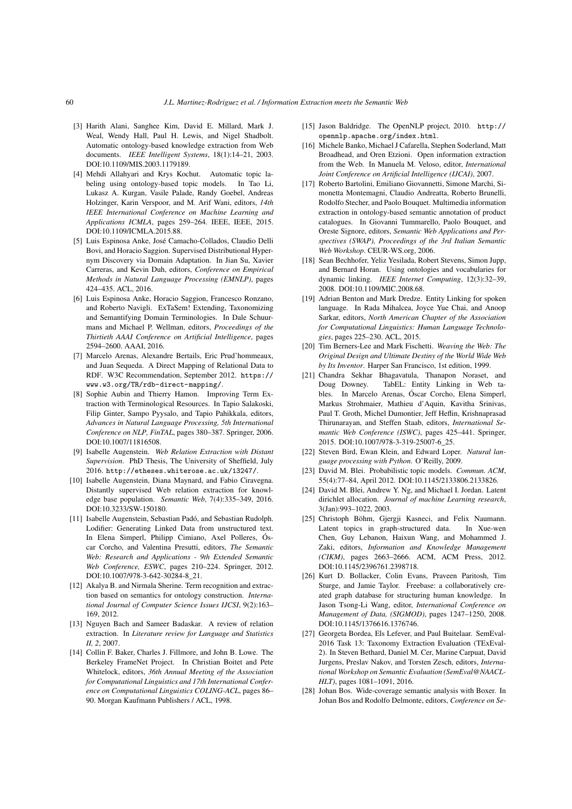- <span id="page-59-8"></span>[3] Harith Alani, Sanghee Kim, David E. Millard, Mark J. Weal, Wendy Hall, Paul H. Lewis, and Nigel Shadbolt. Automatic ontology-based knowledge extraction from Web documents. *IEEE Intelligent Systems*, 18(1):14–21, 2003. DOI:10.1109/MIS.2003.1179189.
- <span id="page-59-1"></span>[4] Mehdi Allahyari and Krys Kochut. Automatic topic labeling using ontology-based topic models. In Tao Li, Lukasz A. Kurgan, Vasile Palade, Randy Goebel, Andreas Holzinger, Karin Verspoor, and M. Arif Wani, editors, *14th IEEE International Conference on Machine Learning and Applications ICMLA*, pages 259–264. IEEE, IEEE, 2015. DOI:10.1109/ICMLA.2015.88.
- [5] Luis Espinosa Anke, José Camacho-Collados, Claudio Delli Bovi, and Horacio Saggion. Supervised Distributional Hypernym Discovery via Domain Adaptation. In Jian Su, Xavier Carreras, and Kevin Duh, editors, *Conference on Empirical Methods in Natural Language Processing (EMNLP)*, pages 424–435. ACL, 2016.
- [6] Luis Espinosa Anke, Horacio Saggion, Francesco Ronzano, and Roberto Navigli. ExTaSem! Extending, Taxonomizing and Semantifying Domain Terminologies. In Dale Schuurmans and Michael P. Wellman, editors, *Proceedings of the Thirtieth AAAI Conference on Artificial Intelligence*, pages 2594–2600. AAAI, 2016.
- <span id="page-59-10"></span>[7] Marcelo Arenas, Alexandre Bertails, Eric Prud'hommeaux, and Juan Sequeda. A Direct Mapping of Relational Data to RDF. W3C Recommendation, September 2012. [https://](https://www.w3.org/TR/rdb-direct-mapping/) [www.w3.org/TR/rdb-direct-mapping/](https://www.w3.org/TR/rdb-direct-mapping/).
- [8] Sophie Aubin and Thierry Hamon. Improving Term Extraction with Terminological Resources. In Tapio Salakoski, Filip Ginter, Sampo Pyysalo, and Tapio Pahikkala, editors, *Advances in Natural Language Processing, 5th International Conference on NLP, FinTAL*, pages 380–387. Springer, 2006. DOI:10.1007/11816508.
- <span id="page-59-7"></span>[9] Isabelle Augenstein. *Web Relation Extraction with Distant Supervision*. PhD Thesis, The University of Sheffield, July 2016. <http://etheses.whiterose.ac.uk/13247/>.
- <span id="page-59-3"></span>[10] Isabelle Augenstein, Diana Maynard, and Fabio Ciravegna. Distantly supervised Web relation extraction for knowledge base population. *Semantic Web*, 7(4):335–349, 2016. DOI:10.3233/SW-150180.
- <span id="page-59-2"></span>[11] Isabelle Augenstein, Sebastian Padó, and Sebastian Rudolph. Lodifier: Generating Linked Data from unstructured text. In Elena Simperl, Philipp Cimiano, Axel Polleres, Óscar Corcho, and Valentina Presutti, editors, *The Semantic Web: Research and Applications - 9th Extended Semantic Web Conference, ESWC*, pages 210–224. Springer, 2012. DOI:10.1007/978-3-642-30284-8\_21.
- [12] Akalya B. and Nirmala Sherine. Term recognition and extraction based on semantics for ontology construction. *International Journal of Computer Science Issues IJCSI*, 9(2):163– 169, 2012.
- [13] Nguyen Bach and Sameer Badaskar. A review of relation extraction. In *Literature review for Language and Statistics II, 2*, 2007.
- <span id="page-59-5"></span>[14] Collin F. Baker, Charles J. Fillmore, and John B. Lowe. The Berkeley FrameNet Project. In Christian Boitet and Pete Whitelock, editors, *36th Annual Meeting of the Association for Computational Linguistics and 17th International Conference on Computational Linguistics COLING-ACL*, pages 86– 90. Morgan Kaufmann Publishers / ACL, 1998.
- [15] Jason Baldridge. The OpenNLP project, 2010. [http://](http://opennlp.apache.org/index.html) [opennlp.apache.org/index.html](http://opennlp.apache.org/index.html).
- <span id="page-59-4"></span>[16] Michele Banko, Michael J Cafarella, Stephen Soderland, Matt Broadhead, and Oren Etzioni. Open information extraction from the Web. In Manuela M. Veloso, editor, *International Joint Conference on Artificial Intelligence (IJCAI)*, 2007.
- <span id="page-59-12"></span>[17] Roberto Bartolini, Emiliano Giovannetti, Simone Marchi, Simonetta Montemagni, Claudio Andreatta, Roberto Brunelli, Rodolfo Stecher, and Paolo Bouquet. Multimedia information extraction in ontology-based semantic annotation of product catalogues. In Giovanni Tummarello, Paolo Bouquet, and Oreste Signore, editors, *Semantic Web Applications and Perspectives (SWAP), Proceedings of the 3rd Italian Semantic Web Workshop*. CEUR-WS.org, 2006.
- <span id="page-59-9"></span>[18] Sean Bechhofer, Yeliz Yesilada, Robert Stevens, Simon Jupp, and Bernard Horan. Using ontologies and vocabularies for dynamic linking. *IEEE Internet Computing*, 12(3):32–39, 2008. DOI:10.1109/MIC.2008.68.
- <span id="page-59-13"></span>[19] Adrian Benton and Mark Dredze. Entity Linking for spoken language. In Rada Mihalcea, Joyce Yue Chai, and Anoop Sarkar, editors, *North American Chapter of the Association for Computational Linguistics: Human Language Technologies*, pages 225–230. ACL, 2015.
- [20] Tim Berners-Lee and Mark Fischetti. *Weaving the Web: The Original Design and Ultimate Destiny of the World Wide Web by Its Inventor*. Harper San Francisco, 1st edition, 1999.
- <span id="page-59-11"></span>[21] Chandra Sekhar Bhagavatula, Thanapon Noraset, and Doug Downey. TabEL: Entity Linking in Web tables. In Marcelo Arenas, Óscar Corcho, Elena Simperl, Markus Strohmaier, Mathieu d'Aquin, Kavitha Srinivas, Paul T. Groth, Michel Dumontier, Jeff Heflin, Krishnaprasad Thirunarayan, and Steffen Staab, editors, *International Semantic Web Conference (ISWC)*, pages 425–441. Springer, 2015. DOI:10.1007/978-3-319-25007-6\_25.
- [22] Steven Bird, Ewan Klein, and Edward Loper. *Natural language processing with Python*. O'Reilly, 2009.
- [23] David M. Blei. Probabilistic topic models. *Commun. ACM*, 55(4):77–84, April 2012. DOI:10.1145/2133806.2133826.
- [24] David M. Blei, Andrew Y. Ng, and Michael I. Jordan. Latent dirichlet allocation. *Journal of machine Learning research*, 3(Jan):993–1022, 2003.
- <span id="page-59-14"></span>[25] Christoph Böhm, Gjergji Kasneci, and Felix Naumann. Latent topics in graph-structured data. In Xue-wen Chen, Guy Lebanon, Haixun Wang, and Mohammed J. Zaki, editors, *Information and Knowledge Management (CIKM)*, pages 2663–2666. ACM, ACM Press, 2012. DOI:10.1145/2396761.2398718.
- [26] Kurt D. Bollacker, Colin Evans, Praveen Paritosh, Tim Sturge, and Jamie Taylor. Freebase: a collaboratively created graph database for structuring human knowledge. In Jason Tsong-Li Wang, editor, *International Conference on Management of Data, (SIGMOD)*, pages 1247–1250, 2008. DOI:10.1145/1376616.1376746.
- <span id="page-59-0"></span>[27] Georgeta Bordea, Els Lefever, and Paul Buitelaar. SemEval-2016 Task 13: Taxonomy Extraction Evaluation (TExEval-2). In Steven Bethard, Daniel M. Cer, Marine Carpuat, David Jurgens, Preslav Nakov, and Torsten Zesch, editors, *International Workshop on Semantic Evaluation (SemEval@NAACL-HLT)*, pages 1081–1091, 2016.
- <span id="page-59-6"></span>[28] Johan Bos. Wide-coverage semantic analysis with Boxer. In Johan Bos and Rodolfo Delmonte, editors, *Conference on Se-*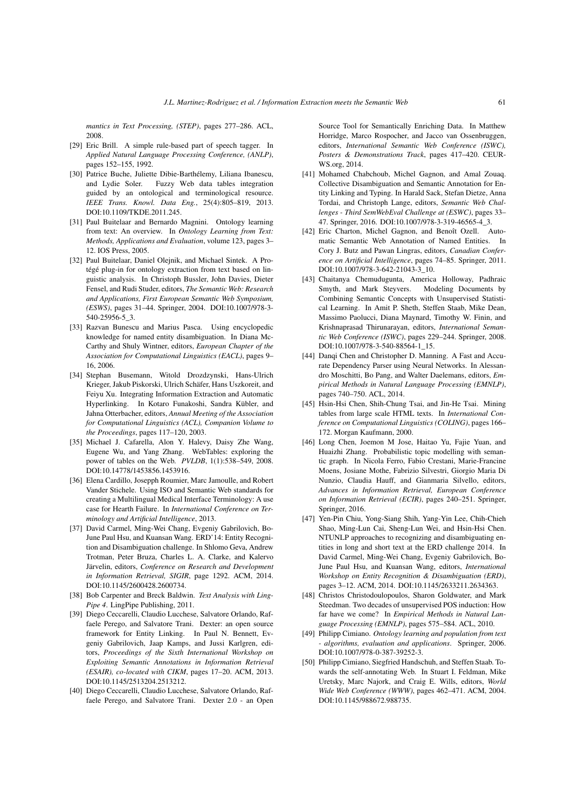*mantics in Text Processing, (STEP)*, pages 277–286. ACL, 2008.

- [29] Eric Brill. A simple rule-based part of speech tagger. In *Applied Natural Language Processing Conference, (ANLP)*, pages 152–155, 1992.
- <span id="page-60-6"></span>[30] Patrice Buche, Juliette Dibie-Barthélemy, Liliana Ibanescu, and Lydie Soler. Fuzzy Web data tables integration guided by an ontological and terminological resource. *IEEE Trans. Knowl. Data Eng.*, 25(4):805–819, 2013. DOI:10.1109/TKDE.2011.245.
- [31] Paul Buitelaar and Bernardo Magnini. Ontology learning from text: An overview. In *Ontology Learning from Text: Methods, Applications and Evaluation*, volume 123, pages 3– 12. IOS Press, 2005.
- <span id="page-60-1"></span>[32] Paul Buitelaar, Daniel Olejnik, and Michael Sintek. A Protégé plug-in for ontology extraction from text based on linguistic analysis. In Christoph Bussler, John Davies, Dieter Fensel, and Rudi Studer, editors, *The Semantic Web: Research and Applications, First European Semantic Web Symposium, (ESWS)*, pages 31–44. Springer, 2004. DOI:10.1007/978-3- 540-25956-5\_3.
- [33] Razvan Bunescu and Marius Pasca. Using encyclopedic knowledge for named entity disambiguation. In Diana Mc-Carthy and Shuly Wintner, editors, *European Chapter of the Association for Computational Linguistics (EACL)*, pages 9– 16, 2006.
- [34] Stephan Busemann, Witold Drozdzynski, Hans-Ulrich Krieger, Jakub Piskorski, Ulrich Schäfer, Hans Uszkoreit, and Feiyu Xu. Integrating Information Extraction and Automatic Hyperlinking. In Kotaro Funakoshi, Sandra Kübler, and Jahna Otterbacher, editors, *Annual Meeting of the Association for Computational Linguistics (ACL), Companion Volume to the Proceedings*, pages 117–120, 2003.
- <span id="page-60-4"></span>[35] Michael J. Cafarella, Alon Y. Halevy, Daisy Zhe Wang, Eugene Wu, and Yang Zhang. WebTables: exploring the power of tables on the Web. *PVLDB*, 1(1):538–549, 2008. DOI:10.14778/1453856.1453916.
- <span id="page-60-2"></span>[36] Elena Cardillo, Josepph Roumier, Marc Jamoulle, and Robert Vander Stichele. Using ISO and Semantic Web standards for creating a Multilingual Medical Interface Terminology: A use case for Hearth Failure. In *International Conference on Terminology and Artificial Intelligence*, 2013.
- [37] David Carmel, Ming-Wei Chang, Evgeniy Gabrilovich, Bo-June Paul Hsu, and Kuansan Wang. ERD'14: Entity Recognition and Disambiguation challenge. In Shlomo Geva, Andrew Trotman, Peter Bruza, Charles L. A. Clarke, and Kalervo Järvelin, editors, *Conference on Research and Development in Information Retrieval, SIGIR*, page 1292. ACM, 2014. DOI:10.1145/2600428.2600734.
- [38] Bob Carpenter and Breck Baldwin. *Text Analysis with Ling-Pipe 4*. LingPipe Publishing, 2011.
- [39] Diego Ceccarelli, Claudio Lucchese, Salvatore Orlando, Raffaele Perego, and Salvatore Trani. Dexter: an open source framework for Entity Linking. In Paul N. Bennett, Evgeniy Gabrilovich, Jaap Kamps, and Jussi Karlgren, editors, *Proceedings of the Sixth International Workshop on Exploiting Semantic Annotations in Information Retrieval (ESAIR), co-located with CIKM*, pages 17–20. ACM, 2013. DOI:10.1145/2513204.2513212.
- [40] Diego Ceccarelli, Claudio Lucchese, Salvatore Orlando, Raffaele Perego, and Salvatore Trani. Dexter 2.0 - an Open

Source Tool for Semantically Enriching Data. In Matthew Horridge, Marco Rospocher, and Jacco van Ossenbruggen, editors, *International Semantic Web Conference (ISWC), Posters & Demonstrations Track*, pages 417–420. CEUR-WS.org, 2014.

- [41] Mohamed Chabchoub, Michel Gagnon, and Amal Zouaq. Collective Disambiguation and Semantic Annotation for Entity Linking and Typing. In Harald Sack, Stefan Dietze, Anna Tordai, and Christoph Lange, editors, *Semantic Web Challenges - Third SemWebEval Challenge at (ESWC)*, pages 33– 47. Springer, 2016. DOI:10.1007/978-3-319-46565-4\_3.
- [42] Eric Charton, Michel Gagnon, and Benoît Ozell. Automatic Semantic Web Annotation of Named Entities. In Cory J. Butz and Pawan Lingras, editors, *Canadian Conference on Artificial Intelligence*, pages 74–85. Springer, 2011. DOI:10.1007/978-3-642-21043-3\_10.
- [43] Chaitanya Chemudugunta, America Holloway, Padhraic Smyth, and Mark Steyvers. Modeling Documents by Combining Semantic Concepts with Unsupervised Statistical Learning. In Amit P. Sheth, Steffen Staab, Mike Dean, Massimo Paolucci, Diana Maynard, Timothy W. Finin, and Krishnaprasad Thirunarayan, editors, *International Semantic Web Conference (ISWC)*, pages 229–244. Springer, 2008. DOI:10.1007/978-3-540-88564-1\_15.
- [44] Danqi Chen and Christopher D. Manning. A Fast and Accurate Dependency Parser using Neural Networks. In Alessandro Moschitti, Bo Pang, and Walter Daelemans, editors, *Empirical Methods in Natural Language Processing (EMNLP)*, pages 740–750. ACL, 2014.
- <span id="page-60-5"></span>[45] Hsin-Hsi Chen, Shih-Chung Tsai, and Jin-He Tsai. Mining tables from large scale HTML texts. In *International Conference on Computational Linguistics (COLING)*, pages 166– 172. Morgan Kaufmann, 2000.
- <span id="page-60-0"></span>[46] Long Chen, Joemon M Jose, Haitao Yu, Fajie Yuan, and Huaizhi Zhang. Probabilistic topic modelling with semantic graph. In Nicola Ferro, Fabio Crestani, Marie-Francine Moens, Josiane Mothe, Fabrizio Silvestri, Giorgio Maria Di Nunzio, Claudia Hauff, and Gianmaria Silvello, editors, *Advances in Information Retrieval, European Conference on Information Retrieval (ECIR)*, pages 240–251. Springer, Springer, 2016.
- [47] Yen-Pin Chiu, Yong-Siang Shih, Yang-Yin Lee, Chih-Chieh Shao, Ming-Lun Cai, Sheng-Lun Wei, and Hsin-Hsi Chen. NTUNLP approaches to recognizing and disambiguating entities in long and short text at the ERD challenge 2014. In David Carmel, Ming-Wei Chang, Evgeniy Gabrilovich, Bo-June Paul Hsu, and Kuansan Wang, editors, *International Workshop on Entity Recognition & Disambiguation (ERD)*, pages 3–12. ACM, 2014. DOI:10.1145/2633211.2634363.
- [48] Christos Christodoulopoulos, Sharon Goldwater, and Mark Steedman. Two decades of unsupervised POS induction: How far have we come? In *Empirical Methods in Natural Language Processing (EMNLP)*, pages 575–584. ACL, 2010.
- <span id="page-60-3"></span>[49] Philipp Cimiano. *Ontology learning and population from text - algorithms, evaluation and applications*. Springer, 2006. DOI:10.1007/978-0-387-39252-3.
- [50] Philipp Cimiano, Siegfried Handschuh, and Steffen Staab. Towards the self-annotating Web. In Stuart I. Feldman, Mike Uretsky, Marc Najork, and Craig E. Wills, editors, *World Wide Web Conference (WWW)*, pages 462–471. ACM, 2004. DOI:10.1145/988672.988735.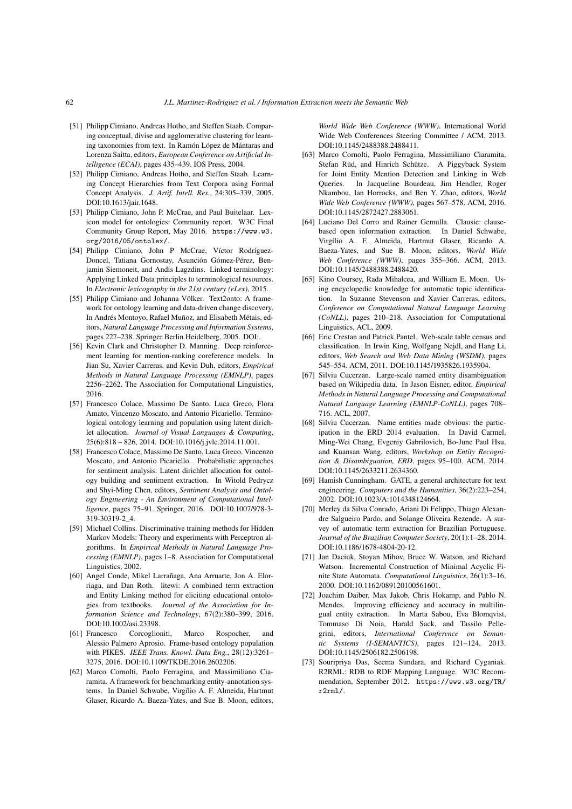- <span id="page-61-5"></span>[51] Philipp Cimiano, Andreas Hotho, and Steffen Staab. Comparing conceptual, divise and agglomerative clustering for learning taxonomies from text. In Ramón López de Mántaras and Lorenza Saitta, editors, *European Conference on Artificial Intelligence (ECAI)*, pages 435–439. IOS Press, 2004.
- <span id="page-61-0"></span>[52] Philipp Cimiano, Andreas Hotho, and Steffen Staab. Learning Concept Hierarchies from Text Corpora using Formal Concept Analysis. *J. Artif. Intell. Res.*, 24:305–339, 2005. DOI:10.1613/jair.1648.
- <span id="page-61-3"></span>[53] Philipp Cimiano, John P. McCrae, and Paul Buitelaar. Lexicon model for ontologies: Community report. W3C Final Community Group Report, May 2016. [https://www.w3.](https://www.w3.org/2016/05/ontolex/) [org/2016/05/ontolex/](https://www.w3.org/2016/05/ontolex/).
- <span id="page-61-4"></span>[54] Philipp Cimiano, John P McCrae, Víctor Rodríguez-Doncel, Tatiana Gornostay, Asunción Gómez-Pérez, Benjamin Siemoneit, and Andis Lagzdins. Linked terminology: Applying Linked Data principles to terminological resources. In *Electronic lexicography in the 21st century (eLex)*, 2015.
- <span id="page-61-6"></span>[55] Philipp Cimiano and Johanna Völker. Text2onto: A framework for ontology learning and data-driven change discovery. In Andrés Montoyo, Rafael Muñoz, and Elisabeth Métais, editors, *Natural Language Processing and Information Systems*, pages 227–238. Springer Berlin Heidelberg, 2005. DOI:.
- [56] Kevin Clark and Christopher D. Manning. Deep reinforcement learning for mention-ranking coreference models. In Jian Su, Xavier Carreras, and Kevin Duh, editors, *Empirical Methods in Natural Language Processing (EMNLP)*, pages 2256–2262. The Association for Computational Linguistics, 2016.
- <span id="page-61-8"></span>[57] Francesco Colace, Massimo De Santo, Luca Greco, Flora Amato, Vincenzo Moscato, and Antonio Picariello. Terminological ontology learning and population using latent dirichlet allocation. *Journal of Visual Languages & Computing*, 25(6):818 – 826, 2014. DOI:10.1016/j.jvlc.2014.11.001.
- [58] Francesco Colace, Massimo De Santo, Luca Greco, Vincenzo Moscato, and Antonio Picariello. Probabilistic approaches for sentiment analysis: Latent dirichlet allocation for ontology building and sentiment extraction. In Witold Pedrycz and Shyi-Ming Chen, editors, *Sentiment Analysis and Ontology Engineering - An Environment of Computational Intelligence*, pages 75–91. Springer, 2016. DOI:10.1007/978-3- 319-30319-2\_4.
- [59] Michael Collins. Discriminative training methods for Hidden Markov Models: Theory and experiments with Perceptron algorithms. In *Empirical Methods in Natural Language Processing (EMNLP)*, pages 1–8. Association for Computational Linguistics, 2002.
- <span id="page-61-2"></span>[60] Angel Conde, Mikel Larrañaga, Ana Arruarte, Jon A. Elorriaga, and Dan Roth. litewi: A combined term extraction and Entity Linking method for eliciting educational ontologies from textbooks. *Journal of the Association for Information Science and Technology*, 67(2):380–399, 2016. DOI:10.1002/asi.23398.
- <span id="page-61-7"></span>[61] Francesco Corcoglioniti, Marco Rospocher, and Alessio Palmero Aprosio. Frame-based ontology population with PIKES. *IEEE Trans. Knowl. Data Eng.*, 28(12):3261– 3275, 2016. DOI:10.1109/TKDE.2016.2602206.
- [62] Marco Cornolti, Paolo Ferragina, and Massimiliano Ciaramita. A framework for benchmarking entity-annotation systems. In Daniel Schwabe, Virgílio A. F. Almeida, Hartmut Glaser, Ricardo A. Baeza-Yates, and Sue B. Moon, editors,

*World Wide Web Conference (WWW)*. International World Wide Web Conferences Steering Committee / ACM, 2013. DOI:10.1145/2488388.2488411.

- <span id="page-61-12"></span>[63] Marco Cornolti, Paolo Ferragina, Massimiliano Ciaramita, Stefan Rüd, and Hinrich Schütze. A Piggyback System for Joint Entity Mention Detection and Linking in Web Queries. In Jacqueline Bourdeau, Jim Hendler, Roger Nkambou, Ian Horrocks, and Ben Y. Zhao, editors, *World Wide Web Conference (WWW)*, pages 567–578. ACM, 2016. DOI:10.1145/2872427.2883061.
- [64] Luciano Del Corro and Rainer Gemulla. Clausie: clausebased open information extraction. In Daniel Schwabe, Virgílio A. F. Almeida, Hartmut Glaser, Ricardo A. Baeza-Yates, and Sue B. Moon, editors, *World Wide Web Conference (WWW)*, pages 355–366. ACM, 2013. DOI:10.1145/2488388.2488420.
- <span id="page-61-1"></span>[65] Kino Coursey, Rada Mihalcea, and William E. Moen. Using encyclopedic knowledge for automatic topic identification. In Suzanne Stevenson and Xavier Carreras, editors, *Conference on Computational Natural Language Learning (CoNLL)*, pages 210–218. Association for Computational Linguistics, ACL, 2009.
- <span id="page-61-11"></span>[66] Eric Crestan and Patrick Pantel. Web-scale table census and classification. In Irwin King, Wolfgang Nejdl, and Hang Li, editors, *Web Search and Web Data Mining (WSDM)*, pages 545–554. ACM, 2011. DOI:10.1145/1935826.1935904.
- [67] Silviu Cucerzan. Large-scale named entity disambiguation based on Wikipedia data. In Jason Eisner, editor, *Empirical Methods in Natural Language Processing and Computational Natural Language Learning (EMNLP-CoNLL)*, pages 708– 716. ACL, 2007.
- [68] Silviu Cucerzan. Name entities made obvious: the participation in the ERD 2014 evaluation. In David Carmel, Ming-Wei Chang, Evgeniy Gabrilovich, Bo-June Paul Hsu, and Kuansan Wang, editors, *Workshop on Entity Recognition & Disambiguation, ERD*, pages 95–100. ACM, 2014. DOI:10.1145/2633211.2634360.
- <span id="page-61-9"></span>[69] Hamish Cunningham. GATE, a general architecture for text engineering. *Computers and the Humanities*, 36(2):223–254, 2002. DOI:10.1023/A:1014348124664.
- [70] Merley da Silva Conrado, Ariani Di Felippo, Thiago Alexandre Salgueiro Pardo, and Solange Oliveira Rezende. A survey of automatic term extraction for Brazilian Portuguese. *Journal of the Brazilian Computer Society*, 20(1):1–28, 2014. DOI:10.1186/1678-4804-20-12.
- [71] Jan Daciuk, Stoyan Mihov, Bruce W. Watson, and Richard Watson. Incremental Construction of Minimal Acyclic Finite State Automata. *Computational Linguistics*, 26(1):3–16, 2000. DOI:10.1162/089120100561601.
- [72] Joachim Daiber, Max Jakob, Chris Hokamp, and Pablo N. Mendes. Improving efficiency and accuracy in multilingual entity extraction. In Marta Sabou, Eva Blomqvist, Tommaso Di Noia, Harald Sack, and Tassilo Pellegrini, editors, *International Conference on Semantic Systems (I-SEMANTICS)*, pages 121–124, 2013. DOI:10.1145/2506182.2506198.
- <span id="page-61-10"></span>[73] Souripriya Das, Seema Sundara, and Richard Cyganiak. R2RML: RDB to RDF Mapping Language. W3C Recommendation, September 2012. [https://www.w3.org/TR/](https://www.w3.org/TR/r2rml/) [r2rml/](https://www.w3.org/TR/r2rml/).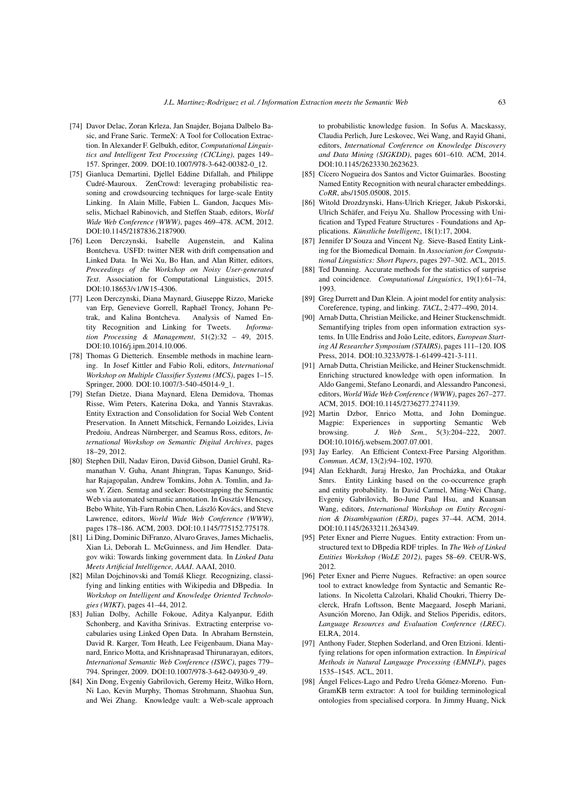- [74] Davor Delac, Zoran Krleza, Jan Snajder, Bojana Dalbelo Basic, and Frane Saric. TermeX: A Tool for Collocation Extraction. In Alexander F. Gelbukh, editor, *Computational Linguistics and Intelligent Text Processing (CICLing)*, pages 149– 157. Springer, 2009. DOI:10.1007/978-3-642-00382-0\_12.
- [75] Gianluca Demartini, Djellel Eddine Difallah, and Philippe Cudré-Mauroux. ZenCrowd: leveraging probabilistic reasoning and crowdsourcing techniques for large-scale Entity Linking. In Alain Mille, Fabien L. Gandon, Jacques Misselis, Michael Rabinovich, and Steffen Staab, editors, *World Wide Web Conference (WWW)*, pages 469–478. ACM, 2012. DOI:10.1145/2187836.2187900.
- [76] Leon Derczynski, Isabelle Augenstein, and Kalina Bontcheva. USFD: twitter NER with drift compensation and Linked Data. In Wei Xu, Bo Han, and Alan Ritter, editors, *Proceedings of the Workshop on Noisy User-generated Text*. Association for Computational Linguistics, 2015. DOI:10.18653/v1/W15-4306.
- <span id="page-62-9"></span>[77] Leon Derczynski, Diana Maynard, Giuseppe Rizzo, Marieke van Erp, Genevieve Gorrell, Raphaël Troncy, Johann Petrak, and Kalina Bontcheva. Analysis of Named Entity Recognition and Linking for Tweets. *Information Processing & Management*, 51(2):32 – 49, 2015. DOI:10.1016/j.ipm.2014.10.006.
- [78] Thomas G Dietterich. Ensemble methods in machine learning. In Josef Kittler and Fabio Roli, editors, *International Workshop on Multiple Classifier Systems (MCS)*, pages 1–15. Springer, 2000. DOI:10.1007/3-540-45014-9\_1.
- [79] Stefan Dietze, Diana Maynard, Elena Demidova, Thomas Risse, Wim Peters, Katerina Doka, and Yannis Stavrakas. Entity Extraction and Consolidation for Social Web Content Preservation. In Annett Mitschick, Fernando Loizides, Livia Predoiu, Andreas Nürnberger, and Seamus Ross, editors, *International Workshop on Semantic Digital Archives*, pages 18–29, 2012.
- [80] Stephen Dill, Nadav Eiron, David Gibson, Daniel Gruhl, Ramanathan V. Guha, Anant Jhingran, Tapas Kanungo, Sridhar Rajagopalan, Andrew Tomkins, John A. Tomlin, and Jason Y. Zien. Semtag and seeker: Bootstrapping the Semantic Web via automated semantic annotation. In Gusztáv Hencsey, Bebo White, Yih-Farn Robin Chen, László Kovács, and Steve Lawrence, editors, *World Wide Web Conference (WWW)*, pages 178–186. ACM, 2003. DOI:10.1145/775152.775178.
- <span id="page-62-8"></span>[81] Li Ding, Dominic DiFranzo, Alvaro Graves, James Michaelis, Xian Li, Deborah L. McGuinness, and Jim Hendler. Datagov wiki: Towards linking government data. In *Linked Data Meets Artificial Intelligence, AAAI*. AAAI, 2010.
- [82] Milan Dojchinovski and Tomáš Kliegr. Recognizing, classifying and linking entities with Wikipedia and DBpedia. In *Workshop on Intelligent and Knowledge Oriented Technologies (WIKT)*, pages 41–44, 2012.
- <span id="page-62-0"></span>[83] Julian Dolby, Achille Fokoue, Aditya Kalyanpur, Edith Schonberg, and Kavitha Srinivas. Extracting enterprise vocabularies using Linked Open Data. In Abraham Bernstein, David R. Karger, Tom Heath, Lee Feigenbaum, Diana Maynard, Enrico Motta, and Krishnaprasad Thirunarayan, editors, *International Semantic Web Conference (ISWC)*, pages 779– 794. Springer, 2009. DOI:10.1007/978-3-642-04930-9\_49.
- <span id="page-62-6"></span>[84] Xin Dong, Evgeniy Gabrilovich, Geremy Heitz, Wilko Horn, Ni Lao, Kevin Murphy, Thomas Strohmann, Shaohua Sun, and Wei Zhang. Knowledge vault: a Web-scale approach

to probabilistic knowledge fusion. In Sofus A. Macskassy, Claudia Perlich, Jure Leskovec, Wei Wang, and Rayid Ghani, editors, *International Conference on Knowledge Discovery and Data Mining (SIGKDD)*, pages 601–610. ACM, 2014. DOI:10.1145/2623330.2623623.

- [85] Cícero Nogueira dos Santos and Victor Guimarães. Boosting Named Entity Recognition with neural character embeddings. *CoRR*, abs/1505.05008, 2015.
- [86] Witold Drozdzynski, Hans-Ulrich Krieger, Jakub Piskorski, Ulrich Schäfer, and Feiyu Xu. Shallow Processing with Unification and Typed Feature Structures - Foundations and Applications. *Künstliche Intelligenz*, 18(1):17, 2004.
- [87] Jennifer D'Souza and Vincent Ng. Sieve-Based Entity Linking for the Biomedical Domain. In *Association for Computational Linguistics: Short Papers*, pages 297–302. ACL, 2015.
- [88] Ted Dunning. Accurate methods for the statistics of surprise and coincidence. *Computational Linguistics*, 19(1):61–74, 1993.
- [89] Greg Durrett and Dan Klein. A joint model for entity analysis: Coreference, typing, and linking. *TACL*, 2:477–490, 2014.
- <span id="page-62-1"></span>[90] Arnab Dutta, Christian Meilicke, and Heiner Stuckenschmidt. Semantifying triples from open information extraction systems. In Ulle Endriss and João Leite, editors, *European Starting AI Researcher Symposium (STAIRS)*, pages 111–120. IOS Press, 2014. DOI:10.3233/978-1-61499-421-3-111.
- <span id="page-62-2"></span>[91] Arnab Dutta, Christian Meilicke, and Heiner Stuckenschmidt. Enriching structured knowledge with open information. In Aldo Gangemi, Stefano Leonardi, and Alessandro Panconesi, editors, *World Wide Web Conference (WWW)*, pages 267–277. ACM, 2015. DOI:10.1145/2736277.2741139.
- <span id="page-62-7"></span>[92] Martin Dzbor, Enrico Motta, and John Domingue. Magpie: Experiences in supporting Semantic Web browsing. *J. Web Sem.*, 5(3):204–222, 2007. DOI:10.1016/j.websem.2007.07.001.
- [93] Jay Earley. An Efficient Context-Free Parsing Algorithm. *Commun. ACM*, 13(2):94–102, 1970.
- [94] Alan Eckhardt, Juraj Hresko, Jan Procházka, and Otakar Smrs. Entity Linking based on the co-occurrence graph and entity probability. In David Carmel, Ming-Wei Chang, Evgeniy Gabrilovich, Bo-June Paul Hsu, and Kuansan Wang, editors, *International Workshop on Entity Recognition & Disambiguation (ERD)*, pages 37–44. ACM, 2014. DOI:10.1145/2633211.2634349.
- <span id="page-62-3"></span>[95] Peter Exner and Pierre Nugues. Entity extraction: From unstructured text to DBpedia RDF triples. In *The Web of Linked Entities Workshop (WoLE 2012)*, pages 58–69. CEUR-WS, 2012.
- <span id="page-62-5"></span>[96] Peter Exner and Pierre Nugues. Refractive: an open source tool to extract knowledge from Syntactic and Semantic Relations. In Nicoletta Calzolari, Khalid Choukri, Thierry Declerck, Hrafn Loftsson, Bente Maegaard, Joseph Mariani, Asunción Moreno, Jan Odijk, and Stelios Piperidis, editors, *Language Resources and Evaluation Conference (LREC)*. ELRA, 2014.
- <span id="page-62-4"></span>[97] Anthony Fader, Stephen Soderland, and Oren Etzioni. Identifying relations for open information extraction. In *Empirical Methods in Natural Language Processing (EMNLP)*, pages 1535–1545. ACL, 2011.
- [98] Ángel Felices-Lago and Pedro Ureña Gómez-Moreno. Fun-GramKB term extractor: A tool for building terminological ontologies from specialised corpora. In Jimmy Huang, Nick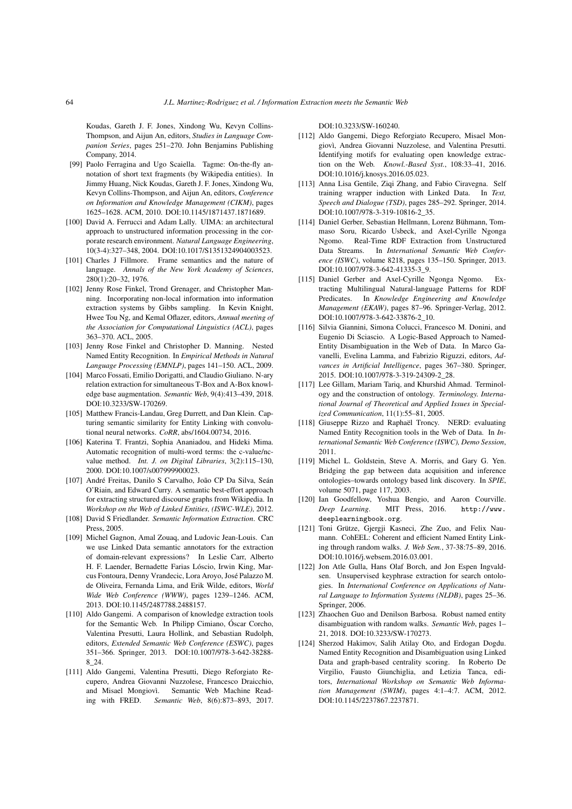Koudas, Gareth J. F. Jones, Xindong Wu, Kevyn Collins-Thompson, and Aijun An, editors, *Studies in Language Companion Series*, pages 251–270. John Benjamins Publishing Company, 2014.

- <span id="page-63-6"></span>[99] Paolo Ferragina and Ugo Scaiella. Tagme: On-the-fly annotation of short text fragments (by Wikipedia entities). In Jimmy Huang, Nick Koudas, Gareth J. F. Jones, Xindong Wu, Kevyn Collins-Thompson, and Aijun An, editors, *Conference on Information and Knowledge Management (CIKM)*, pages 1625–1628. ACM, 2010. DOI:10.1145/1871437.1871689.
- [100] David A. Ferrucci and Adam Lally. UIMA: an architectural approach to unstructured information processing in the corporate research environment. *Natural Language Engineering*, 10(3-4):327–348, 2004. DOI:10.1017/S1351324904003523.
- <span id="page-63-8"></span>[101] Charles J Fillmore. Frame semantics and the nature of language. *Annals of the New York Academy of Sciences*, 280(1):20–32, 1976.
- [102] Jenny Rose Finkel, Trond Grenager, and Christopher Manning. Incorporating non-local information into information extraction systems by Gibbs sampling. In Kevin Knight, Hwee Tou Ng, and Kemal Oflazer, editors, *Annual meeting of the Association for Computational Linguistics (ACL)*, pages 363–370. ACL, 2005.
- [103] Jenny Rose Finkel and Christopher D. Manning. Nested Named Entity Recognition. In *Empirical Methods in Natural Language Processing (EMNLP)*, pages 141–150. ACL, 2009.
- <span id="page-63-5"></span>[104] Marco Fossati, Emilio Dorigatti, and Claudio Giuliano. N-ary relation extraction for simultaneous T-Box and A-Box knowledge base augmentation. *Semantic Web*, 9(4):413–439, 2018. DOI:10.3233/SW-170269.
- [105] Matthew Francis-Landau, Greg Durrett, and Dan Klein. Capturing semantic similarity for Entity Linking with convolutional neural networks. *CoRR*, abs/1604.00734, 2016.
- [106] Katerina T. Frantzi, Sophia Ananiadou, and Hideki Mima. Automatic recognition of multi-word terms: the c-value/ncvalue method. *Int. J. on Digital Libraries*, 3(2):115–130, 2000. DOI:10.1007/s007999900023.
- <span id="page-63-3"></span>[107] André Freitas, Danilo S Carvalho, João CP Da Silva, Seán O'Riain, and Edward Curry. A semantic best-effort approach for extracting structured discourse graphs from Wikipedia. In *Workshop on the Web of Linked Entities, (ISWC-WLE)*, 2012.
- [108] David S Friedlander. *Semantic Information Extraction*. CRC Press, 2005.
- <span id="page-63-0"></span>[109] Michel Gagnon, Amal Zouaq, and Ludovic Jean-Louis. Can we use Linked Data semantic annotators for the extraction of domain-relevant expressions? In Leslie Carr, Alberto H. F. Laender, Bernadette Farias Lóscio, Irwin King, Marcus Fontoura, Denny Vrandecic, Lora Aroyo, José Palazzo M. de Oliveira, Fernanda Lima, and Erik Wilde, editors, *World Wide Web Conference (WWW)*, pages 1239–1246. ACM, 2013. DOI:10.1145/2487788.2488157.
- <span id="page-63-1"></span>[110] Aldo Gangemi. A comparison of knowledge extraction tools for the Semantic Web. In Philipp Cimiano, Óscar Corcho, Valentina Presutti, Laura Hollink, and Sebastian Rudolph, editors, *Extended Semantic Web Conference (ESWC)*, pages 351–366. Springer, 2013. DOI:10.1007/978-3-642-38288- 8\_24.
- <span id="page-63-2"></span>[111] Aldo Gangemi, Valentina Presutti, Diego Reforgiato Recupero, Andrea Giovanni Nuzzolese, Francesco Draicchio, and Misael Mongiovì. Semantic Web Machine Reading with FRED. *Semantic Web*, 8(6):873–893, 2017.

DOI:10.3233/SW-160240.

- <span id="page-63-10"></span>[112] Aldo Gangemi, Diego Reforgiato Recupero, Misael Mongiovì, Andrea Giovanni Nuzzolese, and Valentina Presutti. Identifying motifs for evaluating open knowledge extraction on the Web. *Knowl.-Based Syst.*, 108:33–41, 2016. DOI:10.1016/j.knosys.2016.05.023.
- <span id="page-63-11"></span>[113] Anna Lisa Gentile, Ziqi Zhang, and Fabio Ciravegna. Self training wrapper induction with Linked Data. In *Text, Speech and Dialogue (TSD)*, pages 285–292. Springer, 2014. DOI:10.1007/978-3-319-10816-2\_35.
- <span id="page-63-7"></span>[114] Daniel Gerber, Sebastian Hellmann, Lorenz Bühmann, Tommaso Soru, Ricardo Usbeck, and Axel-Cyrille Ngonga Ngomo. Real-Time RDF Extraction from Unstructured Data Streams. In *International Semantic Web Conference (ISWC)*, volume 8218, pages 135–150. Springer, 2013. DOI:10.1007/978-3-642-41335-3\_9.
- <span id="page-63-9"></span>[115] Daniel Gerber and Axel-Cyrille Ngonga Ngomo. Extracting Multilingual Natural-language Patterns for RDF Predicates. In *Knowledge Engineering and Knowledge Management (EKAW)*, pages 87–96. Springer-Verlag, 2012. DOI:10.1007/978-3-642-33876-2\_10.
- [116] Silvia Giannini, Simona Colucci, Francesco M. Donini, and Eugenio Di Sciascio. A Logic-Based Approach to Named-Entity Disambiguation in the Web of Data. In Marco Gavanelli, Evelina Lamma, and Fabrizio Riguzzi, editors, *Advances in Artificial Intelligence*, pages 367–380. Springer, 2015. DOI:10.1007/978-3-319-24309-2\_28.
- [117] Lee Gillam, Mariam Tariq, and Khurshid Ahmad. Terminology and the construction of ontology. *Terminology. International Journal of Theoretical and Applied Issues in Specialized Communication*, 11(1):55–81, 2005.
- [118] Giuseppe Rizzo and Raphaël Troncy. NERD: evaluating Named Entity Recognition tools in the Web of Data. In *International Semantic Web Conference (ISWC), Demo Session*, 2011.
- <span id="page-63-4"></span>[119] Michel L. Goldstein, Steve A. Morris, and Gary G. Yen. Bridging the gap between data acquisition and inference ontologies–towards ontology based link discovery. In *SPIE*, volume 5071, page 117, 2003.
- [120] Ian Goodfellow, Yoshua Bengio, and Aaron Courville. *Deep Learning*. MIT Press, 2016. [http://www.](http://www.deeplearningbook.org) [deeplearningbook.org](http://www.deeplearningbook.org).
- [121] Toni Grütze, Gjergji Kasneci, Zhe Zuo, and Felix Naumann. CohEEL: Coherent and efficient Named Entity Linking through random walks. *J. Web Sem.*, 37-38:75–89, 2016. DOI:10.1016/j.websem.2016.03.001.
- [122] Jon Atle Gulla, Hans Olaf Borch, and Jon Espen Ingvaldsen. Unsupervised keyphrase extraction for search ontologies. In *International Conference on Applications of Natural Language to Information Systems (NLDB)*, pages 25–36. Springer, 2006.
- [123] Zhaochen Guo and Denilson Barbosa. Robust named entity disambiguation with random walks. *Semantic Web*, pages 1– 21, 2018. DOI:10.3233/SW-170273.
- [124] Sherzod Hakimov, Salih Atilay Oto, and Erdogan Dogdu. Named Entity Recognition and Disambiguation using Linked Data and graph-based centrality scoring. In Roberto De Virgilio, Fausto Giunchiglia, and Letizia Tanca, editors, *International Workshop on Semantic Web Information Management (SWIM)*, pages 4:1–4:7. ACM, 2012. DOI:10.1145/2237867.2237871.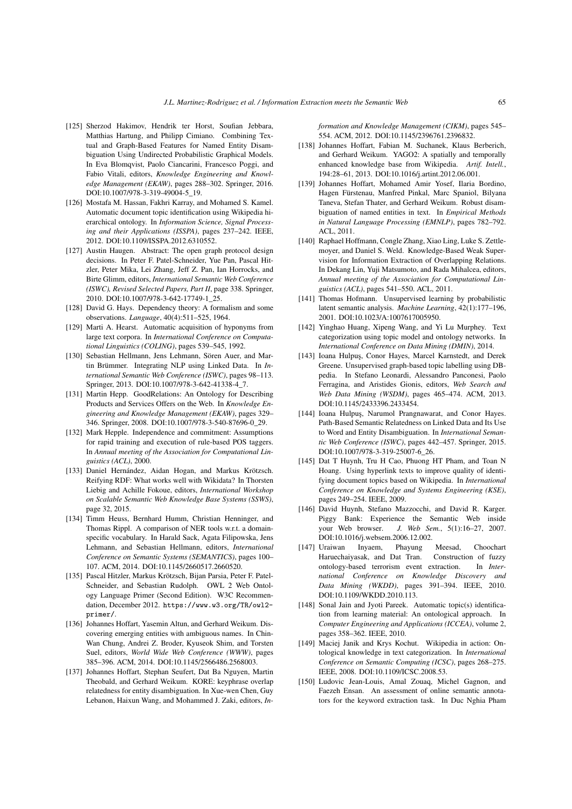- [125] Sherzod Hakimov, Hendrik ter Horst, Soufian Jebbara, Matthias Hartung, and Philipp Cimiano. Combining Textual and Graph-Based Features for Named Entity Disambiguation Using Undirected Probabilistic Graphical Models. In Eva Blomqvist, Paolo Ciancarini, Francesco Poggi, and Fabio Vitali, editors, *Knowledge Engineering and Knowledge Management (EKAW)*, pages 288–302. Springer, 2016. DOI:10.1007/978-3-319-49004-5\_19.
- <span id="page-64-3"></span>[126] Mostafa M. Hassan, Fakhri Karray, and Mohamed S. Kamel. Automatic document topic identification using Wikipedia hierarchical ontology. In *Information Science, Signal Processing and their Applications (ISSPA)*, pages 237–242. IEEE, 2012. DOI:10.1109/ISSPA.2012.6310552.
- [127] Austin Haugen. Abstract: The open graph protocol design decisions. In Peter F. Patel-Schneider, Yue Pan, Pascal Hitzler, Peter Mika, Lei Zhang, Jeff Z. Pan, Ian Horrocks, and Birte Glimm, editors, *International Semantic Web Conference (ISWC), Revised Selected Papers, Part II*, page 338. Springer, 2010. DOI:10.1007/978-3-642-17749-1\_25.
- [128] David G. Hays. Dependency theory: A formalism and some observations. *Language*, 40(4):511–525, 1964.
- [129] Marti A. Hearst. Automatic acquisition of hyponyms from large text corpora. In *International Conference on Computational Linguistics (COLING)*, pages 539–545, 1992.
- <span id="page-64-5"></span>[130] Sebastian Hellmann, Jens Lehmann, Sören Auer, and Martin Brümmer. Integrating NLP using Linked Data. In *International Semantic Web Conference (ISWC)*, pages 98–113. Springer, 2013. DOI:10.1007/978-3-642-41338-4\_7.
- <span id="page-64-11"></span>[131] Martin Hepp. GoodRelations: An Ontology for Describing Products and Services Offers on the Web. In *Knowledge Engineering and Knowledge Management (EKAW)*, pages 329– 346. Springer, 2008. DOI:10.1007/978-3-540-87696-0\_29.
- [132] Mark Hepple. Independence and commitment: Assumptions for rapid training and execution of rule-based POS taggers. In *Annual meeting of the Association for Computational Linguistics (ACL)*, 2000.
- <span id="page-64-7"></span>[133] Daniel Hernández, Aidan Hogan, and Markus Krötzsch. Reifying RDF: What works well with Wikidata? In Thorsten Liebig and Achille Fokoue, editors, *International Workshop on Scalable Semantic Web Knowledge Base Systems (SSWS)*, page 32, 2015.
- [134] Timm Heuss, Bernhard Humm, Christian Henninger, and Thomas Rippl. A comparison of NER tools w.r.t. a domainspecific vocabulary. In Harald Sack, Agata Filipowska, Jens Lehmann, and Sebastian Hellmann, editors, *International Conference on Semantic Systems (SEMANTICS)*, pages 100– 107. ACM, 2014. DOI:10.1145/2660517.2660520.
- [135] Pascal Hitzler, Markus Krötzsch, Bijan Parsia, Peter F. Patel-Schneider, and Sebastian Rudolph. OWL 2 Web Ontology Language Primer (Second Edition). W3C Recommendation, December 2012. [https://www.w3.org/TR/owl2](https://www.w3.org/TR/owl2-primer/) [primer/](https://www.w3.org/TR/owl2-primer/).
- [136] Johannes Hoffart, Yasemin Altun, and Gerhard Weikum. Discovering emerging entities with ambiguous names. In Chin-Wan Chung, Andrei Z. Broder, Kyuseok Shim, and Torsten Suel, editors, *World Wide Web Conference (WWW)*, pages 385–396. ACM, 2014. DOI:10.1145/2566486.2568003.
- [137] Johannes Hoffart, Stephan Seufert, Dat Ba Nguyen, Martin Theobald, and Gerhard Weikum. KORE: keyphrase overlap relatedness for entity disambiguation. In Xue-wen Chen, Guy Lebanon, Haixun Wang, and Mohammed J. Zaki, editors, *In-*

*formation and Knowledge Management (CIKM)*, pages 545– 554. ACM, 2012. DOI:10.1145/2396761.2396832.

- <span id="page-64-9"></span>[138] Johannes Hoffart, Fabian M. Suchanek, Klaus Berberich, and Gerhard Weikum. YAGO2: A spatially and temporally enhanced knowledge base from Wikipedia. *Artif. Intell.*, 194:28–61, 2013. DOI:10.1016/j.artint.2012.06.001.
- <span id="page-64-12"></span>[139] Johannes Hoffart, Mohamed Amir Yosef, Ilaria Bordino, Hagen Fürstenau, Manfred Pinkal, Marc Spaniol, Bilyana Taneva, Stefan Thater, and Gerhard Weikum. Robust disambiguation of named entities in text. In *Empirical Methods in Natural Language Processing (EMNLP)*, pages 782–792. ACL, 2011.
- <span id="page-64-8"></span>[140] Raphael Hoffmann, Congle Zhang, Xiao Ling, Luke S. Zettlemoyer, and Daniel S. Weld. Knowledge-Based Weak Supervision for Information Extraction of Overlapping Relations. In Dekang Lin, Yuji Matsumoto, and Rada Mihalcea, editors, *Annual meeting of the Association for Computational Linguistics (ACL)*, pages 541–550. ACL, 2011.
- [141] Thomas Hofmann. Unsupervised learning by probabilistic latent semantic analysis. *Machine Learning*, 42(1):177–196, 2001. DOI:10.1023/A:1007617005950.
- [142] Yinghao Huang, Xipeng Wang, and Yi Lu Murphey. Text categorization using topic model and ontology networks. In *International Conference on Data Mining (DMIN)*, 2014.
- <span id="page-64-1"></span>[143] Ioana Hulpuş, Conor Hayes, Marcel Karnstedt, and Derek Greene. Unsupervised graph-based topic labelling using DBpedia. In Stefano Leonardi, Alessandro Panconesi, Paolo Ferragina, and Aristides Gionis, editors, *Web Search and Web Data Mining (WSDM)*, pages 465–474. ACM, 2013. DOI:10.1145/2433396.2433454.
- <span id="page-64-13"></span>[144] Ioana Hulpus, Narumol Prangnawarat, and Conor Hayes. Path-Based Semantic Relatedness on Linked Data and Its Use to Word and Entity Disambiguation. In *International Semantic Web Conference (ISWC)*, pages 442–457. Springer, 2015. DOI:10.1007/978-3-319-25007-6\_26.
- [145] Dat T Huynh, Tru H Cao, Phuong HT Pham, and Toan N Hoang. Using hyperlink texts to improve quality of identifying document topics based on Wikipedia. In *International Conference on Knowledge and Systems Engineering (KSE)*, pages 249–254. IEEE, 2009.
- <span id="page-64-10"></span>[146] David Huynh, Stefano Mazzocchi, and David R. Karger. Piggy Bank: Experience the Semantic Web inside your Web browser. *J. Web Sem.*, 5(1):16–27, 2007. DOI:10.1016/j.websem.2006.12.002.
- <span id="page-64-6"></span>[147] Uraiwan Inyaem, Phayung Meesad, Choochart Haruechaiyasak, and Dat Tran. Construction of fuzzy ontology-based terrorism event extraction. In *International Conference on Knowledge Discovery and Data Mining (WKDD)*, pages 391–394. IEEE, 2010. DOI:10.1109/WKDD.2010.113.
- <span id="page-64-4"></span>[148] Sonal Jain and Jyoti Pareek. Automatic topic(s) identification from learning material: An ontological approach. In *Computer Engineering and Applications (ICCEA)*, volume 2, pages 358–362. IEEE, 2010.
- <span id="page-64-0"></span>[149] Maciej Janik and Krys Kochut. Wikipedia in action: Ontological knowledge in text categorization. In *International Conference on Semantic Computing (ICSC)*, pages 268–275. IEEE, 2008. DOI:10.1109/ICSC.2008.53.
- <span id="page-64-2"></span>[150] Ludovic Jean-Louis, Amal Zouaq, Michel Gagnon, and Faezeh Ensan. An assessment of online semantic annotators for the keyword extraction task. In Duc Nghia Pham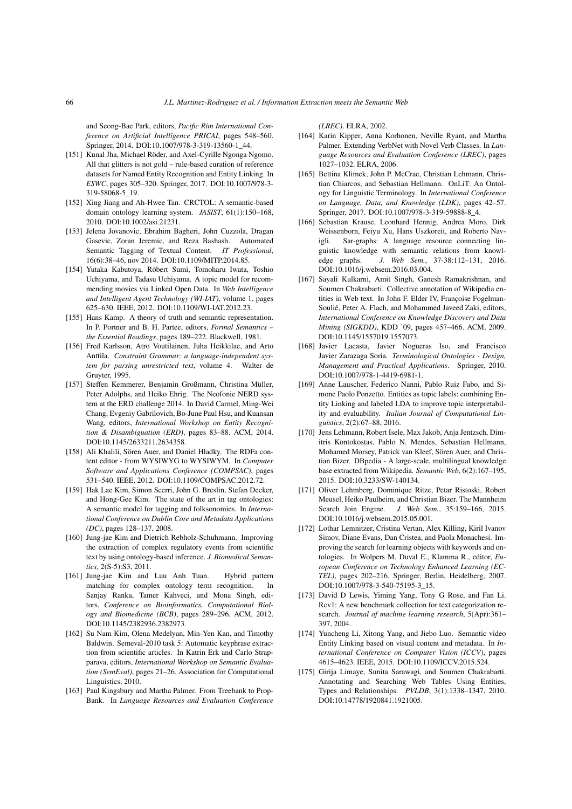and Seong-Bae Park, editors, *Pacific Rim International Conference on Artificial Intelligence PRICAI*, pages 548–560. Springer, 2014. DOI:10.1007/978-3-319-13560-1\_44.

- [151] Kunal Jha, Michael Röder, and Axel-Cyrille Ngonga Ngomo. All that glitters is not gold – rule-based curation of reference datasets for Named Entity Recognition and Entity Linking. In *ESWC*, pages 305–320. Springer, 2017. DOI:10.1007/978-3- 319-58068-5\_19.
- [152] Xing Jiang and Ah-Hwee Tan. CRCTOL: A semantic-based domain ontology learning system. *JASIST*, 61(1):150–168, 2010. DOI:10.1002/asi.21231.
- [153] Jelena Jovanovic, Ebrahim Bagheri, John Cuzzola, Dragan Gasevic, Zoran Jeremic, and Reza Bashash. Automated Semantic Tagging of Textual Content. *IT Professional*, 16(6):38–46, nov 2014. DOI:10.1109/MITP.2014.85.
- [154] Yutaka Kabutoya, Róbert Sumi, Tomoharu Iwata, Toshio Uchiyama, and Tadasu Uchiyama. A topic model for recommending movies via Linked Open Data. In *Web Intelligence and Intelligent Agent Technology (WI-IAT)*, volume 1, pages 625–630. IEEE, 2012. DOI:10.1109/WI-IAT.2012.23.
- <span id="page-65-4"></span>[155] Hans Kamp. A theory of truth and semantic representation. In P. Portner and B. H. Partee, editors, *Formal Semantics – the Essential Readings*, pages 189–222. Blackwell, 1981.
- [156] Fred Karlsson, Atro Voutilainen, Juha Heikkilae, and Arto Anttila. *Constraint Grammar: a language-independent system for parsing unrestricted text*, volume 4. Walter de Gruyter, 1995.
- [157] Steffen Kemmerer, Benjamin Großmann, Christina Müller, Peter Adolphs, and Heiko Ehrig. The Neofonie NERD system at the ERD challenge 2014. In David Carmel, Ming-Wei Chang, Evgeniy Gabrilovich, Bo-June Paul Hsu, and Kuansan Wang, editors, *International Workshop on Entity Recognition & Disambiguation (ERD)*, pages 83–88. ACM, 2014. DOI:10.1145/2633211.2634358.
- <span id="page-65-9"></span>[158] Ali Khalili, Sören Auer, and Daniel Hladky. The RDFa content editor - from WYSIWYG to WYSIWYM. In *Computer Software and Applications Conference (COMPSAC)*, pages 531–540. IEEE, 2012. DOI:10.1109/COMPSAC.2012.72.
- <span id="page-65-13"></span>[159] Hak Lae Kim, Simon Scerri, John G. Breslin, Stefan Decker, and Hong-Gee Kim. The state of the art in tag ontologies: A semantic model for tagging and folksonomies. In *International Conference on Dublin Core and Metadata Applications (DC)*, pages 128–137, 2008.
- [160] Jung-jae Kim and Dietrich Rebholz-Schuhmann. Improving the extraction of complex regulatory events from scientific text by using ontology-based inference. *J. Biomedical Semantics*, 2(S-5):S3, 2011.
- <span id="page-65-2"></span>[161] Jung-jae Kim and Luu Anh Tuan. Hybrid pattern matching for complex ontology term recognition. In Sanjay Ranka, Tamer Kahveci, and Mona Singh, editors, *Conference on Bioinformatics, Computational Biology and Biomedicine (BCB)*, pages 289–296. ACM, 2012. DOI:10.1145/2382936.2382973.
- <span id="page-65-1"></span>[162] Su Nam Kim, Olena Medelyan, Min-Yen Kan, and Timothy Baldwin. Semeval-2010 task 5: Automatic keyphrase extraction from scientific articles. In Katrin Erk and Carlo Strapparava, editors, *International Workshop on Semantic Evaluation (SemEval)*, pages 21–26. Association for Computational Linguistics, 2010.
- <span id="page-65-6"></span>[163] Paul Kingsbury and Martha Palmer. From Treebank to Prop-Bank. In *Language Resources and Evaluation Conference*

*(LREC)*. ELRA, 2002.

- <span id="page-65-5"></span>[164] Karin Kipper, Anna Korhonen, Neville Ryant, and Martha Palmer. Extending VerbNet with Novel Verb Classes. In *Language Resources and Evaluation Conference (LREC)*, pages 1027–1032. ELRA, 2006.
- [165] Bettina Klimek, John P. McCrae, Christian Lehmann, Christian Chiarcos, and Sebastian Hellmann. OnLiT: An Ontology for Linguistic Terminology. In *International Conference on Language, Data, and Knowledge (LDK)*, pages 42–57. Springer, 2017. DOI:10.1007/978-3-319-59888-8\_4.
- <span id="page-65-7"></span>[166] Sebastian Krause, Leonhard Hennig, Andrea Moro, Dirk Weissenborn, Feiyu Xu, Hans Uszkoreit, and Roberto Navigli. Sar-graphs: A language resource connecting linguistic knowledge with semantic relations from knowledge graphs. *J. Web Sem.*, 37-38:112–131, 2016. DOI:10.1016/j.websem.2016.03.004.
- [167] Sayali Kulkarni, Amit Singh, Ganesh Ramakrishnan, and Soumen Chakrabarti. Collective annotation of Wikipedia entities in Web text. In John F. Elder IV, Françoise Fogelman-Soulié, Peter A. Flach, and Mohammed Javeed Zaki, editors, *International Conference on Knowledge Discovery and Data Mining (SIGKDD)*, KDD '09, pages 457–466. ACM, 2009. DOI:10.1145/1557019.1557073.
- [168] Javier Lacasta, Javier Nogueras Iso, and Francisco Javier Zarazaga Soria. *Terminological Ontologies - Design, Management and Practical Applications*. Springer, 2010. DOI:10.1007/978-1-4419-6981-1.
- <span id="page-65-3"></span>[169] Anne Lauscher, Federico Nanni, Pablo Ruiz Fabo, and Simone Paolo Ponzetto. Entities as topic labels: combining Entity Linking and labeled LDA to improve topic interpretability and evaluability. *Italian Journal of Computational Linguistics*, 2(2):67–88, 2016.
- <span id="page-65-8"></span>[170] Jens Lehmann, Robert Isele, Max Jakob, Anja Jentzsch, Dimitris Kontokostas, Pablo N. Mendes, Sebastian Hellmann, Mohamed Morsey, Patrick van Kleef, Sören Auer, and Christian Bizer. DBpedia - A large-scale, multilingual knowledge base extracted from Wikipedia. *Semantic Web*, 6(2):167–195, 2015. DOI:10.3233/SW-140134.
- <span id="page-65-11"></span>[171] Oliver Lehmberg, Dominique Ritze, Petar Ristoski, Robert Meusel, Heiko Paulheim, and Christian Bizer. The Mannheim Search Join Engine. *J. Web Sem.*, 35:159–166, 2015. DOI:10.1016/j.websem.2015.05.001.
- [172] Lothar Lemnitzer, Cristina Vertan, Alex Killing, Kiril Ivanov Simov, Diane Evans, Dan Cristea, and Paola Monachesi. Improving the search for learning objects with keywords and ontologies. In Wolpers M. Duval E., Klamma R., editor, *European Conference on Technology Enhanced Learning (EC-TEL)*, pages 202–216. Springer, Berlin, Heidelberg, 2007. DOI:10.1007/978-3-540-75195-3\_15.
- <span id="page-65-0"></span>[173] David D Lewis, Yiming Yang, Tony G Rose, and Fan Li. Rcv1: A new benchmark collection for text categorization research. *Journal of machine learning research*, 5(Apr):361– 397, 2004.
- <span id="page-65-12"></span>[174] Yuncheng Li, Xitong Yang, and Jiebo Luo. Semantic video Entity Linking based on visual content and metadata. In *International Conference on Computer Vision (ICCV)*, pages 4615–4623. IEEE, 2015. DOI:10.1109/ICCV.2015.524.
- <span id="page-65-10"></span>[175] Girija Limaye, Sunita Sarawagi, and Soumen Chakrabarti. Annotating and Searching Web Tables Using Entities, Types and Relationships. *PVLDB*, 3(1):1338–1347, 2010. DOI:10.14778/1920841.1921005.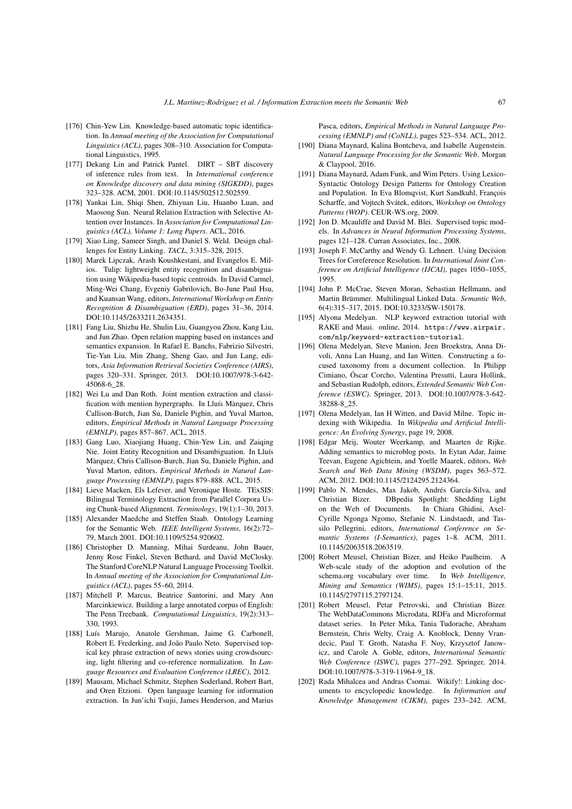- [176] Chin-Yew Lin. Knowledge-based automatic topic identification. In *Annual meeting of the Association for Computational Linguistics (ACL)*, pages 308–310. Association for Computational Linguistics, 1995.
- <span id="page-66-4"></span>[177] Dekang Lin and Patrick Pantel. DIRT - SBT discovery of inference rules from text. In *International conference on Knowledge discovery and data mining (SIGKDD)*, pages 323–328. ACM, 2001. DOI:10.1145/502512.502559.
- <span id="page-66-7"></span>[178] Yankai Lin, Shiqi Shen, Zhiyuan Liu, Huanbo Luan, and Maosong Sun. Neural Relation Extraction with Selective Attention over Instances. In *Association for Computational Linguistics (ACL), Volume 1: Long Papers*. ACL, 2016.
- [179] Xiao Ling, Sameer Singh, and Daniel S. Weld. Design challenges for Entity Linking. *TACL*, 3:315–328, 2015.
- [180] Marek Lipczak, Arash Koushkestani, and Evangelos E. Milios. Tulip: lightweight entity recognition and disambiguation using Wikipedia-based topic centroids. In David Carmel, Ming-Wei Chang, Evgeniy Gabrilovich, Bo-June Paul Hsu, and Kuansan Wang, editors, *International Workshop on Entity Recognition & Disambiguation (ERD)*, pages 31–36, 2014. DOI:10.1145/2633211.2634351.
- <span id="page-66-6"></span>[181] Fang Liu, Shizhu He, Shulin Liu, Guangyou Zhou, Kang Liu, and Jun Zhao. Open relation mapping based on instances and semantics expansion. In Rafael E. Banchs, Fabrizio Silvestri, Tie-Yan Liu, Min Zhang, Sheng Gao, and Jun Lang, editors, *Asia Information Retrieval Societies Conference (AIRS)*, pages 320–331. Springer, 2013. DOI:10.1007/978-3-642- 45068-6\_28.
- [182] Wei Lu and Dan Roth. Joint mention extraction and classification with mention hypergraphs. In Lluís Màrquez, Chris Callison-Burch, Jian Su, Daniele Pighin, and Yuval Marton, editors, *Empirical Methods in Natural Language Processing (EMNLP)*, pages 857–867. ACL, 2015.
- <span id="page-66-9"></span>[183] Gang Luo, Xiaojiang Huang, Chin-Yew Lin, and Zaiqing Nie. Joint Entity Recognition and Disambiguation. In Lluís Màrquez, Chris Callison-Burch, Jian Su, Daniele Pighin, and Yuval Marton, editors, *Empirical Methods in Natural Language Processing (EMNLP)*, pages 879–888. ACL, 2015.
- [184] Lieve Macken, Els Lefever, and Veronique Hoste. TExSIS: Bilingual Terminology Extraction from Parallel Corpora Using Chunk-based Alignment. *Terminology*, 19(1):1–30, 2013.
- [185] Alexander Maedche and Steffen Staab. Ontology Learning for the Semantic Web. *IEEE Intelligent Systems*, 16(2):72– 79, March 2001. DOI:10.1109/5254.920602.
- <span id="page-66-8"></span>[186] Christopher D. Manning, Mihai Surdeanu, John Bauer, Jenny Rose Finkel, Steven Bethard, and David McClosky. The Stanford CoreNLP Natural Language Processing Toolkit. In *Annual meeting of the Association for Computational Linguistics (ACL)*, pages 55–60, 2014.
- [187] Mitchell P. Marcus, Beatrice Santorini, and Mary Ann Marcinkiewicz. Building a large annotated corpus of English: The Penn Treebank. *Computational Linguistics*, 19(2):313– 330, 1993.
- <span id="page-66-0"></span>[188] Luís Marujo, Anatole Gershman, Jaime G. Carbonell, Robert E. Frederking, and João Paulo Neto. Supervised topical key phrase extraction of news stories using crowdsourcing, light filtering and co-reference normalization. In *Language Resources and Evaluation Conference (LREC)*, 2012.
- [189] Mausam, Michael Schmitz, Stephen Soderland, Robert Bart, and Oren Etzioni. Open language learning for information extraction. In Jun'ichi Tsujii, James Henderson, and Marius

Pasca, editors, *Empirical Methods in Natural Language Processing (EMNLP) and (CoNLL)*, pages 523–534. ACL, 2012.

- [190] Diana Maynard, Kalina Bontcheva, and Isabelle Augenstein. *Natural Language Processing for the Semantic Web*. Morgan & Claypool, 2016.
- <span id="page-66-3"></span>[191] Diana Maynard, Adam Funk, and Wim Peters. Using Lexico-Syntactic Ontology Design Patterns for Ontology Creation and Population. In Eva Blomqvist, Kurt Sandkuhl, François Scharffe, and Vojtech Svátek, editors, *Workshop on Ontology Patterns (WOP)*. CEUR-WS.org, 2009.
- [192] Jon D. Mcauliffe and David M. Blei. Supervised topic models. In *Advances in Neural Information Processing Systems*, pages 121–128. Curran Associates, Inc., 2008.
- [193] Joseph F. McCarthy and Wendy G. Lehnert. Using Decision Trees for Coreference Resolution. In *International Joint Conference on Artificial Intelligence (IJCAI)*, pages 1050–1055, 1995.
- <span id="page-66-2"></span>[194] John P. McCrae, Steven Moran, Sebastian Hellmann, and Martin Brümmer. Multilingual Linked Data. *Semantic Web*, 6(4):315–317, 2015. DOI:10.3233/SW-150178.
- [195] Alyona Medelyan. NLP keyword extraction tutorial with RAKE and Maui. online, 2014. [https://www.airpair.](https://www.airpair.com/nlp/keyword-extraction-tutorial) [com/nlp/keyword-extraction-tutorial](https://www.airpair.com/nlp/keyword-extraction-tutorial).
- <span id="page-66-1"></span>[196] Olena Medelyan, Steve Manion, Jeen Broekstra, Anna Divoli, Anna Lan Huang, and Ian Witten. Constructing a focused taxonomy from a document collection. In Philipp Cimiano, Óscar Corcho, Valentina Presutti, Laura Hollink, and Sebastian Rudolph, editors, *Extended Semantic Web Conference (ESWC)*. Springer, 2013. DOI:10.1007/978-3-642- 38288-8\_25.
- [197] Olena Medelyan, Ian H Witten, and David Milne. Topic indexing with Wikipedia. In *Wikipedia and Artificial Intelligence: An Evolving Synergy*, page 19, 2008.
- [198] Edgar Meij, Wouter Weerkamp, and Maarten de Rijke. Adding semantics to microblog posts. In Eytan Adar, Jaime Teevan, Eugene Agichtein, and Yoelle Maarek, editors, *Web Search and Web Data Mining (WSDM)*, pages 563–572. ACM, 2012. DOI:10.1145/2124295.2124364.
- <span id="page-66-5"></span>[199] Pablo N. Mendes, Max Jakob, Andrés García-Silva, and Christian Bizer. DBpedia Spotlight: Shedding Light on the Web of Documents. In Chiara Ghidini, Axel-Cyrille Ngonga Ngomo, Stefanie N. Lindstaedt, and Tassilo Pellegrini, editors, *International Conference on Semantic Systems (I-Semantics)*, pages 1–8. ACM, 2011. 10.1145/2063518.2063519.
- [200] Robert Meusel, Christian Bizer, and Heiko Paulheim. A Web-scale study of the adoption and evolution of the schema.org vocabulary over time. In *Web Intelligence, Mining and Semantics (WIMS)*, pages 15:1–15:11, 2015. 10.1145/2797115.2797124.
- [201] Robert Meusel, Petar Petrovski, and Christian Bizer. The WebDataCommons Microdata, RDFa and Microformat dataset series. In Peter Mika, Tania Tudorache, Abraham Bernstein, Chris Welty, Craig A. Knoblock, Denny Vrandecic, Paul T. Groth, Natasha F. Noy, Krzysztof Janowicz, and Carole A. Goble, editors, *International Semantic Web Conference (ISWC)*, pages 277–292. Springer, 2014. DOI:10.1007/978-3-319-11964-9\_18.
- [202] Rada Mihalcea and Andras Csomai. Wikify!: Linking documents to encyclopedic knowledge. In *Information and Knowledge Management (CIKM)*, pages 233–242. ACM,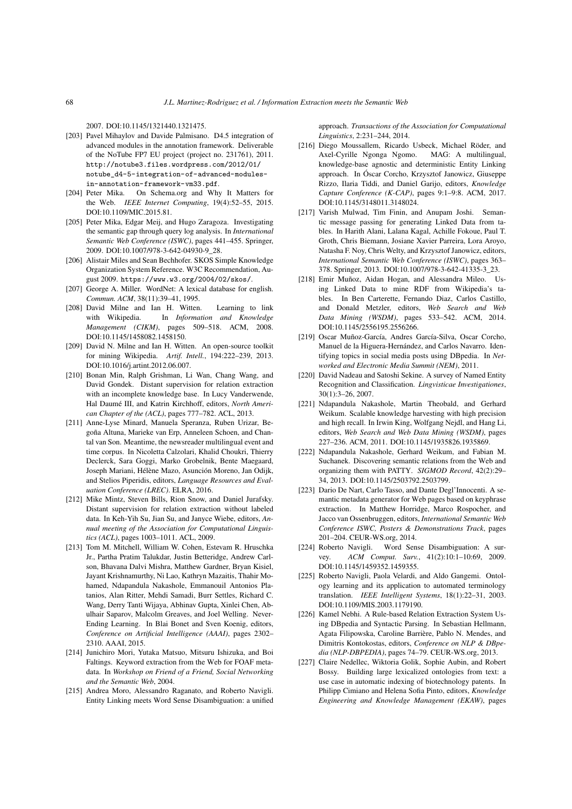2007. DOI:10.1145/1321440.1321475.

- <span id="page-67-12"></span>[203] Pavel Mihaylov and Davide Palmisano. D4.5 integration of advanced modules in the annotation framework. Deliverable of the NoTube FP7 EU project (project no. 231761), 2011. [http://notube3.files.wordpress.com/2012/01/](http://notube3.files.wordpress.com/2012/01/notube_d4-5-integration-of-advanced-modules-in-annotation-framework-vm33.pdf) [notube\\_d4-5-integration-of-advanced-modules](http://notube3.files.wordpress.com/2012/01/notube_d4-5-integration-of-advanced-modules-in-annotation-framework-vm33.pdf)[in-annotation-framework-vm33.pdf](http://notube3.files.wordpress.com/2012/01/notube_d4-5-integration-of-advanced-modules-in-annotation-framework-vm33.pdf).
- [204] Peter Mika. On Schema.org and Why It Matters for the Web. *IEEE Internet Computing*, 19(4):52–55, 2015. DOI:10.1109/MIC.2015.81.
- [205] Peter Mika, Edgar Meij, and Hugo Zaragoza. Investigating the semantic gap through query log analysis. In *International Semantic Web Conference (ISWC)*, pages 441–455. Springer, 2009. DOI:10.1007/978-3-642-04930-9\_28.
- <span id="page-67-2"></span>[206] Alistair Miles and Sean Bechhofer. SKOS Simple Knowledge Organization System Reference. W3C Recommendation, August 2009. <https://www.w3.org/2004/02/skos/>.
- [207] George A. Miller. WordNet: A lexical database for english. *Commun. ACM*, 38(11):39–41, 1995.
- [208] David Milne and Ian H. Witten. Learning to link with Wikipedia. In *Information and Knowledge Management (CIKM)*, pages 509–518. ACM, 2008. DOI:10.1145/1458082.1458150.
- [209] David N. Milne and Ian H. Witten. An open-source toolkit for mining Wikipedia. *Artif. Intell.*, 194:222–239, 2013. DOI:10.1016/j.artint.2012.06.007.
- <span id="page-67-7"></span>[210] Bonan Min, Ralph Grishman, Li Wan, Chang Wang, and David Gondek. Distant supervision for relation extraction with an incomplete knowledge base. In Lucy Vanderwende, Hal Daumé III, and Katrin Kirchhoff, editors, *North American Chapter of the (ACL)*, pages 777–782. ACL, 2013.
- [211] Anne-Lyse Minard, Manuela Speranza, Ruben Urizar, Begoña Altuna, Marieke van Erp, Anneleen Schoen, and Chantal van Son. Meantime, the newsreader multilingual event and time corpus. In Nicoletta Calzolari, Khalid Choukri, Thierry Declerck, Sara Goggi, Marko Grobelnik, Bente Maegaard, Joseph Mariani, Hélène Mazo, Asunción Moreno, Jan Odijk, and Stelios Piperidis, editors, *Language Resources and Evaluation Conference (LREC)*. ELRA, 2016.
- <span id="page-67-5"></span>[212] Mike Mintz, Steven Bills, Rion Snow, and Daniel Jurafsky. Distant supervision for relation extraction without labeled data. In Keh-Yih Su, Jian Su, and Janyce Wiebe, editors, *Annual meeting of the Association for Computational Linguistics (ACL)*, pages 1003–1011. ACL, 2009.
- <span id="page-67-6"></span>[213] Tom M. Mitchell, William W. Cohen, Estevam R. Hruschka Jr., Partha Pratim Talukdar, Justin Betteridge, Andrew Carlson, Bhavana Dalvi Mishra, Matthew Gardner, Bryan Kisiel, Jayant Krishnamurthy, Ni Lao, Kathryn Mazaitis, Thahir Mohamed, Ndapandula Nakashole, Emmanouil Antonios Platanios, Alan Ritter, Mehdi Samadi, Burr Settles, Richard C. Wang, Derry Tanti Wijaya, Abhinav Gupta, Xinlei Chen, Abulhair Saparov, Malcolm Greaves, and Joel Welling. Never-Ending Learning. In Blai Bonet and Sven Koenig, editors, *Conference on Artificial Intelligence (AAAI)*, pages 2302– 2310. AAAI, 2015.
- [214] Junichiro Mori, Yutaka Matsuo, Mitsuru Ishizuka, and Boi Faltings. Keyword extraction from the Web for FOAF metadata. In *Workshop on Friend of a Friend, Social Networking and the Semantic Web*, 2004.
- <span id="page-67-13"></span>[215] Andrea Moro, Alessandro Raganato, and Roberto Navigli. Entity Linking meets Word Sense Disambiguation: a unified

approach. *Transactions of the Association for Computational Linguistics*, 2:231–244, 2014.

- [216] Diego Moussallem, Ricardo Usbeck, Michael Röder, and Axel-Cyrille Ngonga Ngomo. MAG: A multilingual, knowledge-base agnostic and deterministic Entity Linking approach. In Óscar Corcho, Krzysztof Janowicz, Giuseppe Rizzo, Ilaria Tiddi, and Daniel Garijo, editors, *Knowledge Capture Conference (K-CAP)*, pages 9:1–9:8. ACM, 2017. DOI:10.1145/3148011.3148024.
- <span id="page-67-11"></span>[217] Varish Mulwad, Tim Finin, and Anupam Joshi. Semantic message passing for generating Linked Data from tables. In Harith Alani, Lalana Kagal, Achille Fokoue, Paul T. Groth, Chris Biemann, Josiane Xavier Parreira, Lora Aroyo, Natasha F. Noy, Chris Welty, and Krzysztof Janowicz, editors, *International Semantic Web Conference (ISWC)*, pages 363– 378. Springer, 2013. DOI:10.1007/978-3-642-41335-3\_23.
- <span id="page-67-10"></span>[218] Emir Muñoz, Aidan Hogan, and Alessandra Mileo. Using Linked Data to mine RDF from Wikipedia's tables. In Ben Carterette, Fernando Diaz, Carlos Castillo, and Donald Metzler, editors, *Web Search and Web Data Mining (WSDM)*, pages 533–542. ACM, 2014. DOI:10.1145/2556195.2556266.
- <span id="page-67-1"></span>[219] Oscar Muñoz-García, Andres García-Silva, Oscar Corcho, Manuel de la Higuera-Hernández, and Carlos Navarro. Identifying topics in social media posts using DBpedia. In *Networked and Electronic Media Summit (NEM)*, 2011.
- [220] David Nadeau and Satoshi Sekine. A survey of Named Entity Recognition and Classification. *Lingvisticae Investigationes*, 30(1):3–26, 2007.
- <span id="page-67-9"></span>[221] Ndapandula Nakashole, Martin Theobald, and Gerhard Weikum. Scalable knowledge harvesting with high precision and high recall. In Irwin King, Wolfgang Nejdl, and Hang Li, editors, *Web Search and Web Data Mining (WSDM)*, pages 227–236. ACM, 2011. DOI:10.1145/1935826.1935869.
- <span id="page-67-4"></span>[222] Ndapandula Nakashole, Gerhard Weikum, and Fabian M. Suchanek. Discovering semantic relations from the Web and organizing them with PATTY. *SIGMOD Record*, 42(2):29– 34, 2013. DOI:10.1145/2503792.2503799.
- [223] Dario De Nart, Carlo Tasso, and Dante Degl'Innocenti. A semantic metadata generator for Web pages based on keyphrase extraction. In Matthew Horridge, Marco Rospocher, and Jacco van Ossenbruggen, editors, *International Semantic Web Conference ISWC, Posters & Demonstrations Track*, pages 201–204. CEUR-WS.org, 2014.
- [224] Roberto Navigli. Word Sense Disambiguation: A survey. *ACM Comput. Surv.*, 41(2):10:1–10:69, 2009. DOI:10.1145/1459352.1459355.
- <span id="page-67-3"></span>[225] Roberto Navigli, Paola Velardi, and Aldo Gangemi. Ontology learning and its application to automated terminology translation. *IEEE Intelligent Systems*, 18(1):22–31, 2003. DOI:10.1109/MIS.2003.1179190.
- <span id="page-67-8"></span>[226] Kamel Nebhi. A Rule-based Relation Extraction System Using DBpedia and Syntactic Parsing. In Sebastian Hellmann, Agata Filipowska, Caroline Barrière, Pablo N. Mendes, and Dimitris Kontokostas, editors, *Conference on NLP & DBpedia (NLP-DBPEDIA)*, pages 74–79. CEUR-WS.org, 2013.
- <span id="page-67-0"></span>[227] Claire Nedellec, Wiktoria Golik, Sophie Aubin, and Robert Bossy. Building large lexicalized ontologies from text: a use case in automatic indexing of biotechnology patents. In Philipp Cimiano and Helena Sofia Pinto, editors, *Knowledge Engineering and Knowledge Management (EKAW)*, pages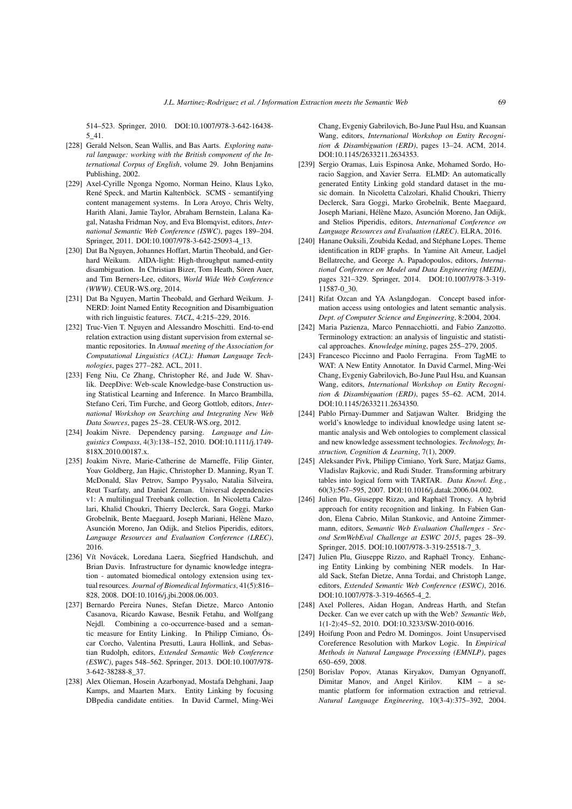514–523. Springer, 2010. DOI:10.1007/978-3-642-16438- 5\_41.

- [228] Gerald Nelson, Sean Wallis, and Bas Aarts. *Exploring natural language: working with the British component of the International Corpus of English*, volume 29. John Benjamins Publishing, 2002.
- <span id="page-68-3"></span>[229] Axel-Cyrille Ngonga Ngomo, Norman Heino, Klaus Lyko, René Speck, and Martin Kaltenböck. SCMS - semantifying content management systems. In Lora Aroyo, Chris Welty, Harith Alani, Jamie Taylor, Abraham Bernstein, Lalana Kagal, Natasha Fridman Noy, and Eva Blomqvist, editors, *International Semantic Web Conference (ISWC)*, pages 189–204. Springer, 2011. DOI:10.1007/978-3-642-25093-4 13.
- [230] Dat Ba Nguyen, Johannes Hoffart, Martin Theobald, and Gerhard Weikum. AIDA-light: High-throughput named-entity disambiguation. In Christian Bizer, Tom Heath, Sören Auer, and Tim Berners-Lee, editors, *World Wide Web Conference (WWW)*. CEUR-WS.org, 2014.
- <span id="page-68-6"></span>[231] Dat Ba Nguyen, Martin Theobald, and Gerhard Weikum. J-NERD: Joint Named Entity Recognition and Disambiguation with rich linguistic features. *TACL*, 4:215–229, 2016.
- <span id="page-68-2"></span>[232] Truc-Vien T. Nguyen and Alessandro Moschitti. End-to-end relation extraction using distant supervision from external semantic repositories. In *Annual meeting of the Association for Computational Linguistics (ACL): Human Language Technologies*, pages 277–282. ACL, 2011.
- <span id="page-68-1"></span>[233] Feng Niu, Ce Zhang, Christopher Ré, and Jude W. Shavlik. DeepDive: Web-scale Knowledge-base Construction using Statistical Learning and Inference. In Marco Brambilla, Stefano Ceri, Tim Furche, and Georg Gottlob, editors, *International Workshop on Searching and Integrating New Web Data Sources*, pages 25–28. CEUR-WS.org, 2012.
- [234] Joakim Nivre. Dependency parsing. *Language and Linguistics Compass*, 4(3):138–152, 2010. DOI:10.1111/j.1749- 818X.2010.00187.x.
- [235] Joakim Nivre, Marie-Catherine de Marneffe, Filip Ginter, Yoav Goldberg, Jan Hajic, Christopher D. Manning, Ryan T. McDonald, Slav Petrov, Sampo Pyysalo, Natalia Silveira, Reut Tsarfaty, and Daniel Zeman. Universal dependencies v1: A multilingual Treebank collection. In Nicoletta Calzolari, Khalid Choukri, Thierry Declerck, Sara Goggi, Marko Grobelnik, Bente Maegaard, Joseph Mariani, Hélène Mazo, Asunción Moreno, Jan Odijk, and Stelios Piperidis, editors, *Language Resources and Evaluation Conference (LREC)*, 2016.
- <span id="page-68-0"></span>[236] Vít Novácek, Loredana Laera, Siegfried Handschuh, and Brian Davis. Infrastructure for dynamic knowledge integration - automated biomedical ontology extension using textual resources. *Journal of Biomedical Informatics*, 41(5):816– 828, 2008. DOI:10.1016/j.jbi.2008.06.003.
- [237] Bernardo Pereira Nunes, Stefan Dietze, Marco Antonio Casanova, Ricardo Kawase, Besnik Fetahu, and Wolfgang Nejdl. Combining a co-occurrence-based and a semantic measure for Entity Linking. In Philipp Cimiano, Óscar Corcho, Valentina Presutti, Laura Hollink, and Sebastian Rudolph, editors, *Extended Semantic Web Conference (ESWC)*, pages 548–562. Springer, 2013. DOI:10.1007/978- 3-642-38288-8\_37.
- [238] Alex Olieman, Hosein Azarbonyad, Mostafa Dehghani, Jaap Kamps, and Maarten Marx. Entity Linking by focusing DBpedia candidate entities. In David Carmel, Ming-Wei

Chang, Evgeniy Gabrilovich, Bo-June Paul Hsu, and Kuansan Wang, editors, *International Workshop on Entity Recognition & Disambiguation (ERD)*, pages 13–24. ACM, 2014. DOI:10.1145/2633211.2634353.

- [239] Sergio Oramas, Luis Espinosa Anke, Mohamed Sordo, Horacio Saggion, and Xavier Serra. ELMD: An automatically generated Entity Linking gold standard dataset in the music domain. In Nicoletta Calzolari, Khalid Choukri, Thierry Declerck, Sara Goggi, Marko Grobelnik, Bente Maegaard, Joseph Mariani, Hélène Mazo, Asunción Moreno, Jan Odijk, and Stelios Piperidis, editors, *International Conference on Language Resources and Evaluation (LREC)*. ELRA, 2016.
- <span id="page-68-5"></span>[240] Hanane Ouksili, Zoubida Kedad, and Stéphane Lopes. Theme identification in RDF graphs. In Yamine Aït Ameur, Ladjel Bellatreche, and George A. Papadopoulos, editors, *International Conference on Model and Data Engineering (MEDI)*, pages 321–329. Springer, 2014. DOI:10.1007/978-3-319- 11587-0\_30.
- [241] Rifat Ozcan and YA Aslangdogan. Concept based information access using ontologies and latent semantic analysis. *Dept. of Computer Science and Engineering*, 8:2004, 2004.
- [242] Maria Pazienza, Marco Pennacchiotti, and Fabio Zanzotto. Terminology extraction: an analysis of linguistic and statistical approaches. *Knowledge mining*, pages 255–279, 2005.
- [243] Francesco Piccinno and Paolo Ferragina. From TagME to WAT: A New Entity Annotator. In David Carmel, Ming-Wei Chang, Evgeniy Gabrilovich, Bo-June Paul Hsu, and Kuansan Wang, editors, *International Workshop on Entity Recognition & Disambiguation (ERD)*, pages 55–62. ACM, 2014. DOI:10.1145/2633211.2634350.
- [244] Pablo Pirnay-Dummer and Satjawan Walter. Bridging the world's knowledge to individual knowledge using latent semantic analysis and Web ontologies to complement classical and new knowledge assessment technologies. *Technology, Instruction, Cognition & Learning*, 7(1), 2009.
- <span id="page-68-4"></span>[245] Aleksander Pivk, Philipp Cimiano, York Sure, Matjaz Gams, Vladislav Rajkovic, and Rudi Studer. Transforming arbitrary tables into logical form with TARTAR. *Data Knowl. Eng.*, 60(3):567–595, 2007. DOI:10.1016/j.datak.2006.04.002.
- [246] Julien Plu, Giuseppe Rizzo, and Raphaël Troncy. A hybrid approach for entity recognition and linking. In Fabien Gandon, Elena Cabrio, Milan Stankovic, and Antoine Zimmermann, editors, *Semantic Web Evaluation Challenges - Second SemWebEval Challenge at ESWC 2015*, pages 28–39. Springer, 2015. DOI:10.1007/978-3-319-25518-7\_3.
- [247] Julien Plu, Giuseppe Rizzo, and Raphaël Troncy. Enhancing Entity Linking by combining NER models. In Harald Sack, Stefan Dietze, Anna Tordai, and Christoph Lange, editors, *Extended Semantic Web Conference (ESWC)*, 2016. DOI:10.1007/978-3-319-46565-4\_2.
- [248] Axel Polleres, Aidan Hogan, Andreas Harth, and Stefan Decker. Can we ever catch up with the Web? *Semantic Web*, 1(1-2):45–52, 2010. DOI:10.3233/SW-2010-0016.
- [249] Hoifung Poon and Pedro M. Domingos. Joint Unsupervised Coreference Resolution with Markov Logic. In *Empirical Methods in Natural Language Processing (EMNLP)*, pages 650–659, 2008.
- [250] Borislav Popov, Atanas Kiryakov, Damyan Ognyanoff, Dimitar Manov, and Angel Kirilov. KIM – a semantic platform for information extraction and retrieval. *Natural Language Engineering*, 10(3-4):375–392, 2004.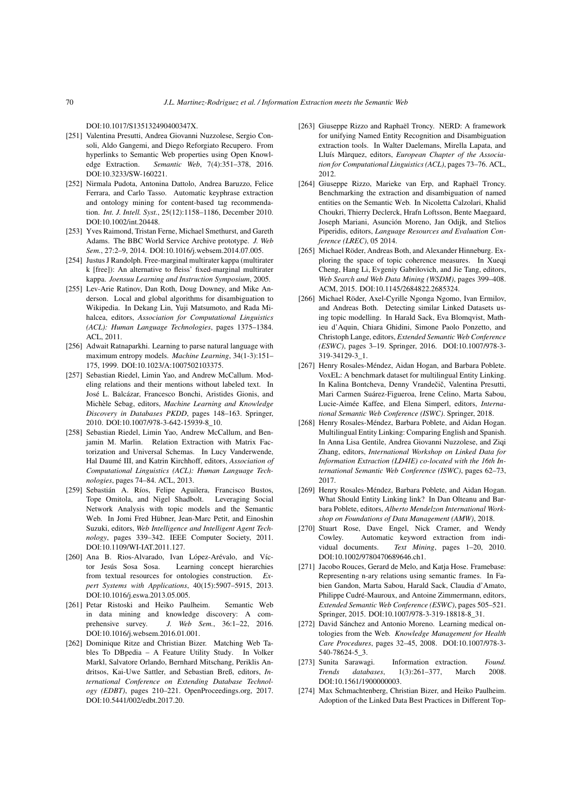DOI:10.1017/S135132490400347X.

- <span id="page-69-7"></span>[251] Valentina Presutti, Andrea Giovanni Nuzzolese, Sergio Consoli, Aldo Gangemi, and Diego Reforgiato Recupero. From hyperlinks to Semantic Web properties using Open Knowledge Extraction. *Semantic Web*, 7(4):351–378, 2016. DOI:10.3233/SW-160221.
- [252] Nirmala Pudota, Antonina Dattolo, Andrea Baruzzo, Felice Ferrara, and Carlo Tasso. Automatic keyphrase extraction and ontology mining for content-based tag recommendation. *Int. J. Intell. Syst.*, 25(12):1158–1186, December 2010. DOI:10.1002/int.20448.
- <span id="page-69-11"></span>[253] Yves Raimond, Tristan Ferne, Michael Smethurst, and Gareth Adams. The BBC World Service Archive prototype. *J. Web Sem.*, 27:2–9, 2014. DOI:10.1016/j.websem.2014.07.005.
- <span id="page-69-1"></span>[254] Justus J Randolph. Free-marginal multirater kappa (multirater k [free]): An alternative to fleiss' fixed-marginal multirater kappa. *Joensuu Learning and Instruction Symposium*, 2005.
- <span id="page-69-8"></span>[255] Lev-Arie Ratinov, Dan Roth, Doug Downey, and Mike Anderson. Local and global algorithms for disambiguation to Wikipedia. In Dekang Lin, Yuji Matsumoto, and Rada Mihalcea, editors, *Association for Computational Linguistics (ACL): Human Language Technologies*, pages 1375–1384. ACL, 2011.
- [256] Adwait Ratnaparkhi. Learning to parse natural language with maximum entropy models. *Machine Learning*, 34(1-3):151– 175, 1999. DOI:10.1023/A:1007502103375.
- <span id="page-69-4"></span>[257] Sebastian Riedel, Limin Yao, and Andrew McCallum. Modeling relations and their mentions without labeled text. In José L. Balcázar, Francesco Bonchi, Aristides Gionis, and Michèle Sebag, editors, *Machine Learning and Knowledge Discovery in Databases PKDD*, pages 148–163. Springer, 2010. DOI:10.1007/978-3-642-15939-8\_10.
- <span id="page-69-5"></span>[258] Sebastian Riedel, Limin Yao, Andrew McCallum, and Benjamin M. Marlin. Relation Extraction with Matrix Factorization and Universal Schemas. In Lucy Vanderwende, Hal Daumé III, and Katrin Kirchhoff, editors, *Association of Computational Linguistics (ACL): Human Language Technologies*, pages 74–84. ACL, 2013.
- [259] Sebastián A. Ríos, Felipe Aguilera, Francisco Bustos, Tope Omitola, and Nigel Shadbolt. Leveraging Social Network Analysis with topic models and the Semantic Web. In Jomi Fred Hübner, Jean-Marc Petit, and Einoshin Suzuki, editors, *Web Intelligence and Intelligent Agent Technology*, pages 339–342. IEEE Computer Society, 2011. DOI:10.1109/WI-IAT.2011.127.
- <span id="page-69-3"></span>[260] Ana B. Rios-Alvarado, Ivan López-Arévalo, and Víctor Jesús Sosa Sosa. Learning concept hierarchies from textual resources for ontologies construction. *Expert Systems with Applications*, 40(15):5907–5915, 2013. DOI:10.1016/j.eswa.2013.05.005.
- <span id="page-69-9"></span>[261] Petar Ristoski and Heiko Paulheim. Semantic Web in data mining and knowledge discovery: A comprehensive survey. *J. Web Sem.*, 36:1–22, 2016. DOI:10.1016/j.websem.2016.01.001.
- <span id="page-69-10"></span>[262] Dominique Ritze and Christian Bizer. Matching Web Tables To DBpedia – A Feature Utility Study. In Volker Markl, Salvatore Orlando, Bernhard Mitschang, Periklis Andritsos, Kai-Uwe Sattler, and Sebastian Breß, editors, *International Conference on Extending Database Technology (EDBT)*, pages 210–221. OpenProceedings.org, 2017. DOI:10.5441/002/edbt.2017.20.
- [263] Giuseppe Rizzo and Raphaël Troncy. NERD: A framework for unifying Named Entity Recognition and Disambiguation extraction tools. In Walter Daelemans, Mirella Lapata, and Lluís Màrquez, editors, *European Chapter of the Association for Computational Linguistics (ACL)*, pages 73–76. ACL, 2012.
- [264] Giuseppe Rizzo, Marieke van Erp, and Raphaël Troncy. Benchmarking the extraction and disambiguation of named entities on the Semantic Web. In Nicoletta Calzolari, Khalid Choukri, Thierry Declerck, Hrafn Loftsson, Bente Maegaard, Joseph Mariani, Asunción Moreno, Jan Odijk, and Stelios Piperidis, editors, *Language Resources and Evaluation Conference (LREC)*, 05 2014.
- <span id="page-69-0"></span>[265] Michael Röder, Andreas Both, and Alexander Hinneburg. Exploring the space of topic coherence measures. In Xueqi Cheng, Hang Li, Evgeniy Gabrilovich, and Jie Tang, editors, *Web Search and Web Data Mining (WSDM)*, pages 399–408. ACM, 2015. DOI:10.1145/2684822.2685324.
- <span id="page-69-12"></span>[266] Michael Röder, Axel-Cyrille Ngonga Ngomo, Ivan Ermilov, and Andreas Both. Detecting similar Linked Datasets using topic modelling. In Harald Sack, Eva Blomqvist, Mathieu d'Aquin, Chiara Ghidini, Simone Paolo Ponzetto, and Christoph Lange, editors, *Extended Semantic Web Conference (ESWC)*, pages 3–19. Springer, 2016. DOI:10.1007/978-3- 319-34129-3\_1.
- [267] Henry Rosales-Méndez, Aidan Hogan, and Barbara Poblete. VoxEL: A benchmark dataset for multilingual Entity Linking. In Kalina Bontcheva, Denny Vrandečič, Valentina Presutti, Mari Carmen Suárez-Figueroa, Irene Celino, Marta Sabou, Lucie-Aimée Kaffee, and Elena Simperl, editors, *International Semantic Web Conference (ISWC)*. Springer, 2018.
- [268] Henry Rosales-Méndez, Barbara Poblete, and Aidan Hogan. Multilingual Entity Linking: Comparing English and Spanish. In Anna Lisa Gentile, Andrea Giovanni Nuzzolese, and Ziqi Zhang, editors, *International Workshop on Linked Data for Information Extraction (LD4IE) co-located with the 16th International Semantic Web Conference (ISWC)*, pages 62–73, 2017.
- [269] Henry Rosales-Méndez, Barbara Poblete, and Aidan Hogan. What Should Entity Linking link? In Dan Olteanu and Barbara Poblete, editors, *Alberto Mendelzon International Workshop on Foundations of Data Management (AMW)*, 2018.
- [270] Stuart Rose, Dave Engel, Nick Cramer, and Wendy Cowley. Automatic keyword extraction from individual documents. *Text Mining*, pages 1–20, 2010. DOI:10.1002/9780470689646.ch1.
- <span id="page-69-6"></span>[271] Jacobo Rouces, Gerard de Melo, and Katja Hose. Framebase: Representing n-ary relations using semantic frames. In Fabien Gandon, Marta Sabou, Harald Sack, Claudia d'Amato, Philippe Cudré-Mauroux, and Antoine Zimmermann, editors, *Extended Semantic Web Conference (ESWC)*, pages 505–521. Springer, 2015. DOI:10.1007/978-3-319-18818-8\_31.
- <span id="page-69-2"></span>[272] David Sánchez and Antonio Moreno. Learning medical ontologies from the Web. *Knowledge Management for Health Care Procedures*, pages 32–45, 2008. DOI:10.1007/978-3- 540-78624-5\_3.
- [273] Sunita Sarawagi. Information extraction. *Found. Trends databases*, 1(3):261–377, March 2008. DOI:10.1561/1900000003.
- [274] Max Schmachtenberg, Christian Bizer, and Heiko Paulheim. Adoption of the Linked Data Best Practices in Different Top-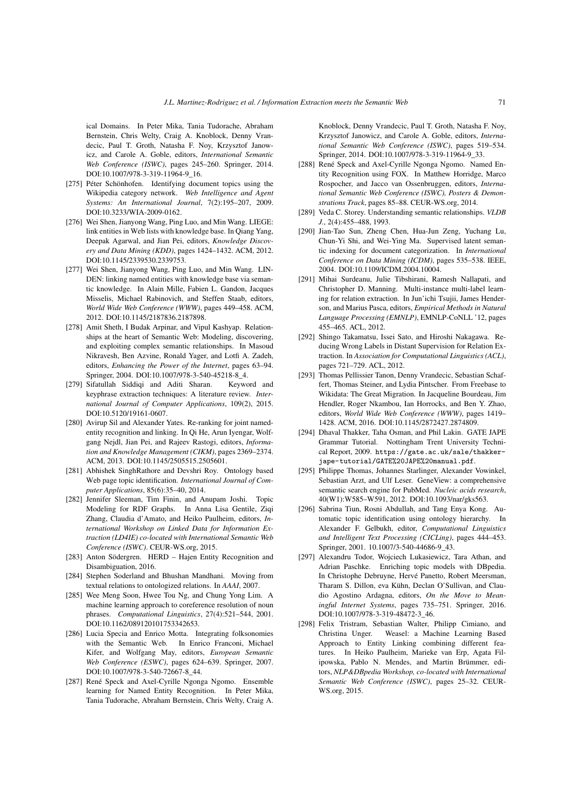ical Domains. In Peter Mika, Tania Tudorache, Abraham Bernstein, Chris Welty, Craig A. Knoblock, Denny Vrandecic, Paul T. Groth, Natasha F. Noy, Krzysztof Janowicz, and Carole A. Goble, editors, *International Semantic Web Conference (ISWC)*, pages 245–260. Springer, 2014. DOI:10.1007/978-3-319-11964-9\_16.

- [275] Péter Schönhofen. Identifying document topics using the Wikipedia category network. *Web Intelligence and Agent Systems: An International Journal*, 7(2):195–207, 2009. DOI:10.3233/WIA-2009-0162.
- <span id="page-70-8"></span>[276] Wei Shen, Jianyong Wang, Ping Luo, and Min Wang. LIEGE: link entities in Web lists with knowledge base. In Qiang Yang, Deepak Agarwal, and Jian Pei, editors, *Knowledge Discovery and Data Mining (KDD)*, pages 1424–1432. ACM, 2012. DOI:10.1145/2339530.2339753.
- [277] Wei Shen, Jianyong Wang, Ping Luo, and Min Wang. LIN-DEN: linking named entities with knowledge base via semantic knowledge. In Alain Mille, Fabien L. Gandon, Jacques Misselis, Michael Rabinovich, and Steffen Staab, editors, *World Wide Web Conference (WWW)*, pages 449–458. ACM, 2012. DOI:10.1145/2187836.2187898.
- <span id="page-70-3"></span>[278] Amit Sheth, I Budak Arpinar, and Vipul Kashyap. Relationships at the heart of Semantic Web: Modeling, discovering, and exploiting complex semantic relationships. In Masoud Nikravesh, Ben Azvine, Ronald Yager, and Lotfi A. Zadeh, editors, *Enhancing the Power of the Internet*, pages 63–94. Springer, 2004. DOI:10.1007/978-3-540-45218-8\_4.
- [279] Sifatullah Siddiqi and Aditi Sharan. Keyword and keyphrase extraction techniques: A literature review. *International Journal of Computer Applications*, 109(2), 2015. DOI:10.5120/19161-0607.
- [280] Avirup Sil and Alexander Yates. Re-ranking for joint namedentity recognition and linking. In Qi He, Arun Iyengar, Wolfgang Nejdl, Jian Pei, and Rajeev Rastogi, editors, *Information and Knowledge Management (CIKM)*, pages 2369–2374. ACM, 2013. DOI:10.1145/2505515.2505601.
- <span id="page-70-9"></span>[281] Abhishek SinghRathore and Devshri Roy. Ontology based Web page topic identification. *International Journal of Computer Applications*, 85(6):35–40, 2014.
- <span id="page-70-11"></span>[282] Jennifer Sleeman, Tim Finin, and Anupam Joshi. Topic Modeling for RDF Graphs. In Anna Lisa Gentile, Ziqi Zhang, Claudia d'Amato, and Heiko Paulheim, editors, *International Workshop on Linked Data for Information Extraction (LD4IE) co-located with International Semantic Web Conference (ISWC)*. CEUR-WS.org, 2015.
- [283] Anton Södergren. HERD Hajen Entity Recognition and Disambiguation, 2016.
- <span id="page-70-4"></span>[284] Stephen Soderland and Bhushan Mandhani. Moving from textual relations to ontologized relations. In *AAAI*, 2007.
- [285] Wee Meng Soon, Hwee Tou Ng, and Chung Yong Lim. A machine learning approach to coreference resolution of noun phrases. *Computational Linguistics*, 27(4):521–544, 2001. DOI:10.1162/089120101753342653.
- <span id="page-70-10"></span>[286] Lucia Specia and Enrico Motta. Integrating folksonomies with the Semantic Web. In Enrico Franconi, Michael Kifer, and Wolfgang May, editors, *European Semantic Web Conference (ESWC)*, pages 624–639. Springer, 2007. DOI:10.1007/978-3-540-72667-8\_44.
- [287] René Speck and Axel-Cyrille Ngonga Ngomo. Ensemble learning for Named Entity Recognition. In Peter Mika, Tania Tudorache, Abraham Bernstein, Chris Welty, Craig A.

Knoblock, Denny Vrandecic, Paul T. Groth, Natasha F. Noy, Krzysztof Janowicz, and Carole A. Goble, editors, *International Semantic Web Conference (ISWC)*, pages 519–534. Springer, 2014. DOI:10.1007/978-3-319-11964-9\_33.

- <span id="page-70-2"></span>[288] René Speck and Axel-Cyrille Ngonga Ngomo. Named Entity Recognition using FOX. In Matthew Horridge, Marco Rospocher, and Jacco van Ossenbruggen, editors, *International Semantic Web Conference (ISWC), Posters & Demonstrations Track*, pages 85–88. CEUR-WS.org, 2014.
- <span id="page-70-7"></span>[289] Veda C. Storey. Understanding semantic relationships. *VLDB J.*, 2(4):455–488, 1993.
- [290] Jian-Tao Sun, Zheng Chen, Hua-Jun Zeng, Yuchang Lu, Chun-Yi Shi, and Wei-Ying Ma. Supervised latent semantic indexing for document categorization. In *International Conference on Data Mining (ICDM)*, pages 535–538. IEEE, 2004. DOI:10.1109/ICDM.2004.10004.
- <span id="page-70-5"></span>[291] Mihai Surdeanu, Julie Tibshirani, Ramesh Nallapati, and Christopher D. Manning. Multi-instance multi-label learning for relation extraction. In Jun'ichi Tsujii, James Henderson, and Marius Pasca, editors, *Empirical Methods in Natural Language Processing (EMNLP)*, EMNLP-CoNLL '12, pages 455–465. ACL, 2012.
- <span id="page-70-6"></span>[292] Shingo Takamatsu, Issei Sato, and Hiroshi Nakagawa. Reducing Wrong Labels in Distant Supervision for Relation Extraction. In *Association for Computational Linguistics (ACL)*, pages 721–729. ACL, 2012.
- [293] Thomas Pellissier Tanon, Denny Vrandecic, Sebastian Schaffert, Thomas Steiner, and Lydia Pintscher. From Freebase to Wikidata: The Great Migration. In Jacqueline Bourdeau, Jim Hendler, Roger Nkambou, Ian Horrocks, and Ben Y. Zhao, editors, *World Wide Web Conference (WWW)*, pages 1419– 1428. ACM, 2016. DOI:10.1145/2872427.2874809.
- [294] Dhaval Thakker, Taha Osman, and Phil Lakin. GATE JAPE Grammar Tutorial. Nottingham Trent University Technical Report, 2009. [https://gate.ac.uk/sale/thakker](https://gate.ac.uk/sale/thakker-jape-tutorial/GATE%20JAPE%20manual.pdf)[jape-tutorial/GATE%20JAPE%20manual.pdf](https://gate.ac.uk/sale/thakker-jape-tutorial/GATE%20JAPE%20manual.pdf).
- [295] Philippe Thomas, Johannes Starlinger, Alexander Vowinkel, Sebastian Arzt, and Ulf Leser. GeneView: a comprehensive semantic search engine for PubMed. *Nucleic acids research*, 40(W1):W585–W591, 2012. DOI:10.1093/nar/gks563.
- <span id="page-70-1"></span>[296] Sabrina Tiun, Rosni Abdullah, and Tang Enya Kong. Automatic topic identification using ontology hierarchy. In Alexander F. Gelbukh, editor, *Computational Linguistics and Intelligent Text Processing (CICLing)*, pages 444–453. Springer, 2001. 10.1007/3-540-44686-9\_43.
- <span id="page-70-0"></span>[297] Alexandru Todor, Wojciech Lukasiewicz, Tara Athan, and Adrian Paschke. Enriching topic models with DBpedia. In Christophe Debruyne, Hervé Panetto, Robert Meersman, Tharam S. Dillon, eva Kühn, Declan O'Sullivan, and Claudio Agostino Ardagna, editors, *On the Move to Meaningful Internet Systems*, pages 735–751. Springer, 2016. DOI:10.1007/978-3-319-48472-3\_46.
- [298] Felix Tristram, Sebastian Walter, Philipp Cimiano, and Christina Unger. Weasel: a Machine Learning Based Approach to Entity Linking combining different features. In Heiko Paulheim, Marieke van Erp, Agata Filipowska, Pablo N. Mendes, and Martin Brümmer, editors, *NLP&DBpedia Workshop, co-located with International Semantic Web Conference (ISWC)*, pages 25–32. CEUR-WS.org, 2015.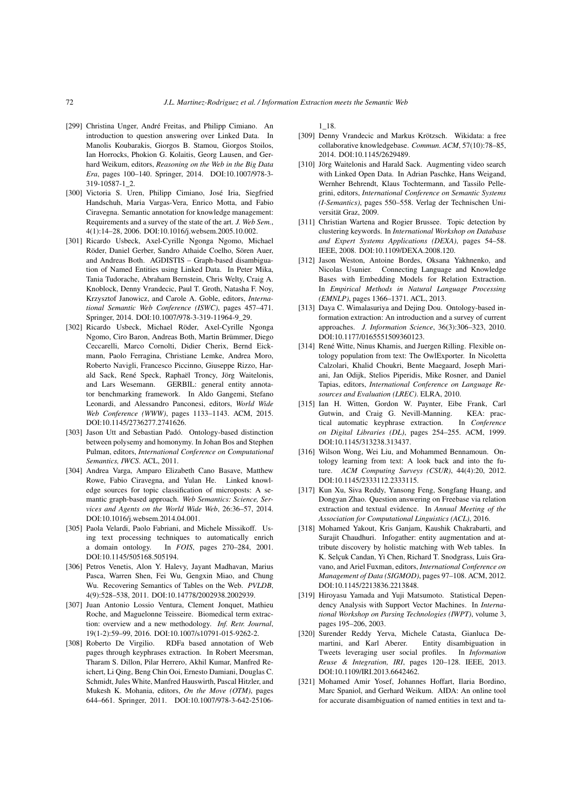- <span id="page-71-5"></span>[299] Christina Unger, André Freitas, and Philipp Cimiano. An introduction to question answering over Linked Data. In Manolis Koubarakis, Giorgos B. Stamou, Giorgos Stoilos, Ian Horrocks, Phokion G. Kolaitis, Georg Lausen, and Gerhard Weikum, editors, *Reasoning on the Web in the Big Data Era*, pages 100–140. Springer, 2014. DOI:10.1007/978-3- 319-10587-1\_2.
- [300] Victoria S. Uren, Philipp Cimiano, José Iria, Siegfried Handschuh, Maria Vargas-Vera, Enrico Motta, and Fabio Ciravegna. Semantic annotation for knowledge management: Requirements and a survey of the state of the art. *J. Web Sem.*, 4(1):14–28, 2006. DOI:10.1016/j.websem.2005.10.002.
- [301] Ricardo Usbeck, Axel-Cyrille Ngonga Ngomo, Michael Röder, Daniel Gerber, Sandro Athaide Coelho, Sören Auer, and Andreas Both. AGDISTIS – Graph-based disambiguation of Named Entities using Linked Data. In Peter Mika, Tania Tudorache, Abraham Bernstein, Chris Welty, Craig A. Knoblock, Denny Vrandecic, Paul T. Groth, Natasha F. Noy, Krzysztof Janowicz, and Carole A. Goble, editors, *International Semantic Web Conference (ISWC)*, pages 457–471. Springer, 2014. DOI:10.1007/978-3-319-11964-9\_29.
- [302] Ricardo Usbeck, Michael Röder, Axel-Cyrille Ngonga Ngomo, Ciro Baron, Andreas Both, Martin Brümmer, Diego Ceccarelli, Marco Cornolti, Didier Cherix, Bernd Eickmann, Paolo Ferragina, Christiane Lemke, Andrea Moro, Roberto Navigli, Francesco Piccinno, Giuseppe Rizzo, Harald Sack, René Speck, Raphaël Troncy, Jörg Waitelonis, and Lars Wesemann. GERBIL: general entity annotator benchmarking framework. In Aldo Gangemi, Stefano Leonardi, and Alessandro Panconesi, editors, *World Wide Web Conference (WWW)*, pages 1133–1143. ACM, 2015. DOI:10.1145/2736277.2741626.
- [303] Jason Utt and Sebastian Padó. Ontology-based distinction between polysemy and homonymy. In Johan Bos and Stephen Pulman, editors, *International Conference on Computational Semantics, IWCS*. ACL, 2011.
- [304] Andrea Varga, Amparo Elizabeth Cano Basave, Matthew Rowe, Fabio Ciravegna, and Yulan He. Linked knowledge sources for topic classification of microposts: A semantic graph-based approach. *Web Semantics: Science, Services and Agents on the World Wide Web*, 26:36–57, 2014. DOI:10.1016/j.websem.2014.04.001.
- <span id="page-71-2"></span>[305] Paola Velardi, Paolo Fabriani, and Michele Missikoff. Using text processing techniques to automatically enrich a domain ontology. In *FOIS*, pages 270–284, 2001. DOI:10.1145/505168.505194.
- <span id="page-71-8"></span>[306] Petros Venetis, Alon Y. Halevy, Jayant Madhavan, Marius Pasca, Warren Shen, Fei Wu, Gengxin Miao, and Chung Wu. Recovering Semantics of Tables on the Web. *PVLDB*, 4(9):528–538, 2011. DOI:10.14778/2002938.2002939.
- <span id="page-71-1"></span>[307] Juan Antonio Lossio Ventura, Clement Jonquet, Mathieu Roche, and Maguelonne Teisseire. Biomedical term extraction: overview and a new methodology. *Inf. Retr. Journal*, 19(1-2):59–99, 2016. DOI:10.1007/s10791-015-9262-2.
- <span id="page-71-0"></span>[308] Roberto De Virgilio. RDFa based annotation of Web pages through keyphrases extraction. In Robert Meersman, Tharam S. Dillon, Pilar Herrero, Akhil Kumar, Manfred Reichert, Li Qing, Beng Chin Ooi, Ernesto Damiani, Douglas C. Schmidt, Jules White, Manfred Hauswirth, Pascal Hitzler, and Mukesh K. Mohania, editors, *On the Move (OTM)*, pages 644–661. Springer, 2011. DOI:10.1007/978-3-642-25106-

1\_18.

- [309] Denny Vrandecic and Markus Krötzsch. Wikidata: a free collaborative knowledgebase. *Commun. ACM*, 57(10):78–85, 2014. DOI:10.1145/2629489.
- <span id="page-71-10"></span>[310] Jörg Waitelonis and Harald Sack. Augmenting video search with Linked Open Data. In Adrian Paschke, Hans Weigand, Wernher Behrendt, Klaus Tochtermann, and Tassilo Pellegrini, editors, *International Conference on Semantic Systems (I-Semantics)*, pages 550–558. Verlag der Technischen Universität Graz, 2009.
- [311] Christian Wartena and Rogier Brussee. Topic detection by clustering keywords. In *International Workshop on Database and Expert Systems Applications (DEXA)*, pages 54–58. IEEE, 2008. DOI:10.1109/DEXA.2008.120.
- <span id="page-71-7"></span>[312] Jason Weston, Antoine Bordes, Oksana Yakhnenko, and Nicolas Usunier. Connecting Language and Knowledge Bases with Embedding Models for Relation Extraction. In *Empirical Methods in Natural Language Processing (EMNLP)*, pages 1366–1371. ACL, 2013.
- [313] Daya C. Wimalasuriya and Dejing Dou. Ontology-based information extraction: An introduction and a survey of current approaches. *J. Information Science*, 36(3):306–323, 2010. DOI:10.1177/0165551509360123.
- <span id="page-71-4"></span>[314] René Witte, Ninus Khamis, and Juergen Rilling. Flexible ontology population from text: The OwlExporter. In Nicoletta Calzolari, Khalid Choukri, Bente Maegaard, Joseph Mariani, Jan Odijk, Stelios Piperidis, Mike Rosner, and Daniel Tapias, editors, *International Conference on Language Resources and Evaluation (LREC)*. ELRA, 2010.
- [315] Ian H. Witten, Gordon W. Paynter, Eibe Frank, Carl Gutwin, and Craig G. Nevill-Manning. KEA: practical automatic keyphrase extraction. In *Conference on Digital Libraries (DL)*, pages 254–255. ACM, 1999. DOI:10.1145/313238.313437.
- <span id="page-71-3"></span>[316] Wilson Wong, Wei Liu, and Mohammed Bennamoun. Ontology learning from text: A look back and into the future. *ACM Computing Surveys (CSUR)*, 44(4):20, 2012. DOI:10.1145/2333112.2333115.
- <span id="page-71-6"></span>[317] Kun Xu, Siva Reddy, Yansong Feng, Songfang Huang, and Dongyan Zhao. Question answering on Freebase via relation extraction and textual evidence. In *Annual Meeting of the Association for Computational Linguistics (ACL)*, 2016.
- <span id="page-71-9"></span>[318] Mohamed Yakout, Kris Ganjam, Kaushik Chakrabarti, and Surajit Chaudhuri. Infogather: entity augmentation and attribute discovery by holistic matching with Web tables. In K. Selçuk Candan, Yi Chen, Richard T. Snodgrass, Luis Gravano, and Ariel Fuxman, editors, *International Conference on Management of Data (SIGMOD)*, pages 97–108. ACM, 2012. DOI:10.1145/2213836.2213848.
- [319] Hiroyasu Yamada and Yuji Matsumoto. Statistical Dependency Analysis with Support Vector Machines. In *International Workshop on Parsing Technologies (IWPT)*, volume 3, pages 195–206, 2003.
- <span id="page-71-11"></span>[320] Surender Reddy Yerva, Michele Catasta, Gianluca Demartini, and Karl Aberer. Entity disambiguation in Tweets leveraging user social profiles. In *Information Reuse & Integration, IRI*, pages 120–128. IEEE, 2013. DOI:10.1109/IRI.2013.6642462.
- [321] Mohamed Amir Yosef, Johannes Hoffart, Ilaria Bordino, Marc Spaniol, and Gerhard Weikum. AIDA: An online tool for accurate disambiguation of named entities in text and ta-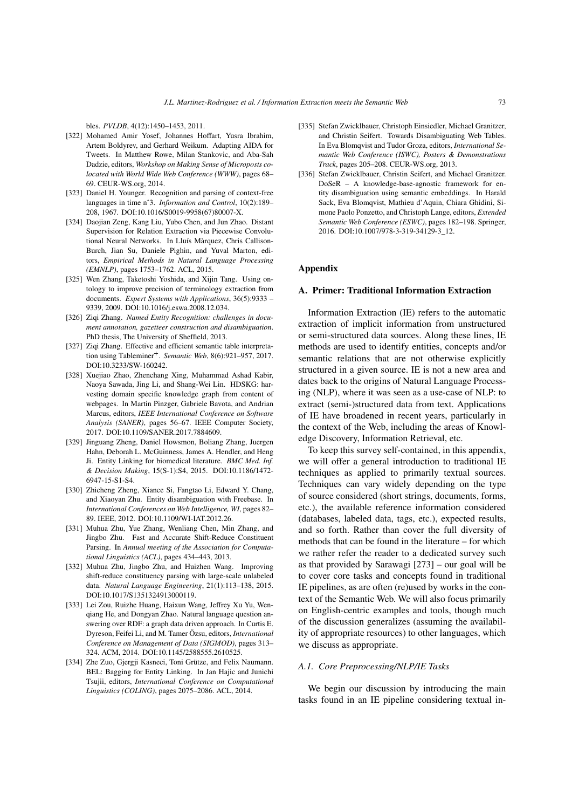bles. *PVLDB*, 4(12):1450–1453, 2011.

- [322] Mohamed Amir Yosef, Johannes Hoffart, Yusra Ibrahim, Artem Boldyrev, and Gerhard Weikum. Adapting AIDA for Tweets. In Matthew Rowe, Milan Stankovic, and Aba-Sah Dadzie, editors, *Workshop on Making Sense of Microposts colocated with World Wide Web Conference (WWW)*, pages 68– 69. CEUR-WS.org, 2014.
- <span id="page-72-0"></span>[323] Daniel H. Younger. Recognition and parsing of context-free languages in time nˆ3. *Information and Control*, 10(2):189– 208, 1967. DOI:10.1016/S0019-9958(67)80007-X.
- [324] Daojian Zeng, Kang Liu, Yubo Chen, and Jun Zhao. Distant Supervision for Relation Extraction via Piecewise Convolutional Neural Networks. In Lluís Màrquez, Chris Callison-Burch, Jian Su, Daniele Pighin, and Yuval Marton, editors, *Empirical Methods in Natural Language Processing (EMNLP)*, pages 1753–1762. ACL, 2015.
- [325] Wen Zhang, Taketoshi Yoshida, and Xijin Tang. Using ontology to improve precision of terminology extraction from documents. *Expert Systems with Applications*, 36(5):9333 – 9339, 2009. DOI:10.1016/j.eswa.2008.12.034.
- <span id="page-72-2"></span>[326] Ziqi Zhang. *Named Entity Recognition: challenges in document annotation, gazetteer construction and disambiguation*. PhD thesis, The University of Sheffield, 2013.
- [327] Ziqi Zhang. Effective and efficient semantic table interpretation using Tableminer+. *Semantic Web*, 8(6):921–957, 2017. DOI:10.3233/SW-160242.
- <span id="page-72-3"></span>[328] Xuejiao Zhao, Zhenchang Xing, Muhammad Ashad Kabir, Naoya Sawada, Jing Li, and Shang-Wei Lin. HDSKG: harvesting domain specific knowledge graph from content of webpages. In Martin Pinzger, Gabriele Bavota, and Andrian Marcus, editors, *IEEE International Conference on Software Analysis (SANER)*, pages 56–67. IEEE Computer Society, 2017. DOI:10.1109/SANER.2017.7884609.
- [329] Jinguang Zheng, Daniel Howsmon, Boliang Zhang, Juergen Hahn, Deborah L. McGuinness, James A. Hendler, and Heng Ji. Entity Linking for biomedical literature. *BMC Med. Inf. & Decision Making*, 15(S-1):S4, 2015. DOI:10.1186/1472- 6947-15-S1-S4.
- [330] Zhicheng Zheng, Xiance Si, Fangtao Li, Edward Y. Chang, and Xiaoyan Zhu. Entity disambiguation with Freebase. In *International Conferences on Web Intelligence, WI*, pages 82– 89. IEEE, 2012. DOI:10.1109/WI-IAT.2012.26.
- <span id="page-72-1"></span>[331] Muhua Zhu, Yue Zhang, Wenliang Chen, Min Zhang, and Jingbo Zhu. Fast and Accurate Shift-Reduce Constituent Parsing. In *Annual meeting of the Association for Computational Linguistics (ACL)*, pages 434–443, 2013.
- <span id="page-72-4"></span>[332] Muhua Zhu, Jingbo Zhu, and Huizhen Wang. Improving shift-reduce constituency parsing with large-scale unlabeled data. *Natural Language Engineering*, 21(1):113–138, 2015. DOI:10.1017/S1351324913000119.
- [333] Lei Zou, Ruizhe Huang, Haixun Wang, Jeffrey Xu Yu, Wenqiang He, and Dongyan Zhao. Natural language question answering over RDF: a graph data driven approach. In Curtis E. Dyreson, Feifei Li, and M. Tamer Özsu, editors, *International Conference on Management of Data (SIGMOD)*, pages 313– 324. ACM, 2014. DOI:10.1145/2588555.2610525.
- [334] Zhe Zuo, Gjergji Kasneci, Toni Grütze, and Felix Naumann. BEL: Bagging for Entity Linking. In Jan Hajic and Junichi Tsujii, editors, *International Conference on Computational Linguistics (COLING)*, pages 2075–2086. ACL, 2014.
- [335] Stefan Zwicklbauer, Christoph Einsiedler, Michael Granitzer, and Christin Seifert. Towards Disambiguating Web Tables. In Eva Blomqvist and Tudor Groza, editors, *International Semantic Web Conference (ISWC), Posters & Demonstrations Track*, pages 205–208. CEUR-WS.org, 2013.
- [336] Stefan Zwicklbauer, Christin Seifert, and Michael Granitzer. DoSeR – A knowledge-base-agnostic framework for entity disambiguation using semantic embeddings. In Harald Sack, Eva Blomqvist, Mathieu d'Aquin, Chiara Ghidini, Simone Paolo Ponzetto, and Christoph Lange, editors, *Extended Semantic Web Conference (ESWC)*, pages 182–198. Springer, 2016. DOI:10.1007/978-3-319-34129-3\_12.

# Appendix

#### A. Primer: Traditional Information Extraction

Information Extraction (IE) refers to the automatic extraction of implicit information from unstructured or semi-structured data sources. Along these lines, IE methods are used to identify entities, concepts and/or semantic relations that are not otherwise explicitly structured in a given source. IE is not a new area and dates back to the origins of Natural Language Processing (NLP), where it was seen as a use-case of NLP: to extract (semi-)structured data from text. Applications of IE have broadened in recent years, particularly in the context of the Web, including the areas of Knowledge Discovery, Information Retrieval, etc.

To keep this survey self-contained, in this appendix, we will offer a general introduction to traditional IE techniques as applied to primarily textual sources. Techniques can vary widely depending on the type of source considered (short strings, documents, forms, etc.), the available reference information considered (databases, labeled data, tags, etc.), expected results, and so forth. Rather than cover the full diversity of methods that can be found in the literature – for which we rather refer the reader to a dedicated survey such as that provided by Sarawagi [\[273\]](#page-69-0) – our goal will be to cover core tasks and concepts found in traditional IE pipelines, as are often (re)used by works in the context of the Semantic Web. We will also focus primarily on English-centric examples and tools, though much of the discussion generalizes (assuming the availability of appropriate resources) to other languages, which we discuss as appropriate.

#### *A.1. Core Preprocessing/NLP/IE Tasks*

We begin our discussion by introducing the main tasks found in an IE pipeline considering textual in-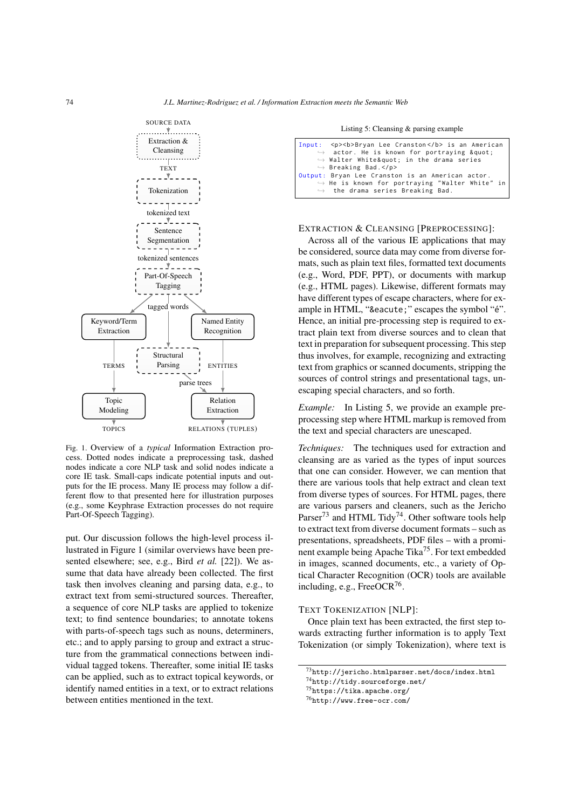<span id="page-73-0"></span>

Fig. 1. Overview of a *typical* Information Extraction process. Dotted nodes indicate a preprocessing task, dashed nodes indicate a core NLP task and solid nodes indicate a core IE task. Small-caps indicate potential inputs and outputs for the IE process. Many IE process may follow a different flow to that presented here for illustration purposes (e.g., some Keyphrase Extraction processes do not require Part-Of-Speech Tagging).

put. Our discussion follows the high-level process illustrated in Figure [1](#page-73-0) (similar overviews have been presented elsewhere; see, e.g., Bird *et al.* [\[22\]](#page-59-0)). We assume that data have already been collected. The first task then involves cleaning and parsing data, e.g., to extract text from semi-structured sources. Thereafter, a sequence of core NLP tasks are applied to tokenize text; to find sentence boundaries; to annotate tokens with parts-of-speech tags such as nouns, determiners, etc.; and to apply parsing to group and extract a structure from the grammatical connections between individual tagged tokens. Thereafter, some initial IE tasks can be applied, such as to extract topical keywords, or identify named entities in a text, or to extract relations between entities mentioned in the text.

| Listing 5: Cleansing & parsing example |  |  |  |
|----------------------------------------|--|--|--|
|----------------------------------------|--|--|--|

<span id="page-73-1"></span>
```
\nInput: >>b>Bryan Lee Cranston

 >> is an American\n    
$$
\rightarrow
$$
 actor. He is known for portraying "\n     $\rightarrow$  Walter White" in the drama series\n     $\rightarrow$  Breaking Bad. <>>\n\nOutput: Bryan Lee Cranston is an American actor.\n     $\rightarrow$  the is known for portraying "Walter White" in\n     $\rightarrow$  the drawn for portraying.
```

#### EXTRACTION & CLEANSING [PREPROCESSING]:

Across all of the various IE applications that may be considered, source data may come from diverse formats, such as plain text files, formatted text documents (e.g., Word, PDF, PPT), or documents with markup (e.g., HTML pages). Likewise, different formats may have different types of escape characters, where for example in HTML, "é" escapes the symbol "é". Hence, an initial pre-processing step is required to extract plain text from diverse sources and to clean that text in preparation for subsequent processing. This step thus involves, for example, recognizing and extracting text from graphics or scanned documents, stripping the sources of control strings and presentational tags, unescaping special characters, and so forth.

*Example:* In Listing [5,](#page-73-1) we provide an example preprocessing step where HTML markup is removed from the text and special characters are unescaped.

*Techniques:* The techniques used for extraction and cleansing are as varied as the types of input sources that one can consider. However, we can mention that there are various tools that help extract and clean text from diverse types of sources. For HTML pages, there are various parsers and cleaners, such as the Jericho Parser<sup>[73](#page-73-2)</sup> and HTML Tidy<sup>[74](#page-73-3)</sup>. Other software tools help to extract text from diverse document formats – such as presentations, spreadsheets, PDF files – with a prominent example being Apache Tika[75](#page-73-4). For text embedded in images, scanned documents, etc., a variety of Optical Character Recognition (OCR) tools are available including, e.g., FreeOCR<sup>[76](#page-73-5)</sup>.

## TEXT TOKENIZATION [NLP]:

Once plain text has been extracted, the first step towards extracting further information is to apply Text Tokenization (or simply Tokenization), where text is

<span id="page-73-2"></span><sup>73</sup><http://jericho.htmlparser.net/docs/index.html>

<span id="page-73-3"></span><sup>74</sup><http://tidy.sourceforge.net/>

<span id="page-73-4"></span><sup>75</sup><https://tika.apache.org/>

<span id="page-73-5"></span><sup>76</sup><http://www.free-ocr.com/>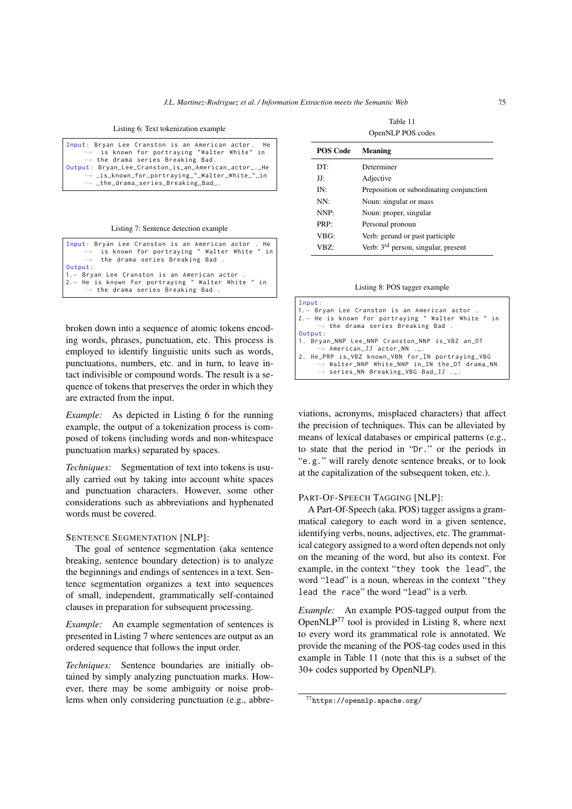Listing 6: Text tokenization example

<span id="page-74-0"></span>

| Input: Bryan Lee Cranston is an American actor. He         |
|------------------------------------------------------------|
| $\rightarrow$ is known for portraying "Walter White" in    |
| $\hookrightarrow$ the drama series Breaking Bad.           |
| output: Bryan_Lee_Cranston_is_an_American_actor_._He       |
| $\rightarrow$ _is_known_for_portraying_"_Walter_White_"_in |
| $\hookrightarrow$ _the_drama_series_Breaking_Bad_.         |
|                                                            |

Listing 7: Sentence detection example

<span id="page-74-1"></span>

| Input: Bryan Lee Cranston is an American actor . He       |
|-----------------------------------------------------------|
| $\rightarrow$ is known for portraying " Walter White " in |
| $\hookrightarrow$ the drama series Breaking Bad.          |
| Output:                                                   |
| 1.— Bryan Lee Cranston is an American actor .             |
| 2.— He is known for portraying " Walter White " in        |
| $\hookrightarrow$ the drama series Breaking Bad .         |

broken down into a sequence of atomic tokens encoding words, phrases, punctuation, etc. This process is employed to identify linguistic units such as words, punctuations, numbers, etc. and in turn, to leave intact indivisible or compound words. The result is a sequence of tokens that preserves the order in which they are extracted from the input.

*Example:* As depicted in Listing [6](#page-74-0) for the running example, the output of a tokenization process is composed of tokens (including words and non-whitespace punctuation marks) separated by spaces.

*Techniques:* Segmentation of text into tokens is usually carried out by taking into account white spaces and punctuation characters. However, some other considerations such as abbreviations and hyphenated words must be covered.

## SENTENCE SEGMENTATION [NLP]:

The goal of sentence segmentation (aka sentence breaking, sentence boundary detection) is to analyze the beginnings and endings of sentences in a text. Sentence segmentation organizes a text into sequences of small, independent, grammatically self-contained clauses in preparation for subsequent processing.

*Example:* An example segmentation of sentences is presented in Listing [7](#page-74-1) where sentences are output as an ordered sequence that follows the input order.

*Techniques:* Sentence boundaries are initially obtained by simply analyzing punctuation marks. However, there may be some ambiguity or noise problems when only considering punctuation (e.g., abbre-

| Table 11          |
|-------------------|
| OpenNLP POS codes |

<span id="page-74-4"></span>

| <b>POS Code</b>  | Meaning                                  |
|------------------|------------------------------------------|
| DT:              | Determiner                               |
| IJ:              | Adjective                                |
| IN'              | Preposition or subordinating conjunction |
| NN:              | Noun: singular or mass                   |
| NNP <sup>1</sup> | Noun: proper, singular                   |
| PRP.             | Personal pronoun                         |
| VBG:             | Verb: gerund or past participle          |
| VBZ:             | Verb: $3rd$ person, singular, present    |

| Listing 8: POS tagger example |  |  |  |  |  |
|-------------------------------|--|--|--|--|--|
|-------------------------------|--|--|--|--|--|

<span id="page-74-3"></span>

| Input:                                                       |
|--------------------------------------------------------------|
| 1. - Bryan Lee Cranston is an American actor.                |
| 2. - He is known for portraying " Walter White " in          |
| $\hookrightarrow$ the drama series Breaking Bad.             |
| Output:                                                      |
| 1. Bryan_NNP Lee_NNP Cranston_NNP is_VBZ an_DT               |
| $\hookrightarrow$ American_JJ actor_NN ._.                   |
| 2. He_PRP is_VBZ known_VBN for_IN portraying_VBG             |
| $\hookrightarrow$ Walter_NNP White_NNP in_IN the_DT drama_NN |
| $\rightarrow$ series_NN Breaking_VBG Bad_JJ ._.              |

viations, acronyms, misplaced characters) that affect the precision of techniques. This can be alleviated by means of lexical databases or empirical patterns (e.g., to state that the period in "Dr." or the periods in "e.g." will rarely denote sentence breaks, or to look at the capitalization of the subsequent token, etc.).

#### PART-OF-SPEECH TAGGING [NLP]:

A Part-Of-Speech (aka. POS) tagger assigns a grammatical category to each word in a given sentence, identifying verbs, nouns, adjectives, etc. The grammatical category assigned to a word often depends not only on the meaning of the word, but also its context. For example, in the context "they took the lead", the word "lead" is a noun, whereas in the context "they lead the race" the word "lead" is a verb.

*Example:* An example POS-tagged output from the Open $NLP^{77}$  $NLP^{77}$  $NLP^{77}$  tool is provided in Listing [8,](#page-74-3) where next to every word its grammatical role is annotated. We provide the meaning of the POS-tag codes used in this example in Table [11](#page-74-4) (note that this is a subset of the 30+ codes supported by OpenNLP).

<span id="page-74-2"></span><sup>77</sup><https://opennlp.apache.org/>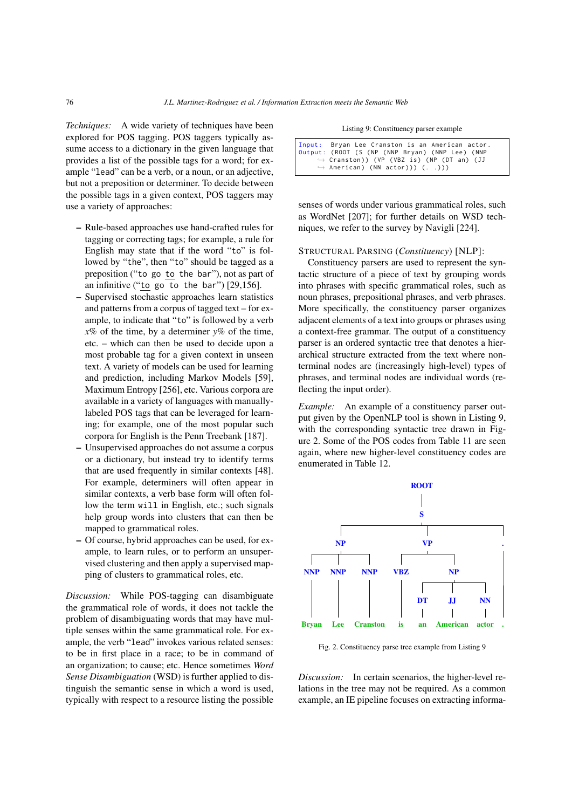*Techniques:* A wide variety of techniques have been explored for POS tagging. POS taggers typically assume access to a dictionary in the given language that provides a list of the possible tags for a word; for example "lead" can be a verb, or a noun, or an adjective, but not a preposition or determiner. To decide between the possible tags in a given context, POS taggers may use a variety of approaches:

- Rule-based approaches use hand-crafted rules for tagging or correcting tags; for example, a rule for English may state that if the word "to" is followed by "the", then "to" should be tagged as a preposition ("to go to the bar"), not as part of an infinitive ("to go to the bar") [\[29](#page-60-0)[,156\]](#page-65-0).
- Supervised stochastic approaches learn statistics and patterns from a corpus of tagged text – for example, to indicate that "to" is followed by a verb *x*% of the time, by a determiner *y*% of the time, etc. – which can then be used to decide upon a most probable tag for a given context in unseen text. A variety of models can be used for learning and prediction, including Markov Models [\[59\]](#page-61-0), Maximum Entropy [\[256\]](#page-69-1), etc. Various corpora are available in a variety of languages with manuallylabeled POS tags that can be leveraged for learning; for example, one of the most popular such corpora for English is the Penn Treebank [\[187\]](#page-66-0).
- Unsupervised approaches do not assume a corpus or a dictionary, but instead try to identify terms that are used frequently in similar contexts [\[48\]](#page-60-1). For example, determiners will often appear in similar contexts, a verb base form will often follow the term will in English, etc.; such signals help group words into clusters that can then be mapped to grammatical roles.
- Of course, hybrid approaches can be used, for example, to learn rules, or to perform an unsupervised clustering and then apply a supervised mapping of clusters to grammatical roles, etc.

*Discussion:* While POS-tagging can disambiguate the grammatical role of words, it does not tackle the problem of disambiguating words that may have multiple senses within the same grammatical role. For example, the verb "lead" invokes various related senses: to be in first place in a race; to be in command of an organization; to cause; etc. Hence sometimes *Word Sense Disambiguation* (WSD) is further applied to distinguish the semantic sense in which a word is used, typically with respect to a resource listing the possible

Listing 9: Constituency parser example

<span id="page-75-0"></span>Input : Bryan Lee Cranston is an American actor . Output : ( ROOT ( S ( NP ( NNP Bryan ) ( NNP Lee ) ( NNP ,→ Cranston ) ) ( VP ( VBZ is ) ( NP ( DT an ) ( JJ ,→ American ) ( NN actor ) ) ) (. .) ) )

senses of words under various grammatical roles, such as WordNet [\[207\]](#page-67-0); for further details on WSD techniques, we refer to the survey by Navigli [\[224\]](#page-67-1).

## STRUCTURAL PARSING (*Constituency*) [NLP]:

Constituency parsers are used to represent the syntactic structure of a piece of text by grouping words into phrases with specific grammatical roles, such as noun phrases, prepositional phrases, and verb phrases. More specifically, the constituency parser organizes adjacent elements of a text into groups or phrases using a context-free grammar. The output of a constituency parser is an ordered syntactic tree that denotes a hierarchical structure extracted from the text where nonterminal nodes are (increasingly high-level) types of phrases, and terminal nodes are individual words (reflecting the input order).

*Example:* An example of a constituency parser output given by the OpenNLP tool is shown in Listing [9,](#page-75-0) with the corresponding syntactic tree drawn in Figure [2.](#page-75-1) Some of the POS codes from Table [11](#page-74-4) are seen again, where new higher-level constituency codes are enumerated in Table [12.](#page-76-0)

<span id="page-75-1"></span>

Fig. 2. Constituency parse tree example from Listing [9](#page-75-0)

*Discussion:* In certain scenarios, the higher-level relations in the tree may not be required. As a common example, an IE pipeline focuses on extracting informa-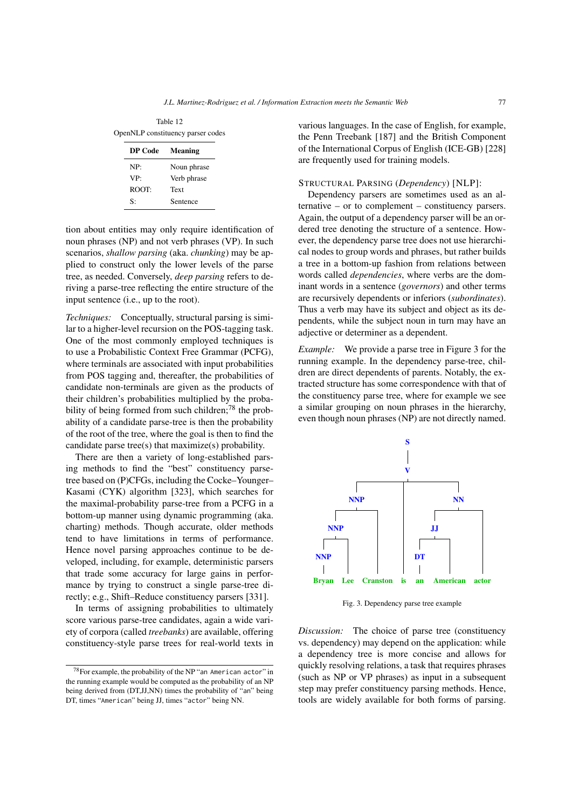<span id="page-76-0"></span>

|       | DP Code Meaning |
|-------|-----------------|
| $NP+$ | Noun phrase     |
| VP:   | Verb phrase     |
| ROOT: | <b>Text</b>     |
| S۰    | Sentence        |

Table 12

tion about entities may only require identification of noun phrases (NP) and not verb phrases (VP). In such scenarios, *shallow parsing* (aka. *chunking*) may be applied to construct only the lower levels of the parse tree, as needed. Conversely, *deep parsing* refers to deriving a parse-tree reflecting the entire structure of the input sentence (i.e., up to the root).

*Techniques:* Conceptually, structural parsing is similar to a higher-level recursion on the POS-tagging task. One of the most commonly employed techniques is to use a Probabilistic Context Free Grammar (PCFG), where terminals are associated with input probabilities from POS tagging and, thereafter, the probabilities of candidate non-terminals are given as the products of their children's probabilities multiplied by the proba-bility of being formed from such children;<sup>[78](#page-76-1)</sup> the probability of a candidate parse-tree is then the probability of the root of the tree, where the goal is then to find the candidate parse tree(s) that maximize(s) probability.

There are then a variety of long-established parsing methods to find the "best" constituency parsetree based on (P)CFGs, including the Cocke–Younger– Kasami (CYK) algorithm [\[323\]](#page-72-0), which searches for the maximal-probability parse-tree from a PCFG in a bottom-up manner using dynamic programming (aka. charting) methods. Though accurate, older methods tend to have limitations in terms of performance. Hence novel parsing approaches continue to be developed, including, for example, deterministic parsers that trade some accuracy for large gains in performance by trying to construct a single parse-tree directly; e.g., Shift–Reduce constituency parsers [\[331\]](#page-72-1).

In terms of assigning probabilities to ultimately score various parse-tree candidates, again a wide variety of corpora (called *treebanks*) are available, offering constituency-style parse trees for real-world texts in various languages. In the case of English, for example, the Penn Treebank [\[187\]](#page-66-0) and the British Component of the International Corpus of English (ICE-GB) [\[228\]](#page-68-0) are frequently used for training models.

## STRUCTURAL PARSING (*Dependency*) [NLP]:

Dependency parsers are sometimes used as an alternative – or to complement – constituency parsers. Again, the output of a dependency parser will be an ordered tree denoting the structure of a sentence. However, the dependency parse tree does not use hierarchical nodes to group words and phrases, but rather builds a tree in a bottom-up fashion from relations between words called *dependencies*, where verbs are the dominant words in a sentence (*governors*) and other terms are recursively dependents or inferiors (*subordinates*). Thus a verb may have its subject and object as its dependents, while the subject noun in turn may have an adjective or determiner as a dependent.

*Example:* We provide a parse tree in Figure [3](#page-76-2) for the running example. In the dependency parse-tree, children are direct dependents of parents. Notably, the extracted structure has some correspondence with that of the constituency parse tree, where for example we see a similar grouping on noun phrases in the hierarchy, even though noun phrases (NP) are not directly named.

<span id="page-76-2"></span>

Fig. 3. Dependency parse tree example

*Discussion:* The choice of parse tree (constituency vs. dependency) may depend on the application: while a dependency tree is more concise and allows for quickly resolving relations, a task that requires phrases (such as NP or VP phrases) as input in a subsequent step may prefer constituency parsing methods. Hence, tools are widely available for both forms of parsing.

<span id="page-76-1"></span><sup>78</sup>For example, the probability of the NP "an American actor" in the running example would be computed as the probability of an NP being derived from (DT,JJ,NN) times the probability of "an" being DT, times "American" being JJ, times "actor" being NN.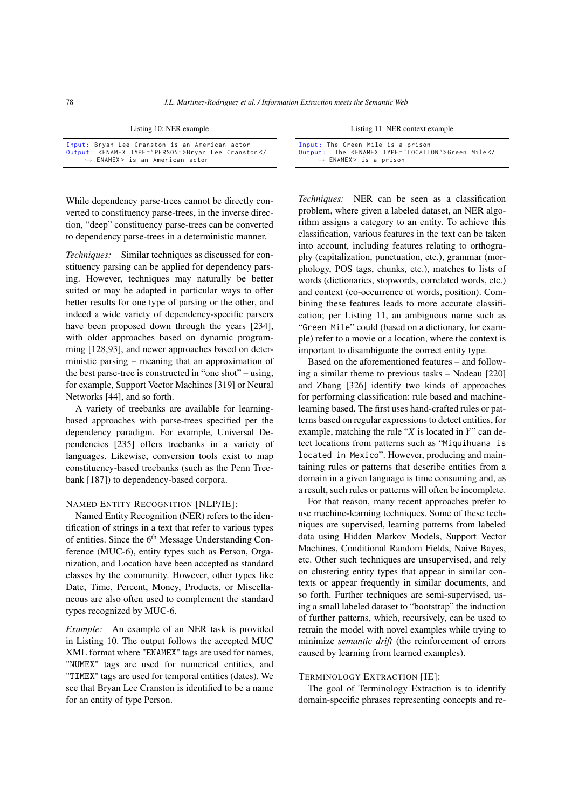```
Listing 10: NER example
```
<span id="page-77-0"></span>Input: Bryan Lee Cranston is an American actor Output: <ENAMEX TYPE="PERSON">Bryan Lee Cranston</ ENAMEX> is an American actor

While dependency parse-trees cannot be directly converted to constituency parse-trees, in the inverse direction, "deep" constituency parse-trees can be converted to dependency parse-trees in a deterministic manner.

*Techniques:* Similar techniques as discussed for constituency parsing can be applied for dependency parsing. However, techniques may naturally be better suited or may be adapted in particular ways to offer better results for one type of parsing or the other, and indeed a wide variety of dependency-specific parsers have been proposed down through the years [\[234\]](#page-68-1), with older approaches based on dynamic programming [\[128,](#page-64-0)[93\]](#page-62-0), and newer approaches based on deterministic parsing – meaning that an approximation of the best parse-tree is constructed in "one shot" – using, for example, Support Vector Machines [\[319\]](#page-71-0) or Neural Networks [\[44\]](#page-60-2), and so forth.

A variety of treebanks are available for learningbased approaches with parse-trees specified per the dependency paradigm. For example, Universal Dependencies [\[235\]](#page-68-2) offers treebanks in a variety of languages. Likewise, conversion tools exist to map constituency-based treebanks (such as the Penn Treebank [\[187\]](#page-66-0)) to dependency-based corpora.

## NAMED ENTITY RECOGNITION [NLP/IE]:

Named Entity Recognition (NER) refers to the identification of strings in a text that refer to various types of entities. Since the 6<sup>th</sup> Message Understanding Conference (MUC-6), entity types such as Person, Organization, and Location have been accepted as standard classes by the community. However, other types like Date, Time, Percent, Money, Products, or Miscellaneous are also often used to complement the standard types recognized by MUC-6.

*Example:* An example of an NER task is provided in Listing [10.](#page-77-0) The output follows the accepted MUC XML format where "ENAMEX" tags are used for names, "NUMEX" tags are used for numerical entities, and "TIMEX" tags are used for temporal entities (dates). We see that Bryan Lee Cranston is identified to be a name for an entity of type Person.

Listing 11: NER context example

<span id="page-77-1"></span>Input : The Green Mile is a prison Output: The <ENAMEX TYPE="LOCATION">Green Mile</  $ENAMEX > is a prison$ 

*Techniques:* NER can be seen as a classification problem, where given a labeled dataset, an NER algorithm assigns a category to an entity. To achieve this classification, various features in the text can be taken into account, including features relating to orthography (capitalization, punctuation, etc.), grammar (morphology, POS tags, chunks, etc.), matches to lists of words (dictionaries, stopwords, correlated words, etc.) and context (co-occurrence of words, position). Combining these features leads to more accurate classification; per Listing [11,](#page-77-1) an ambiguous name such as "Green Mile" could (based on a dictionary, for example) refer to a movie or a location, where the context is important to disambiguate the correct entity type.

Based on the aforementioned features – and following a similar theme to previous tasks – Nadeau [\[220\]](#page-67-2) and Zhang [\[326\]](#page-72-2) identify two kinds of approaches for performing classification: rule based and machinelearning based. The first uses hand-crafted rules or patterns based on regular expressions to detect entities, for example, matching the rule "*X* is located in *Y*" can detect locations from patterns such as "Miquihuana is located in Mexico". However, producing and maintaining rules or patterns that describe entities from a domain in a given language is time consuming and, as a result, such rules or patterns will often be incomplete.

For that reason, many recent approaches prefer to use machine-learning techniques. Some of these techniques are supervised, learning patterns from labeled data using Hidden Markov Models, Support Vector Machines, Conditional Random Fields, Naive Bayes, etc. Other such techniques are unsupervised, and rely on clustering entity types that appear in similar contexts or appear frequently in similar documents, and so forth. Further techniques are semi-supervised, using a small labeled dataset to "bootstrap" the induction of further patterns, which, recursively, can be used to retrain the model with novel examples while trying to minimize *semantic drift* (the reinforcement of errors caused by learning from learned examples).

# TERMINOLOGY EXTRACTION [IE]:

The goal of Terminology Extraction is to identify domain-specific phrases representing concepts and re-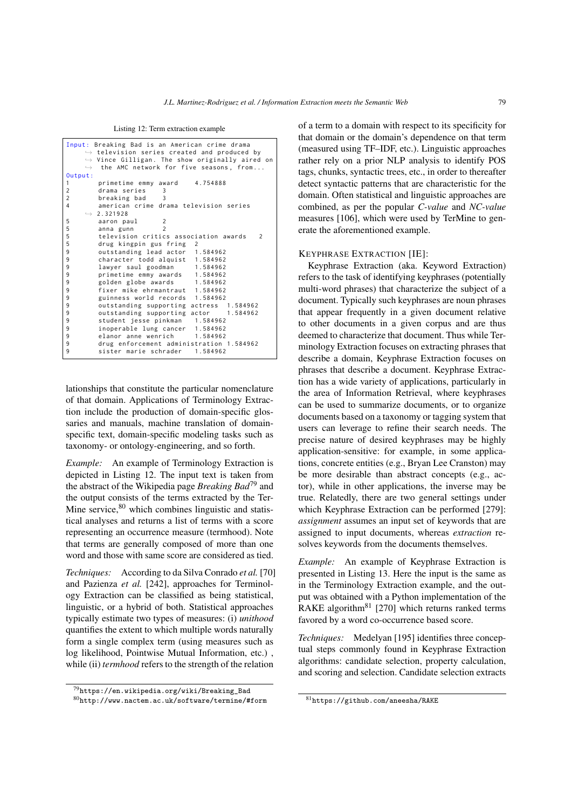Listing 12: Term extraction example

<span id="page-78-0"></span>

| Input: Breaking Bad is an American crime drama<br>$\hookrightarrow$ television series created and produced by<br>$\hookrightarrow$ Vince Gilligan. The show originally aired on<br>$\hookrightarrow$ the AMC network for five seasons, from |
|---------------------------------------------------------------------------------------------------------------------------------------------------------------------------------------------------------------------------------------------|
| Output:                                                                                                                                                                                                                                     |
| $\mathbf{1}$<br>primetime emmy award 4.754888                                                                                                                                                                                               |
| $\overline{c}$<br>drama series<br>3                                                                                                                                                                                                         |
| $\overline{c}$<br>breaking bad<br>3                                                                                                                                                                                                         |
| $\overline{4}$<br>american crime drama television series                                                                                                                                                                                    |
| $\rightarrow 2.321928$                                                                                                                                                                                                                      |
| 5<br>aaron paul<br>2                                                                                                                                                                                                                        |
| 5<br>$\mathcal{P}$<br>anna gunn                                                                                                                                                                                                             |
| 5<br>television critics association awards<br>2                                                                                                                                                                                             |
| 5<br>drug kingpin gus fring 2                                                                                                                                                                                                               |
| 9<br>outstanding lead actor 1.584962                                                                                                                                                                                                        |
| 9<br>character todd alquist 1.584962                                                                                                                                                                                                        |
| lawyer saul goodman 1.584962<br>9                                                                                                                                                                                                           |
| 9<br>primetime emmy awards 1.584962                                                                                                                                                                                                         |
| 9<br>golden globe awards 1.584962                                                                                                                                                                                                           |
| fixer mike ehrmantraut 1.584962<br>9                                                                                                                                                                                                        |
| 9<br>guinness world records 1.584962                                                                                                                                                                                                        |
| 9<br>outstanding supporting actress 1.584962                                                                                                                                                                                                |
| 9<br>outstanding supporting actor 1.584962                                                                                                                                                                                                  |
| 9<br>student jesse pinkman 1.584962                                                                                                                                                                                                         |
| 9<br>inoperable lung cancer 1.584962                                                                                                                                                                                                        |
| 9<br>elanor anne wenrich 1.584962                                                                                                                                                                                                           |
| 9<br>drug enforcement administration 1.584962                                                                                                                                                                                               |
| sister marie schrader 1.584962<br>9                                                                                                                                                                                                         |
|                                                                                                                                                                                                                                             |

lationships that constitute the particular nomenclature of that domain. Applications of Terminology Extraction include the production of domain-specific glossaries and manuals, machine translation of domainspecific text, domain-specific modeling tasks such as taxonomy- or ontology-engineering, and so forth.

*Example:* An example of Terminology Extraction is depicted in Listing [12.](#page-78-0) The input text is taken from the abstract of the Wikipedia page *Breaking Bad*[79](#page-78-1) and the output consists of the terms extracted by the Ter-Mine service, $80$  which combines linguistic and statistical analyses and returns a list of terms with a score representing an occurrence measure (termhood). Note that terms are generally composed of more than one word and those with same score are considered as tied.

*Techniques:* According to da Silva Conrado *et al.* [\[70\]](#page-61-1) and Pazienza *et al.* [\[242\]](#page-68-3), approaches for Terminology Extraction can be classified as being statistical, linguistic, or a hybrid of both. Statistical approaches typically estimate two types of measures: (i) *unithood* quantifies the extent to which multiple words naturally form a single complex term (using measures such as log likelihood, Pointwise Mutual Information, etc.) , while (ii) *termhood* refers to the strength of the relation

of a term to a domain with respect to its specificity for that domain or the domain's dependence on that term (measured using TF–IDF, etc.). Linguistic approaches rather rely on a prior NLP analysis to identify POS tags, chunks, syntactic trees, etc., in order to thereafter detect syntactic patterns that are characteristic for the domain. Often statistical and linguistic approaches are combined, as per the popular *C-value* and *NC-value* measures [\[106\]](#page-63-0), which were used by TerMine to generate the aforementioned example.

## KEYPHRASE EXTRACTION [IE]:

Keyphrase Extraction (aka. Keyword Extraction) refers to the task of identifying keyphrases (potentially multi-word phrases) that characterize the subject of a document. Typically such keyphrases are noun phrases that appear frequently in a given document relative to other documents in a given corpus and are thus deemed to characterize that document. Thus while Terminology Extraction focuses on extracting phrases that describe a domain, Keyphrase Extraction focuses on phrases that describe a document. Keyphrase Extraction has a wide variety of applications, particularly in the area of Information Retrieval, where keyphrases can be used to summarize documents, or to organize documents based on a taxonomy or tagging system that users can leverage to refine their search needs. The precise nature of desired keyphrases may be highly application-sensitive: for example, in some applications, concrete entities (e.g., Bryan Lee Cranston) may be more desirable than abstract concepts (e.g., actor), while in other applications, the inverse may be true. Relatedly, there are two general settings under which Keyphrase Extraction can be performed [\[279\]](#page-70-0): *assignment* assumes an input set of keywords that are assigned to input documents, whereas *extraction* resolves keywords from the documents themselves.

*Example:* An example of Keyphrase Extraction is presented in Listing [13.](#page-79-0) Here the input is the same as in the Terminology Extraction example, and the output was obtained with a Python implementation of the RAKE algorithm $81$  [\[270\]](#page-69-2) which returns ranked terms favored by a word co-occurrence based score.

*Techniques:* Medelyan [\[195\]](#page-66-1) identifies three conceptual steps commonly found in Keyphrase Extraction algorithms: candidate selection, property calculation, and scoring and selection. Candidate selection extracts

<span id="page-78-2"></span><span id="page-78-1"></span><sup>79</sup>[https://en.wikipedia.org/wiki/Breaking\\_Bad](https://en.wikipedia.org/wiki/Breaking_Bad) <sup>80</sup><http://www.nactem.ac.uk/software/termine/#form>

<span id="page-78-3"></span><sup>81</sup><https://github.com/aneesha/RAKE>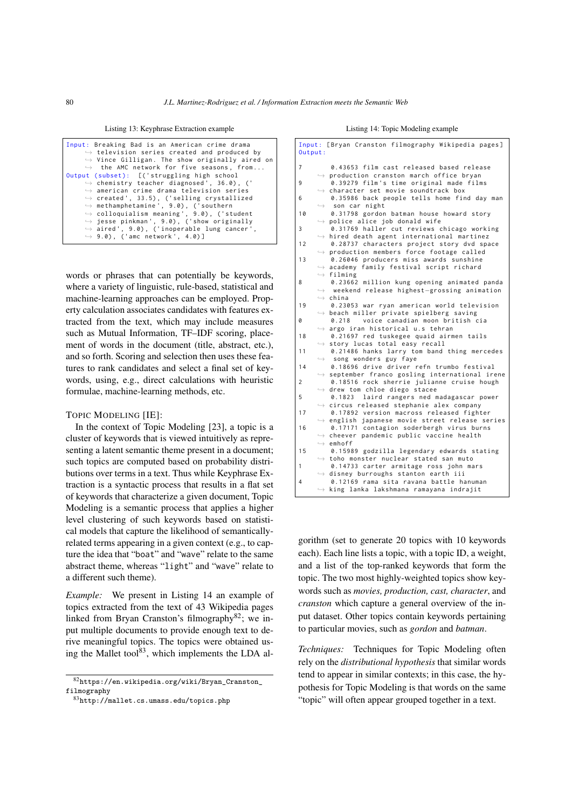Listing 13: Keyphrase Extraction example

<span id="page-79-0"></span>

| Input: Breaking Bad is an American crime drama<br>$\hookrightarrow$ television series created and produced by |
|---------------------------------------------------------------------------------------------------------------|
| $\hookrightarrow$ Vince Gilligan. The show originally aired on                                                |
| $\hookrightarrow$ the AMC network for five seasons, from                                                      |
| Output (subset): [('struggling high school                                                                    |
| $\hookrightarrow$ chemistry teacher diagnosed', 36.0), ('                                                     |
| $\hookrightarrow$ american crime drama television series                                                      |
| $\hookrightarrow$ created', 33.5), ('selling crystallized                                                     |
| $\hookrightarrow$ methamphetamine', 9.0), ('southern                                                          |
| $\hookrightarrow$ colloquialism meaning', 9.0), ('student                                                     |
| $\hookrightarrow$ jesse pinkman', 9.0), ('show originally                                                     |
| $\hookrightarrow$ aired', 9.0), ('inoperable lung cancer',                                                    |
| $\rightarrow$ 9.0), ('amc network', 4.0)]                                                                     |

words or phrases that can potentially be keywords, where a variety of linguistic, rule-based, statistical and machine-learning approaches can be employed. Property calculation associates candidates with features extracted from the text, which may include measures such as Mutual Information, TF–IDF scoring, placement of words in the document (title, abstract, etc.), and so forth. Scoring and selection then uses these features to rank candidates and select a final set of keywords, using, e.g., direct calculations with heuristic formulae, machine-learning methods, etc.

# TOPIC MODELING [IE]:

In the context of Topic Modeling [\[23\]](#page-59-1), a topic is a cluster of keywords that is viewed intuitively as representing a latent semantic theme present in a document; such topics are computed based on probability distributions over terms in a text. Thus while Keyphrase Extraction is a syntactic process that results in a flat set of keywords that characterize a given document, Topic Modeling is a semantic process that applies a higher level clustering of such keywords based on statistical models that capture the likelihood of semanticallyrelated terms appearing in a given context (e.g., to capture the idea that "boat" and "wave" relate to the same abstract theme, whereas "light" and "wave" relate to a different such theme).

*Example:* We present in Listing [14](#page-79-1) an example of topics extracted from the text of 43 Wikipedia pages linked from Bryan Cranston's filmography $^{82}$  $^{82}$  $^{82}$ ; we input multiple documents to provide enough text to derive meaningful topics. The topics were obtained using the Mallet tool $^{83}$  $^{83}$  $^{83}$ , which implements the LDA alListing 14: Topic Modeling example

<span id="page-79-1"></span>

| Output: | Input: [Bryan Cranston filmography Wikipedia pages]                                                                                                    |
|---------|--------------------------------------------------------------------------------------------------------------------------------------------------------|
| 7       | 0.43653 film cast released based release<br>$\hookrightarrow$ production cranston march office bryan                                                   |
| 9       | 0.39279 film's time original made films<br>$\hookrightarrow$ character set movie soundtrack box                                                        |
| 6       | 0.35986 back people tells home find day man<br>$\hookrightarrow$ son car night                                                                         |
| 10      | 0.31798 gordon batman house howard story<br>$\hookrightarrow$ police alice job donald wife                                                             |
| 3       | 0.31769 haller cut reviews chicago working<br>$\hookrightarrow$ hired death agent international martinez                                               |
| 12      | 0.28737 characters project story dvd space<br>$\hookrightarrow$ production members force footage called                                                |
| 13      | 0.26046 producers miss awards sunshine<br>$\hookrightarrow$ academy family festival script richard<br>$\hookrightarrow$ filming                        |
| 8       | 0.23662 million kung opening animated panda<br>$\hookrightarrow$ weekend release highest-grossing animation                                            |
| 19      | $\hookrightarrow$ china<br>0.23053 war ryan american world television                                                                                  |
| 0       | $\hookrightarrow$ beach miller private spielberg saving<br>0.218 voice canadian moon british cia                                                       |
| 18      | $\hookrightarrow$ argo iran historical u.s tehran<br>0.21697 red tuskegee quaid airmen tails                                                           |
| 11      | $\hookrightarrow$ story lucas total easy recall<br>0.21486 hanks larry tom band thing mercedes                                                         |
| 14      | $\hookrightarrow$ song wonders guy faye<br>0.18696 drive driver refn trumbo festival<br>$\hookrightarrow$ september franco gosling international irene |
| 2       | 0.18516 rock sherrie julianne cruise hough<br>$\hookrightarrow$ drew tom chloe diego stacee                                                            |
| 5       | 0.1823 laird rangers ned madagascar power<br>$\hookrightarrow$ circus released stephanie alex company                                                  |
| 17      | 0.17892 version macross released fighter<br>$\hookrightarrow$ english japanese movie street release series                                             |
| 16      | 0.17171 contagion soderbergh virus burns<br>$\hookrightarrow$ cheever pandemic public vaccine health                                                   |
| 15      | $\hookrightarrow$ emhoff<br>0.15989 godzilla legendary edwards stating                                                                                 |
|         | $\hookrightarrow$ toho monster nuclear stated san muto                                                                                                 |
| 1       | 0.14733 carter armitage ross john mars                                                                                                                 |
| 4       | $\hookrightarrow$ disney burroughs stanton earth iii<br>0.12169 rama sita ravana battle hanuman                                                        |
|         | $\hookrightarrow$ king lanka lakshmana ramayana indrajit                                                                                               |
|         |                                                                                                                                                        |

gorithm (set to generate 20 topics with 10 keywords each). Each line lists a topic, with a topic ID, a weight, and a list of the top-ranked keywords that form the topic. The two most highly-weighted topics show keywords such as *movies, production, cast, character*, and *cranston* which capture a general overview of the input dataset. Other topics contain keywords pertaining to particular movies, such as *gordon* and *batman*.

*Techniques:* Techniques for Topic Modeling often rely on the *distributional hypothesis* that similar words tend to appear in similar contexts; in this case, the hypothesis for Topic Modeling is that words on the same "topic" will often appear grouped together in a text.

<span id="page-79-2"></span> $\frac{82 \text{https://en.wikipedia.org/wiki/Bryan_Cranston}}{}$ [filmography](https://en.wikipedia.org/wiki/Bryan_Cranston_filmography)

<span id="page-79-3"></span><sup>83</sup><http://mallet.cs.umass.edu/topics.php>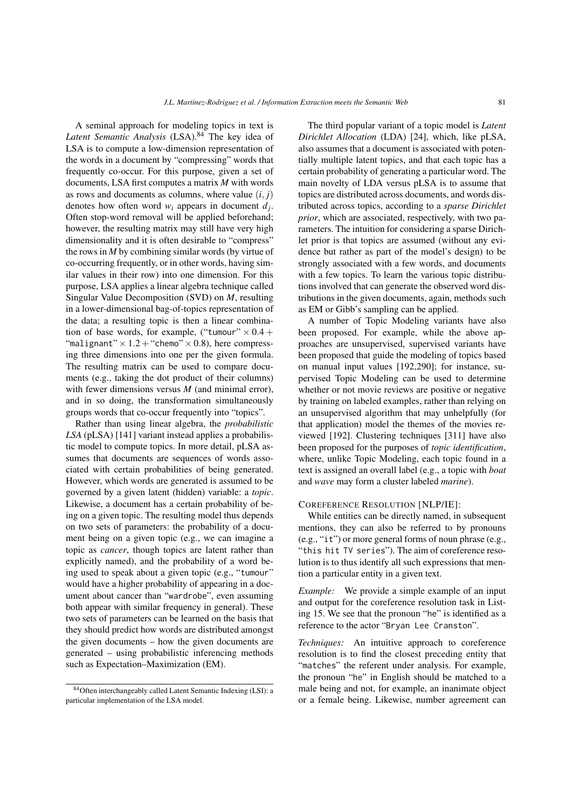A seminal approach for modeling topics in text is Latent Semantic Analysis (LSA).<sup>[84](#page-80-0)</sup> The key idea of LSA is to compute a low-dimension representation of the words in a document by "compressing" words that frequently co-occur. For this purpose, given a set of documents, LSA first computes a matrix *M* with words as rows and documents as columns, where value  $(i, j)$ denotes how often word *w<sup>i</sup>* appears in document *d<sup>j</sup>* . Often stop-word removal will be applied beforehand; however, the resulting matrix may still have very high dimensionality and it is often desirable to "compress" the rows in *M* by combining similar words (by virtue of co-occurring frequently, or in other words, having similar values in their row) into one dimension. For this purpose, LSA applies a linear algebra technique called Singular Value Decomposition (SVD) on *M*, resulting in a lower-dimensional bag-of-topics representation of the data; a resulting topic is then a linear combination of base words, for example, ("tumour"  $\times$  0.4 + "malignant"  $\times$  1.2 + "chemo"  $\times$  0.8), here compressing three dimensions into one per the given formula. The resulting matrix can be used to compare documents (e.g., taking the dot product of their columns) with fewer dimensions versus *M* (and minimal error), and in so doing, the transformation simultaneously groups words that co-occur frequently into "topics".

Rather than using linear algebra, the *probabilistic LSA* (pLSA) [\[141\]](#page-64-1) variant instead applies a probabilistic model to compute topics. In more detail, pLSA assumes that documents are sequences of words associated with certain probabilities of being generated. However, which words are generated is assumed to be governed by a given latent (hidden) variable: a *topic*. Likewise, a document has a certain probability of being on a given topic. The resulting model thus depends on two sets of parameters: the probability of a document being on a given topic (e.g., we can imagine a topic as *cancer*, though topics are latent rather than explicitly named), and the probability of a word being used to speak about a given topic (e.g., "tumour" would have a higher probability of appearing in a document about cancer than "wardrobe", even assuming both appear with similar frequency in general). These two sets of parameters can be learned on the basis that they should predict how words are distributed amongst the given documents – how the given documents are generated – using probabilistic inferencing methods such as Expectation–Maximization (EM).

The third popular variant of a topic model is *Latent Dirichlet Allocation* (LDA) [\[24\]](#page-59-2), which, like pLSA, also assumes that a document is associated with potentially multiple latent topics, and that each topic has a certain probability of generating a particular word. The main novelty of LDA versus pLSA is to assume that topics are distributed across documents, and words distributed across topics, according to a *sparse Dirichlet prior*, which are associated, respectively, with two parameters. The intuition for considering a sparse Dirichlet prior is that topics are assumed (without any evidence but rather as part of the model's design) to be strongly associated with a few words, and documents with a few topics. To learn the various topic distributions involved that can generate the observed word distributions in the given documents, again, methods such as EM or Gibb's sampling can be applied.

A number of Topic Modeling variants have also been proposed. For example, while the above approaches are unsupervised, supervised variants have been proposed that guide the modeling of topics based on manual input values [\[192,](#page-66-2)[290\]](#page-70-1); for instance, supervised Topic Modeling can be used to determine whether or not movie reviews are positive or negative by training on labeled examples, rather than relying on an unsupervised algorithm that may unhelpfully (for that application) model the themes of the movies reviewed [\[192\]](#page-66-2). Clustering techniques [\[311\]](#page-71-1) have also been proposed for the purposes of *topic identification*, where, unlike Topic Modeling, each topic found in a text is assigned an overall label (e.g., a topic with *boat* and *wave* may form a cluster labeled *marine*).

#### COREFERENCE RESOLUTION [NLP/IE]:

While entities can be directly named, in subsequent mentions, they can also be referred to by pronouns (e.g., "it") or more general forms of noun phrase (e.g., "this hit TV series"). The aim of coreference resolution is to thus identify all such expressions that mention a particular entity in a given text.

*Example:* We provide a simple example of an input and output for the coreference resolution task in Listing [15.](#page-81-0) We see that the pronoun "he" is identified as a reference to the actor "Bryan Lee Cranston".

*Techniques:* An intuitive approach to coreference resolution is to find the closest preceding entity that "matches" the referent under analysis. For example, the pronoun "he" in English should be matched to a male being and not, for example, an inanimate object or a female being. Likewise, number agreement can

<span id="page-80-0"></span><sup>84</sup>Often interchangeably called Latent Semantic Indexing (LSI): a particular implementation of the LSA model.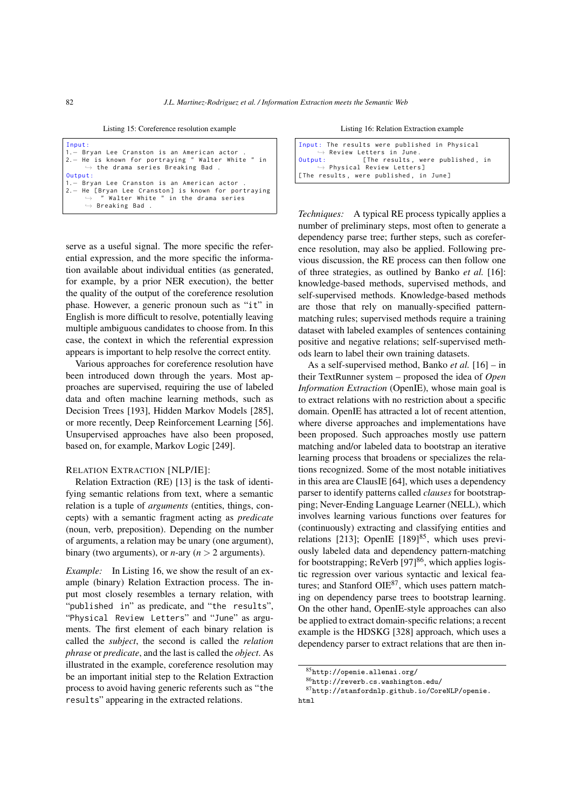Listing 15: Coreference resolution example

```
Input :
1. - Bryan Lee Cranston is an American actor
2.− He is known for portraying " Walter White " in
      \rightarrow the drama series Breaking Bad.
Output :
1. - Bryan Lee Cranston is an American actor
2.− He [ Bryan Lee Cranston ] is known for portraying
,→ " Walter White " in the drama series
      \hookrightarrow Breaking Bad.
```
serve as a useful signal. The more specific the referential expression, and the more specific the information available about individual entities (as generated, for example, by a prior NER execution), the better the quality of the output of the coreference resolution phase. However, a generic pronoun such as "it" in English is more difficult to resolve, potentially leaving multiple ambiguous candidates to choose from. In this case, the context in which the referential expression appears is important to help resolve the correct entity.

Various approaches for coreference resolution have been introduced down through the years. Most approaches are supervised, requiring the use of labeled data and often machine learning methods, such as Decision Trees [\[193\]](#page-66-3), Hidden Markov Models [\[285\]](#page-70-2), or more recently, Deep Reinforcement Learning [\[56\]](#page-61-2). Unsupervised approaches have also been proposed, based on, for example, Markov Logic [\[249\]](#page-68-4).

## RELATION EXTRACTION [NLP/IE]:

Relation Extraction (RE) [\[13\]](#page-59-3) is the task of identifying semantic relations from text, where a semantic relation is a tuple of *arguments* (entities, things, concepts) with a semantic fragment acting as *predicate* (noun, verb, preposition). Depending on the number of arguments, a relation may be unary (one argument), binary (two arguments), or *n*-ary ( $n > 2$  arguments).

*Example:* In Listing [16,](#page-81-1) we show the result of an example (binary) Relation Extraction process. The input most closely resembles a ternary relation, with "published in" as predicate, and "the results", "Physical Review Letters" and "June" as arguments. The first element of each binary relation is called the *subject*, the second is called the *relation phrase* or *predicate*, and the last is called the *object*. As illustrated in the example, coreference resolution may be an important initial step to the Relation Extraction process to avoid having generic referents such as "the results" appearing in the extracted relations.

Listing 16: Relation Extraction example

```
Input: The results were published in Physical
     \hookrightarrow Review Letters in June.
Output: [The results, were published, in
     \rightarrow Physical Review Letters]
[ The results , were published , in June ]
```
*Techniques:* A typical RE process typically applies a number of preliminary steps, most often to generate a dependency parse tree; further steps, such as coreference resolution, may also be applied. Following previous discussion, the RE process can then follow one of three strategies, as outlined by Banko *et al.* [\[16\]](#page-59-4): knowledge-based methods, supervised methods, and self-supervised methods. Knowledge-based methods are those that rely on manually-specified patternmatching rules; supervised methods require a training dataset with labeled examples of sentences containing positive and negative relations; self-supervised methods learn to label their own training datasets.

As a self-supervised method, Banko *et al.* [\[16\]](#page-59-4) – in their TextRunner system – proposed the idea of *Open Information Extraction* (OpenIE), whose main goal is to extract relations with no restriction about a specific domain. OpenIE has attracted a lot of recent attention, where diverse approaches and implementations have been proposed. Such approaches mostly use pattern matching and/or labeled data to bootstrap an iterative learning process that broadens or specializes the relations recognized. Some of the most notable initiatives in this area are ClausIE [\[64\]](#page-61-3), which uses a dependency parser to identify patterns called *clauses* for bootstrapping; Never-Ending Language Learner (NELL), which involves learning various functions over features for (continuously) extracting and classifying entities and relations [\[213\]](#page-67-3); OpenIE [\[189\]](#page-66-4)<sup>[85](#page-81-2)</sup>, which uses previously labeled data and dependency pattern-matching for bootstrapping; ReVerb [\[97\]](#page-62-1)<sup>[86](#page-81-3)</sup>, which applies logistic regression over various syntactic and lexical features; and Stanford  $OIE^{87}$  $OIE^{87}$  $OIE^{87}$ , which uses pattern matching on dependency parse trees to bootstrap learning. On the other hand, OpenIE-style approaches can also be applied to extract domain-specific relations; a recent example is the HDSKG [\[328\]](#page-72-3) approach, which uses a dependency parser to extract relations that are then in-

<span id="page-81-2"></span><sup>85</sup><http://openie.allenai.org/>

<span id="page-81-4"></span><span id="page-81-3"></span><sup>86</sup><http://reverb.cs.washington.edu/>

<sup>87</sup>[http://stanfordnlp.github.io/CoreNLP/openie.](http://stanfordnlp.github.io/CoreNLP/openie.html) [html](http://stanfordnlp.github.io/CoreNLP/openie.html)